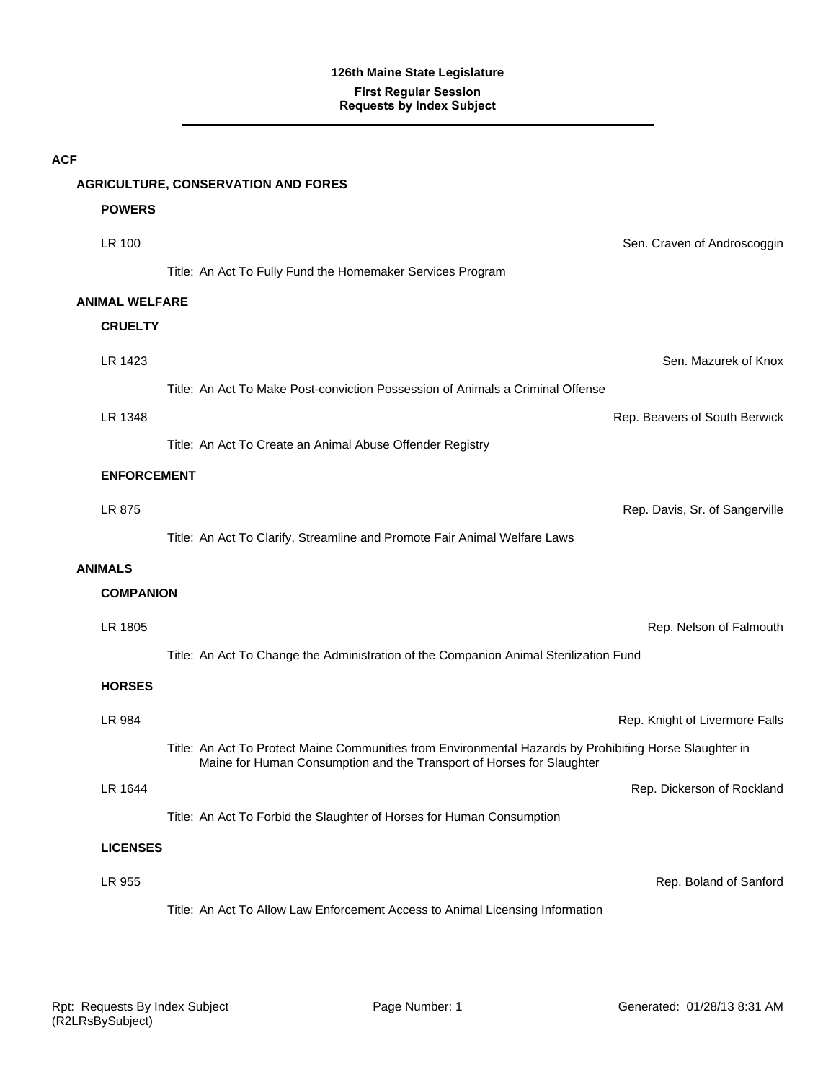|                       | <b>AGRICULTURE, CONSERVATION AND FORES</b>                                                                                                                                       |                                |
|-----------------------|----------------------------------------------------------------------------------------------------------------------------------------------------------------------------------|--------------------------------|
| <b>POWERS</b>         |                                                                                                                                                                                  |                                |
| LR 100                |                                                                                                                                                                                  | Sen. Craven of Androscoggin    |
|                       | Title: An Act To Fully Fund the Homemaker Services Program                                                                                                                       |                                |
| <b>ANIMAL WELFARE</b> |                                                                                                                                                                                  |                                |
| <b>CRUELTY</b>        |                                                                                                                                                                                  |                                |
| LR 1423               |                                                                                                                                                                                  | Sen. Mazurek of Knox           |
|                       | Title: An Act To Make Post-conviction Possession of Animals a Criminal Offense                                                                                                   |                                |
| LR 1348               |                                                                                                                                                                                  | Rep. Beavers of South Berwick  |
|                       | Title: An Act To Create an Animal Abuse Offender Registry                                                                                                                        |                                |
| <b>ENFORCEMENT</b>    |                                                                                                                                                                                  |                                |
| LR 875                |                                                                                                                                                                                  | Rep. Davis, Sr. of Sangerville |
|                       | Title: An Act To Clarify, Streamline and Promote Fair Animal Welfare Laws                                                                                                        |                                |
| <b>ANIMALS</b>        |                                                                                                                                                                                  |                                |
| <b>COMPANION</b>      |                                                                                                                                                                                  |                                |
| LR 1805               |                                                                                                                                                                                  | Rep. Nelson of Falmouth        |
|                       | Title: An Act To Change the Administration of the Companion Animal Sterilization Fund                                                                                            |                                |
| <b>HORSES</b>         |                                                                                                                                                                                  |                                |
| LR 984                |                                                                                                                                                                                  | Rep. Knight of Livermore Falls |
|                       | Title: An Act To Protect Maine Communities from Environmental Hazards by Prohibiting Horse Slaughter in<br>Maine for Human Consumption and the Transport of Horses for Slaughter |                                |
| LR 1644               |                                                                                                                                                                                  | Rep. Dickerson of Rockland     |
|                       | Title: An Act To Forbid the Slaughter of Horses for Human Consumption                                                                                                            |                                |
| <b>LICENSES</b>       |                                                                                                                                                                                  |                                |
| LR 955                |                                                                                                                                                                                  | Rep. Boland of Sanford         |
|                       | Title: An Act To Allow Law Enforcement Access to Animal Licensing Information                                                                                                    |                                |

**ACF**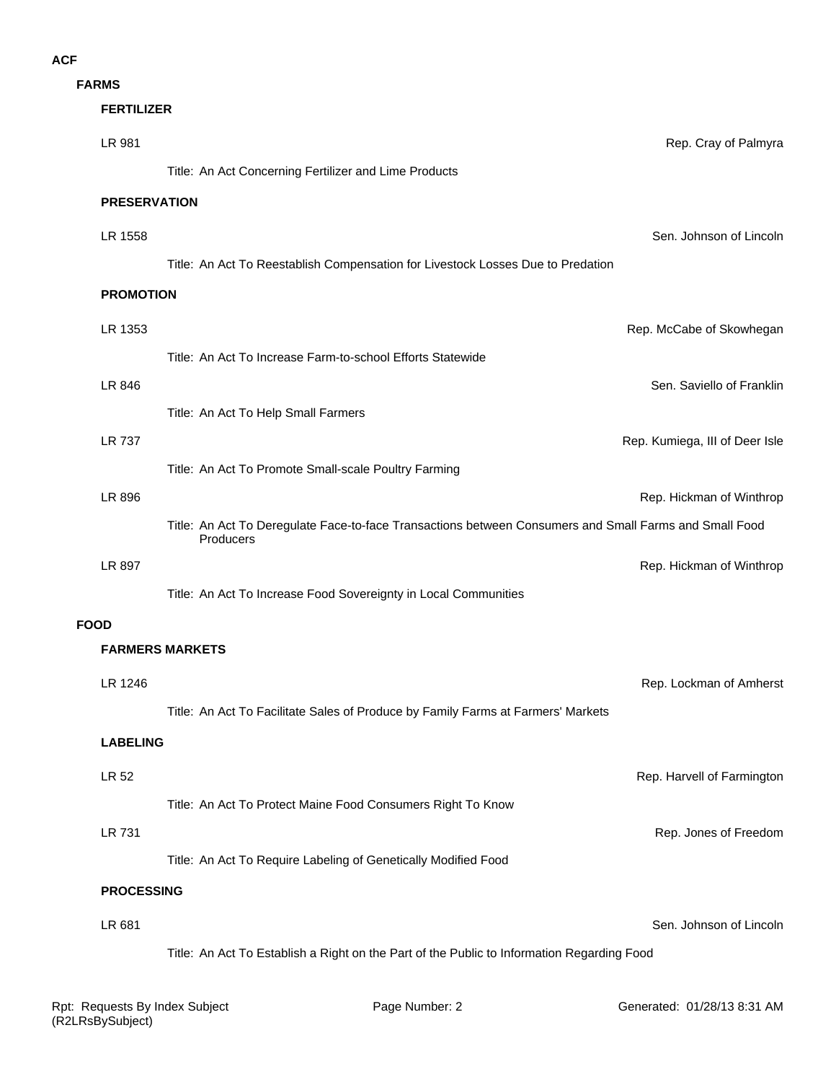**FARMS**

#### **FERTILIZER**

|             | LR 981                 |                                                                                                                     | Rep. Cray of Palmyra           |
|-------------|------------------------|---------------------------------------------------------------------------------------------------------------------|--------------------------------|
|             |                        | Title: An Act Concerning Fertilizer and Lime Products                                                               |                                |
|             | <b>PRESERVATION</b>    |                                                                                                                     |                                |
|             | LR 1558                |                                                                                                                     | Sen. Johnson of Lincoln        |
|             |                        | Title: An Act To Reestablish Compensation for Livestock Losses Due to Predation                                     |                                |
|             | <b>PROMOTION</b>       |                                                                                                                     |                                |
|             | LR 1353                |                                                                                                                     | Rep. McCabe of Skowhegan       |
|             |                        | Title: An Act To Increase Farm-to-school Efforts Statewide                                                          |                                |
|             | LR 846                 |                                                                                                                     | Sen. Saviello of Franklin      |
|             |                        | Title: An Act To Help Small Farmers                                                                                 |                                |
|             | LR 737                 |                                                                                                                     | Rep. Kumiega, III of Deer Isle |
|             |                        | Title: An Act To Promote Small-scale Poultry Farming                                                                |                                |
|             | LR 896                 |                                                                                                                     | Rep. Hickman of Winthrop       |
|             |                        | Title: An Act To Deregulate Face-to-face Transactions between Consumers and Small Farms and Small Food<br>Producers |                                |
|             | LR 897                 |                                                                                                                     | Rep. Hickman of Winthrop       |
|             |                        | Title: An Act To Increase Food Sovereignty in Local Communities                                                     |                                |
| <b>FOOD</b> | <b>FARMERS MARKETS</b> |                                                                                                                     |                                |
|             |                        |                                                                                                                     |                                |
|             | LR 1246                |                                                                                                                     | Rep. Lockman of Amherst        |
|             | <b>LABELING</b>        | Title: An Act To Facilitate Sales of Produce by Family Farms at Farmers' Markets                                    |                                |
|             |                        |                                                                                                                     |                                |
|             | LR 52                  | Title: An Act To Protect Maine Food Consumers Right To Know                                                         | Rep. Harvell of Farmington     |
|             | <b>LR 731</b>          |                                                                                                                     | Rep. Jones of Freedom          |
|             |                        | Title: An Act To Require Labeling of Genetically Modified Food                                                      |                                |
|             | <b>PROCESSING</b>      |                                                                                                                     |                                |
|             | LR 681                 |                                                                                                                     | Sen. Johnson of Lincoln        |
|             |                        | Title: An Act To Establish a Right on the Part of the Public to Information Regarding Food                          |                                |
|             |                        |                                                                                                                     |                                |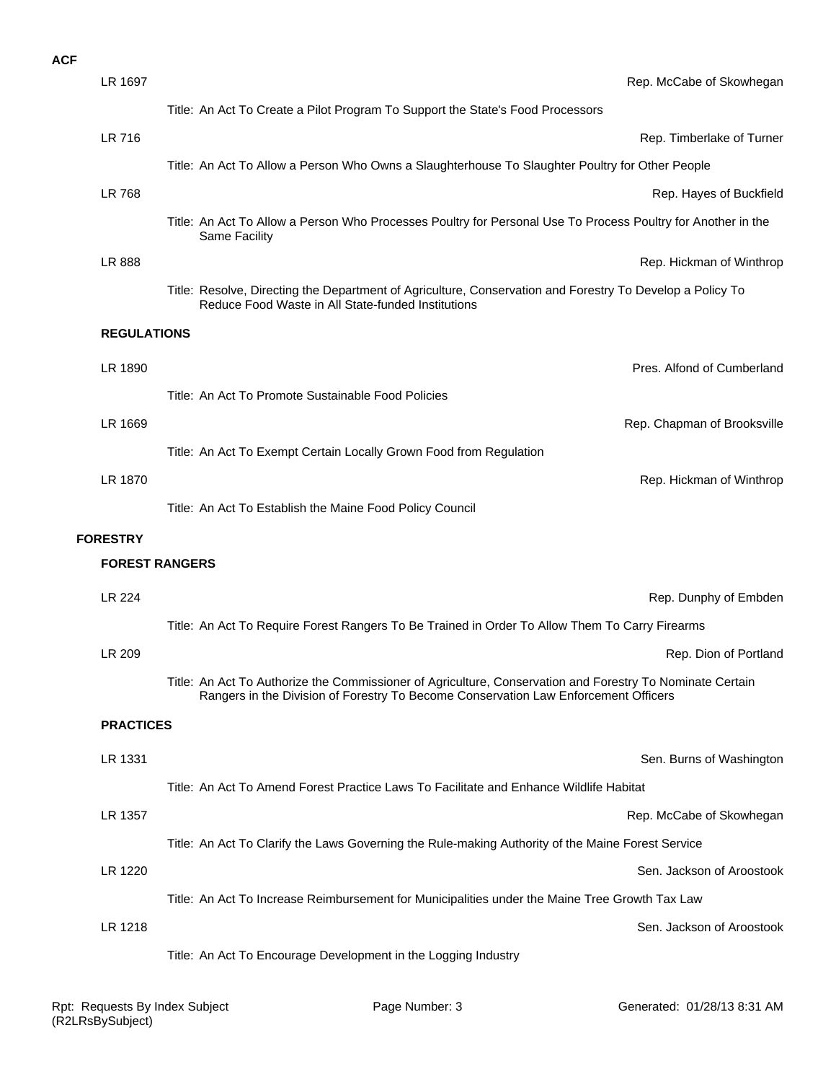#### **ACF**

| LR 1697               | Rep. McCabe of Skowhegan                                                                                                                                                                         |
|-----------------------|--------------------------------------------------------------------------------------------------------------------------------------------------------------------------------------------------|
|                       | Title: An Act To Create a Pilot Program To Support the State's Food Processors                                                                                                                   |
| LR 716                | Rep. Timberlake of Turner                                                                                                                                                                        |
|                       | Title: An Act To Allow a Person Who Owns a Slaughterhouse To Slaughter Poultry for Other People                                                                                                  |
| LR 768                | Rep. Hayes of Buckfield                                                                                                                                                                          |
|                       | Title: An Act To Allow a Person Who Processes Poultry for Personal Use To Process Poultry for Another in the<br>Same Facility                                                                    |
| LR 888                | Rep. Hickman of Winthrop                                                                                                                                                                         |
|                       | Title: Resolve, Directing the Department of Agriculture, Conservation and Forestry To Develop a Policy To<br>Reduce Food Waste in All State-funded Institutions                                  |
| <b>REGULATIONS</b>    |                                                                                                                                                                                                  |
| LR 1890               | Pres. Alfond of Cumberland                                                                                                                                                                       |
|                       | Title: An Act To Promote Sustainable Food Policies                                                                                                                                               |
| LR 1669               | Rep. Chapman of Brooksville                                                                                                                                                                      |
|                       | Title: An Act To Exempt Certain Locally Grown Food from Regulation                                                                                                                               |
| LR 1870               | Rep. Hickman of Winthrop                                                                                                                                                                         |
|                       | Title: An Act To Establish the Maine Food Policy Council                                                                                                                                         |
|                       |                                                                                                                                                                                                  |
| <b>FORESTRY</b>       |                                                                                                                                                                                                  |
| <b>FOREST RANGERS</b> |                                                                                                                                                                                                  |
| LR 224                | Rep. Dunphy of Embden                                                                                                                                                                            |
|                       | Title: An Act To Require Forest Rangers To Be Trained in Order To Allow Them To Carry Firearms                                                                                                   |
| LR 209                | Rep. Dion of Portland                                                                                                                                                                            |
|                       | Title: An Act To Authorize the Commissioner of Agriculture, Conservation and Forestry To Nominate Certain<br>Rangers in the Division of Forestry To Become Conservation Law Enforcement Officers |
| <b>PRACTICES</b>      |                                                                                                                                                                                                  |
| LR 1331               | Sen. Burns of Washington                                                                                                                                                                         |
|                       | Title: An Act To Amend Forest Practice Laws To Facilitate and Enhance Wildlife Habitat                                                                                                           |
| LR 1357               | Rep. McCabe of Skowhegan                                                                                                                                                                         |
|                       | Title: An Act To Clarify the Laws Governing the Rule-making Authority of the Maine Forest Service                                                                                                |
| LR 1220               | Sen. Jackson of Aroostook                                                                                                                                                                        |
|                       | Title: An Act To Increase Reimbursement for Municipalities under the Maine Tree Growth Tax Law                                                                                                   |
| LR 1218               | Sen. Jackson of Aroostook                                                                                                                                                                        |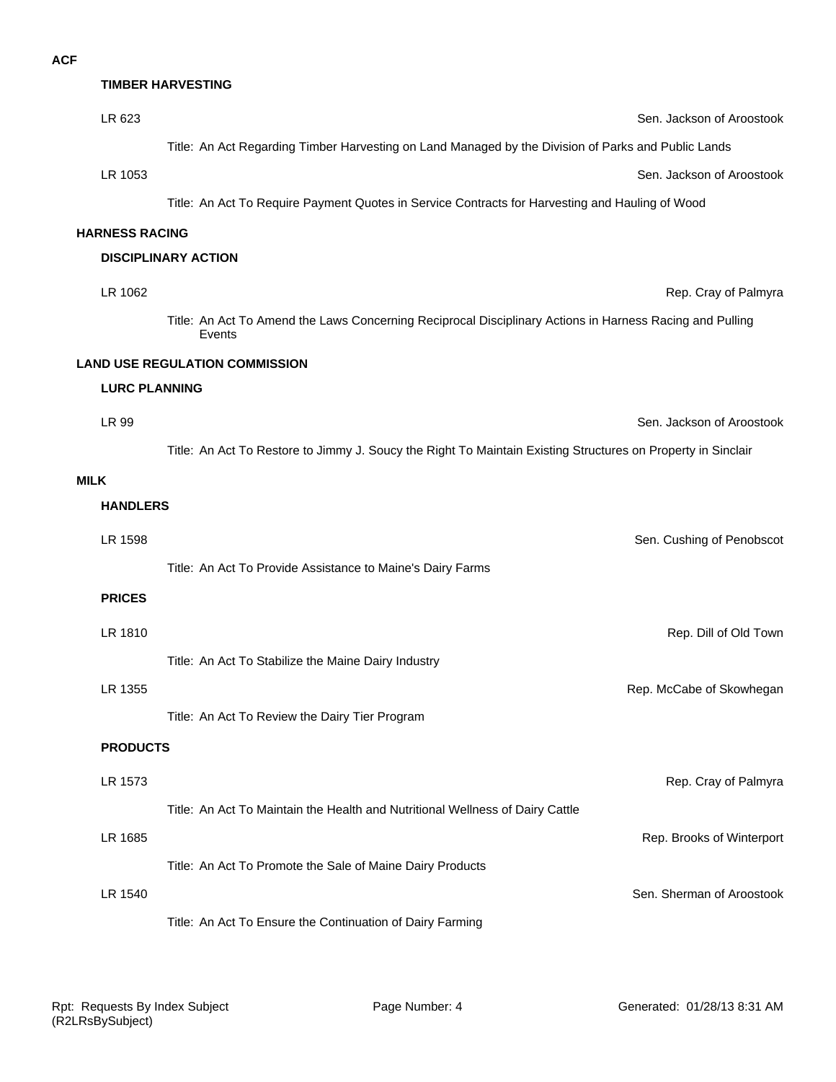#### **TIMBER HARVESTING**

| LR 623                | Sen. Jackson of Aroostook                                                                                          |
|-----------------------|--------------------------------------------------------------------------------------------------------------------|
|                       | Title: An Act Regarding Timber Harvesting on Land Managed by the Division of Parks and Public Lands                |
| LR 1053               | Sen. Jackson of Aroostook                                                                                          |
|                       | Title: An Act To Require Payment Quotes in Service Contracts for Harvesting and Hauling of Wood                    |
| <b>HARNESS RACING</b> |                                                                                                                    |
|                       | <b>DISCIPLINARY ACTION</b>                                                                                         |
| LR 1062               | Rep. Cray of Palmyra                                                                                               |
|                       | Title: An Act To Amend the Laws Concerning Reciprocal Disciplinary Actions in Harness Racing and Pulling<br>Events |
|                       | <b>LAND USE REGULATION COMMISSION</b>                                                                              |
| <b>LURC PLANNING</b>  |                                                                                                                    |
| LR 99                 | Sen. Jackson of Aroostook                                                                                          |
|                       | Title: An Act To Restore to Jimmy J. Soucy the Right To Maintain Existing Structures on Property in Sinclair       |
| <b>MILK</b>           |                                                                                                                    |
| <b>HANDLERS</b>       |                                                                                                                    |
| LR 1598               | Sen. Cushing of Penobscot                                                                                          |
|                       | Title: An Act To Provide Assistance to Maine's Dairy Farms                                                         |
| <b>PRICES</b>         |                                                                                                                    |
| LR 1810               | Rep. Dill of Old Town                                                                                              |
|                       | Title: An Act To Stabilize the Maine Dairy Industry                                                                |
| LR 1355               | Rep. McCabe of Skowhegan                                                                                           |
|                       | Title: An Act To Review the Dairy Tier Program                                                                     |
| <b>PRODUCTS</b>       |                                                                                                                    |
| LR 1573               | Rep. Cray of Palmyra                                                                                               |
|                       | Title: An Act To Maintain the Health and Nutritional Wellness of Dairy Cattle                                      |
| LR 1685               | Rep. Brooks of Winterport                                                                                          |
|                       | Title: An Act To Promote the Sale of Maine Dairy Products                                                          |
| LR 1540               | Sen. Sherman of Aroostook                                                                                          |
|                       | Title: An Act To Ensure the Continuation of Dairy Farming                                                          |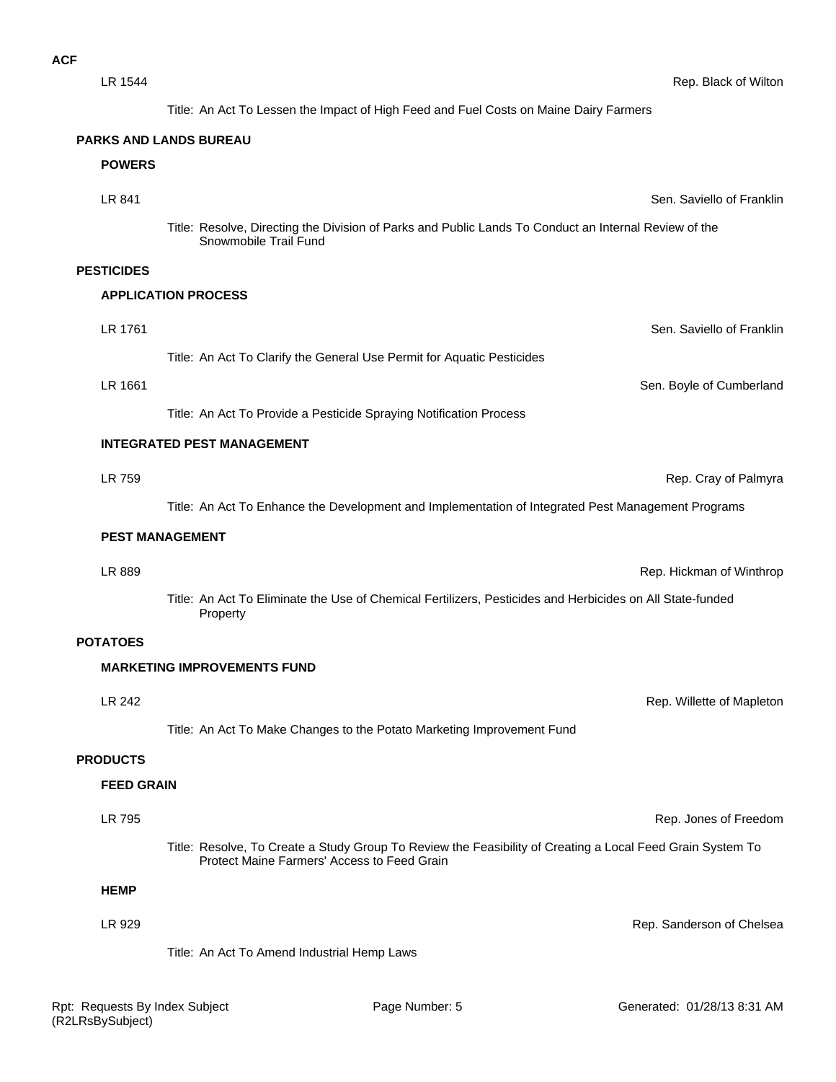| LR 1544           | Rep. Black of Wilton                                                                                                                                      |
|-------------------|-----------------------------------------------------------------------------------------------------------------------------------------------------------|
|                   | Title: An Act To Lessen the Impact of High Feed and Fuel Costs on Maine Dairy Farmers                                                                     |
|                   | <b>PARKS AND LANDS BUREAU</b>                                                                                                                             |
| <b>POWERS</b>     |                                                                                                                                                           |
| LR 841            | Sen. Saviello of Franklin                                                                                                                                 |
|                   | Title: Resolve, Directing the Division of Parks and Public Lands To Conduct an Internal Review of the<br>Snowmobile Trail Fund                            |
| <b>PESTICIDES</b> |                                                                                                                                                           |
|                   | <b>APPLICATION PROCESS</b>                                                                                                                                |
| LR 1761           | Sen. Saviello of Franklin                                                                                                                                 |
|                   | Title: An Act To Clarify the General Use Permit for Aquatic Pesticides                                                                                    |
| LR 1661           | Sen. Boyle of Cumberland                                                                                                                                  |
|                   | Title: An Act To Provide a Pesticide Spraying Notification Process                                                                                        |
|                   | <b>INTEGRATED PEST MANAGEMENT</b>                                                                                                                         |
| LR 759            | Rep. Cray of Palmyra                                                                                                                                      |
|                   | Title: An Act To Enhance the Development and Implementation of Integrated Pest Management Programs                                                        |
|                   | <b>PEST MANAGEMENT</b>                                                                                                                                    |
| LR 889            | Rep. Hickman of Winthrop                                                                                                                                  |
|                   | Title: An Act To Eliminate the Use of Chemical Fertilizers, Pesticides and Herbicides on All State-funded<br>Property                                     |
| <b>POTATOES</b>   |                                                                                                                                                           |
|                   | <b>MARKETING IMPROVEMENTS FUND</b>                                                                                                                        |
| LR 242            | Rep. Willette of Mapleton                                                                                                                                 |
|                   | Title: An Act To Make Changes to the Potato Marketing Improvement Fund                                                                                    |
| <b>PRODUCTS</b>   |                                                                                                                                                           |
| <b>FEED GRAIN</b> |                                                                                                                                                           |
| LR 795            | Rep. Jones of Freedom                                                                                                                                     |
|                   | Title: Resolve, To Create a Study Group To Review the Feasibility of Creating a Local Feed Grain System To<br>Protect Maine Farmers' Access to Feed Grain |
| <b>HEMP</b>       |                                                                                                                                                           |
| LR 929            | Rep. Sanderson of Chelsea                                                                                                                                 |
|                   | Title: An Act To Amend Industrial Hemp Laws                                                                                                               |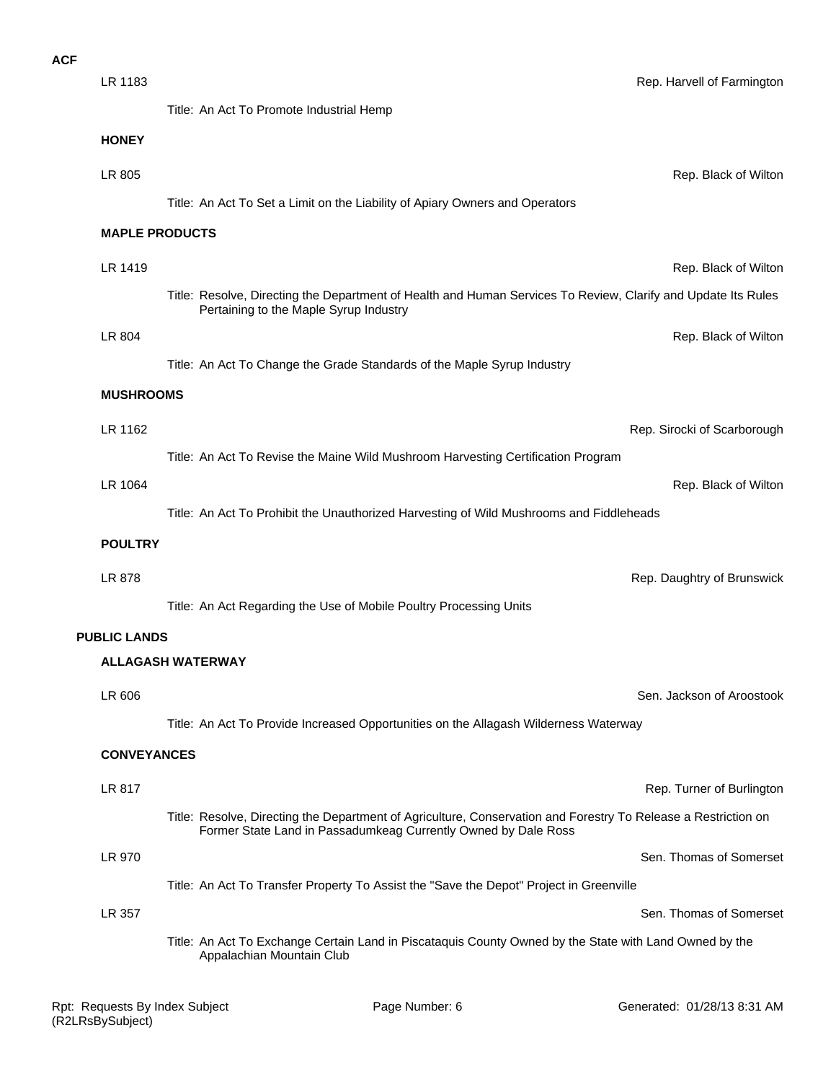## **ACF**

| LR 1183               |                                                                                                                                                                                  | Rep. Harvell of Farmington  |
|-----------------------|----------------------------------------------------------------------------------------------------------------------------------------------------------------------------------|-----------------------------|
|                       | Title: An Act To Promote Industrial Hemp                                                                                                                                         |                             |
| <b>HONEY</b>          |                                                                                                                                                                                  |                             |
| LR 805                |                                                                                                                                                                                  | Rep. Black of Wiltor        |
|                       | Title: An Act To Set a Limit on the Liability of Apiary Owners and Operators                                                                                                     |                             |
| <b>MAPLE PRODUCTS</b> |                                                                                                                                                                                  |                             |
| LR 1419               |                                                                                                                                                                                  | Rep. Black of Wiltor        |
|                       | Title: Resolve, Directing the Department of Health and Human Services To Review, Clarify and Update Its Rules<br>Pertaining to the Maple Syrup Industry                          |                             |
| LR 804                |                                                                                                                                                                                  | Rep. Black of Wiltor        |
|                       | Title: An Act To Change the Grade Standards of the Maple Syrup Industry                                                                                                          |                             |
| <b>MUSHROOMS</b>      |                                                                                                                                                                                  |                             |
| LR 1162               |                                                                                                                                                                                  | Rep. Sirocki of Scarborough |
|                       | Title: An Act To Revise the Maine Wild Mushroom Harvesting Certification Program                                                                                                 |                             |
| LR 1064               |                                                                                                                                                                                  | Rep. Black of Wiltor        |
|                       | Title: An Act To Prohibit the Unauthorized Harvesting of Wild Mushrooms and Fiddleheads                                                                                          |                             |
| <b>POULTRY</b>        |                                                                                                                                                                                  |                             |
| LR 878                |                                                                                                                                                                                  | Rep. Daughtry of Brunswick  |
|                       | Title: An Act Regarding the Use of Mobile Poultry Processing Units                                                                                                               |                             |
| <b>PUBLIC LANDS</b>   |                                                                                                                                                                                  |                             |
|                       | <b>ALLAGASH WATERWAY</b>                                                                                                                                                         |                             |
| LR 606                |                                                                                                                                                                                  | Sen. Jackson of Aroostook   |
|                       | Title: An Act To Provide Increased Opportunities on the Allagash Wilderness Waterway                                                                                             |                             |
| <b>CONVEYANCES</b>    |                                                                                                                                                                                  |                             |
| LR 817                |                                                                                                                                                                                  | Rep. Turner of Burlingtor   |
|                       | Title: Resolve, Directing the Department of Agriculture, Conservation and Forestry To Release a Restriction on<br>Former State Land in Passadumkeag Currently Owned by Dale Ross |                             |
| LR 970                |                                                                                                                                                                                  | Sen. Thomas of Somerset     |
|                       | Title: An Act To Transfer Property To Assist the "Save the Depot" Project in Greenville                                                                                          |                             |
| LR 357                |                                                                                                                                                                                  | Sen. Thomas of Somerset     |

Title: An Act To Exchange Certain Land in Piscataquis County Owned by the State with Land Owned by the Appalachian Mountain Club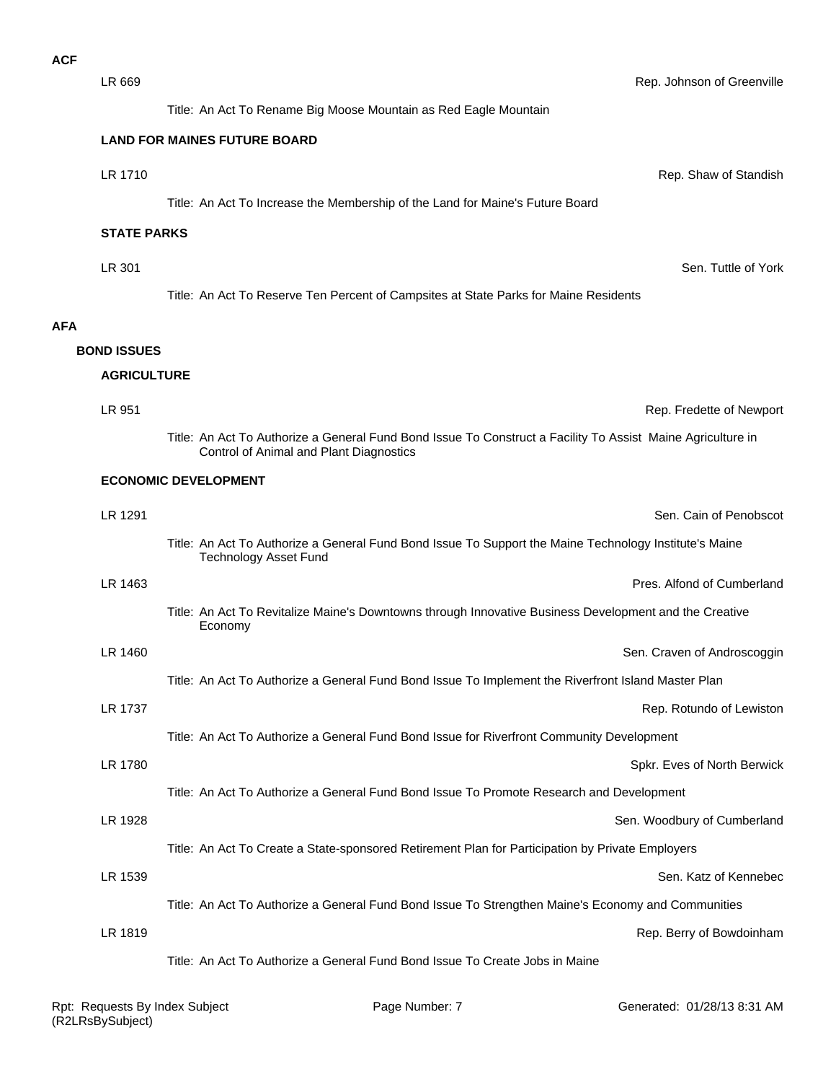**AFA**

LR 1819 Rep. Berry of Bowdoinham Title: An Act To Authorize a General Fund Bond Issue To Create Jobs in Maine LR 1539 Sen. Katz of Kennebec Title: An Act To Authorize a General Fund Bond Issue To Strengthen Maine's Economy and Communities LR 1928 Sen. Woodbury of Cumberland Title: An Act To Create a State-sponsored Retirement Plan for Participation by Private Employers LR 1780 Spkr. Eves of North Berwick Title: An Act To Authorize a General Fund Bond Issue To Promote Research and Development LR 1737 Rep. Rotundo of Lewiston Title: An Act To Authorize a General Fund Bond Issue for Riverfront Community Development LR 1460 Sen. Craven of Androscoggin Title: An Act To Authorize a General Fund Bond Issue To Implement the Riverfront Island Master Plan Title: An Act To Revitalize Maine's Downtowns through Innovative Business Development and the Creative Economy LR 1463 Pres. Alfond of Cumberland LR 1291 Sen. Cain of Penobscot Title: An Act To Authorize a General Fund Bond Issue To Support the Maine Technology Institute's Maine Technology Asset Fund **ECONOMIC DEVELOPMENT** LR 951 Rep. Fredette of Newport Title: An Act To Authorize a General Fund Bond Issue To Construct a Facility To Assist Maine Agriculture in Control of Animal and Plant Diagnostics **AGRICULTURE BOND ISSUES LR 301** Sen. Tuttle of York Title: An Act To Reserve Ten Percent of Campsites at State Parks for Maine Residents **STATE PARKS LR 1710 CONSERVERSITY CONSERVERSITY CONSERVERSITY CONSERVERSITY CONSERVERSITY CONSERVERSITY CONSERVERSITY CONSERVERSITY CONSERVERSITY CONSERVERSITY CONSERVERSITY CONSERVERSITY CONSERVERSITY CONSERVERSITY CONSERVERSITY C** Title: An Act To Increase the Membership of the Land for Maine's Future Board **LAND FOR MAINES FUTURE BOARD** Title: An Act To Rename Big Moose Mountain as Red Eagle Mountain

LR 669 Rep. Johnson of Greenville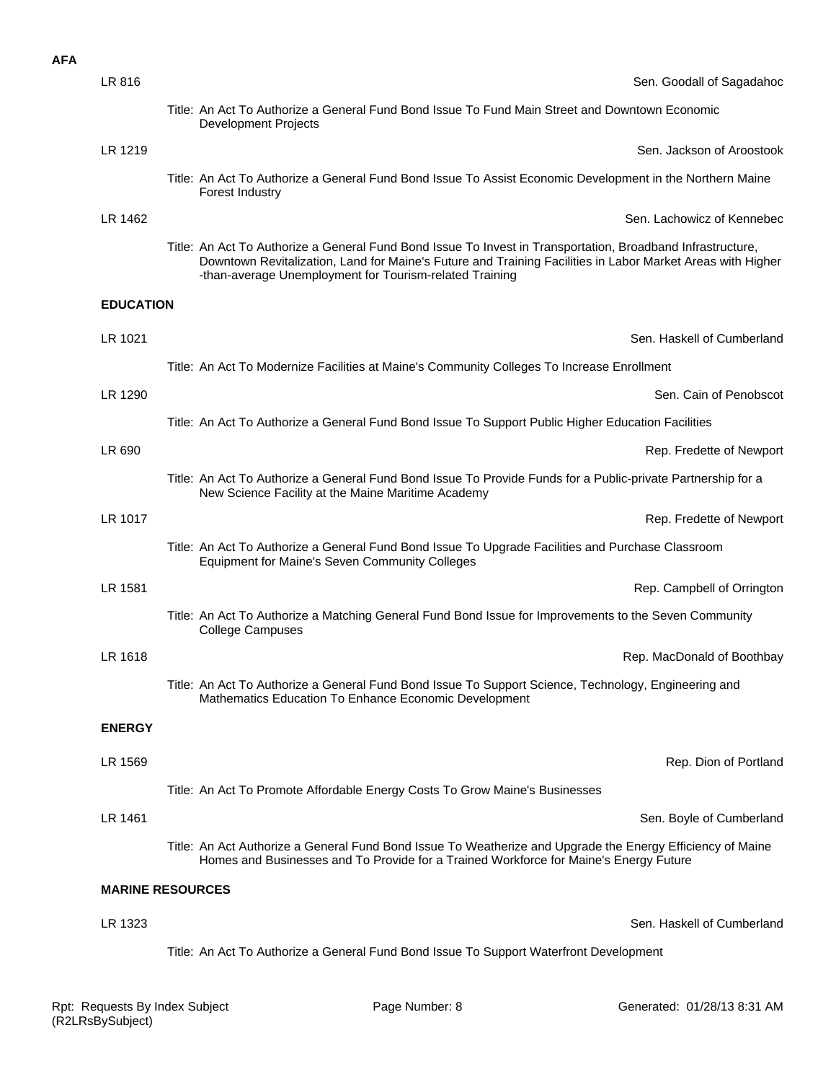| <b>AFA</b> |                  |                                                                                                                                                                                                                                                                                      |
|------------|------------------|--------------------------------------------------------------------------------------------------------------------------------------------------------------------------------------------------------------------------------------------------------------------------------------|
|            | LR 816           | Sen. Goodall of Sagadahoc                                                                                                                                                                                                                                                            |
|            |                  | Title: An Act To Authorize a General Fund Bond Issue To Fund Main Street and Downtown Economic<br><b>Development Projects</b>                                                                                                                                                        |
|            | LR 1219          | Sen. Jackson of Aroostook                                                                                                                                                                                                                                                            |
|            |                  | Title: An Act To Authorize a General Fund Bond Issue To Assist Economic Development in the Northern Maine<br>Forest Industry                                                                                                                                                         |
|            | LR 1462          | Sen. Lachowicz of Kennebec                                                                                                                                                                                                                                                           |
|            |                  | Title: An Act To Authorize a General Fund Bond Issue To Invest in Transportation, Broadband Infrastructure,<br>Downtown Revitalization, Land for Maine's Future and Training Facilities in Labor Market Areas with Higher<br>-than-average Unemployment for Tourism-related Training |
|            | <b>EDUCATION</b> |                                                                                                                                                                                                                                                                                      |
|            | LR 1021          | Sen. Haskell of Cumberland                                                                                                                                                                                                                                                           |
|            |                  | Title: An Act To Modernize Facilities at Maine's Community Colleges To Increase Enrollment                                                                                                                                                                                           |
|            | LR 1290          | Sen. Cain of Penobscot                                                                                                                                                                                                                                                               |
|            |                  | Title: An Act To Authorize a General Fund Bond Issue To Support Public Higher Education Facilities                                                                                                                                                                                   |
|            | LR 690           | Rep. Fredette of Newport                                                                                                                                                                                                                                                             |
|            |                  | Title: An Act To Authorize a General Fund Bond Issue To Provide Funds for a Public-private Partnership for a<br>New Science Facility at the Maine Maritime Academy                                                                                                                   |
|            | LR 1017          | Rep. Fredette of Newport                                                                                                                                                                                                                                                             |
|            |                  | Title: An Act To Authorize a General Fund Bond Issue To Upgrade Facilities and Purchase Classroom<br>Equipment for Maine's Seven Community Colleges                                                                                                                                  |
|            | LR 1581          | Rep. Campbell of Orrington                                                                                                                                                                                                                                                           |
|            |                  | Title: An Act To Authorize a Matching General Fund Bond Issue for Improvements to the Seven Community<br><b>College Campuses</b>                                                                                                                                                     |
|            | LR 1618          | Rep. MacDonald of Boothbay                                                                                                                                                                                                                                                           |
|            |                  | Title: An Act To Authorize a General Fund Bond Issue To Support Science, Technology, Engineering and<br>Mathematics Education To Enhance Economic Development                                                                                                                        |
|            | <b>ENERGY</b>    |                                                                                                                                                                                                                                                                                      |
|            | LR 1569          | Rep. Dion of Portland                                                                                                                                                                                                                                                                |
|            |                  | Title: An Act To Promote Affordable Energy Costs To Grow Maine's Businesses                                                                                                                                                                                                          |
|            | LR 1461          | Sen. Boyle of Cumberland                                                                                                                                                                                                                                                             |
|            |                  | Title: An Act Authorize a General Fund Bond Issue To Weatherize and Upgrade the Energy Efficiency of Maine<br>Homes and Businesses and To Provide for a Trained Workforce for Maine's Energy Future                                                                                  |
|            |                  | <b>MARINE RESOURCES</b>                                                                                                                                                                                                                                                              |
|            | LR 1323          | Sen. Haskell of Cumberland                                                                                                                                                                                                                                                           |
|            |                  | Title: An Act To Authorize a General Fund Bond Issue To Support Waterfront Development                                                                                                                                                                                               |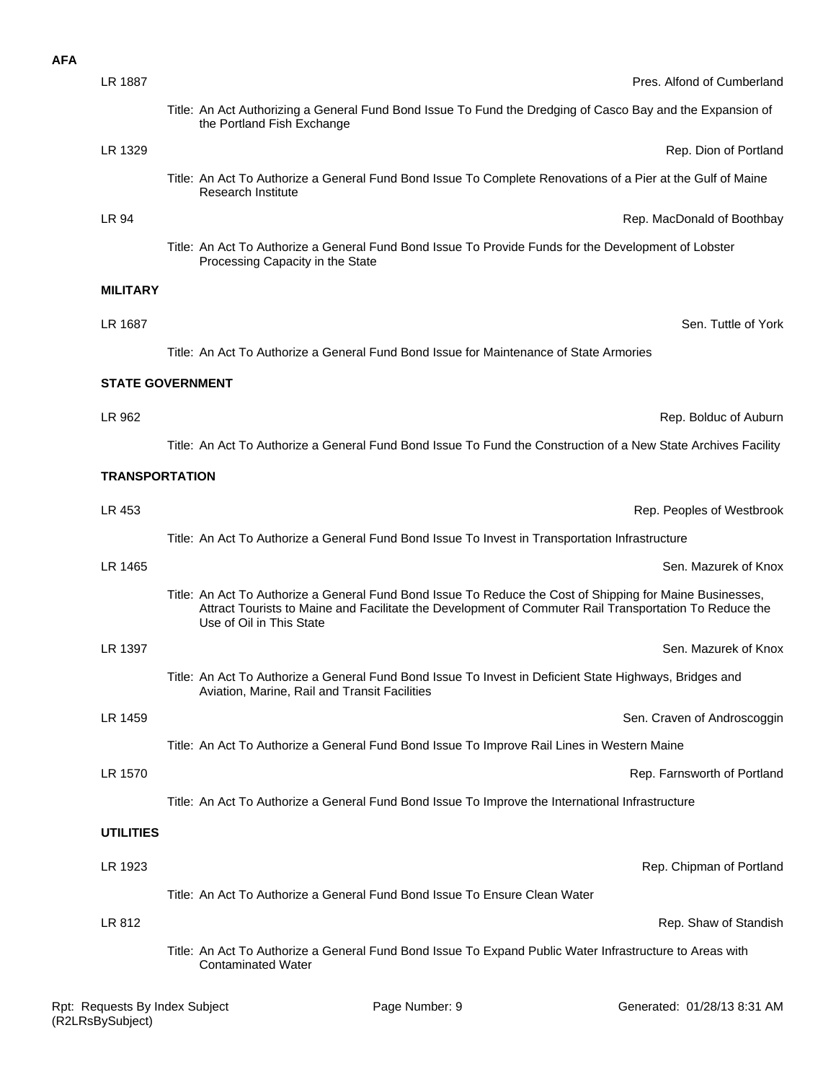| LR 1887          | Pres. Alfond of Cumberland                                                                                                                                                                                                                      |
|------------------|-------------------------------------------------------------------------------------------------------------------------------------------------------------------------------------------------------------------------------------------------|
|                  | Title: An Act Authorizing a General Fund Bond Issue To Fund the Dredging of Casco Bay and the Expansion of<br>the Portland Fish Exchange                                                                                                        |
| LR 1329          | Rep. Dion of Portland                                                                                                                                                                                                                           |
|                  | Title: An Act To Authorize a General Fund Bond Issue To Complete Renovations of a Pier at the Gulf of Maine<br><b>Research Institute</b>                                                                                                        |
| LR 94            | Rep. MacDonald of Boothbay                                                                                                                                                                                                                      |
|                  | Title: An Act To Authorize a General Fund Bond Issue To Provide Funds for the Development of Lobster<br>Processing Capacity in the State                                                                                                        |
| <b>MILITARY</b>  |                                                                                                                                                                                                                                                 |
| LR 1687          | Sen. Tuttle of York                                                                                                                                                                                                                             |
|                  | Title: An Act To Authorize a General Fund Bond Issue for Maintenance of State Armories                                                                                                                                                          |
|                  | <b>STATE GOVERNMENT</b>                                                                                                                                                                                                                         |
| LR 962           | Rep. Bolduc of Auburn                                                                                                                                                                                                                           |
|                  | Title: An Act To Authorize a General Fund Bond Issue To Fund the Construction of a New State Archives Facility                                                                                                                                  |
|                  | <b>TRANSPORTATION</b>                                                                                                                                                                                                                           |
| LR 453           | Rep. Peoples of Westbrook                                                                                                                                                                                                                       |
|                  | Title: An Act To Authorize a General Fund Bond Issue To Invest in Transportation Infrastructure                                                                                                                                                 |
| LR 1465          | Sen. Mazurek of Knox                                                                                                                                                                                                                            |
|                  | Title: An Act To Authorize a General Fund Bond Issue To Reduce the Cost of Shipping for Maine Businesses,<br>Attract Tourists to Maine and Facilitate the Development of Commuter Rail Transportation To Reduce the<br>Use of Oil in This State |
| LR 1397          | Sen. Mazurek of Knox                                                                                                                                                                                                                            |
|                  | Title: An Act To Authorize a General Fund Bond Issue To Invest in Deficient State Highways, Bridges and<br>Aviation, Marine, Rail and Transit Facilities                                                                                        |
| LR 1459          | Sen. Craven of Androscoggin                                                                                                                                                                                                                     |
|                  | Title: An Act To Authorize a General Fund Bond Issue To Improve Rail Lines in Western Maine                                                                                                                                                     |
| LR 1570          | Rep. Farnsworth of Portland                                                                                                                                                                                                                     |
|                  | Title: An Act To Authorize a General Fund Bond Issue To Improve the International Infrastructure                                                                                                                                                |
| <b>UTILITIES</b> |                                                                                                                                                                                                                                                 |
| LR 1923          | Rep. Chipman of Portland                                                                                                                                                                                                                        |
|                  | Title: An Act To Authorize a General Fund Bond Issue To Ensure Clean Water                                                                                                                                                                      |
| LR 812           | Rep. Shaw of Standish                                                                                                                                                                                                                           |
|                  | Title: An Act To Authorize a General Fund Bond Issue To Expand Public Water Infrastructure to Areas with<br><b>Contaminated Water</b>                                                                                                           |
|                  |                                                                                                                                                                                                                                                 |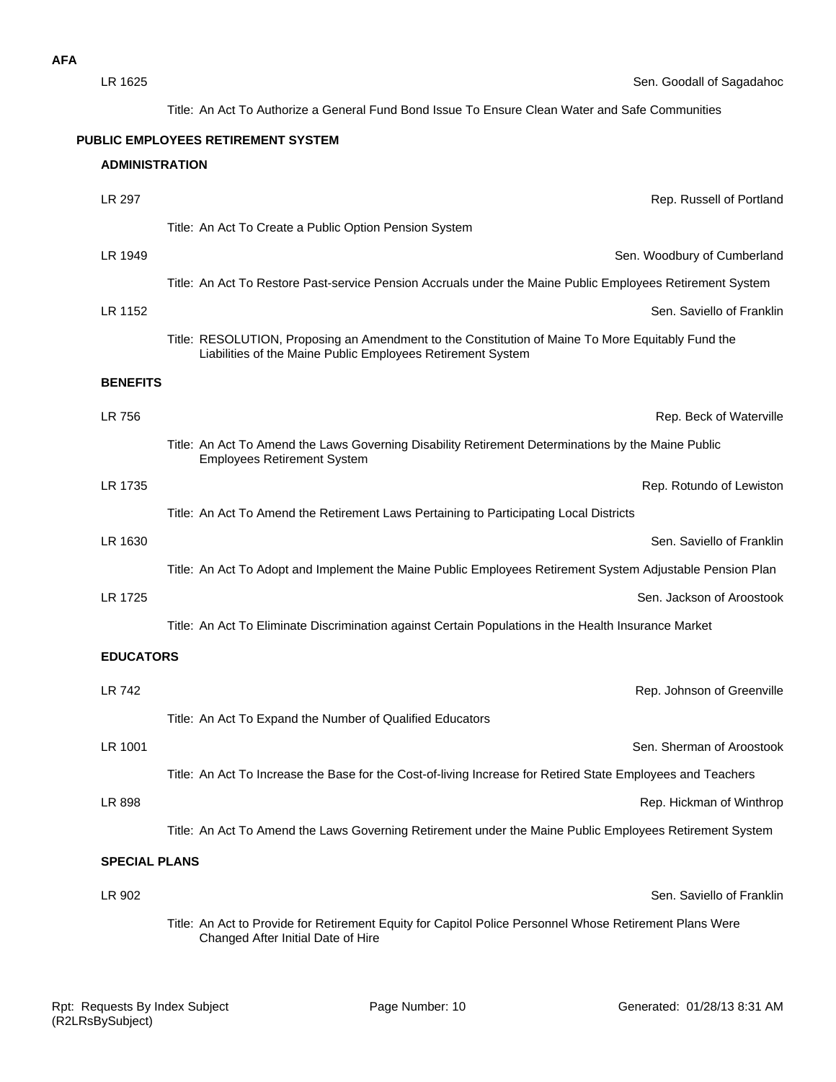| LR 1625               | Sen. Goodall of Sagadahoc                                                                                                                                        |
|-----------------------|------------------------------------------------------------------------------------------------------------------------------------------------------------------|
|                       | Title: An Act To Authorize a General Fund Bond Issue To Ensure Clean Water and Safe Communities                                                                  |
|                       | PUBLIC EMPLOYEES RETIREMENT SYSTEM                                                                                                                               |
| <b>ADMINISTRATION</b> |                                                                                                                                                                  |
| LR 297                | Rep. Russell of Portland                                                                                                                                         |
|                       | Title: An Act To Create a Public Option Pension System                                                                                                           |
| LR 1949               | Sen. Woodbury of Cumberland                                                                                                                                      |
|                       | Title: An Act To Restore Past-service Pension Accruals under the Maine Public Employees Retirement System                                                        |
| LR 1152               | Sen. Saviello of Franklin                                                                                                                                        |
|                       | Title: RESOLUTION, Proposing an Amendment to the Constitution of Maine To More Equitably Fund the<br>Liabilities of the Maine Public Employees Retirement System |
| <b>BENEFITS</b>       |                                                                                                                                                                  |
| LR 756                | Rep. Beck of Waterville                                                                                                                                          |
|                       | Title: An Act To Amend the Laws Governing Disability Retirement Determinations by the Maine Public<br><b>Employees Retirement System</b>                         |
| LR 1735               | Rep. Rotundo of Lewiston                                                                                                                                         |
|                       | Title: An Act To Amend the Retirement Laws Pertaining to Participating Local Districts                                                                           |
| LR 1630               | Sen. Saviello of Franklin                                                                                                                                        |
|                       | Title: An Act To Adopt and Implement the Maine Public Employees Retirement System Adjustable Pension Plan                                                        |
| LR 1725               | Sen. Jackson of Aroostook                                                                                                                                        |
|                       | Title: An Act To Eliminate Discrimination against Certain Populations in the Health Insurance Market                                                             |
| <b>EDUCATORS</b>      |                                                                                                                                                                  |
| LR 742                | Rep. Johnson of Greenville                                                                                                                                       |
|                       | Title: An Act To Expand the Number of Qualified Educators                                                                                                        |
| LR 1001               | Sen. Sherman of Aroostook                                                                                                                                        |
|                       | Title: An Act To Increase the Base for the Cost-of-living Increase for Retired State Employees and Teachers                                                      |
| LR 898                | Rep. Hickman of Winthrop                                                                                                                                         |
|                       | Title: An Act To Amend the Laws Governing Retirement under the Maine Public Employees Retirement System                                                          |
| <b>SPECIAL PLANS</b>  |                                                                                                                                                                  |
| LR 902                | Sen. Saviello of Franklin                                                                                                                                        |
|                       | Title: An Act to Provide for Retirement Equity for Capitol Police Personnel Whose Retirement Plans Were<br>Changed After Initial Date of Hire                    |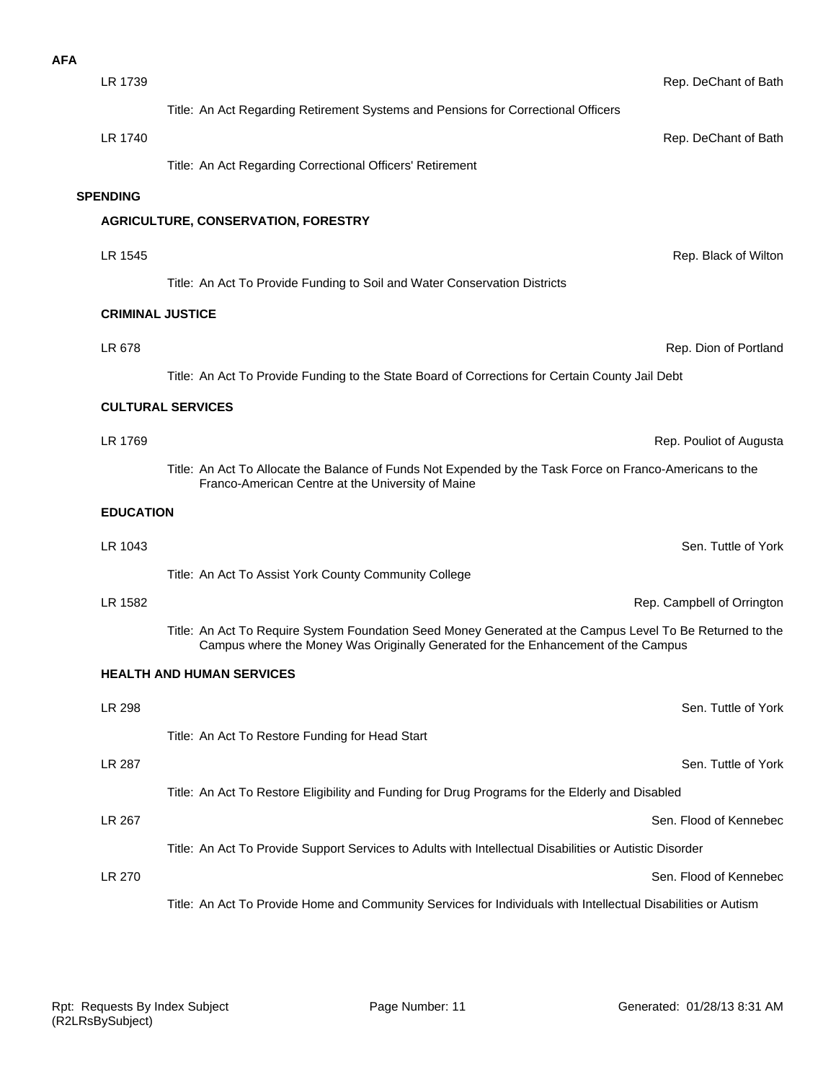| <b>AFA</b> |                         |                                                                                                                                                                                                |                            |
|------------|-------------------------|------------------------------------------------------------------------------------------------------------------------------------------------------------------------------------------------|----------------------------|
|            | LR 1739                 |                                                                                                                                                                                                | Rep. DeChant of Bath       |
|            |                         | Title: An Act Regarding Retirement Systems and Pensions for Correctional Officers                                                                                                              |                            |
|            | LR 1740                 |                                                                                                                                                                                                | Rep. DeChant of Bath       |
|            |                         | Title: An Act Regarding Correctional Officers' Retirement                                                                                                                                      |                            |
|            | <b>SPENDING</b>         |                                                                                                                                                                                                |                            |
|            |                         | <b>AGRICULTURE, CONSERVATION, FORESTRY</b>                                                                                                                                                     |                            |
|            | LR 1545                 |                                                                                                                                                                                                | Rep. Black of Wilton       |
|            |                         | Title: An Act To Provide Funding to Soil and Water Conservation Districts                                                                                                                      |                            |
|            | <b>CRIMINAL JUSTICE</b> |                                                                                                                                                                                                |                            |
|            | LR 678                  |                                                                                                                                                                                                | Rep. Dion of Portland      |
|            |                         | Title: An Act To Provide Funding to the State Board of Corrections for Certain County Jail Debt                                                                                                |                            |
|            |                         | <b>CULTURAL SERVICES</b>                                                                                                                                                                       |                            |
|            | LR 1769                 |                                                                                                                                                                                                | Rep. Pouliot of Augusta    |
|            |                         | Title: An Act To Allocate the Balance of Funds Not Expended by the Task Force on Franco-Americans to the<br>Franco-American Centre at the University of Maine                                  |                            |
|            | <b>EDUCATION</b>        |                                                                                                                                                                                                |                            |
|            | LR 1043                 |                                                                                                                                                                                                | Sen. Tuttle of York        |
|            |                         | Title: An Act To Assist York County Community College                                                                                                                                          |                            |
|            | LR 1582                 |                                                                                                                                                                                                | Rep. Campbell of Orrington |
|            |                         | Title: An Act To Require System Foundation Seed Money Generated at the Campus Level To Be Returned to the<br>Campus where the Money Was Originally Generated for the Enhancement of the Campus |                            |
|            |                         | <b>HEALTH AND HUMAN SERVICES</b>                                                                                                                                                               |                            |
|            | LR 298                  |                                                                                                                                                                                                | Sen. Tuttle of York        |
|            |                         | Title: An Act To Restore Funding for Head Start                                                                                                                                                |                            |
|            | LR 287                  |                                                                                                                                                                                                | Sen. Tuttle of York        |
|            |                         | Title: An Act To Restore Eligibility and Funding for Drug Programs for the Elderly and Disabled                                                                                                |                            |
|            | LR 267                  |                                                                                                                                                                                                | Sen. Flood of Kennebec     |
|            |                         | Title: An Act To Provide Support Services to Adults with Intellectual Disabilities or Autistic Disorder                                                                                        |                            |
|            | <b>LR 270</b>           |                                                                                                                                                                                                | Sen. Flood of Kennebec     |
|            |                         | Title: An Act To Provide Home and Community Services for Individuals with Intellectual Disabilities or Autism                                                                                  |                            |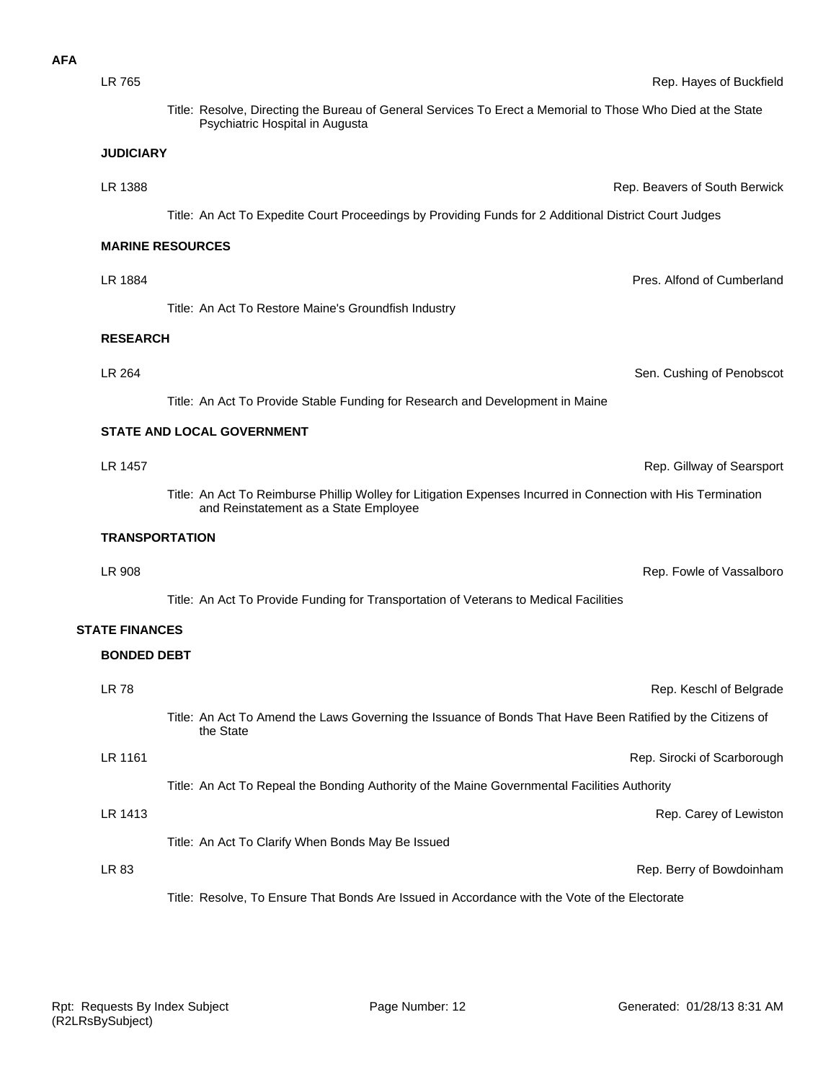**AFA**

Title: Resolve, Directing the Bureau of General Services To Erect a Memorial to Those Who Died at the State Psychiatric Hospital in Augusta

## **JUDICIARY**

Title: An Act To Expedite Court Proceedings by Providing Funds for 2 Additional District Court Judges

LR 1388 Rep. Beavers of South Berwick

## **MARINE RESOURCES**

Title: An Act To Restore Maine's Groundfish Industry

#### **RESEARCH**

Title: An Act To Provide Stable Funding for Research and Development in Maine

### **STATE AND LOCAL GOVERNMENT**

**LR 1457** Rep. Gillway of Searsport Title: An Act To Reimburse Phillip Wolley for Litigation Expenses Incurred in Connection with His Termination and Reinstatement as a State Employee

**LR 264** Sen. Cushing of Penobscot

LR 1884 Pres. Alfond of Cumberland

#### **TRANSPORTATION**

**BONDED DEBT STATE FINANCES** Title: An Act To Provide Funding for Transportation of Veterans to Medical Facilities **LR 908** Rep. Fowle of Vassalboro

| <b>LR 78</b> |                                                                                                                         | Rep. Keschl of Belgrade     |
|--------------|-------------------------------------------------------------------------------------------------------------------------|-----------------------------|
|              | Title: An Act To Amend the Laws Governing the Issuance of Bonds That Have Been Ratified by the Citizens of<br>the State |                             |
| LR 1161      |                                                                                                                         | Rep. Sirocki of Scarborough |
|              | Title: An Act To Repeal the Bonding Authority of the Maine Governmental Facilities Authority                            |                             |
| LR 1413      |                                                                                                                         | Rep. Carey of Lewiston      |
|              | Title: An Act To Clarify When Bonds May Be Issued                                                                       |                             |
| LR 83        |                                                                                                                         | Rep. Berry of Bowdoinham    |
|              | Title: Resolve. To Ensure That Bonds Are Issued in Accordance with the Vote of the Electorate                           |                             |

LR 765 Rep. Hayes of Buckfield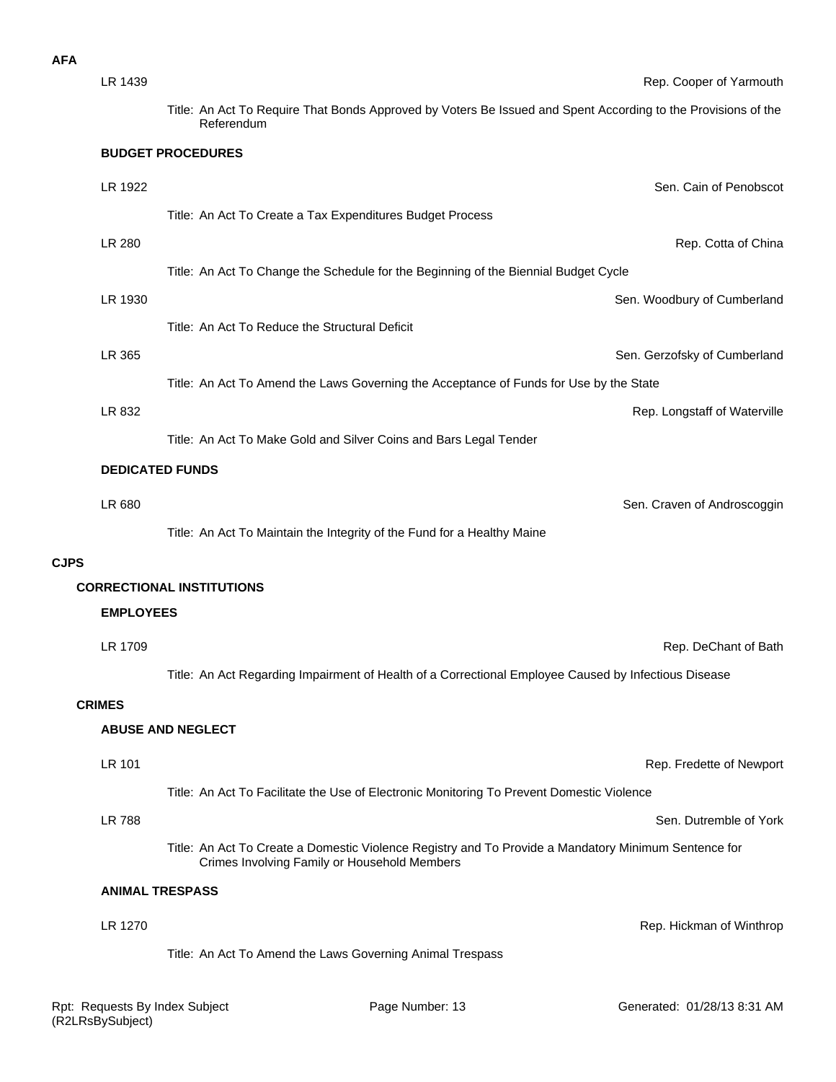| LR 1439          | Rep. Cooper of Yarmouth                                                                                                                              |
|------------------|------------------------------------------------------------------------------------------------------------------------------------------------------|
|                  | Title: An Act To Require That Bonds Approved by Voters Be Issued and Spent According to the Provisions of the<br>Referendum                          |
|                  | <b>BUDGET PROCEDURES</b>                                                                                                                             |
| LR 1922          | Sen. Cain of Penobscot                                                                                                                               |
|                  | Title: An Act To Create a Tax Expenditures Budget Process                                                                                            |
| LR 280           | Rep. Cotta of China                                                                                                                                  |
|                  | Title: An Act To Change the Schedule for the Beginning of the Biennial Budget Cycle                                                                  |
| LR 1930          | Sen. Woodbury of Cumberland                                                                                                                          |
|                  | Title: An Act To Reduce the Structural Deficit                                                                                                       |
| LR 365           | Sen. Gerzofsky of Cumberland                                                                                                                         |
|                  | Title: An Act To Amend the Laws Governing the Acceptance of Funds for Use by the State                                                               |
| LR 832           | Rep. Longstaff of Waterville                                                                                                                         |
|                  | Title: An Act To Make Gold and Silver Coins and Bars Legal Tender                                                                                    |
|                  | <b>DEDICATED FUNDS</b>                                                                                                                               |
| LR 680           | Sen. Craven of Androscoggin                                                                                                                          |
|                  | Title: An Act To Maintain the Integrity of the Fund for a Healthy Maine                                                                              |
| <b>CJPS</b>      |                                                                                                                                                      |
|                  | <b>CORRECTIONAL INSTITUTIONS</b>                                                                                                                     |
| <b>EMPLOYEES</b> |                                                                                                                                                      |
| LR 1709          | Rep. DeChant of Bath                                                                                                                                 |
|                  | Title: An Act Regarding Impairment of Health of a Correctional Employee Caused by Infectious Disease                                                 |
| <b>CRIMES</b>    |                                                                                                                                                      |
|                  | <b>ABUSE AND NEGLECT</b>                                                                                                                             |
| LR 101           | Rep. Fredette of Newport                                                                                                                             |
|                  | Title: An Act To Facilitate the Use of Electronic Monitoring To Prevent Domestic Violence                                                            |
| <b>LR 788</b>    | Sen. Dutremble of York                                                                                                                               |
|                  | Title: An Act To Create a Domestic Violence Registry and To Provide a Mandatory Minimum Sentence for<br>Crimes Involving Family or Household Members |
|                  | <b>ANIMAL TRESPASS</b>                                                                                                                               |
| LR 1270          | Rep. Hickman of Winthrop                                                                                                                             |
|                  | Title: An Act To Amend the Laws Governing Animal Trespass                                                                                            |

**AFA**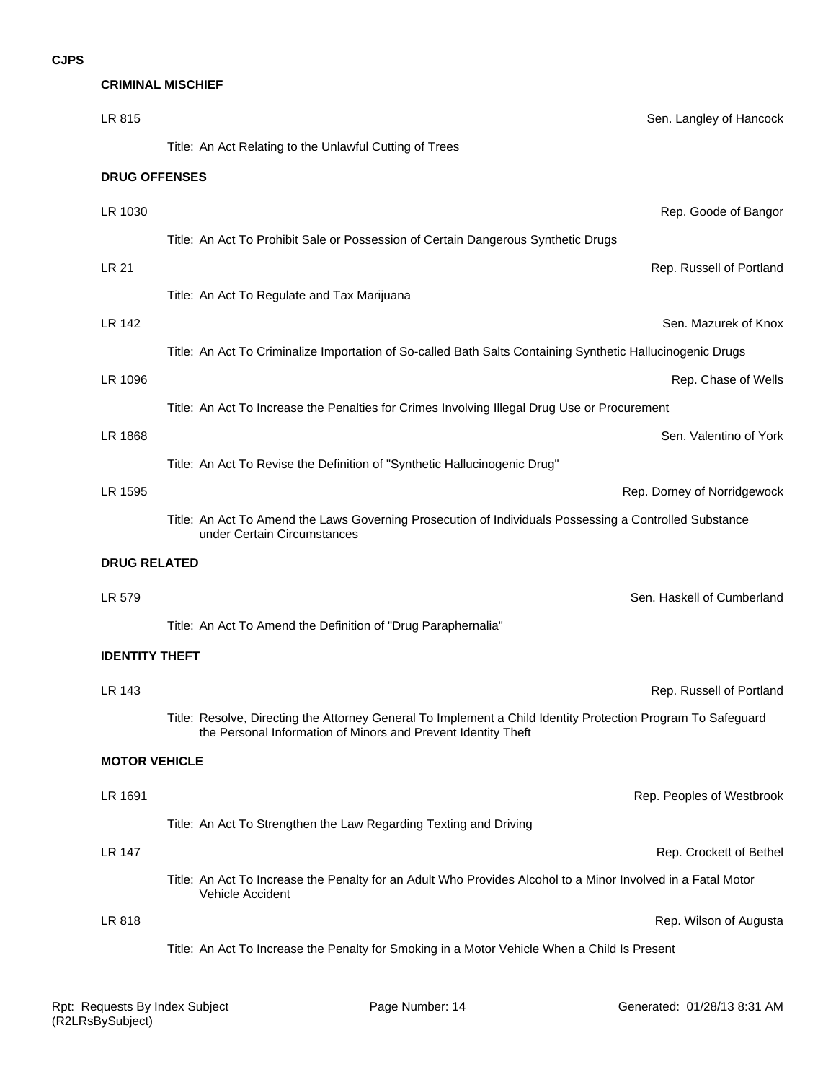#### **CRIMINAL MISCHIEF**

| LR 815                | Sen. Langley of Hancock                                                                                                                                                       |
|-----------------------|-------------------------------------------------------------------------------------------------------------------------------------------------------------------------------|
|                       | Title: An Act Relating to the Unlawful Cutting of Trees                                                                                                                       |
| <b>DRUG OFFENSES</b>  |                                                                                                                                                                               |
| LR 1030               | Rep. Goode of Bangor                                                                                                                                                          |
|                       | Title: An Act To Prohibit Sale or Possession of Certain Dangerous Synthetic Drugs                                                                                             |
| <b>LR 21</b>          | Rep. Russell of Portland                                                                                                                                                      |
|                       | Title: An Act To Regulate and Tax Marijuana                                                                                                                                   |
| <b>LR 142</b>         | Sen. Mazurek of Knox                                                                                                                                                          |
|                       | Title: An Act To Criminalize Importation of So-called Bath Salts Containing Synthetic Hallucinogenic Drugs                                                                    |
| LR 1096               | Rep. Chase of Wells                                                                                                                                                           |
|                       | Title: An Act To Increase the Penalties for Crimes Involving Illegal Drug Use or Procurement                                                                                  |
| LR 1868               | Sen. Valentino of York                                                                                                                                                        |
|                       | Title: An Act To Revise the Definition of "Synthetic Hallucinogenic Drug"                                                                                                     |
| LR 1595               | Rep. Dorney of Norridgewock                                                                                                                                                   |
|                       | Title: An Act To Amend the Laws Governing Prosecution of Individuals Possessing a Controlled Substance<br>under Certain Circumstances                                         |
| <b>DRUG RELATED</b>   |                                                                                                                                                                               |
| LR 579                | Sen. Haskell of Cumberland                                                                                                                                                    |
|                       | Title: An Act To Amend the Definition of "Drug Paraphernalia"                                                                                                                 |
| <b>IDENTITY THEFT</b> |                                                                                                                                                                               |
| LR 143                | Rep. Russell of Portland                                                                                                                                                      |
|                       | Title: Resolve, Directing the Attorney General To Implement a Child Identity Protection Program To Safeguard<br>the Personal Information of Minors and Prevent Identity Theft |
| <b>MOTOR VEHICLE</b>  |                                                                                                                                                                               |
| LR 1691               | Rep. Peoples of Westbrook                                                                                                                                                     |
|                       | Title: An Act To Strengthen the Law Regarding Texting and Driving                                                                                                             |
| <b>LR 147</b>         | Rep. Crockett of Bethel                                                                                                                                                       |
|                       | Title: An Act To Increase the Penalty for an Adult Who Provides Alcohol to a Minor Involved in a Fatal Motor<br>Vehicle Accident                                              |
| LR 818                | Rep. Wilson of Augusta                                                                                                                                                        |
|                       | Title: An Act To Increase the Penalty for Smoking in a Motor Vehicle When a Child Is Present                                                                                  |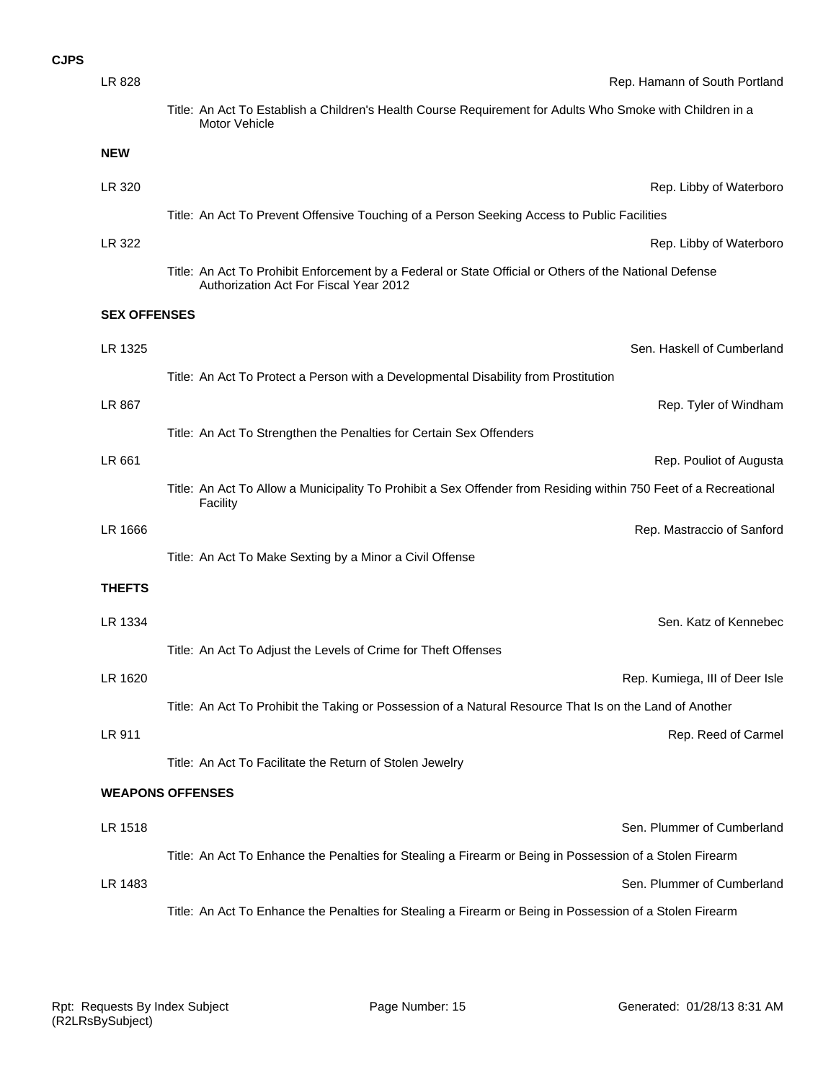| LR 828                  | Rep. Hamann of South Portland                                                                                                                    |
|-------------------------|--------------------------------------------------------------------------------------------------------------------------------------------------|
|                         | Title: An Act To Establish a Children's Health Course Requirement for Adults Who Smoke with Children in a<br><b>Motor Vehicle</b>                |
| <b>NEW</b>              |                                                                                                                                                  |
| LR 320                  | Rep. Libby of Waterboro                                                                                                                          |
|                         | Title: An Act To Prevent Offensive Touching of a Person Seeking Access to Public Facilities                                                      |
| LR 322                  | Rep. Libby of Waterboro                                                                                                                          |
|                         | Title: An Act To Prohibit Enforcement by a Federal or State Official or Others of the National Defense<br>Authorization Act For Fiscal Year 2012 |
| <b>SEX OFFENSES</b>     |                                                                                                                                                  |
| LR 1325                 | Sen. Haskell of Cumberland                                                                                                                       |
|                         | Title: An Act To Protect a Person with a Developmental Disability from Prostitution                                                              |
| LR 867                  | Rep. Tyler of Windham                                                                                                                            |
|                         | Title: An Act To Strengthen the Penalties for Certain Sex Offenders                                                                              |
| LR 661                  | Rep. Pouliot of Augusta                                                                                                                          |
|                         | Title: An Act To Allow a Municipality To Prohibit a Sex Offender from Residing within 750 Feet of a Recreational<br>Facility                     |
| LR 1666                 | Rep. Mastraccio of Sanford                                                                                                                       |
|                         | Title: An Act To Make Sexting by a Minor a Civil Offense                                                                                         |
| <b>THEFTS</b>           |                                                                                                                                                  |
| LR 1334                 | Sen. Katz of Kennebec                                                                                                                            |
|                         | Title: An Act To Adjust the Levels of Crime for Theft Offenses                                                                                   |
| LR 1620                 | Rep. Kumiega, III of Deer Isle                                                                                                                   |
|                         | Title: An Act To Prohibit the Taking or Possession of a Natural Resource That Is on the Land of Another                                          |
| LR 911                  | Rep. Reed of Carmel                                                                                                                              |
|                         | Title: An Act To Facilitate the Return of Stolen Jewelry                                                                                         |
| <b>WEAPONS OFFENSES</b> |                                                                                                                                                  |
| LR 1518                 | Sen. Plummer of Cumberland                                                                                                                       |
|                         | Title: An Act To Enhance the Penalties for Stealing a Firearm or Being in Possession of a Stolen Firearm                                         |
| LR 1483                 | Sen. Plummer of Cumberland                                                                                                                       |
|                         | Title: An Act To Enhance the Penalties for Stealing a Firearm or Being in Possession of a Stolen Firearm                                         |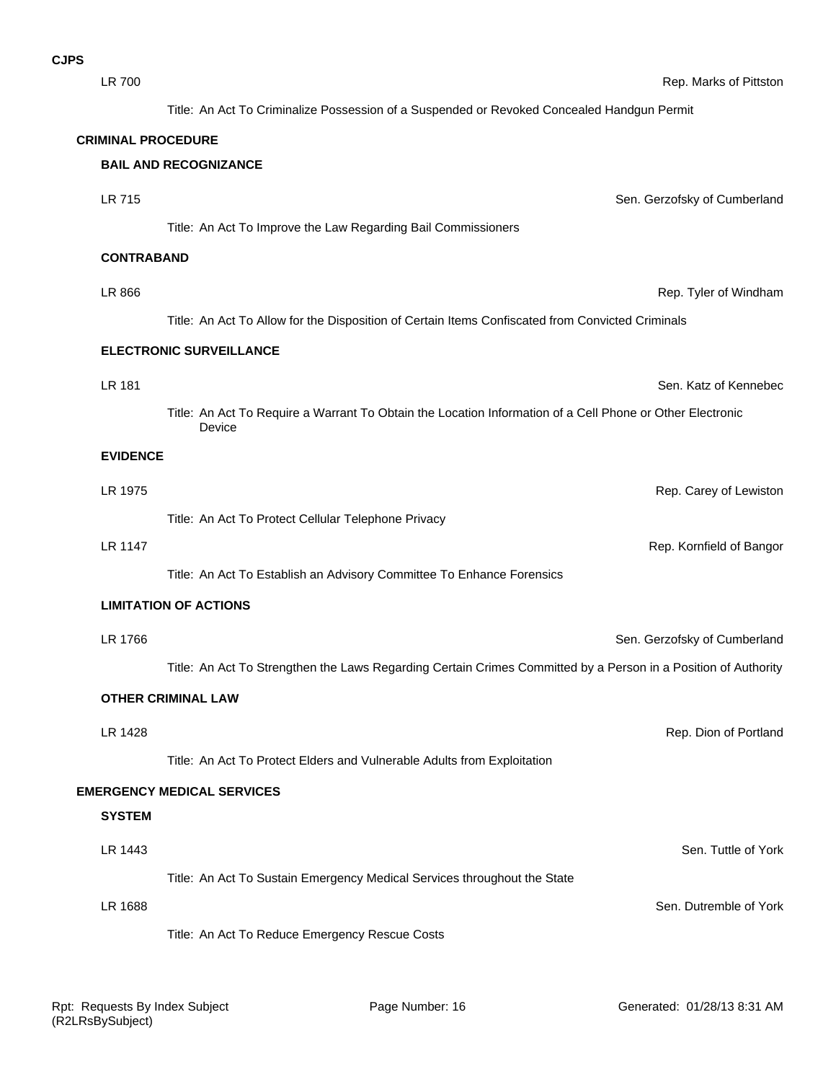| <b>LR 700</b>             | Rep. Marks of Pittston                                                                                              |
|---------------------------|---------------------------------------------------------------------------------------------------------------------|
|                           | Title: An Act To Criminalize Possession of a Suspended or Revoked Concealed Handgun Permit                          |
| <b>CRIMINAL PROCEDURE</b> |                                                                                                                     |
|                           | <b>BAIL AND RECOGNIZANCE</b>                                                                                        |
| LR 715                    | Sen. Gerzofsky of Cumberland                                                                                        |
|                           | Title: An Act To Improve the Law Regarding Bail Commissioners                                                       |
| <b>CONTRABAND</b>         |                                                                                                                     |
| LR 866                    | Rep. Tyler of Windham                                                                                               |
|                           | Title: An Act To Allow for the Disposition of Certain Items Confiscated from Convicted Criminals                    |
|                           | <b>ELECTRONIC SURVEILLANCE</b>                                                                                      |
| <b>LR 181</b>             | Sen. Katz of Kennebec                                                                                               |
|                           | Title: An Act To Require a Warrant To Obtain the Location Information of a Cell Phone or Other Electronic<br>Device |
| <b>EVIDENCE</b>           |                                                                                                                     |
| LR 1975                   | Rep. Carey of Lewiston                                                                                              |
|                           | Title: An Act To Protect Cellular Telephone Privacy                                                                 |
| <b>LR 1147</b>            | Rep. Kornfield of Bangor                                                                                            |
|                           | Title: An Act To Establish an Advisory Committee To Enhance Forensics                                               |
|                           | <b>LIMITATION OF ACTIONS</b>                                                                                        |
| LR 1766                   | Sen. Gerzofsky of Cumberland                                                                                        |
|                           | Title: An Act To Strengthen the Laws Regarding Certain Crimes Committed by a Person in a Position of Authority      |
|                           | <b>OTHER CRIMINAL LAW</b>                                                                                           |
| LR 1428                   | Rep. Dion of Portland                                                                                               |
|                           | Title: An Act To Protect Elders and Vulnerable Adults from Exploitation                                             |
|                           | <b>EMERGENCY MEDICAL SERVICES</b>                                                                                   |
| <b>SYSTEM</b>             |                                                                                                                     |
| LR 1443                   | Sen. Tuttle of York                                                                                                 |
|                           | Title: An Act To Sustain Emergency Medical Services throughout the State                                            |
| LR 1688                   | Sen. Dutremble of York                                                                                              |
|                           | Title: An Act To Reduce Emergency Rescue Costs                                                                      |
|                           |                                                                                                                     |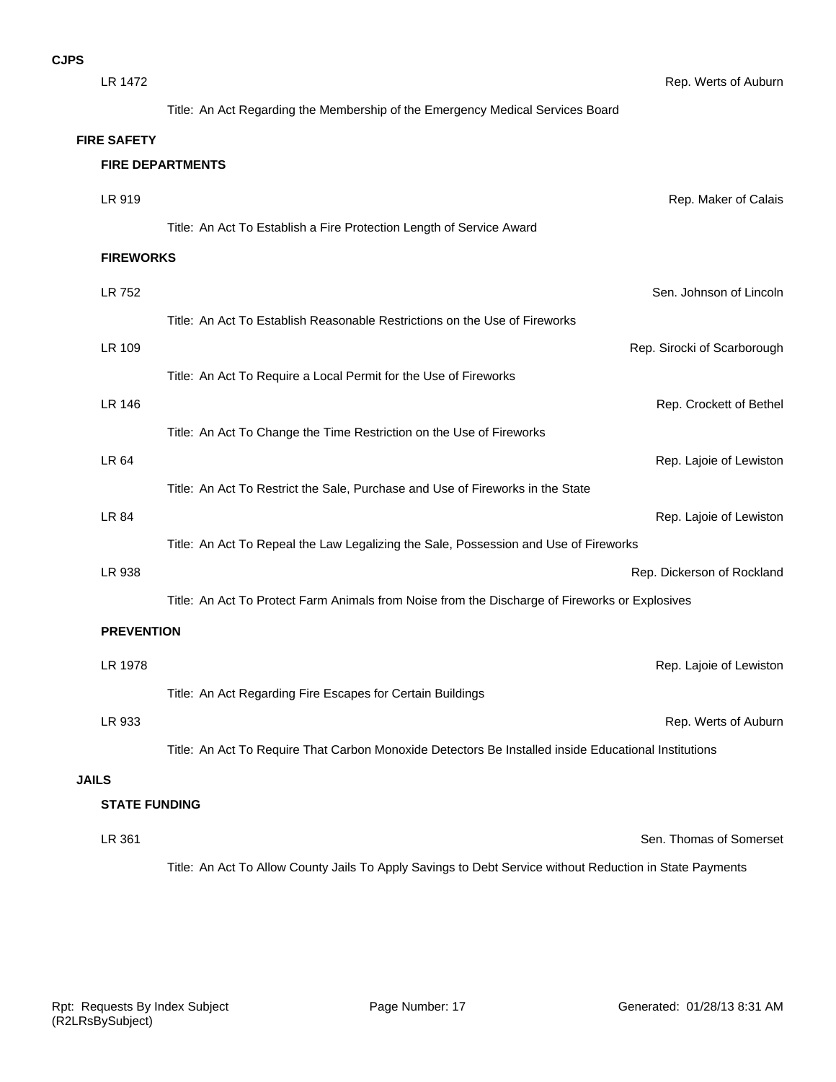| ۱S           |                         |                                                                                                      |                             |
|--------------|-------------------------|------------------------------------------------------------------------------------------------------|-----------------------------|
|              | LR 1472                 |                                                                                                      | Rep. Werts of Auburn        |
|              |                         | Title: An Act Regarding the Membership of the Emergency Medical Services Board                       |                             |
|              | <b>FIRE SAFETY</b>      |                                                                                                      |                             |
|              | <b>FIRE DEPARTMENTS</b> |                                                                                                      |                             |
|              | LR 919                  |                                                                                                      | Rep. Maker of Calais        |
|              |                         | Title: An Act To Establish a Fire Protection Length of Service Award                                 |                             |
|              | <b>FIREWORKS</b>        |                                                                                                      |                             |
|              | LR 752                  |                                                                                                      | Sen. Johnson of Lincoln     |
|              |                         | Title: An Act To Establish Reasonable Restrictions on the Use of Fireworks                           |                             |
|              | <b>LR 109</b>           |                                                                                                      | Rep. Sirocki of Scarborough |
|              |                         | Title: An Act To Require a Local Permit for the Use of Fireworks                                     |                             |
|              | <b>LR 146</b>           |                                                                                                      | Rep. Crockett of Bethel     |
|              |                         | Title: An Act To Change the Time Restriction on the Use of Fireworks                                 |                             |
|              | LR 64                   |                                                                                                      | Rep. Lajoie of Lewiston     |
|              |                         | Title: An Act To Restrict the Sale, Purchase and Use of Fireworks in the State                       |                             |
|              | LR 84                   |                                                                                                      | Rep. Lajoie of Lewiston     |
|              |                         | Title: An Act To Repeal the Law Legalizing the Sale, Possession and Use of Fireworks                 |                             |
|              | LR 938                  |                                                                                                      | Rep. Dickerson of Rockland  |
|              |                         | Title: An Act To Protect Farm Animals from Noise from the Discharge of Fireworks or Explosives       |                             |
|              | <b>PREVENTION</b>       |                                                                                                      |                             |
|              | LR 1978                 |                                                                                                      | Rep. Lajoie of Lewiston     |
|              |                         | Title: An Act Regarding Fire Escapes for Certain Buildings                                           |                             |
|              | LR 933                  |                                                                                                      | Rep. Werts of Auburn        |
|              |                         | Title: An Act To Require That Carbon Monoxide Detectors Be Installed inside Educational Institutions |                             |
| <b>JAILS</b> |                         |                                                                                                      |                             |
|              | <b>STATE FUNDING</b>    |                                                                                                      |                             |
|              | LR 361                  |                                                                                                      | Sen. Thomas of Somerset     |

Title: An Act To Allow County Jails To Apply Savings to Debt Service without Reduction in State Payments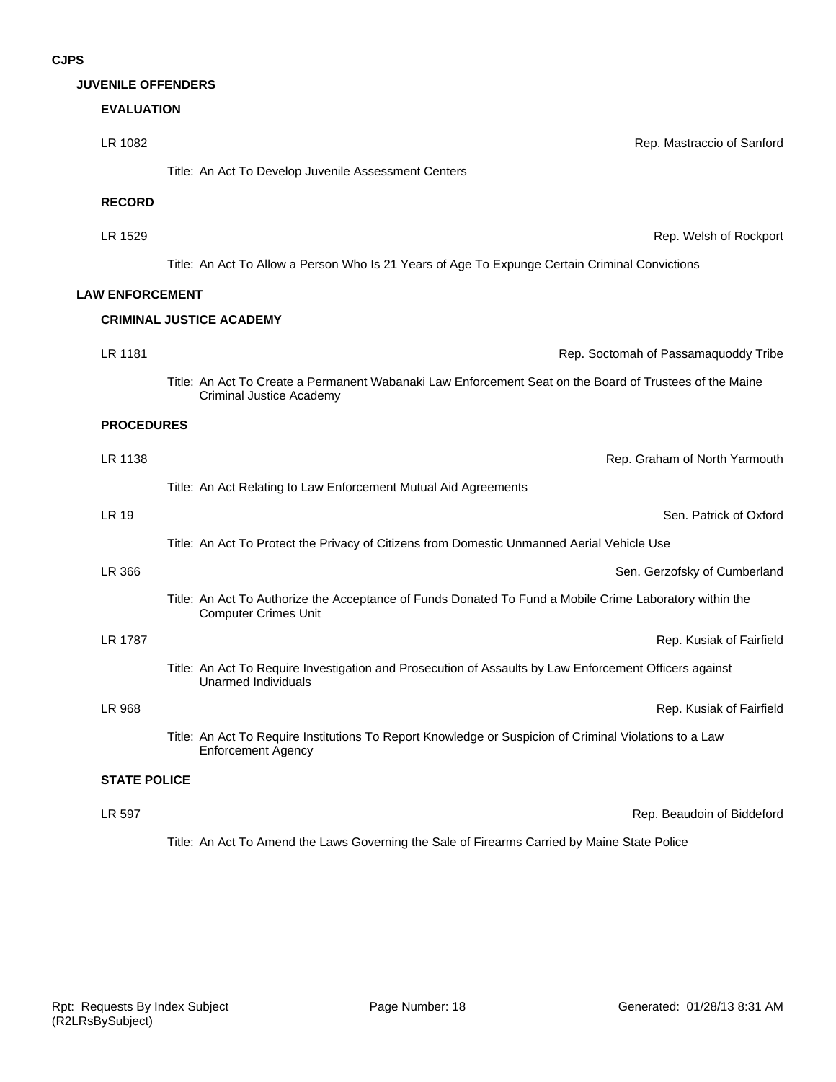#### **JUVENILE OFFENDERS**

# **EVALUATION**

| LR 1082                | Rep. Mastraccio of Sanford                                                                                                                 |
|------------------------|--------------------------------------------------------------------------------------------------------------------------------------------|
|                        | Title: An Act To Develop Juvenile Assessment Centers                                                                                       |
| <b>RECORD</b>          |                                                                                                                                            |
| LR 1529                | Rep. Welsh of Rockport                                                                                                                     |
|                        | Title: An Act To Allow a Person Who Is 21 Years of Age To Expunge Certain Criminal Convictions                                             |
| <b>LAW ENFORCEMENT</b> |                                                                                                                                            |
|                        | <b>CRIMINAL JUSTICE ACADEMY</b>                                                                                                            |
| LR 1181                | Rep. Soctomah of Passamaquoddy Tribe                                                                                                       |
|                        | Title: An Act To Create a Permanent Wabanaki Law Enforcement Seat on the Board of Trustees of the Maine<br><b>Criminal Justice Academy</b> |
| <b>PROCEDURES</b>      |                                                                                                                                            |
| LR 1138                | Rep. Graham of North Yarmouth                                                                                                              |
|                        | Title: An Act Relating to Law Enforcement Mutual Aid Agreements                                                                            |
| <b>LR 19</b>           | Sen. Patrick of Oxford                                                                                                                     |
|                        | Title: An Act To Protect the Privacy of Citizens from Domestic Unmanned Aerial Vehicle Use                                                 |
| LR 366                 | Sen. Gerzofsky of Cumberland                                                                                                               |
|                        | Title: An Act To Authorize the Acceptance of Funds Donated To Fund a Mobile Crime Laboratory within the<br><b>Computer Crimes Unit</b>     |
| LR 1787                | Rep. Kusiak of Fairfield                                                                                                                   |
|                        | Title: An Act To Require Investigation and Prosecution of Assaults by Law Enforcement Officers against<br><b>Unarmed Individuals</b>       |
| <b>LR 968</b>          | Rep. Kusiak of Fairfield                                                                                                                   |
|                        | Title: An Act To Require Institutions To Report Knowledge or Suspicion of Criminal Violations to a Law<br><b>Enforcement Agency</b>        |
| <b>STATE POLICE</b>    |                                                                                                                                            |
| <b>LR 597</b>          | Rep. Beaudoin of Biddeford                                                                                                                 |

Title: An Act To Amend the Laws Governing the Sale of Firearms Carried by Maine State Police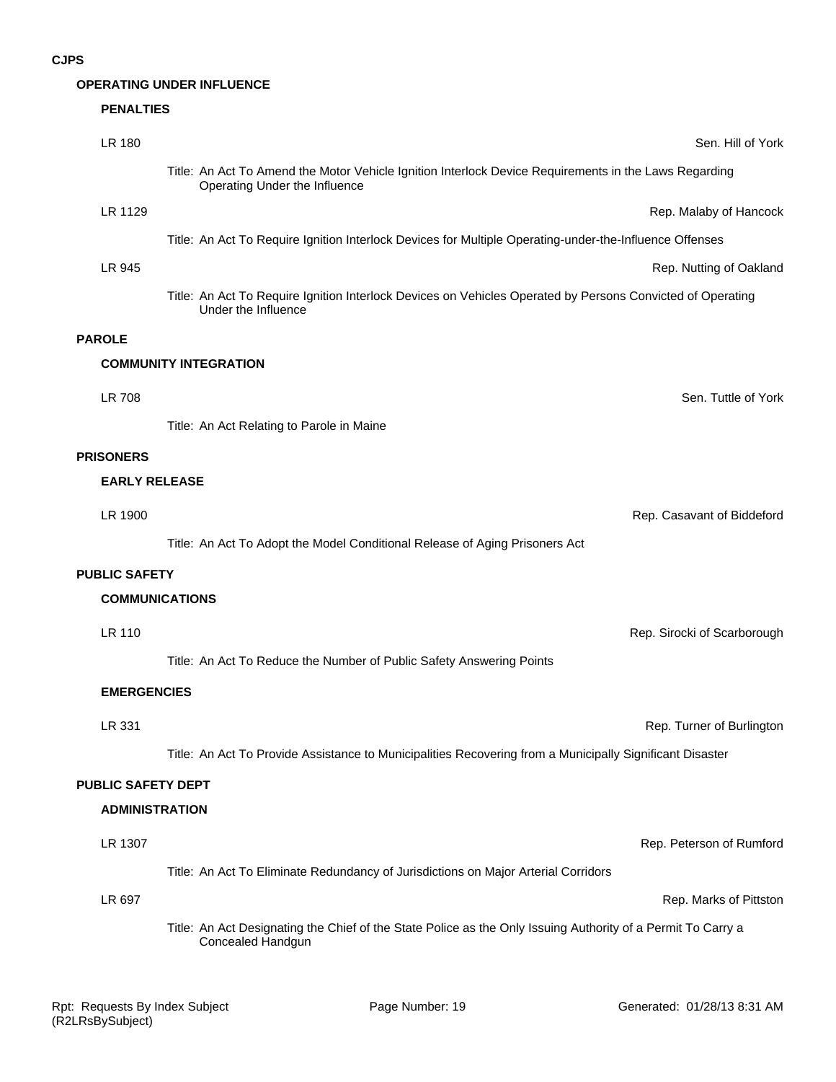## **OPERATING UNDER INFLUENCE**

# **PENALTIES**

|               | LR 180                    | Sen. Hill of York                                                                                                                      |
|---------------|---------------------------|----------------------------------------------------------------------------------------------------------------------------------------|
|               |                           | Title: An Act To Amend the Motor Vehicle Ignition Interlock Device Requirements in the Laws Regarding<br>Operating Under the Influence |
|               | LR 1129                   | Rep. Malaby of Hancock                                                                                                                 |
|               |                           | Title: An Act To Require Ignition Interlock Devices for Multiple Operating-under-the-Influence Offenses                                |
|               | LR 945                    | Rep. Nutting of Oakland                                                                                                                |
|               |                           | Title: An Act To Require Ignition Interlock Devices on Vehicles Operated by Persons Convicted of Operating<br>Under the Influence      |
| <b>PAROLE</b> |                           |                                                                                                                                        |
|               |                           | <b>COMMUNITY INTEGRATION</b>                                                                                                           |
|               | <b>LR 708</b>             | Sen. Tuttle of York                                                                                                                    |
|               |                           | Title: An Act Relating to Parole in Maine                                                                                              |
|               | <b>PRISONERS</b>          |                                                                                                                                        |
|               | <b>EARLY RELEASE</b>      |                                                                                                                                        |
|               | LR 1900                   | Rep. Casavant of Biddeford                                                                                                             |
|               |                           | Title: An Act To Adopt the Model Conditional Release of Aging Prisoners Act                                                            |
|               | <b>PUBLIC SAFETY</b>      |                                                                                                                                        |
|               | <b>COMMUNICATIONS</b>     |                                                                                                                                        |
|               | LR 110                    | Rep. Sirocki of Scarborough                                                                                                            |
|               |                           | Title: An Act To Reduce the Number of Public Safety Answering Points                                                                   |
|               | <b>EMERGENCIES</b>        |                                                                                                                                        |
|               | LR 331                    | Rep. Turner of Burlington                                                                                                              |
|               |                           | Title: An Act To Provide Assistance to Municipalities Recovering from a Municipally Significant Disaster                               |
|               | <b>PUBLIC SAFETY DEPT</b> |                                                                                                                                        |
|               | <b>ADMINISTRATION</b>     |                                                                                                                                        |
|               | LR 1307                   | Rep. Peterson of Rumford                                                                                                               |
|               |                           | Title: An Act To Eliminate Redundancy of Jurisdictions on Major Arterial Corridors                                                     |
|               | LR 697                    | Rep. Marks of Pittston                                                                                                                 |
|               |                           | Title: An Act Designating the Chief of the State Police as the Only Issuing Authority of a Permit To Carry a<br>Concealed Handgun      |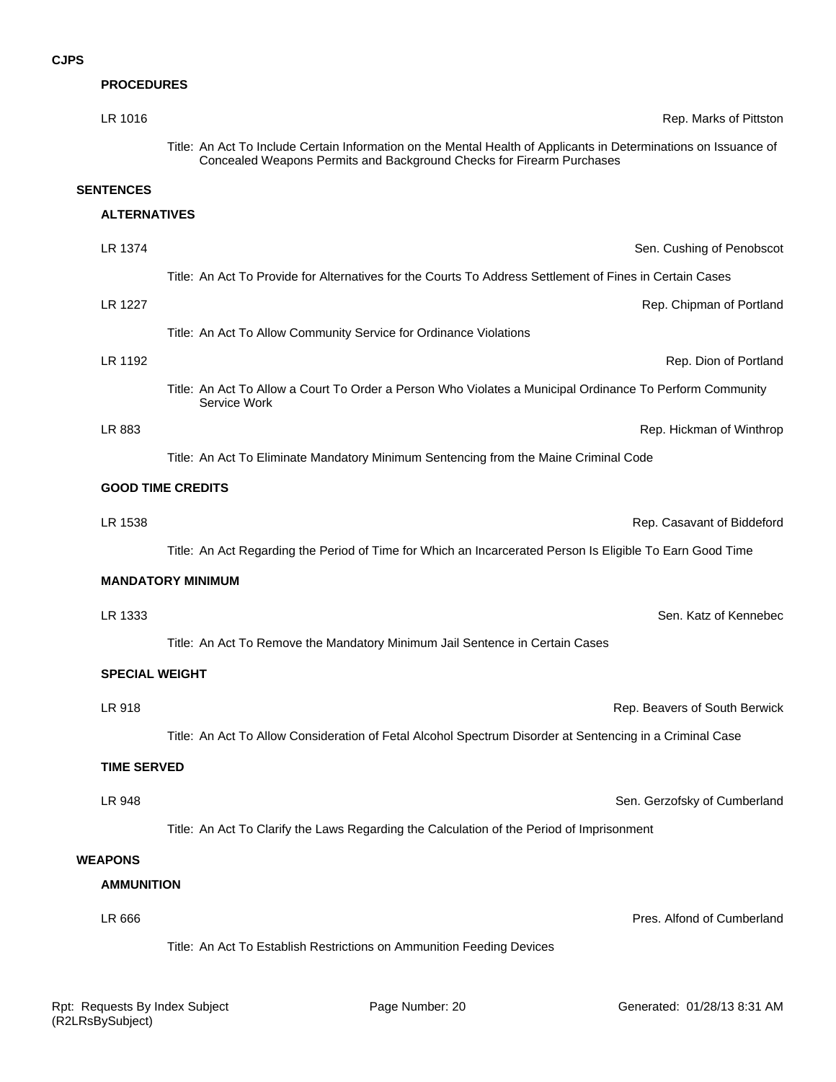| <b>PROCEDURES</b>     |                                                                                                                                                                                           |
|-----------------------|-------------------------------------------------------------------------------------------------------------------------------------------------------------------------------------------|
| LR 1016               | Rep. Marks of Pittston                                                                                                                                                                    |
|                       | Title: An Act To Include Certain Information on the Mental Health of Applicants in Determinations on Issuance of<br>Concealed Weapons Permits and Background Checks for Firearm Purchases |
| <b>SENTENCES</b>      |                                                                                                                                                                                           |
| <b>ALTERNATIVES</b>   |                                                                                                                                                                                           |
| LR 1374               | Sen. Cushing of Penobscot                                                                                                                                                                 |
|                       | Title: An Act To Provide for Alternatives for the Courts To Address Settlement of Fines in Certain Cases                                                                                  |
| LR 1227               | Rep. Chipman of Portland                                                                                                                                                                  |
|                       | Title: An Act To Allow Community Service for Ordinance Violations                                                                                                                         |
| LR 1192               | Rep. Dion of Portland                                                                                                                                                                     |
|                       | Title: An Act To Allow a Court To Order a Person Who Violates a Municipal Ordinance To Perform Community<br>Service Work                                                                  |
| LR 883                | Rep. Hickman of Winthrop                                                                                                                                                                  |
|                       | Title: An Act To Eliminate Mandatory Minimum Sentencing from the Maine Criminal Code                                                                                                      |
|                       | <b>GOOD TIME CREDITS</b>                                                                                                                                                                  |
| LR 1538               | Rep. Casavant of Biddeford                                                                                                                                                                |
|                       | Title: An Act Regarding the Period of Time for Which an Incarcerated Person Is Eligible To Earn Good Time                                                                                 |
|                       | <b>MANDATORY MINIMUM</b>                                                                                                                                                                  |
| LR 1333               | Sen. Katz of Kennebec                                                                                                                                                                     |
|                       | Title: An Act To Remove the Mandatory Minimum Jail Sentence in Certain Cases                                                                                                              |
|                       |                                                                                                                                                                                           |
| <b>SPECIAL WEIGHT</b> |                                                                                                                                                                                           |
| LR 918                | Rep. Beavers of South Berwick                                                                                                                                                             |
|                       | Title: An Act To Allow Consideration of Fetal Alcohol Spectrum Disorder at Sentencing in a Criminal Case                                                                                  |
| <b>TIME SERVED</b>    |                                                                                                                                                                                           |
| LR 948                | Sen. Gerzofsky of Cumberland                                                                                                                                                              |
|                       | Title: An Act To Clarify the Laws Regarding the Calculation of the Period of Imprisonment                                                                                                 |
| <b>WEAPONS</b>        |                                                                                                                                                                                           |
| <b>AMMUNITION</b>     |                                                                                                                                                                                           |
| LR 666                | Pres. Alfond of Cumberland                                                                                                                                                                |
|                       | Title: An Act To Establish Restrictions on Ammunition Feeding Devices                                                                                                                     |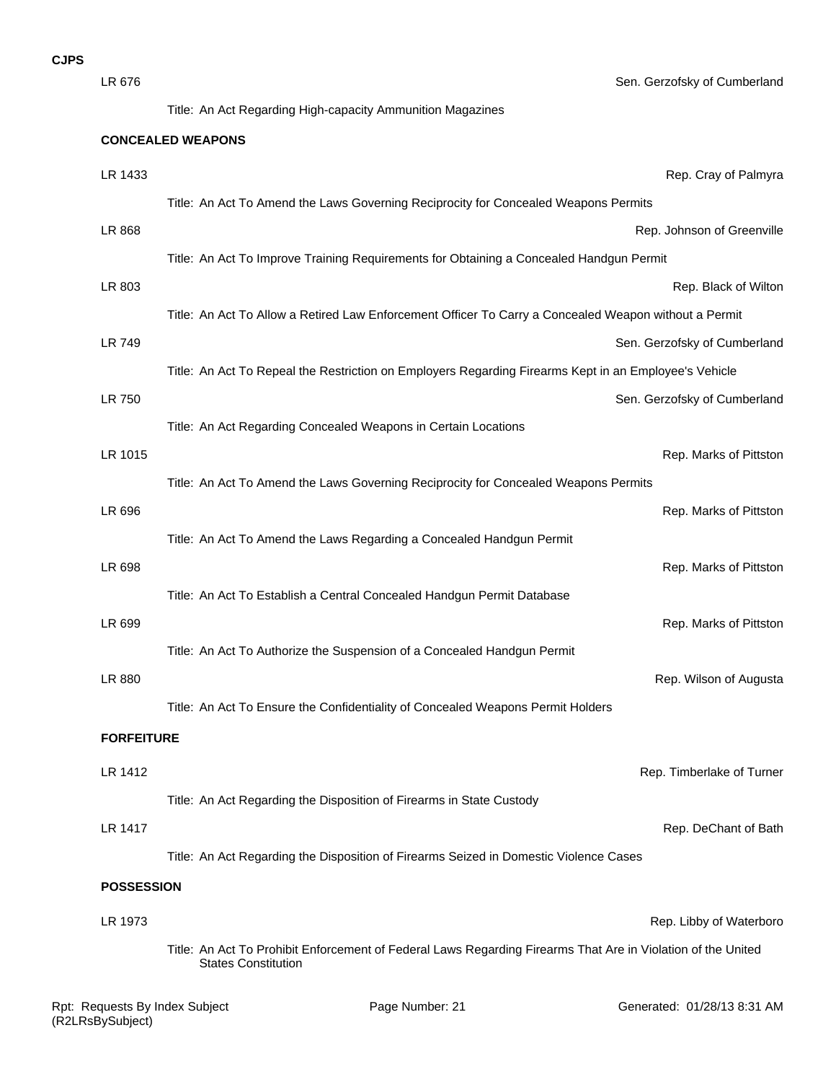| LR 676            | Sen. Gerzofsky of Cumberland                                                                                                               |  |
|-------------------|--------------------------------------------------------------------------------------------------------------------------------------------|--|
|                   | Title: An Act Regarding High-capacity Ammunition Magazines                                                                                 |  |
|                   | <b>CONCEALED WEAPONS</b>                                                                                                                   |  |
| LR 1433           | Rep. Cray of Palmyra                                                                                                                       |  |
|                   | Title: An Act To Amend the Laws Governing Reciprocity for Concealed Weapons Permits                                                        |  |
| LR 868            | Rep. Johnson of Greenville                                                                                                                 |  |
|                   | Title: An Act To Improve Training Requirements for Obtaining a Concealed Handgun Permit                                                    |  |
| LR 803            | Rep. Black of Wilton                                                                                                                       |  |
|                   | Title: An Act To Allow a Retired Law Enforcement Officer To Carry a Concealed Weapon without a Permit                                      |  |
| <b>LR 749</b>     | Sen. Gerzofsky of Cumberland                                                                                                               |  |
|                   | Title: An Act To Repeal the Restriction on Employers Regarding Firearms Kept in an Employee's Vehicle                                      |  |
| LR 750            | Sen. Gerzofsky of Cumberland                                                                                                               |  |
|                   | Title: An Act Regarding Concealed Weapons in Certain Locations                                                                             |  |
| LR 1015           | Rep. Marks of Pittston                                                                                                                     |  |
|                   | Title: An Act To Amend the Laws Governing Reciprocity for Concealed Weapons Permits                                                        |  |
| LR 696            | Rep. Marks of Pittston                                                                                                                     |  |
| LR 698            | Title: An Act To Amend the Laws Regarding a Concealed Handgun Permit<br>Rep. Marks of Pittston                                             |  |
|                   | Title: An Act To Establish a Central Concealed Handgun Permit Database                                                                     |  |
| LR 699            | Rep. Marks of Pittston                                                                                                                     |  |
|                   | Title: An Act To Authorize the Suspension of a Concealed Handgun Permit                                                                    |  |
| LR 880            | Rep. Wilson of Augusta                                                                                                                     |  |
|                   | Title: An Act To Ensure the Confidentiality of Concealed Weapons Permit Holders                                                            |  |
| <b>FORFEITURE</b> |                                                                                                                                            |  |
|                   |                                                                                                                                            |  |
| LR 1412           | Rep. Timberlake of Turner<br>Title: An Act Regarding the Disposition of Firearms in State Custody                                          |  |
| LR 1417           | Rep. DeChant of Bath                                                                                                                       |  |
|                   | Title: An Act Regarding the Disposition of Firearms Seized in Domestic Violence Cases                                                      |  |
| <b>POSSESSION</b> |                                                                                                                                            |  |
|                   |                                                                                                                                            |  |
| LR 1973           | Rep. Libby of Waterboro                                                                                                                    |  |
|                   | Title: An Act To Prohibit Enforcement of Federal Laws Regarding Firearms That Are in Violation of the United<br><b>States Constitution</b> |  |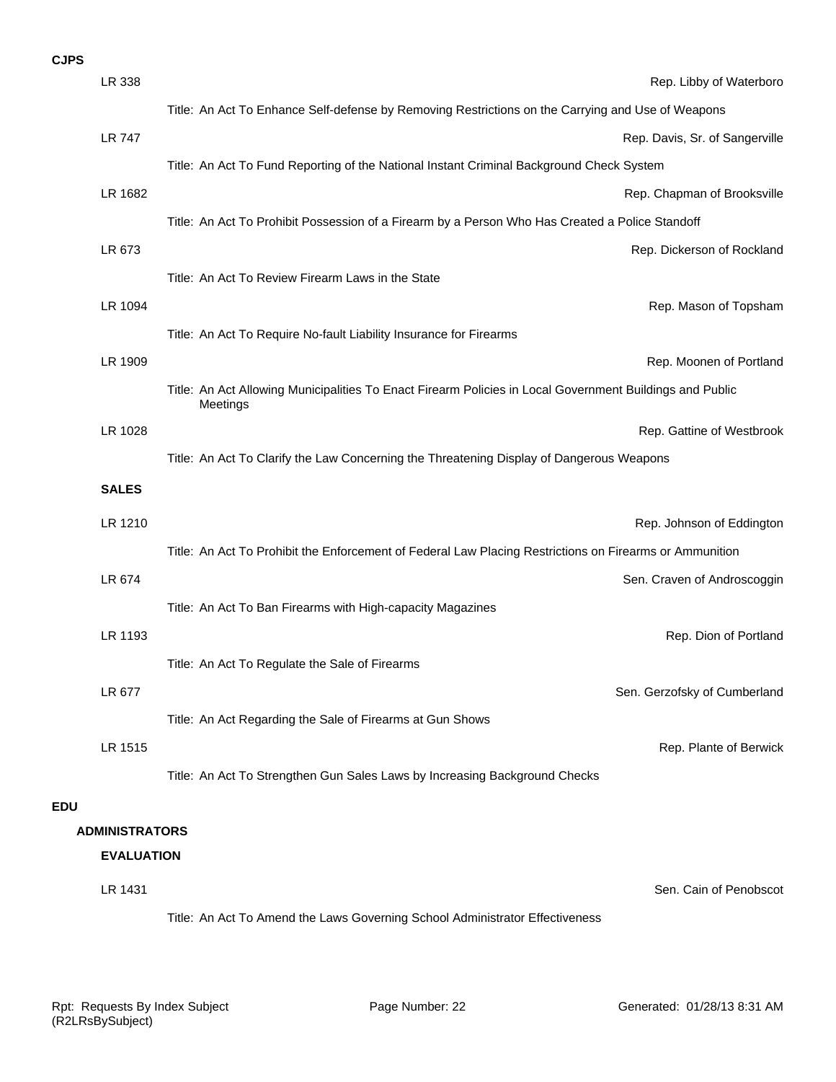|            | LR 338                | Rep. Libby of Waterboro                                                                                              |  |
|------------|-----------------------|----------------------------------------------------------------------------------------------------------------------|--|
|            |                       | Title: An Act To Enhance Self-defense by Removing Restrictions on the Carrying and Use of Weapons                    |  |
|            | <b>LR 747</b>         | Rep. Davis, Sr. of Sangerville                                                                                       |  |
|            |                       | Title: An Act To Fund Reporting of the National Instant Criminal Background Check System                             |  |
|            | LR 1682               | Rep. Chapman of Brooksville                                                                                          |  |
|            |                       | Title: An Act To Prohibit Possession of a Firearm by a Person Who Has Created a Police Standoff                      |  |
|            | LR 673                | Rep. Dickerson of Rockland                                                                                           |  |
|            |                       | Title: An Act To Review Firearm Laws in the State                                                                    |  |
|            | LR 1094               | Rep. Mason of Topsham                                                                                                |  |
|            |                       | Title: An Act To Require No-fault Liability Insurance for Firearms                                                   |  |
|            | LR 1909               | Rep. Moonen of Portland                                                                                              |  |
|            |                       | Title: An Act Allowing Municipalities To Enact Firearm Policies in Local Government Buildings and Public<br>Meetings |  |
|            | LR 1028               | Rep. Gattine of Westbrook                                                                                            |  |
|            |                       | Title: An Act To Clarify the Law Concerning the Threatening Display of Dangerous Weapons                             |  |
|            | <b>SALES</b>          |                                                                                                                      |  |
|            | LR 1210               | Rep. Johnson of Eddington                                                                                            |  |
|            |                       | Title: An Act To Prohibit the Enforcement of Federal Law Placing Restrictions on Firearms or Ammunition              |  |
|            | LR 674                | Sen. Craven of Androscoggin                                                                                          |  |
|            |                       | Title: An Act To Ban Firearms with High-capacity Magazines                                                           |  |
|            | LR 1193               | Rep. Dion of Portland                                                                                                |  |
|            |                       | Title: An Act To Regulate the Sale of Firearms                                                                       |  |
|            | LR 677                | Sen. Gerzofsky of Cumberland                                                                                         |  |
|            |                       | Title: An Act Regarding the Sale of Firearms at Gun Shows                                                            |  |
|            | LR 1515               | Rep. Plante of Berwick                                                                                               |  |
|            |                       | Title: An Act To Strengthen Gun Sales Laws by Increasing Background Checks                                           |  |
| <b>EDU</b> |                       |                                                                                                                      |  |
|            | <b>ADMINISTRATORS</b> |                                                                                                                      |  |
|            | <b>EVALUATION</b>     |                                                                                                                      |  |
|            | LR 1431               | Sen. Cain of Penobscot                                                                                               |  |

Title: An Act To Amend the Laws Governing School Administrator Effectiveness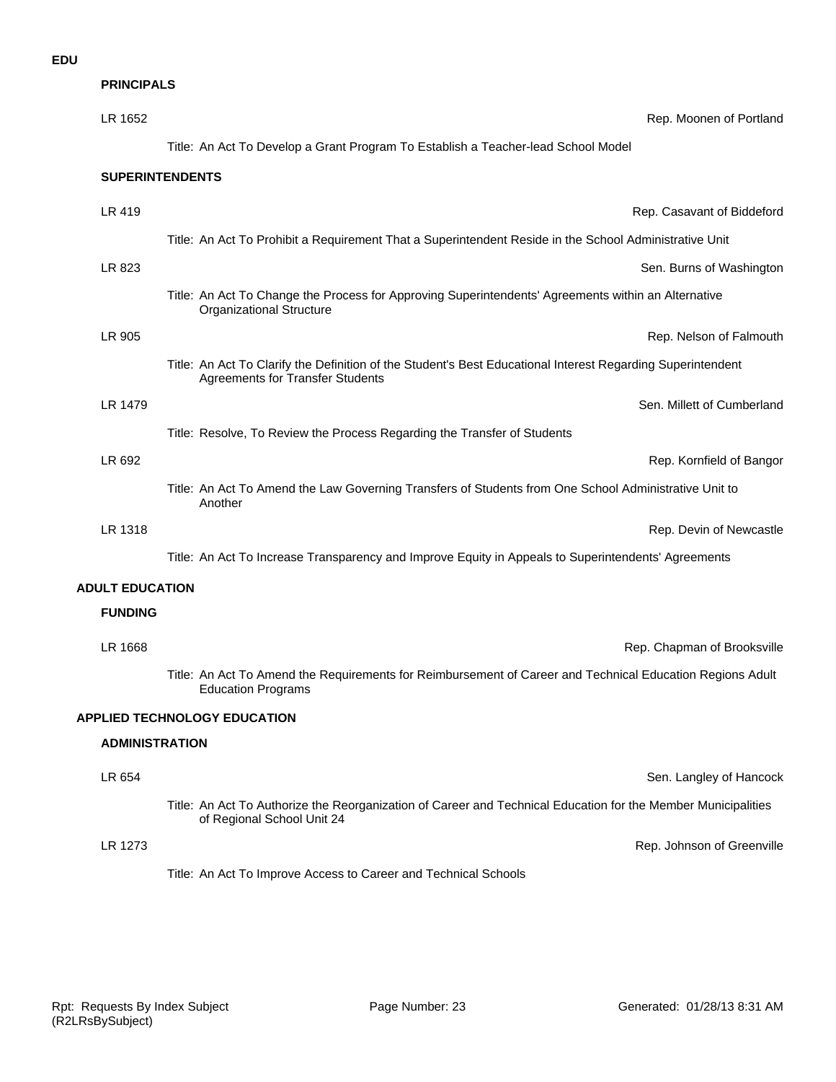**PRINCIPALS**

| LR 1652                | Rep. Moonen of Portland                                                                                                                                |
|------------------------|--------------------------------------------------------------------------------------------------------------------------------------------------------|
|                        | Title: An Act To Develop a Grant Program To Establish a Teacher-lead School Model                                                                      |
|                        | <b>SUPERINTENDENTS</b>                                                                                                                                 |
| LR 419                 | Rep. Casavant of Biddeford                                                                                                                             |
|                        | Title: An Act To Prohibit a Requirement That a Superintendent Reside in the School Administrative Unit                                                 |
| LR 823                 | Sen. Burns of Washington                                                                                                                               |
|                        | Title: An Act To Change the Process for Approving Superintendents' Agreements within an Alternative<br><b>Organizational Structure</b>                 |
| LR 905                 | Rep. Nelson of Falmouth                                                                                                                                |
|                        | Title: An Act To Clarify the Definition of the Student's Best Educational Interest Regarding Superintendent<br><b>Agreements for Transfer Students</b> |
| LR 1479                | Sen. Millett of Cumberland                                                                                                                             |
|                        | Title: Resolve, To Review the Process Regarding the Transfer of Students                                                                               |
| LR 692                 | Rep. Kornfield of Bangor                                                                                                                               |
|                        | Title: An Act To Amend the Law Governing Transfers of Students from One School Administrative Unit to<br>Another                                       |
| LR 1318                | Rep. Devin of Newcastle                                                                                                                                |
|                        | Title: An Act To Increase Transparency and Improve Equity in Appeals to Superintendents' Agreements                                                    |
| <b>ADULT EDUCATION</b> |                                                                                                                                                        |
| <b>FUNDING</b>         |                                                                                                                                                        |
| LR 1668                | Rep. Chapman of Brooksville                                                                                                                            |
|                        | Title: An Act To Amend the Requirements for Reimbursement of Career and Technical Education Regions Adult<br><b>Education Programs</b>                 |
|                        | <b>APPLIED TECHNOLOGY EDUCATION</b>                                                                                                                    |
| <b>ADMINISTRATION</b>  |                                                                                                                                                        |
| LR 654                 | Sen. Langley of Hancock                                                                                                                                |
|                        | Title: An Act To Authorize the Reorganization of Career and Technical Education for the Member Municipalities<br>of Regional School Unit 24            |
| LR 1273                | Rep. Johnson of Greenville                                                                                                                             |
|                        | Title: An Act To Improve Access to Career and Technical Schools                                                                                        |
|                        |                                                                                                                                                        |
|                        |                                                                                                                                                        |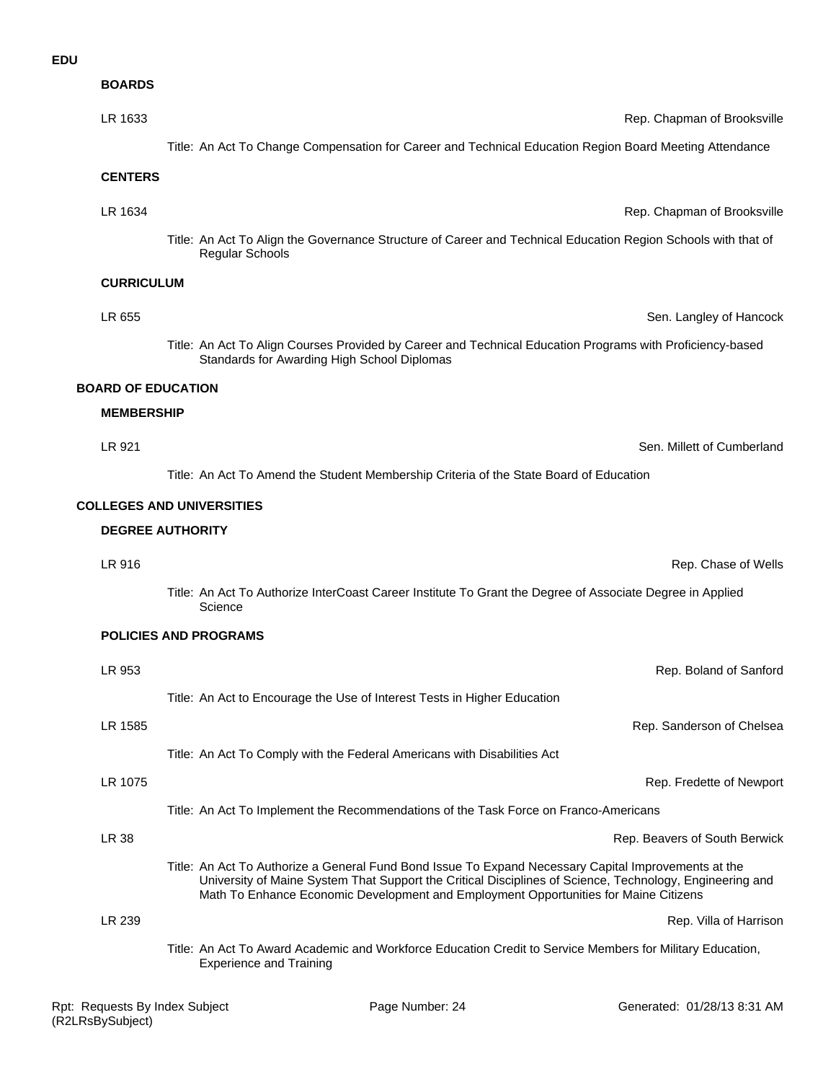#### **EDU**

**BOARDS**

| LR 1633                   | Rep. Chapman of Brooksville                                                                                                                                                                                                                                                                              |
|---------------------------|----------------------------------------------------------------------------------------------------------------------------------------------------------------------------------------------------------------------------------------------------------------------------------------------------------|
|                           | Title: An Act To Change Compensation for Career and Technical Education Region Board Meeting Attendance                                                                                                                                                                                                  |
| <b>CENTERS</b>            |                                                                                                                                                                                                                                                                                                          |
| LR 1634                   | Rep. Chapman of Brooksville                                                                                                                                                                                                                                                                              |
|                           | Title: An Act To Align the Governance Structure of Career and Technical Education Region Schools with that of<br><b>Regular Schools</b>                                                                                                                                                                  |
| <b>CURRICULUM</b>         |                                                                                                                                                                                                                                                                                                          |
| LR 655                    | Sen. Langley of Hancock                                                                                                                                                                                                                                                                                  |
|                           | Title: An Act To Align Courses Provided by Career and Technical Education Programs with Proficiency-based<br>Standards for Awarding High School Diplomas                                                                                                                                                 |
| <b>BOARD OF EDUCATION</b> |                                                                                                                                                                                                                                                                                                          |
| <b>MEMBERSHIP</b>         |                                                                                                                                                                                                                                                                                                          |
| LR 921                    | Sen. Millett of Cumberland                                                                                                                                                                                                                                                                               |
|                           | Title: An Act To Amend the Student Membership Criteria of the State Board of Education                                                                                                                                                                                                                   |
|                           | <b>COLLEGES AND UNIVERSITIES</b>                                                                                                                                                                                                                                                                         |
|                           | <b>DEGREE AUTHORITY</b>                                                                                                                                                                                                                                                                                  |
| LR 916                    | Rep. Chase of Wells                                                                                                                                                                                                                                                                                      |
|                           | Title: An Act To Authorize InterCoast Career Institute To Grant the Degree of Associate Degree in Applied<br>Science                                                                                                                                                                                     |
|                           | <b>POLICIES AND PROGRAMS</b>                                                                                                                                                                                                                                                                             |
| LR 953                    | Rep. Boland of Sanford                                                                                                                                                                                                                                                                                   |
|                           | Title: An Act to Encourage the Use of Interest Tests in Higher Education                                                                                                                                                                                                                                 |
| LR 1585                   | Rep. Sanderson of Chelsea                                                                                                                                                                                                                                                                                |
|                           | Title: An Act To Comply with the Federal Americans with Disabilities Act                                                                                                                                                                                                                                 |
| LR 1075                   | Rep. Fredette of Newport                                                                                                                                                                                                                                                                                 |
|                           | Title: An Act To Implement the Recommendations of the Task Force on Franco-Americans                                                                                                                                                                                                                     |
| LR 38                     | Rep. Beavers of South Berwick                                                                                                                                                                                                                                                                            |
|                           | Title: An Act To Authorize a General Fund Bond Issue To Expand Necessary Capital Improvements at the<br>University of Maine System That Support the Critical Disciplines of Science, Technology, Engineering and<br>Math To Enhance Economic Development and Employment Opportunities for Maine Citizens |

Title: An Act To Award Academic and Workforce Education Credit to Service Members for Military Education, Experience and Training

LR 239 Rep. Villa of Harrison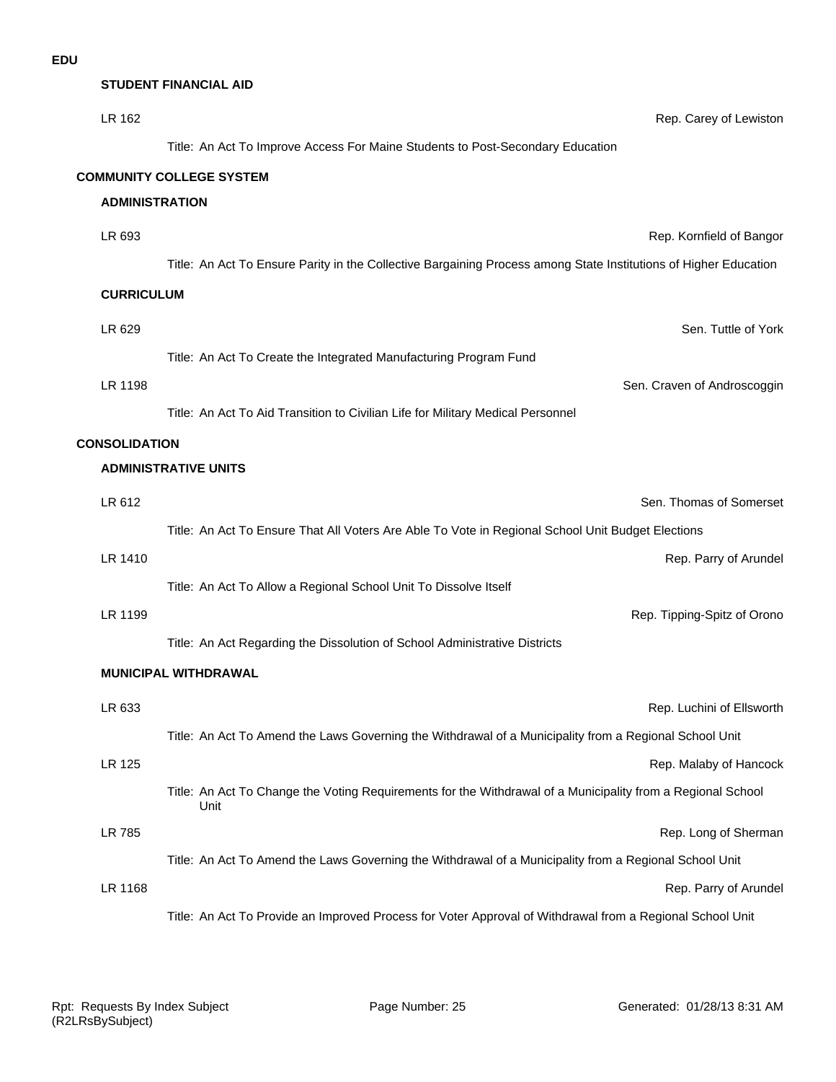**STUDENT FINANCIAL AID**

| LR 162                | Rep. Carey of Lewiston                                                                                              |
|-----------------------|---------------------------------------------------------------------------------------------------------------------|
|                       | Title: An Act To Improve Access For Maine Students to Post-Secondary Education                                      |
|                       | <b>COMMUNITY COLLEGE SYSTEM</b>                                                                                     |
| <b>ADMINISTRATION</b> |                                                                                                                     |
| LR 693                | Rep. Kornfield of Bangor                                                                                            |
|                       | Title: An Act To Ensure Parity in the Collective Bargaining Process among State Institutions of Higher Education    |
| <b>CURRICULUM</b>     |                                                                                                                     |
| LR 629                | Sen. Tuttle of York                                                                                                 |
|                       | Title: An Act To Create the Integrated Manufacturing Program Fund                                                   |
| LR 1198               | Sen. Craven of Androscoggin                                                                                         |
|                       | Title: An Act To Aid Transition to Civilian Life for Military Medical Personnel                                     |
| <b>CONSOLIDATION</b>  |                                                                                                                     |
|                       | <b>ADMINISTRATIVE UNITS</b>                                                                                         |
| LR 612                | Sen. Thomas of Somerset                                                                                             |
|                       | Title: An Act To Ensure That All Voters Are Able To Vote in Regional School Unit Budget Elections                   |
| LR 1410               | Rep. Parry of Arundel                                                                                               |
|                       | Title: An Act To Allow a Regional School Unit To Dissolve Itself                                                    |
| LR 1199               | Rep. Tipping-Spitz of Orono                                                                                         |
|                       | Title: An Act Regarding the Dissolution of School Administrative Districts                                          |
|                       | <b>MUNICIPAL WITHDRAWAL</b>                                                                                         |
| LR 633                | Rep. Luchini of Ellsworth                                                                                           |
|                       | Title: An Act To Amend the Laws Governing the Withdrawal of a Municipality from a Regional School Unit              |
| <b>LR 125</b>         | Rep. Malaby of Hancock                                                                                              |
|                       | Title: An Act To Change the Voting Requirements for the Withdrawal of a Municipality from a Regional School<br>Unit |
| LR 785                | Rep. Long of Sherman                                                                                                |
|                       | Title: An Act To Amend the Laws Governing the Withdrawal of a Municipality from a Regional School Unit              |
| LR 1168               | Rep. Parry of Arundel                                                                                               |
|                       | Title: An Act To Provide an Improved Process for Voter Approval of Withdrawal from a Regional School Unit           |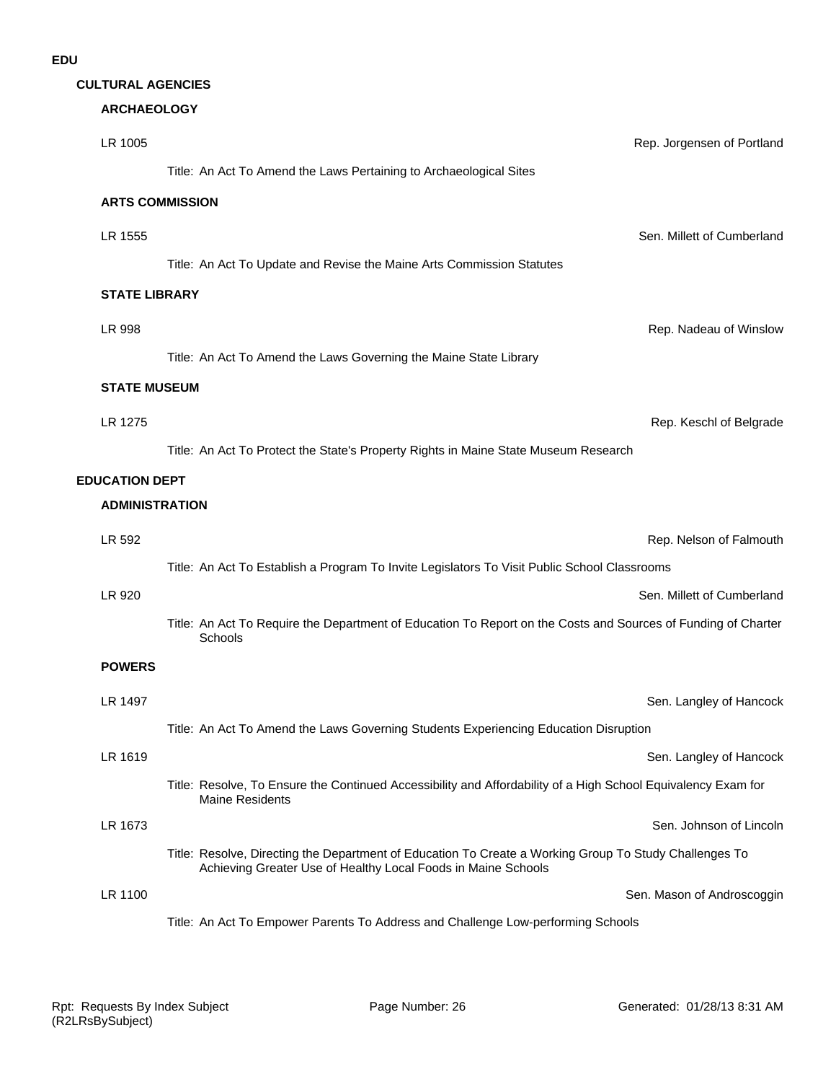| <b>CULTURAL AGENCIES</b> |  |
|--------------------------|--|
|--------------------------|--|

# **ARCHAEOLOGY**

| LR 1005               | Rep. Jorgensen of Portland                                                                                                                                              |
|-----------------------|-------------------------------------------------------------------------------------------------------------------------------------------------------------------------|
|                       | Title: An Act To Amend the Laws Pertaining to Archaeological Sites                                                                                                      |
|                       | <b>ARTS COMMISSION</b>                                                                                                                                                  |
| LR 1555               | Sen. Millett of Cumberland                                                                                                                                              |
|                       | Title: An Act To Update and Revise the Maine Arts Commission Statutes                                                                                                   |
| <b>STATE LIBRARY</b>  |                                                                                                                                                                         |
| LR 998                | Rep. Nadeau of Winslow                                                                                                                                                  |
|                       | Title: An Act To Amend the Laws Governing the Maine State Library                                                                                                       |
| <b>STATE MUSEUM</b>   |                                                                                                                                                                         |
| LR 1275               | Rep. Keschl of Belgrade                                                                                                                                                 |
|                       | Title: An Act To Protect the State's Property Rights in Maine State Museum Research                                                                                     |
| <b>EDUCATION DEPT</b> |                                                                                                                                                                         |
| <b>ADMINISTRATION</b> |                                                                                                                                                                         |
| LR 592                | Rep. Nelson of Falmouth                                                                                                                                                 |
|                       | Title: An Act To Establish a Program To Invite Legislators To Visit Public School Classrooms                                                                            |
| LR 920                | Sen. Millett of Cumberland                                                                                                                                              |
|                       | Title: An Act To Require the Department of Education To Report on the Costs and Sources of Funding of Charter<br>Schools                                                |
| <b>POWERS</b>         |                                                                                                                                                                         |
| LR 1497               | Sen. Langley of Hancock                                                                                                                                                 |
|                       | Title: An Act To Amend the Laws Governing Students Experiencing Education Disruption                                                                                    |
| LR 1619               | Sen. Langley of Hancock                                                                                                                                                 |
|                       | Title: Resolve, To Ensure the Continued Accessibility and Affordability of a High School Equivalency Exam for<br><b>Maine Residents</b>                                 |
| LR 1673               | Sen. Johnson of Lincoln                                                                                                                                                 |
|                       | Title: Resolve, Directing the Department of Education To Create a Working Group To Study Challenges To<br>Achieving Greater Use of Healthy Local Foods in Maine Schools |
| LR 1100               | Sen. Mason of Androscoggin                                                                                                                                              |
|                       | Title: An Act To Empower Parents To Address and Challenge Low-performing Schools                                                                                        |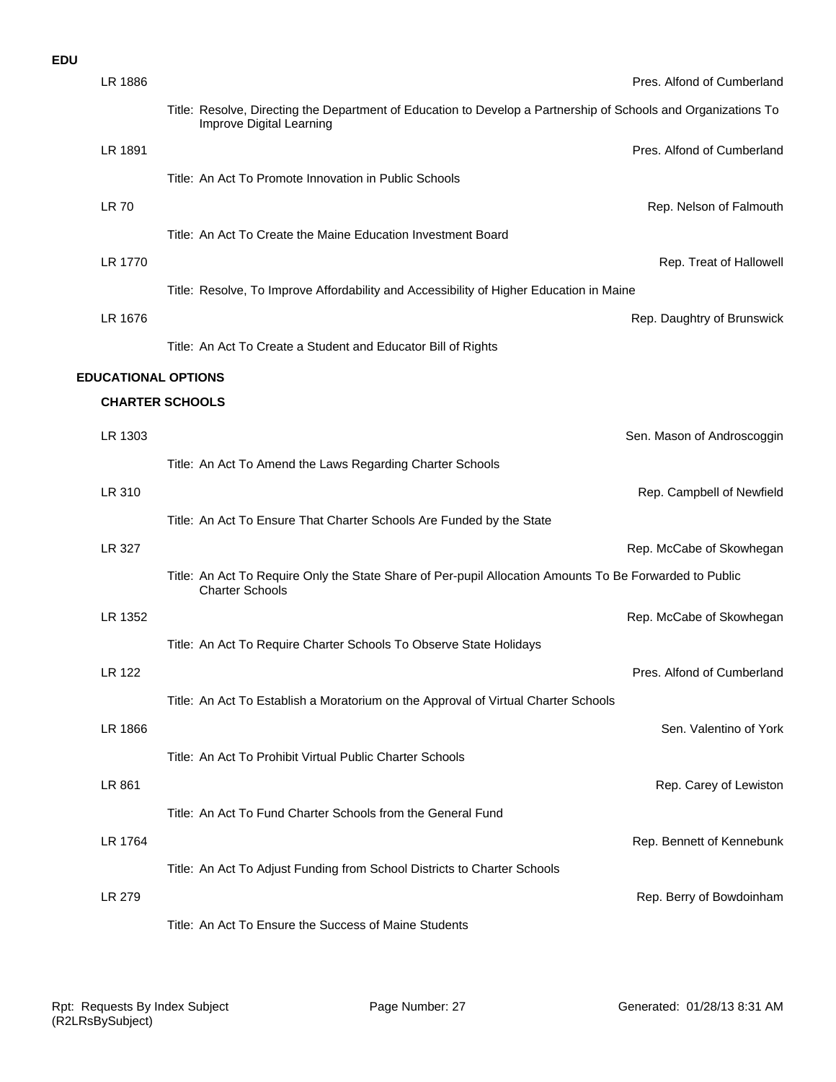#### **EDU**

| LR 1886                    |                                                                                                                                            | Pres. Alfond of Cumberland |
|----------------------------|--------------------------------------------------------------------------------------------------------------------------------------------|----------------------------|
|                            | Title: Resolve, Directing the Department of Education to Develop a Partnership of Schools and Organizations To<br>Improve Digital Learning |                            |
| LR 1891                    |                                                                                                                                            | Pres. Alfond of Cumberland |
|                            | Title: An Act To Promote Innovation in Public Schools                                                                                      |                            |
| <b>LR 70</b>               |                                                                                                                                            | Rep. Nelson of Falmouth    |
|                            | Title: An Act To Create the Maine Education Investment Board                                                                               |                            |
| LR 1770                    |                                                                                                                                            | Rep. Treat of Hallowell    |
|                            | Title: Resolve, To Improve Affordability and Accessibility of Higher Education in Maine                                                    |                            |
| LR 1676                    |                                                                                                                                            | Rep. Daughtry of Brunswick |
|                            | Title: An Act To Create a Student and Educator Bill of Rights                                                                              |                            |
| <b>EDUCATIONAL OPTIONS</b> |                                                                                                                                            |                            |
|                            | <b>CHARTER SCHOOLS</b>                                                                                                                     |                            |
| LR 1303                    |                                                                                                                                            | Sen. Mason of Androscoggin |
|                            | Title: An Act To Amend the Laws Regarding Charter Schools                                                                                  |                            |
| LR 310                     |                                                                                                                                            | Rep. Campbell of Newfield  |
|                            | Title: An Act To Ensure That Charter Schools Are Funded by the State                                                                       |                            |
| LR 327                     |                                                                                                                                            | Rep. McCabe of Skowhegan   |
|                            | Title: An Act To Require Only the State Share of Per-pupil Allocation Amounts To Be Forwarded to Public<br><b>Charter Schools</b>          |                            |
| LR 1352                    |                                                                                                                                            | Rep. McCabe of Skowhegan   |
|                            | Title: An Act To Require Charter Schools To Observe State Holidays                                                                         |                            |
| LR 122                     |                                                                                                                                            | Pres. Alfond of Cumberland |
|                            | Title: An Act To Establish a Moratorium on the Approval of Virtual Charter Schools                                                         |                            |
| LR 1866                    |                                                                                                                                            | Sen. Valentino of York     |
|                            | Title: An Act To Prohibit Virtual Public Charter Schools                                                                                   |                            |
| LR 861                     |                                                                                                                                            | Rep. Carey of Lewiston     |
|                            | Title: An Act To Fund Charter Schools from the General Fund                                                                                |                            |
| LR 1764                    |                                                                                                                                            | Rep. Bennett of Kennebunk  |
|                            | Title: An Act To Adjust Funding from School Districts to Charter Schools                                                                   |                            |
| LR 279                     |                                                                                                                                            | Rep. Berry of Bowdoinham   |
|                            | Title: An Act To Ensure the Success of Maine Students                                                                                      |                            |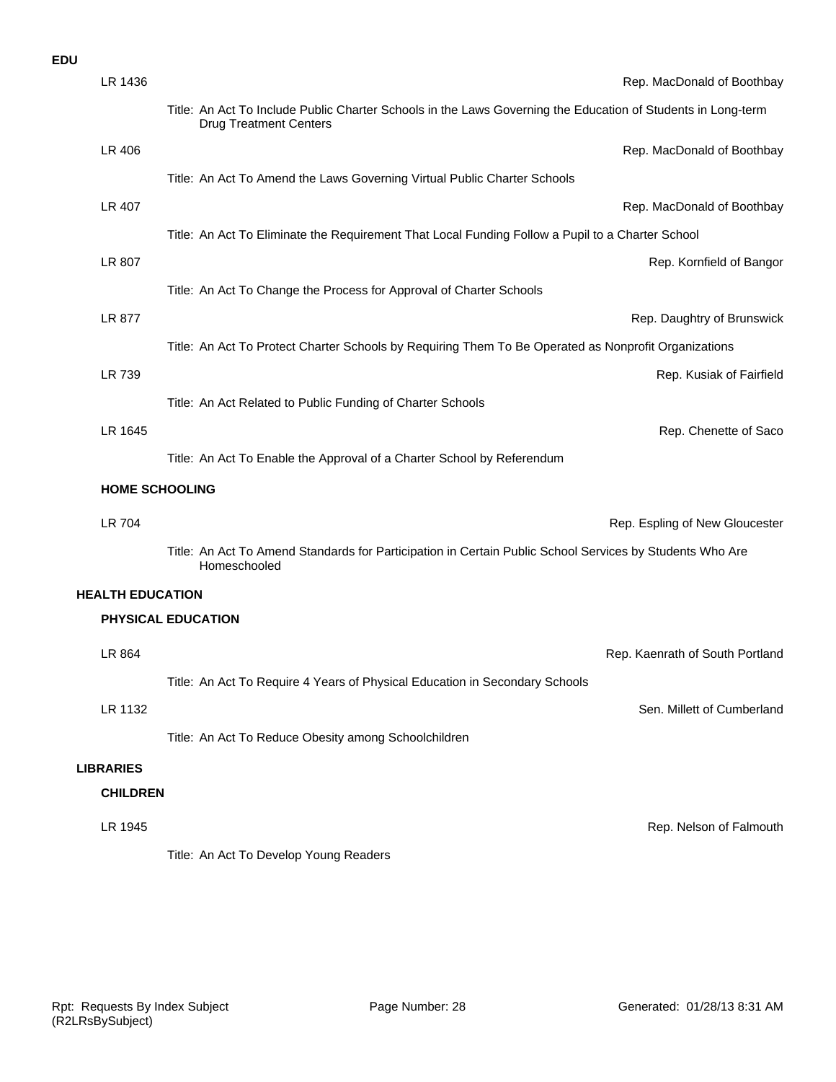#### **EDU**

| LR 1436                 | Rep. MacDonald of Boothbay                                                                                                                    |
|-------------------------|-----------------------------------------------------------------------------------------------------------------------------------------------|
|                         | Title: An Act To Include Public Charter Schools in the Laws Governing the Education of Students in Long-term<br><b>Drug Treatment Centers</b> |
| LR 406                  | Rep. MacDonald of Boothbay                                                                                                                    |
|                         | Title: An Act To Amend the Laws Governing Virtual Public Charter Schools                                                                      |
| LR 407                  | Rep. MacDonald of Boothbay                                                                                                                    |
|                         | Title: An Act To Eliminate the Requirement That Local Funding Follow a Pupil to a Charter School                                              |
| LR 807                  | Rep. Kornfield of Bangor                                                                                                                      |
|                         | Title: An Act To Change the Process for Approval of Charter Schools                                                                           |
| LR 877                  | Rep. Daughtry of Brunswick                                                                                                                    |
|                         | Title: An Act To Protect Charter Schools by Requiring Them To Be Operated as Nonprofit Organizations                                          |
| LR 739                  | Rep. Kusiak of Fairfield                                                                                                                      |
|                         | Title: An Act Related to Public Funding of Charter Schools                                                                                    |
| LR 1645                 | Rep. Chenette of Saco                                                                                                                         |
|                         | Title: An Act To Enable the Approval of a Charter School by Referendum                                                                        |
|                         |                                                                                                                                               |
| <b>HOME SCHOOLING</b>   |                                                                                                                                               |
| <b>LR 704</b>           | Rep. Espling of New Gloucester                                                                                                                |
|                         | Title: An Act To Amend Standards for Participation in Certain Public School Services by Students Who Are<br>Homeschooled                      |
| <b>HEALTH EDUCATION</b> |                                                                                                                                               |
|                         | PHYSICAL EDUCATION                                                                                                                            |
| LR 864                  | Rep. Kaenrath of South Portland                                                                                                               |
|                         | Title: An Act To Require 4 Years of Physical Education in Secondary Schools                                                                   |
| LR 1132                 | Sen. Millett of Cumberland                                                                                                                    |
|                         | Title: An Act To Reduce Obesity among Schoolchildren                                                                                          |
| <b>LIBRARIES</b>        |                                                                                                                                               |
| <b>CHILDREN</b>         |                                                                                                                                               |
| LR 1945                 | Rep. Nelson of Falmouth                                                                                                                       |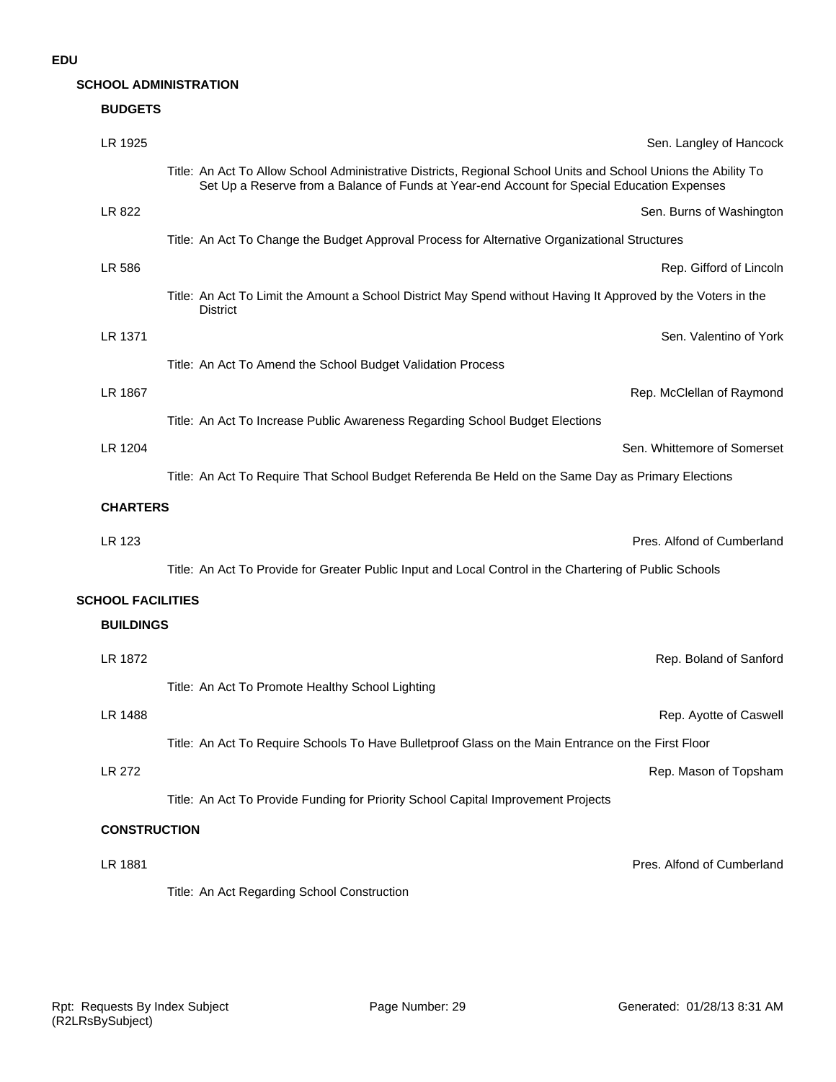# **SCHOOL ADMINISTRATION**

| <b>BUDGETS</b>           |                                                                                                                                                                                                               |                             |
|--------------------------|---------------------------------------------------------------------------------------------------------------------------------------------------------------------------------------------------------------|-----------------------------|
| LR 1925                  |                                                                                                                                                                                                               | Sen. Langley of Hancock     |
|                          | Title: An Act To Allow School Administrative Districts, Regional School Units and School Unions the Ability To<br>Set Up a Reserve from a Balance of Funds at Year-end Account for Special Education Expenses |                             |
| LR 822                   |                                                                                                                                                                                                               | Sen. Burns of Washington    |
|                          | Title: An Act To Change the Budget Approval Process for Alternative Organizational Structures                                                                                                                 |                             |
| LR 586                   |                                                                                                                                                                                                               | Rep. Gifford of Lincoln     |
|                          | Title: An Act To Limit the Amount a School District May Spend without Having It Approved by the Voters in the<br><b>District</b>                                                                              |                             |
| LR 1371                  |                                                                                                                                                                                                               | Sen. Valentino of York      |
|                          | Title: An Act To Amend the School Budget Validation Process                                                                                                                                                   |                             |
| LR 1867                  |                                                                                                                                                                                                               | Rep. McClellan of Raymond   |
|                          | Title: An Act To Increase Public Awareness Regarding School Budget Elections                                                                                                                                  |                             |
| LR 1204                  |                                                                                                                                                                                                               | Sen. Whittemore of Somerset |
|                          | Title: An Act To Require That School Budget Referenda Be Held on the Same Day as Primary Elections                                                                                                            |                             |
| <b>CHARTERS</b>          |                                                                                                                                                                                                               |                             |
| LR 123                   |                                                                                                                                                                                                               | Pres. Alfond of Cumberland  |
|                          | Title: An Act To Provide for Greater Public Input and Local Control in the Chartering of Public Schools                                                                                                       |                             |
| <b>SCHOOL FACILITIES</b> |                                                                                                                                                                                                               |                             |
| <b>BUILDINGS</b>         |                                                                                                                                                                                                               |                             |
| LR 1872                  |                                                                                                                                                                                                               | Rep. Boland of Sanford      |
|                          | Title: An Act To Promote Healthy School Lighting                                                                                                                                                              |                             |
| LR 1488                  |                                                                                                                                                                                                               | Rep. Ayotte of Caswell      |
|                          | Title: An Act To Require Schools To Have Bulletproof Glass on the Main Entrance on the First Floor                                                                                                            |                             |
| LR 272                   |                                                                                                                                                                                                               | Rep. Mason of Topsham       |
|                          | Title: An Act To Provide Funding for Priority School Capital Improvement Projects                                                                                                                             |                             |
| <b>CONSTRUCTION</b>      |                                                                                                                                                                                                               |                             |
| LR 1881                  |                                                                                                                                                                                                               | Pres. Alfond of Cumberland  |
|                          |                                                                                                                                                                                                               |                             |
|                          | Title: An Act Regarding School Construction                                                                                                                                                                   |                             |
|                          |                                                                                                                                                                                                               |                             |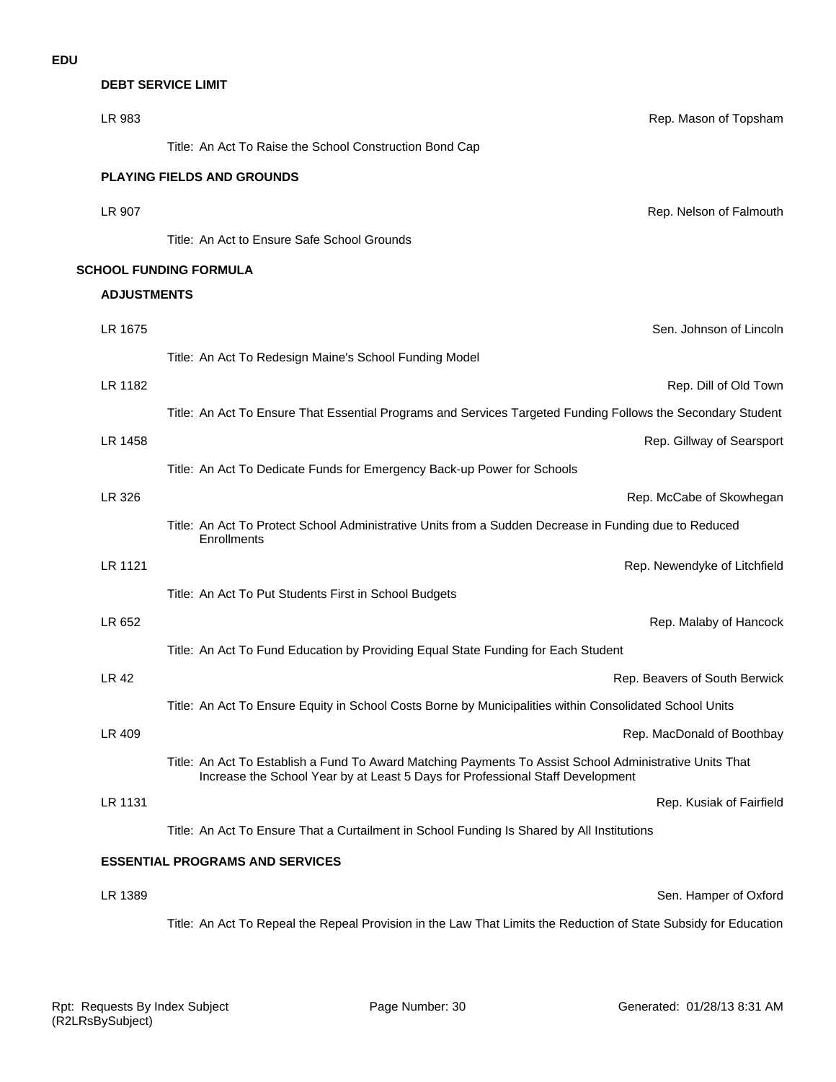# **DEBT SERVICE LIMIT**

| LR 983             | Rep. Mason of Topsham                                                                                                                                                                     |
|--------------------|-------------------------------------------------------------------------------------------------------------------------------------------------------------------------------------------|
|                    | Title: An Act To Raise the School Construction Bond Cap                                                                                                                                   |
|                    | <b>PLAYING FIELDS AND GROUNDS</b>                                                                                                                                                         |
| LR 907             | Rep. Nelson of Falmouth                                                                                                                                                                   |
|                    | Title: An Act to Ensure Safe School Grounds                                                                                                                                               |
|                    | <b>SCHOOL FUNDING FORMULA</b>                                                                                                                                                             |
| <b>ADJUSTMENTS</b> |                                                                                                                                                                                           |
| LR 1675            | Sen. Johnson of Lincoln                                                                                                                                                                   |
|                    | Title: An Act To Redesign Maine's School Funding Model                                                                                                                                    |
| LR 1182            | Rep. Dill of Old Town                                                                                                                                                                     |
|                    | Title: An Act To Ensure That Essential Programs and Services Targeted Funding Follows the Secondary Student                                                                               |
| LR 1458            | Rep. Gillway of Searsport                                                                                                                                                                 |
|                    | Title: An Act To Dedicate Funds for Emergency Back-up Power for Schools                                                                                                                   |
| LR 326             | Rep. McCabe of Skowhegan                                                                                                                                                                  |
|                    | Title: An Act To Protect School Administrative Units from a Sudden Decrease in Funding due to Reduced<br>Enrollments                                                                      |
| <b>LR 1121</b>     | Rep. Newendyke of Litchfield                                                                                                                                                              |
|                    | Title: An Act To Put Students First in School Budgets                                                                                                                                     |
| LR 652             | Rep. Malaby of Hancock                                                                                                                                                                    |
|                    | Title: An Act To Fund Education by Providing Equal State Funding for Each Student                                                                                                         |
| LR 42              | Rep. Beavers of South Berwick                                                                                                                                                             |
|                    | Title: An Act To Ensure Equity in School Costs Borne by Municipalities within Consolidated School Units                                                                                   |
| LR 409             | Rep. MacDonald of Boothbay                                                                                                                                                                |
|                    | Title: An Act To Establish a Fund To Award Matching Payments To Assist School Administrative Units That<br>Increase the School Year by at Least 5 Days for Professional Staff Development |
| LR 1131            | Rep. Kusiak of Fairfield                                                                                                                                                                  |
|                    | Title: An Act To Ensure That a Curtailment in School Funding Is Shared by All Institutions                                                                                                |
|                    | <b>ESSENTIAL PROGRAMS AND SERVICES</b>                                                                                                                                                    |
| LR 1389            | Sen. Hamper of Oxford                                                                                                                                                                     |
|                    | Title: An Act To Repeal the Repeal Provision in the Law That Limits the Reduction of State Subsidy for Education                                                                          |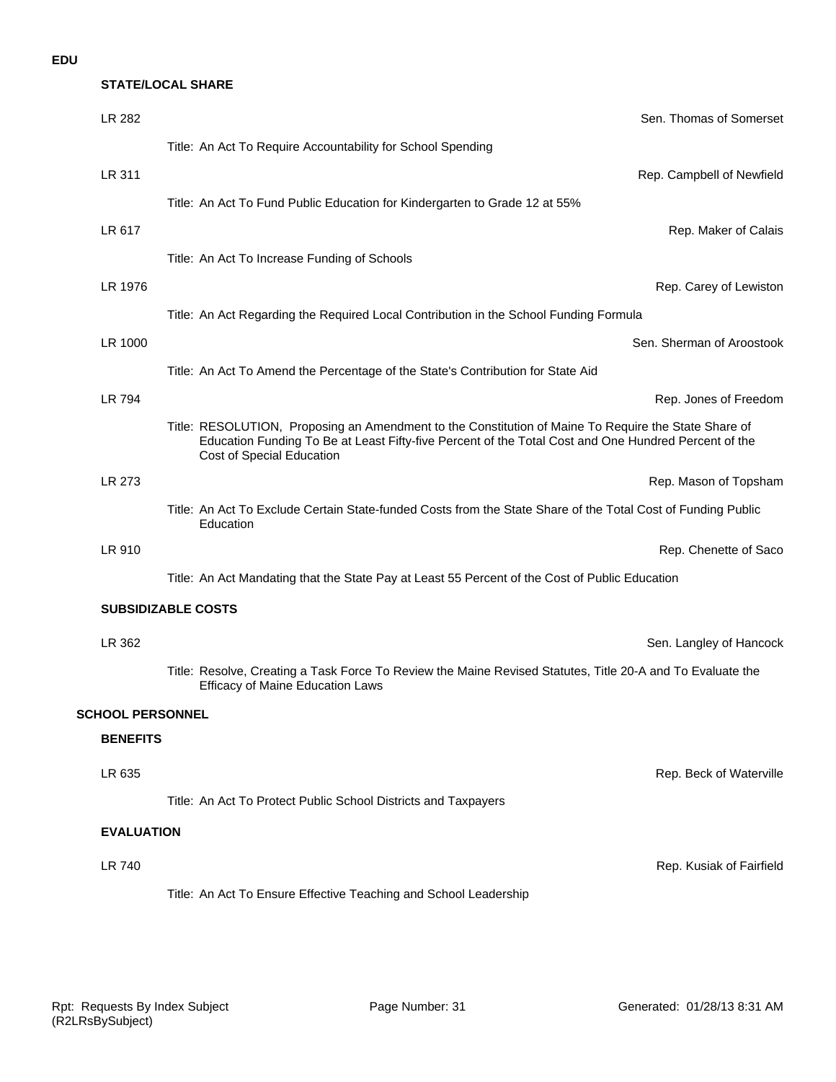# **STATE/LOCAL SHARE**

| LR 282                  | Sen. Thomas of Somerset                                                                                                                                                                                                                   |
|-------------------------|-------------------------------------------------------------------------------------------------------------------------------------------------------------------------------------------------------------------------------------------|
|                         | Title: An Act To Require Accountability for School Spending                                                                                                                                                                               |
| LR 311                  | Rep. Campbell of Newfield                                                                                                                                                                                                                 |
|                         | Title: An Act To Fund Public Education for Kindergarten to Grade 12 at 55%                                                                                                                                                                |
| LR 617                  | Rep. Maker of Calais                                                                                                                                                                                                                      |
|                         | Title: An Act To Increase Funding of Schools                                                                                                                                                                                              |
| LR 1976                 | Rep. Carey of Lewiston                                                                                                                                                                                                                    |
|                         | Title: An Act Regarding the Required Local Contribution in the School Funding Formula                                                                                                                                                     |
| LR 1000                 | Sen. Sherman of Aroostook                                                                                                                                                                                                                 |
|                         | Title: An Act To Amend the Percentage of the State's Contribution for State Aid                                                                                                                                                           |
| LR 794                  | Rep. Jones of Freedom                                                                                                                                                                                                                     |
|                         | Title: RESOLUTION, Proposing an Amendment to the Constitution of Maine To Require the State Share of<br>Education Funding To Be at Least Fifty-five Percent of the Total Cost and One Hundred Percent of the<br>Cost of Special Education |
| LR 273                  | Rep. Mason of Topsham                                                                                                                                                                                                                     |
|                         | Title: An Act To Exclude Certain State-funded Costs from the State Share of the Total Cost of Funding Public<br>Education                                                                                                                 |
| LR 910                  | Rep. Chenette of Saco                                                                                                                                                                                                                     |
|                         | Title: An Act Mandating that the State Pay at Least 55 Percent of the Cost of Public Education                                                                                                                                            |
|                         | <b>SUBSIDIZABLE COSTS</b>                                                                                                                                                                                                                 |
| LR 362                  | Sen. Langley of Hancock                                                                                                                                                                                                                   |
|                         | Title: Resolve, Creating a Task Force To Review the Maine Revised Statutes, Title 20-A and To Evaluate the<br><b>Efficacy of Maine Education Laws</b>                                                                                     |
| <b>SCHOOL PERSONNEL</b> |                                                                                                                                                                                                                                           |
| <b>BENEFITS</b>         |                                                                                                                                                                                                                                           |
| LR 635                  | Rep. Beck of Waterville                                                                                                                                                                                                                   |
|                         | Title: An Act To Protect Public School Districts and Taxpayers                                                                                                                                                                            |
| <b>EVALUATION</b>       |                                                                                                                                                                                                                                           |
| LR 740                  | Rep. Kusiak of Fairfield                                                                                                                                                                                                                  |
|                         | Title: An Act To Ensure Effective Teaching and School Leadership                                                                                                                                                                          |
|                         |                                                                                                                                                                                                                                           |
|                         |                                                                                                                                                                                                                                           |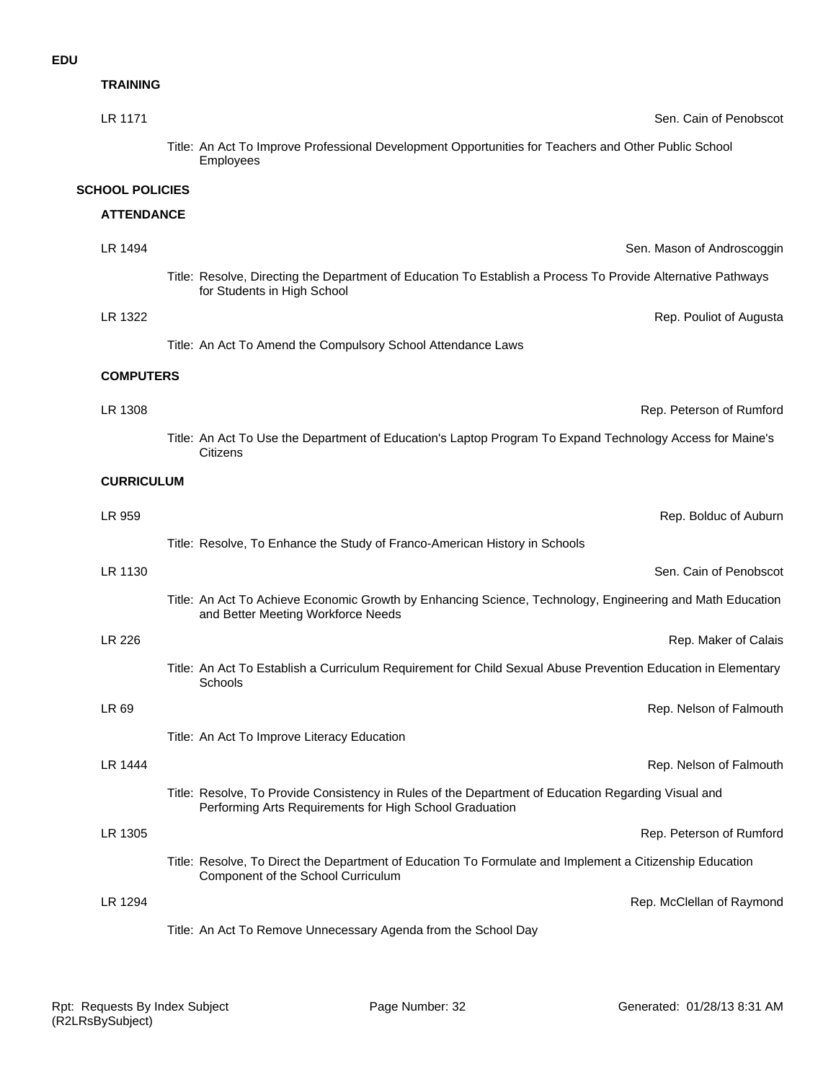## **TRAINING**

| Sen. Cain of Penobscot                                                                                                                                         | LR 1171                |
|----------------------------------------------------------------------------------------------------------------------------------------------------------------|------------------------|
| Title: An Act To Improve Professional Development Opportunities for Teachers and Other Public School<br>Employees                                              |                        |
|                                                                                                                                                                | <b>SCHOOL POLICIES</b> |
|                                                                                                                                                                | <b>ATTENDANCE</b>      |
| Sen. Mason of Androscoggin                                                                                                                                     | LR 1494                |
| Title: Resolve, Directing the Department of Education To Establish a Process To Provide Alternative Pathways<br>for Students in High School                    |                        |
| Rep. Pouliot of Augusta                                                                                                                                        | LR 1322                |
| Title: An Act To Amend the Compulsory School Attendance Laws                                                                                                   |                        |
|                                                                                                                                                                | <b>COMPUTERS</b>       |
| Rep. Peterson of Rumford                                                                                                                                       | LR 1308                |
| Title: An Act To Use the Department of Education's Laptop Program To Expand Technology Access for Maine's<br><b>Citizens</b>                                   |                        |
|                                                                                                                                                                | <b>CURRICULUM</b>      |
| Rep. Bolduc of Auburn                                                                                                                                          | LR 959                 |
| Title: Resolve, To Enhance the Study of Franco-American History in Schools                                                                                     |                        |
| Sen. Cain of Penobscot                                                                                                                                         | LR 1130                |
| Title: An Act To Achieve Economic Growth by Enhancing Science, Technology, Engineering and Math Education<br>and Better Meeting Workforce Needs                |                        |
| Rep. Maker of Calais                                                                                                                                           | LR 226                 |
| Title: An Act To Establish a Curriculum Requirement for Child Sexual Abuse Prevention Education in Elementary<br>Schools                                       |                        |
| Rep. Nelson of Falmouth                                                                                                                                        | LR 69                  |
| Title: An Act To Improve Literacy Education                                                                                                                    |                        |
| Rep. Nelson of Falmouth                                                                                                                                        | LR 1444                |
| Title: Resolve, To Provide Consistency in Rules of the Department of Education Regarding Visual and<br>Performing Arts Requirements for High School Graduation |                        |
| Rep. Peterson of Rumford                                                                                                                                       | LR 1305                |
| Title: Resolve, To Direct the Department of Education To Formulate and Implement a Citizenship Education<br>Component of the School Curriculum                 |                        |
| Rep. McClellan of Raymond                                                                                                                                      | LR 1294                |
| Title: An Act To Remove Unnecessary Agenda from the School Day                                                                                                 |                        |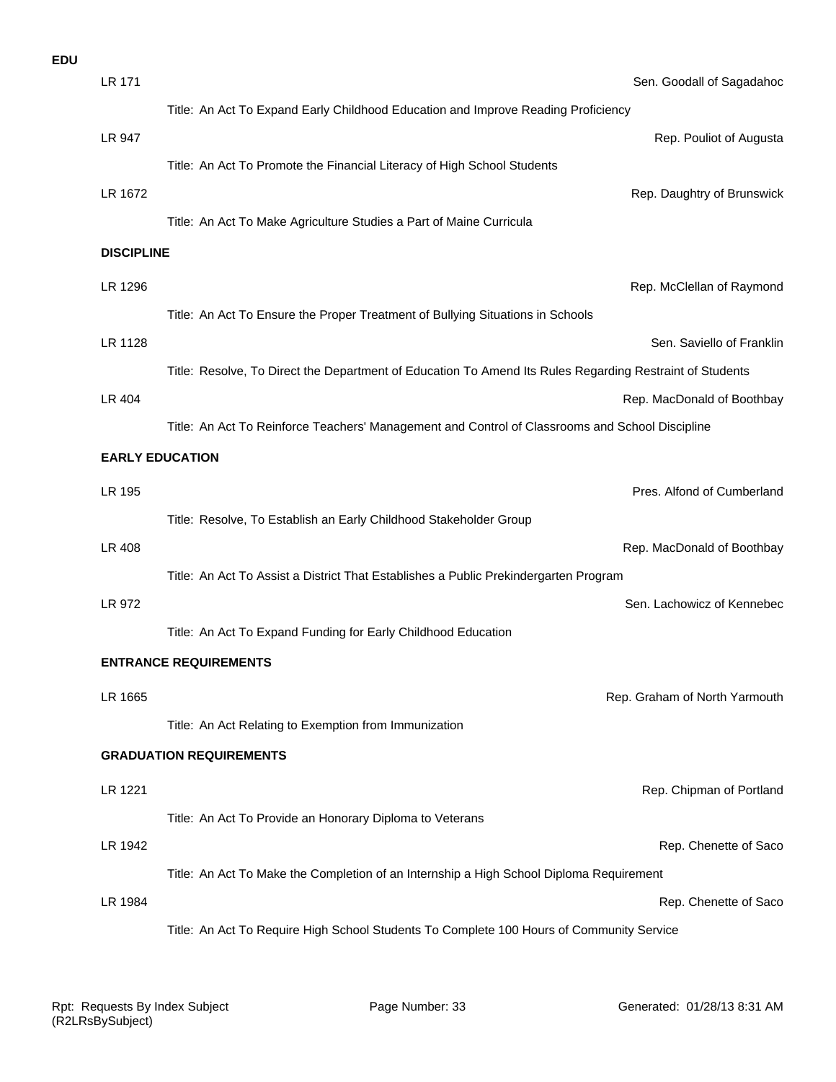| <b>EDU</b> |                   |                                                                                                          |
|------------|-------------------|----------------------------------------------------------------------------------------------------------|
|            | <b>LR 171</b>     | Sen. Goodall of Sagadahoc                                                                                |
|            |                   | Title: An Act To Expand Early Childhood Education and Improve Reading Proficiency                        |
|            | LR 947            | Rep. Pouliot of Augusta                                                                                  |
|            |                   | Title: An Act To Promote the Financial Literacy of High School Students                                  |
|            | LR 1672           | Rep. Daughtry of Brunswick                                                                               |
|            |                   | Title: An Act To Make Agriculture Studies a Part of Maine Curricula                                      |
|            | <b>DISCIPLINE</b> |                                                                                                          |
|            | LR 1296           | Rep. McClellan of Raymond                                                                                |
|            |                   | Title: An Act To Ensure the Proper Treatment of Bullying Situations in Schools                           |
|            | LR 1128           | Sen. Saviello of Franklin                                                                                |
|            |                   | Title: Resolve, To Direct the Department of Education To Amend Its Rules Regarding Restraint of Students |
|            | LR 404            | Rep. MacDonald of Boothbay                                                                               |
|            |                   | Title: An Act To Reinforce Teachers' Management and Control of Classrooms and School Discipline          |
|            |                   | <b>EARLY EDUCATION</b>                                                                                   |
|            | LR 195            | Pres. Alfond of Cumberland                                                                               |
|            |                   | Title: Resolve, To Establish an Early Childhood Stakeholder Group                                        |
|            | LR 408            | Rep. MacDonald of Boothbay                                                                               |
|            |                   | Title: An Act To Assist a District That Establishes a Public Prekindergarten Program                     |
|            | LR 972            | Sen. Lachowicz of Kennebec                                                                               |
|            |                   | Title: An Act To Expand Funding for Early Childhood Education                                            |
|            |                   | <b>ENTRANCE REQUIREMENTS</b>                                                                             |
|            | LR 1665           | Rep. Graham of North Yarmouth                                                                            |
|            |                   | Title: An Act Relating to Exemption from Immunization                                                    |
|            |                   | <b>GRADUATION REQUIREMENTS</b>                                                                           |
|            | LR 1221           | Rep. Chipman of Portland                                                                                 |
|            |                   | Title: An Act To Provide an Honorary Diploma to Veterans                                                 |
|            | LR 1942           | Rep. Chenette of Saco                                                                                    |
|            |                   | Title: An Act To Make the Completion of an Internship a High School Diploma Requirement                  |
|            | LR 1984           | Rep. Chenette of Saco                                                                                    |
|            |                   | Title: An Act To Require High School Students To Complete 100 Hours of Community Service                 |
|            |                   |                                                                                                          |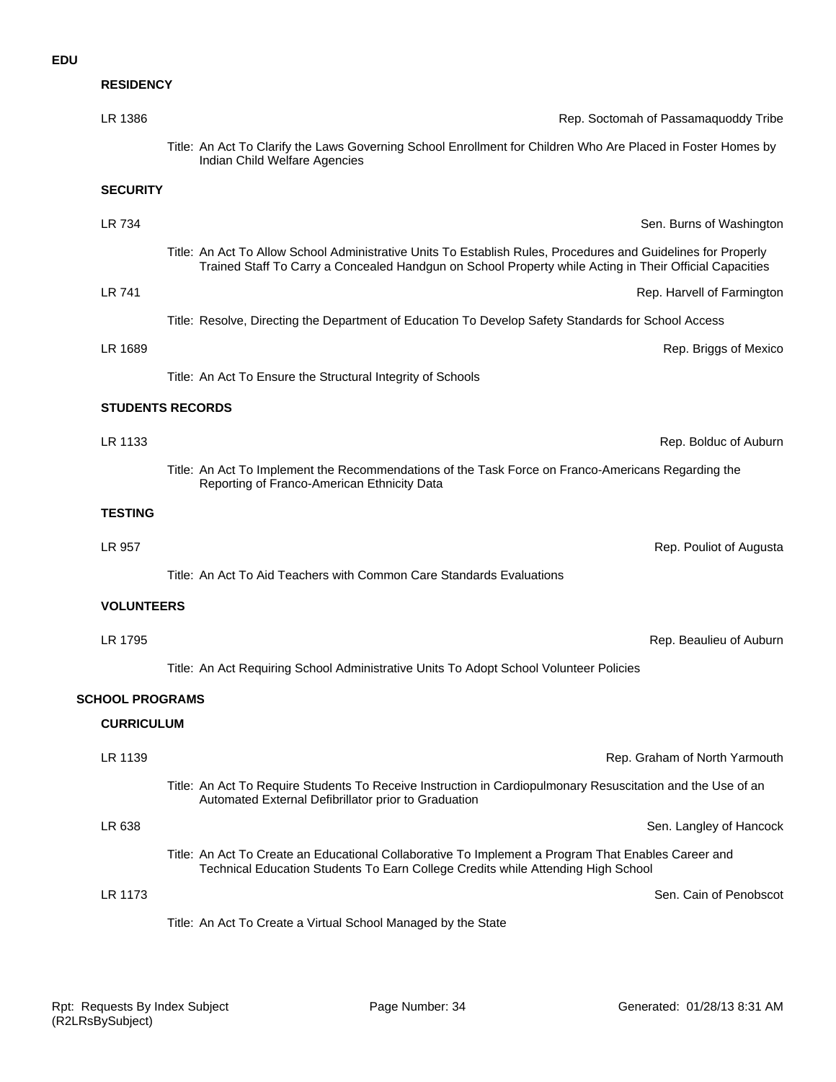# **RESIDENCY**

| LR 1386                |                                                                                                                                                                                                                          | Rep. Soctomah of Passamaquoddy Tribe |
|------------------------|--------------------------------------------------------------------------------------------------------------------------------------------------------------------------------------------------------------------------|--------------------------------------|
|                        | Title: An Act To Clarify the Laws Governing School Enrollment for Children Who Are Placed in Foster Homes by<br>Indian Child Welfare Agencies                                                                            |                                      |
| <b>SECURITY</b>        |                                                                                                                                                                                                                          |                                      |
| LR 734                 |                                                                                                                                                                                                                          | Sen. Burns of Washington             |
|                        | Title: An Act To Allow School Administrative Units To Establish Rules, Procedures and Guidelines for Properly<br>Trained Staff To Carry a Concealed Handgun on School Property while Acting in Their Official Capacities |                                      |
| LR 741                 |                                                                                                                                                                                                                          | Rep. Harvell of Farmington           |
|                        | Title: Resolve, Directing the Department of Education To Develop Safety Standards for School Access                                                                                                                      |                                      |
| LR 1689                |                                                                                                                                                                                                                          | Rep. Briggs of Mexico                |
|                        | Title: An Act To Ensure the Structural Integrity of Schools                                                                                                                                                              |                                      |
|                        | <b>STUDENTS RECORDS</b>                                                                                                                                                                                                  |                                      |
| LR 1133                |                                                                                                                                                                                                                          | Rep. Bolduc of Auburn                |
|                        | Title: An Act To Implement the Recommendations of the Task Force on Franco-Americans Regarding the<br>Reporting of Franco-American Ethnicity Data                                                                        |                                      |
| <b>TESTING</b>         |                                                                                                                                                                                                                          |                                      |
| LR 957                 |                                                                                                                                                                                                                          | Rep. Pouliot of Augusta              |
|                        | Title: An Act To Aid Teachers with Common Care Standards Evaluations                                                                                                                                                     |                                      |
| <b>VOLUNTEERS</b>      |                                                                                                                                                                                                                          |                                      |
| LR 1795                |                                                                                                                                                                                                                          | Rep. Beaulieu of Auburn              |
|                        | Title: An Act Requiring School Administrative Units To Adopt School Volunteer Policies                                                                                                                                   |                                      |
| <b>SCHOOL PROGRAMS</b> |                                                                                                                                                                                                                          |                                      |
| <b>CURRICULUM</b>      |                                                                                                                                                                                                                          |                                      |
| LR 1139                |                                                                                                                                                                                                                          | Rep. Graham of North Yarmouth        |
|                        | Title: An Act To Require Students To Receive Instruction in Cardiopulmonary Resuscitation and the Use of an<br>Automated External Defibrillator prior to Graduation                                                      |                                      |
| LR 638                 |                                                                                                                                                                                                                          | Sen. Langley of Hancock              |
|                        | Title: An Act To Create an Educational Collaborative To Implement a Program That Enables Career and<br>Technical Education Students To Earn College Credits while Attending High School                                  |                                      |
| LR 1173                |                                                                                                                                                                                                                          | Sen. Cain of Penobscot               |
|                        | Title: An Act To Create a Virtual School Managed by the State                                                                                                                                                            |                                      |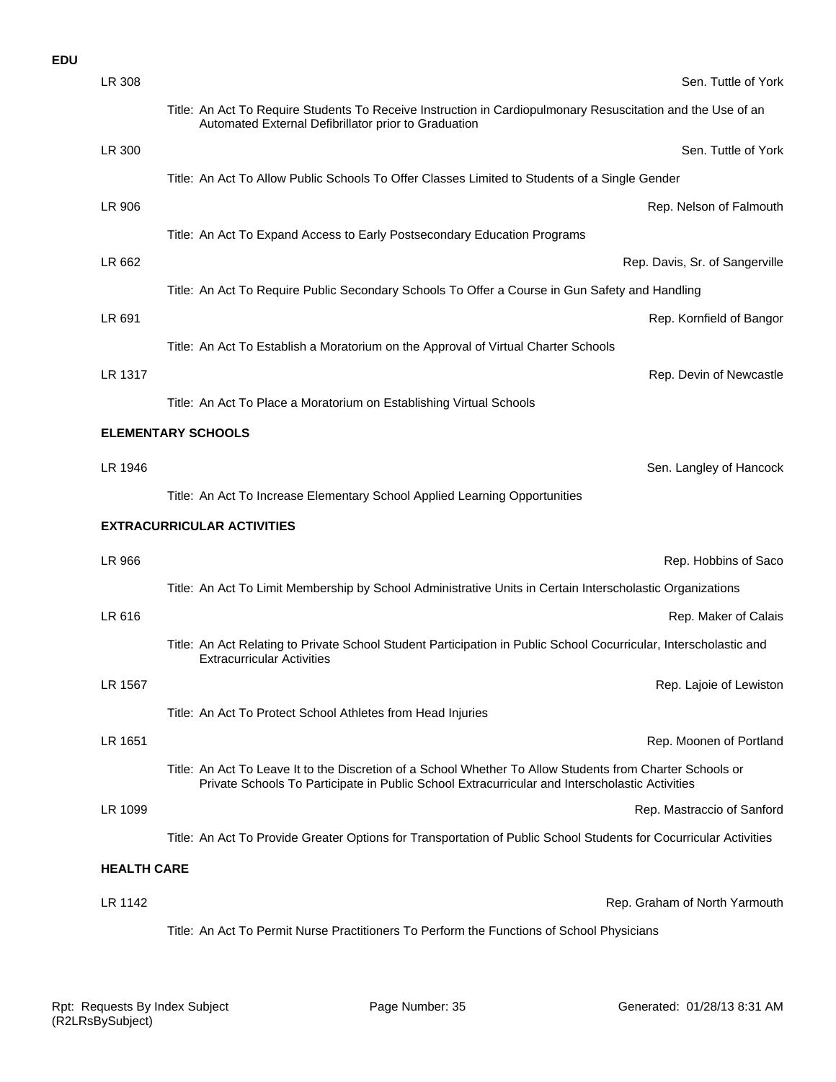### **EDU**

| LR 308             | Sen. Tuttle of York                                                                                                                                                                                         |
|--------------------|-------------------------------------------------------------------------------------------------------------------------------------------------------------------------------------------------------------|
|                    | Title: An Act To Require Students To Receive Instruction in Cardiopulmonary Resuscitation and the Use of an<br>Automated External Defibrillator prior to Graduation                                         |
| LR 300             | Sen. Tuttle of York                                                                                                                                                                                         |
|                    | Title: An Act To Allow Public Schools To Offer Classes Limited to Students of a Single Gender                                                                                                               |
| LR 906             | Rep. Nelson of Falmouth                                                                                                                                                                                     |
|                    | Title: An Act To Expand Access to Early Postsecondary Education Programs                                                                                                                                    |
| LR 662             | Rep. Davis, Sr. of Sangerville                                                                                                                                                                              |
|                    | Title: An Act To Require Public Secondary Schools To Offer a Course in Gun Safety and Handling                                                                                                              |
| LR 691             | Rep. Kornfield of Bangor                                                                                                                                                                                    |
|                    | Title: An Act To Establish a Moratorium on the Approval of Virtual Charter Schools                                                                                                                          |
| LR 1317            | Rep. Devin of Newcastle                                                                                                                                                                                     |
|                    | Title: An Act To Place a Moratorium on Establishing Virtual Schools                                                                                                                                         |
|                    | <b>ELEMENTARY SCHOOLS</b>                                                                                                                                                                                   |
| LR 1946            | Sen. Langley of Hancock                                                                                                                                                                                     |
|                    | Title: An Act To Increase Elementary School Applied Learning Opportunities                                                                                                                                  |
|                    |                                                                                                                                                                                                             |
|                    | <b>EXTRACURRICULAR ACTIVITIES</b>                                                                                                                                                                           |
| LR 966             | Rep. Hobbins of Saco                                                                                                                                                                                        |
|                    | Title: An Act To Limit Membership by School Administrative Units in Certain Interscholastic Organizations                                                                                                   |
| LR 616             | Rep. Maker of Calais                                                                                                                                                                                        |
|                    | Title: An Act Relating to Private School Student Participation in Public School Cocurricular, Interscholastic and<br><b>Extracurricular Activities</b>                                                      |
| LR 1567            | Rep. Lajoie of Lewiston                                                                                                                                                                                     |
|                    | Title: An Act To Protect School Athletes from Head Injuries                                                                                                                                                 |
| LR 1651            | Rep. Moonen of Portland                                                                                                                                                                                     |
|                    | Title: An Act To Leave It to the Discretion of a School Whether To Allow Students from Charter Schools or<br>Private Schools To Participate in Public School Extracurricular and Interscholastic Activities |
| LR 1099            | Rep. Mastraccio of Sanford                                                                                                                                                                                  |
|                    | Title: An Act To Provide Greater Options for Transportation of Public School Students for Cocurricular Activities                                                                                           |
| <b>HEALTH CARE</b> |                                                                                                                                                                                                             |
| LR 1142            | Rep. Graham of North Yarmouth                                                                                                                                                                               |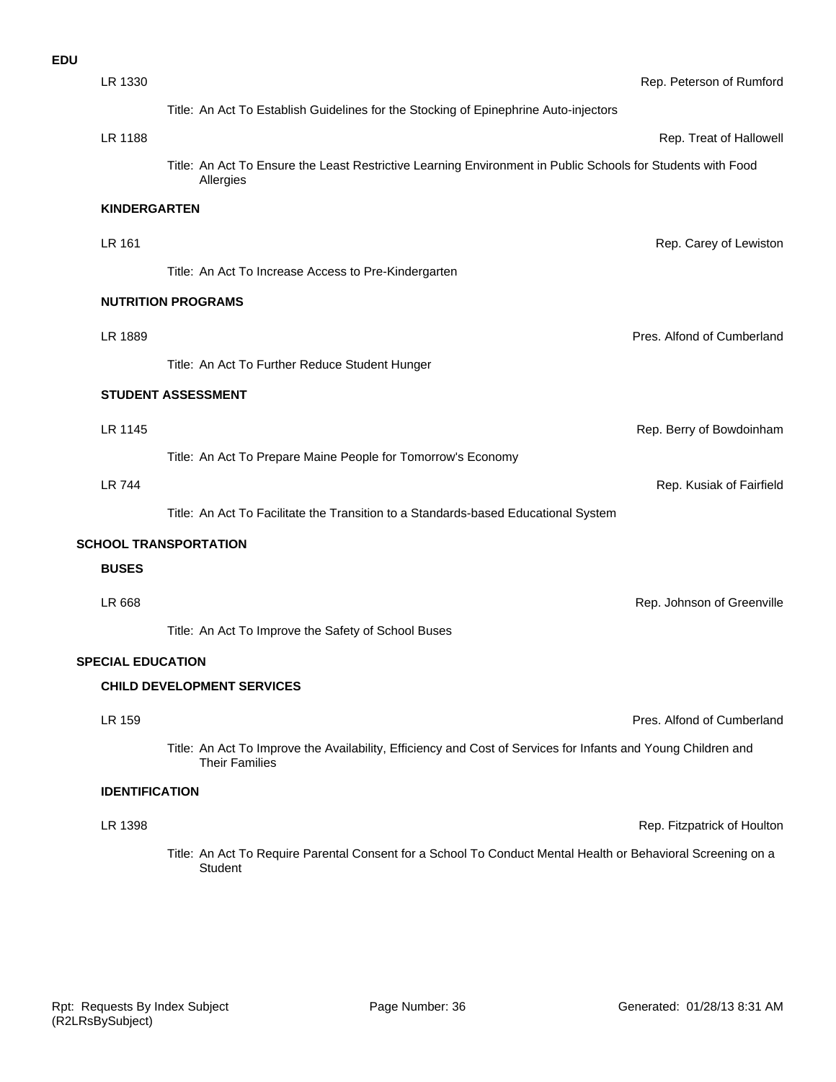| <b>EDU</b> |                          |                                                                                                                                        |                             |
|------------|--------------------------|----------------------------------------------------------------------------------------------------------------------------------------|-----------------------------|
|            | LR 1330                  |                                                                                                                                        | Rep. Peterson of Rumford    |
|            |                          | Title: An Act To Establish Guidelines for the Stocking of Epinephrine Auto-injectors                                                   |                             |
|            | LR 1188                  |                                                                                                                                        | Rep. Treat of Hallowell     |
|            |                          | Title: An Act To Ensure the Least Restrictive Learning Environment in Public Schools for Students with Food<br>Allergies               |                             |
|            | <b>KINDERGARTEN</b>      |                                                                                                                                        |                             |
|            | LR 161                   |                                                                                                                                        | Rep. Carey of Lewiston      |
|            |                          | Title: An Act To Increase Access to Pre-Kindergarten                                                                                   |                             |
|            |                          | <b>NUTRITION PROGRAMS</b>                                                                                                              |                             |
|            | LR 1889                  |                                                                                                                                        | Pres. Alfond of Cumberland  |
|            |                          | Title: An Act To Further Reduce Student Hunger                                                                                         |                             |
|            |                          | STUDENT ASSESSMENT                                                                                                                     |                             |
|            | LR 1145                  |                                                                                                                                        | Rep. Berry of Bowdoinham    |
|            |                          | Title: An Act To Prepare Maine People for Tomorrow's Economy                                                                           |                             |
|            | <b>LR 744</b>            |                                                                                                                                        | Rep. Kusiak of Fairfield    |
|            |                          | Title: An Act To Facilitate the Transition to a Standards-based Educational System                                                     |                             |
|            |                          | <b>SCHOOL TRANSPORTATION</b>                                                                                                           |                             |
|            | <b>BUSES</b>             |                                                                                                                                        |                             |
|            | LR 668                   |                                                                                                                                        | Rep. Johnson of Greenville  |
|            |                          | Title: An Act To Improve the Safety of School Buses                                                                                    |                             |
|            | <b>SPECIAL EDUCATION</b> |                                                                                                                                        |                             |
|            |                          | <b>CHILD DEVELOPMENT SERVICES</b>                                                                                                      |                             |
|            | LR 159                   |                                                                                                                                        | Pres. Alfond of Cumberland  |
|            |                          | Title: An Act To Improve the Availability, Efficiency and Cost of Services for Infants and Young Children and<br><b>Their Families</b> |                             |
|            | <b>IDENTIFICATION</b>    |                                                                                                                                        |                             |
|            | LR 1398                  |                                                                                                                                        | Rep. Fitzpatrick of Houlton |
|            |                          | Title: An Act To Require Parental Consent for a School To Conduct Mental Health or Behavioral Screening on a<br>Student                |                             |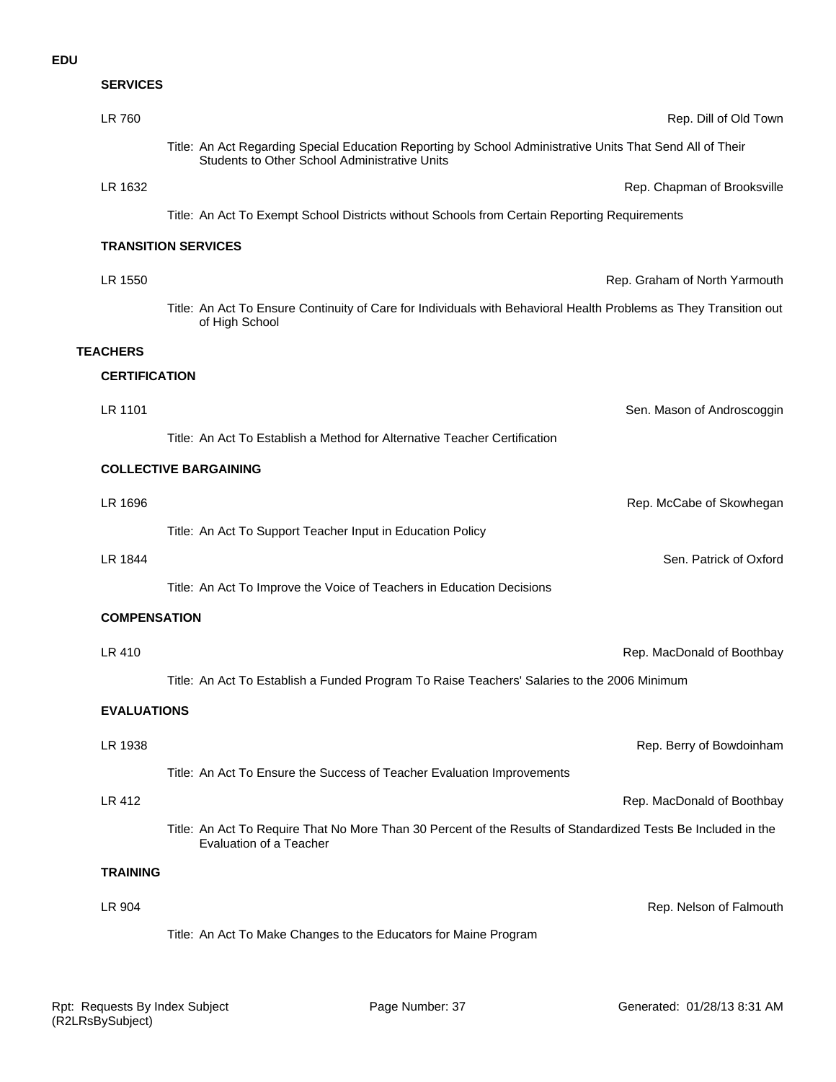**SERVICES**

| LR 760             | Rep. Dill of Old Town                                                                                                                                      |
|--------------------|------------------------------------------------------------------------------------------------------------------------------------------------------------|
|                    | Title: An Act Regarding Special Education Reporting by School Administrative Units That Send All of Their<br>Students to Other School Administrative Units |
| LR 1632            | Rep. Chapman of Brooksville                                                                                                                                |
|                    | Title: An Act To Exempt School Districts without Schools from Certain Reporting Requirements                                                               |
|                    | <b>TRANSITION SERVICES</b>                                                                                                                                 |
| LR 1550            | Rep. Graham of North Yarmouth                                                                                                                              |
|                    | Title: An Act To Ensure Continuity of Care for Individuals with Behavioral Health Problems as They Transition out<br>of High School                        |
| <b>TEACHERS</b>    |                                                                                                                                                            |
|                    | <b>CERTIFICATION</b>                                                                                                                                       |
| LR 1101            | Sen. Mason of Androscoggin                                                                                                                                 |
|                    | Title: An Act To Establish a Method for Alternative Teacher Certification                                                                                  |
|                    | <b>COLLECTIVE BARGAINING</b>                                                                                                                               |
| LR 1696            | Rep. McCabe of Skowhegan                                                                                                                                   |
|                    | Title: An Act To Support Teacher Input in Education Policy                                                                                                 |
| LR 1844            | Sen. Patrick of Oxford                                                                                                                                     |
|                    | Title: An Act To Improve the Voice of Teachers in Education Decisions                                                                                      |
|                    | <b>COMPENSATION</b>                                                                                                                                        |
| LR 410             | Rep. MacDonald of Boothbay                                                                                                                                 |
|                    | Title: An Act To Establish a Funded Program To Raise Teachers' Salaries to the 2006 Minimum                                                                |
| <b>EVALUATIONS</b> |                                                                                                                                                            |
| LR 1938            | Rep. Berry of Bowdoinham                                                                                                                                   |
|                    | Title: An Act To Ensure the Success of Teacher Evaluation Improvements                                                                                     |
| LR 412             | Rep. MacDonald of Boothbay                                                                                                                                 |
|                    | Title: An Act To Require That No More Than 30 Percent of the Results of Standardized Tests Be Included in the<br>Evaluation of a Teacher                   |
| <b>TRAINING</b>    |                                                                                                                                                            |
| LR 904             | Rep. Nelson of Falmouth                                                                                                                                    |
|                    | Title: An Act To Make Changes to the Educators for Maine Program                                                                                           |
|                    |                                                                                                                                                            |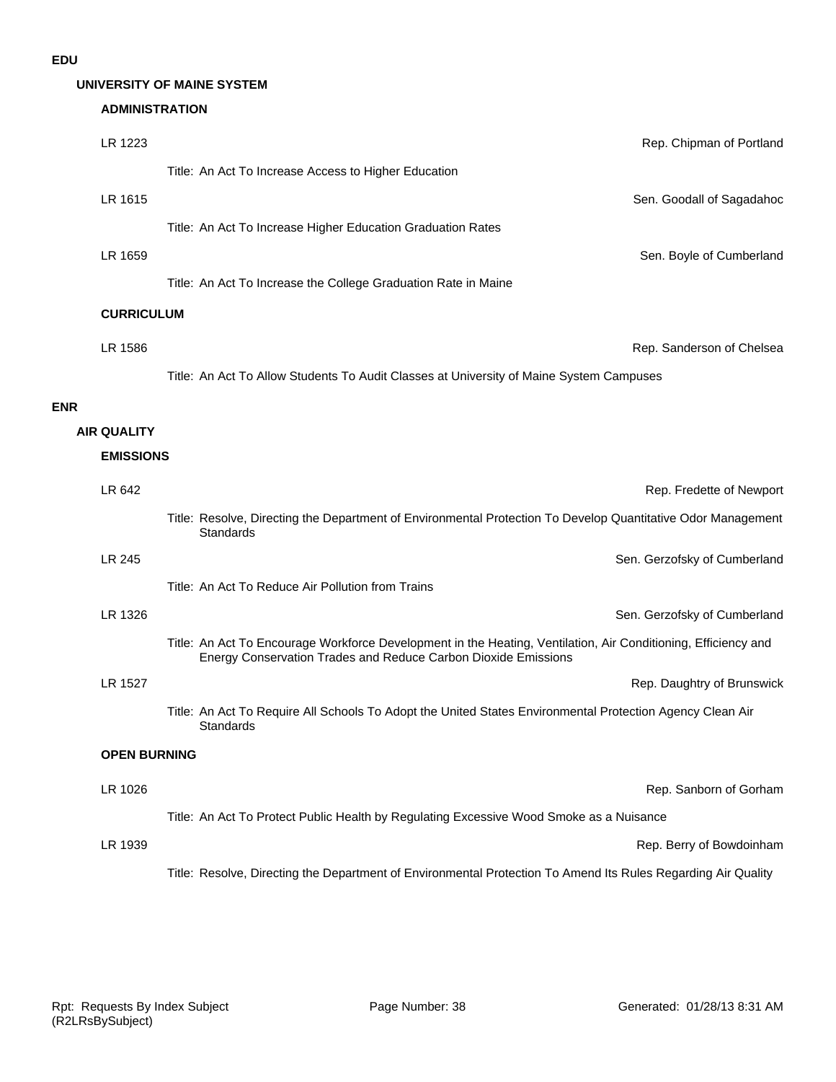**ENR**

#### **UNIVERSITY OF MAINE SYSTEM**

# **ADMINISTRATION**

| LR 1223            |                     | Rep. Chipman of Portland                                                                                                                                                         |
|--------------------|---------------------|----------------------------------------------------------------------------------------------------------------------------------------------------------------------------------|
|                    |                     | Title: An Act To Increase Access to Higher Education                                                                                                                             |
| LR 1615            |                     | Sen. Goodall of Sagadahoc                                                                                                                                                        |
|                    |                     | Title: An Act To Increase Higher Education Graduation Rates                                                                                                                      |
| LR 1659            |                     | Sen. Boyle of Cumberland                                                                                                                                                         |
|                    |                     | Title: An Act To Increase the College Graduation Rate in Maine                                                                                                                   |
| <b>CURRICULUM</b>  |                     |                                                                                                                                                                                  |
| LR 1586            |                     | Rep. Sanderson of Chelsea                                                                                                                                                        |
|                    |                     | Title: An Act To Allow Students To Audit Classes at University of Maine System Campuses                                                                                          |
|                    |                     |                                                                                                                                                                                  |
| <b>AIR QUALITY</b> |                     |                                                                                                                                                                                  |
| <b>EMISSIONS</b>   |                     |                                                                                                                                                                                  |
| LR 642             |                     | Rep. Fredette of Newport                                                                                                                                                         |
|                    |                     | Title: Resolve, Directing the Department of Environmental Protection To Develop Quantitative Odor Management<br>Standards                                                        |
| LR 245             |                     | Sen. Gerzofsky of Cumberland                                                                                                                                                     |
|                    |                     | Title: An Act To Reduce Air Pollution from Trains                                                                                                                                |
| LR 1326            |                     | Sen. Gerzofsky of Cumberland                                                                                                                                                     |
|                    |                     | Title: An Act To Encourage Workforce Development in the Heating, Ventilation, Air Conditioning, Efficiency and<br>Energy Conservation Trades and Reduce Carbon Dioxide Emissions |
| LR 1527            |                     | Rep. Daughtry of Brunswick                                                                                                                                                       |
|                    |                     | Title: An Act To Require All Schools To Adopt the United States Environmental Protection Agency Clean Air<br>Standards                                                           |
|                    | <b>OPEN BURNING</b> |                                                                                                                                                                                  |
| LR 1026            |                     | Rep. Sanborn of Gorham                                                                                                                                                           |
|                    |                     | Title: An Act To Protect Public Health by Regulating Excessive Wood Smoke as a Nuisance                                                                                          |
| LR 1939            |                     | Rep. Berry of Bowdoinham                                                                                                                                                         |
|                    |                     | Title: Resolve, Directing the Department of Environmental Protection To Amend Its Rules Regarding Air Quality                                                                    |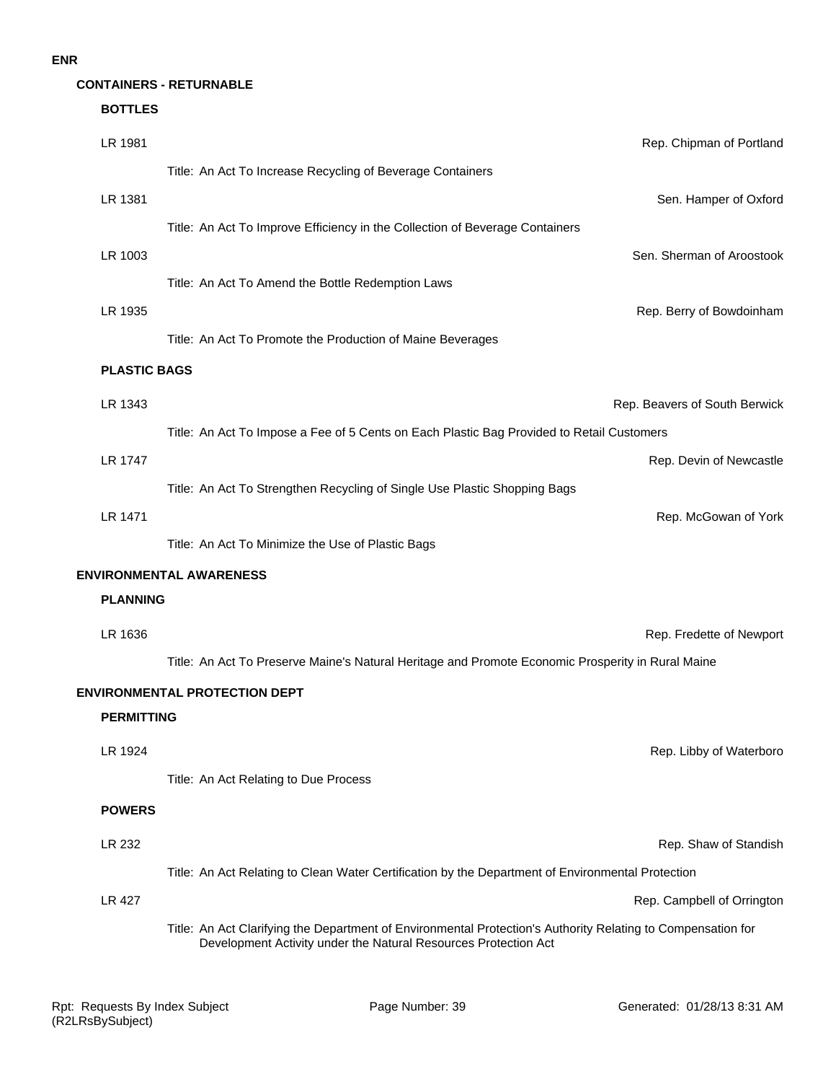#### **ENR**

#### **BOTTLES**

| LR 1981             | Rep. Chipman of Portland                                                                                                                                                        |
|---------------------|---------------------------------------------------------------------------------------------------------------------------------------------------------------------------------|
|                     | Title: An Act To Increase Recycling of Beverage Containers                                                                                                                      |
| LR 1381             | Sen. Hamper of Oxford                                                                                                                                                           |
|                     | Title: An Act To Improve Efficiency in the Collection of Beverage Containers                                                                                                    |
| LR 1003             | Sen. Sherman of Aroostook                                                                                                                                                       |
|                     | Title: An Act To Amend the Bottle Redemption Laws                                                                                                                               |
| LR 1935             | Rep. Berry of Bowdoinham                                                                                                                                                        |
|                     | Title: An Act To Promote the Production of Maine Beverages                                                                                                                      |
| <b>PLASTIC BAGS</b> |                                                                                                                                                                                 |
| LR 1343             | Rep. Beavers of South Berwick                                                                                                                                                   |
|                     | Title: An Act To Impose a Fee of 5 Cents on Each Plastic Bag Provided to Retail Customers                                                                                       |
| LR 1747             | Rep. Devin of Newcastle                                                                                                                                                         |
|                     | Title: An Act To Strengthen Recycling of Single Use Plastic Shopping Bags                                                                                                       |
| LR 1471             | Rep. McGowan of York                                                                                                                                                            |
|                     | Title: An Act To Minimize the Use of Plastic Bags                                                                                                                               |
|                     | <b>ENVIRONMENTAL AWARENESS</b>                                                                                                                                                  |
| <b>PLANNING</b>     |                                                                                                                                                                                 |
| LR 1636             | Rep. Fredette of Newport                                                                                                                                                        |
|                     | Title: An Act To Preserve Maine's Natural Heritage and Promote Economic Prosperity in Rural Maine                                                                               |
|                     | <b>ENVIRONMENTAL PROTECTION DEPT</b>                                                                                                                                            |
| <b>PERMITTING</b>   |                                                                                                                                                                                 |
| LR 1924             | Rep. Libby of Waterboro                                                                                                                                                         |
|                     | Title: An Act Relating to Due Process                                                                                                                                           |
| <b>POWERS</b>       |                                                                                                                                                                                 |
| LR 232              | Rep. Shaw of Standish                                                                                                                                                           |
|                     | Title: An Act Relating to Clean Water Certification by the Department of Environmental Protection                                                                               |
| LR 427              | Rep. Campbell of Orrington                                                                                                                                                      |
|                     | Title: An Act Clarifying the Department of Environmental Protection's Authority Relating to Compensation for<br>Development Activity under the Natural Resources Protection Act |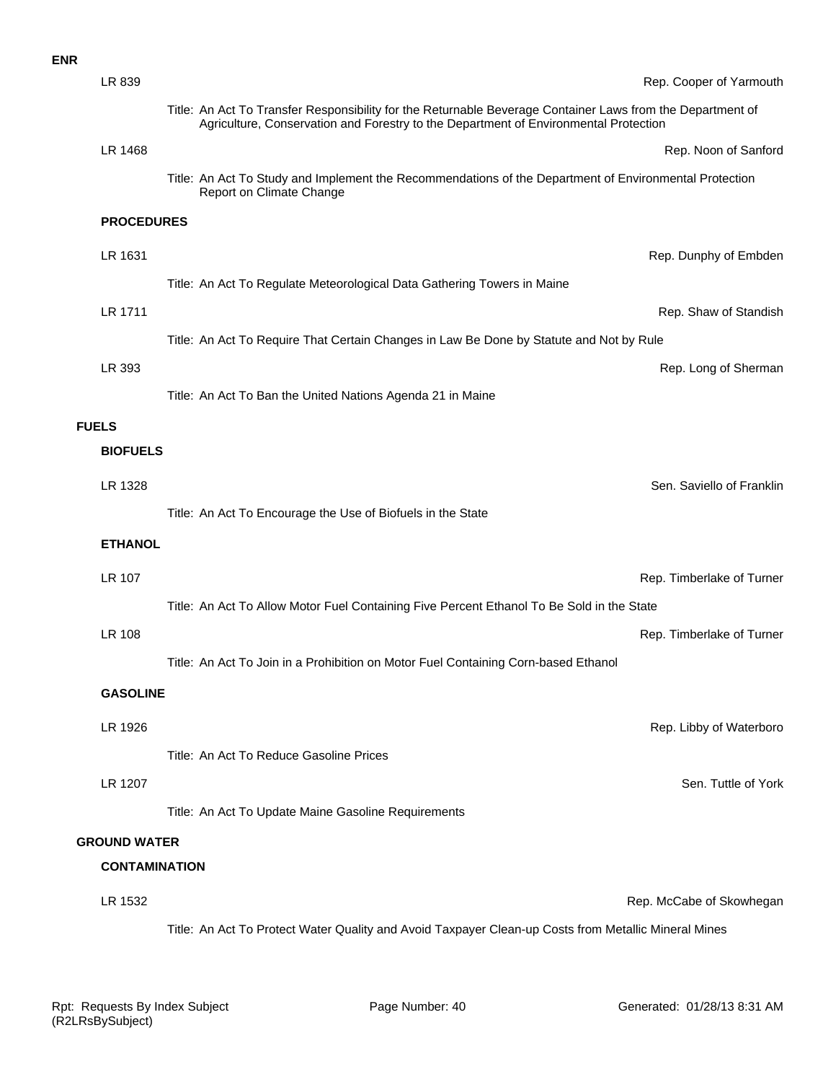| LR 839              |                                                                                                                                                                                                    | Rep. Cooper of Yarmouth   |
|---------------------|----------------------------------------------------------------------------------------------------------------------------------------------------------------------------------------------------|---------------------------|
|                     | Title: An Act To Transfer Responsibility for the Returnable Beverage Container Laws from the Department of<br>Agriculture, Conservation and Forestry to the Department of Environmental Protection |                           |
| LR 1468             |                                                                                                                                                                                                    | Rep. Noon of Sanford      |
|                     | Title: An Act To Study and Implement the Recommendations of the Department of Environmental Protection<br>Report on Climate Change                                                                 |                           |
| <b>PROCEDURES</b>   |                                                                                                                                                                                                    |                           |
| LR 1631             |                                                                                                                                                                                                    | Rep. Dunphy of Embder     |
|                     | Title: An Act To Regulate Meteorological Data Gathering Towers in Maine                                                                                                                            |                           |
| LR 1711             |                                                                                                                                                                                                    | Rep. Shaw of Standish     |
|                     | Title: An Act To Require That Certain Changes in Law Be Done by Statute and Not by Rule                                                                                                            |                           |
| LR 393              |                                                                                                                                                                                                    | Rep. Long of Shermar      |
|                     | Title: An Act To Ban the United Nations Agenda 21 in Maine                                                                                                                                         |                           |
| <b>FUELS</b>        |                                                                                                                                                                                                    |                           |
| <b>BIOFUELS</b>     |                                                                                                                                                                                                    |                           |
| LR 1328             |                                                                                                                                                                                                    | Sen. Saviello of Franklir |
|                     | Title: An Act To Encourage the Use of Biofuels in the State                                                                                                                                        |                           |
| <b>ETHANOL</b>      |                                                                                                                                                                                                    |                           |
| LR 107              |                                                                                                                                                                                                    | Rep. Timberlake of Turner |
|                     | Title: An Act To Allow Motor Fuel Containing Five Percent Ethanol To Be Sold in the State                                                                                                          |                           |
| <b>LR 108</b>       |                                                                                                                                                                                                    | Rep. Timberlake of Turner |
|                     | Title: An Act To Join in a Prohibition on Motor Fuel Containing Corn-based Ethanol                                                                                                                 |                           |
| <b>GASOLINE</b>     |                                                                                                                                                                                                    |                           |
| LR 1926             |                                                                                                                                                                                                    | Rep. Libby of Waterbord   |
|                     | Title: An Act To Reduce Gasoline Prices                                                                                                                                                            |                           |
| LR 1207             |                                                                                                                                                                                                    | Sen. Tuttle of York       |
|                     | Title: An Act To Update Maine Gasoline Requirements                                                                                                                                                |                           |
| <b>GROUND WATER</b> |                                                                                                                                                                                                    |                           |
|                     | <b>CONTAMINATION</b>                                                                                                                                                                               |                           |

LR 1532 Rep. McCabe of Skowhegan Title: An Act To Protect Water Quality and Avoid Taxpayer Clean-up Costs from Metallic Mineral Mines

**ENR**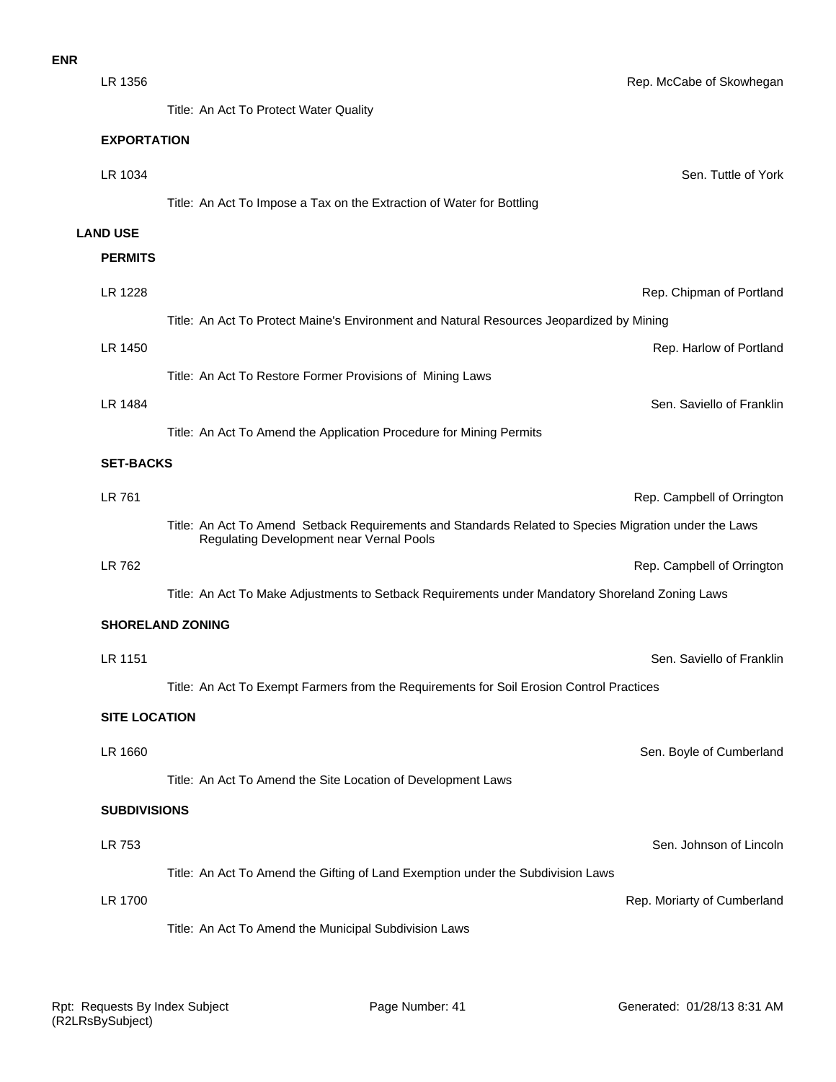Title: An Act To Protect Water Quality

|                      | The. All Act TO FTOLCOL VYALCE QUAILLY                                                                                                            |
|----------------------|---------------------------------------------------------------------------------------------------------------------------------------------------|
| <b>EXPORTATION</b>   |                                                                                                                                                   |
| LR 1034              | Sen. Tuttle of York                                                                                                                               |
|                      | Title: An Act To Impose a Tax on the Extraction of Water for Bottling                                                                             |
| <b>LAND USE</b>      |                                                                                                                                                   |
| <b>PERMITS</b>       |                                                                                                                                                   |
| LR 1228              | Rep. Chipman of Portland                                                                                                                          |
|                      | Title: An Act To Protect Maine's Environment and Natural Resources Jeopardized by Mining                                                          |
| LR 1450              | Rep. Harlow of Portland                                                                                                                           |
|                      | Title: An Act To Restore Former Provisions of Mining Laws                                                                                         |
| LR 1484              | Sen. Saviello of Franklin                                                                                                                         |
|                      | Title: An Act To Amend the Application Procedure for Mining Permits                                                                               |
| <b>SET-BACKS</b>     |                                                                                                                                                   |
| LR 761               | Rep. Campbell of Orrington                                                                                                                        |
|                      | Title: An Act To Amend Setback Requirements and Standards Related to Species Migration under the Laws<br>Regulating Development near Vernal Pools |
| LR 762               | Rep. Campbell of Orrington                                                                                                                        |
|                      | Title: An Act To Make Adjustments to Setback Requirements under Mandatory Shoreland Zoning Laws                                                   |
|                      | <b>SHORELAND ZONING</b>                                                                                                                           |
| LR 1151              | Sen. Saviello of Franklin                                                                                                                         |
|                      | Title: An Act To Exempt Farmers from the Requirements for Soil Erosion Control Practices                                                          |
| <b>SITE LOCATION</b> |                                                                                                                                                   |
| LR 1660              | Sen. Boyle of Cumberland                                                                                                                          |
|                      | Title: An Act To Amend the Site Location of Development Laws                                                                                      |
| <b>SUBDIVISIONS</b>  |                                                                                                                                                   |
| LR 753               | Sen. Johnson of Lincoln                                                                                                                           |
|                      | Title: An Act To Amend the Gifting of Land Exemption under the Subdivision Laws                                                                   |
| LR 1700              | Rep. Moriarty of Cumberland                                                                                                                       |
|                      | Title: An Act To Amend the Municipal Subdivision Laws                                                                                             |
|                      |                                                                                                                                                   |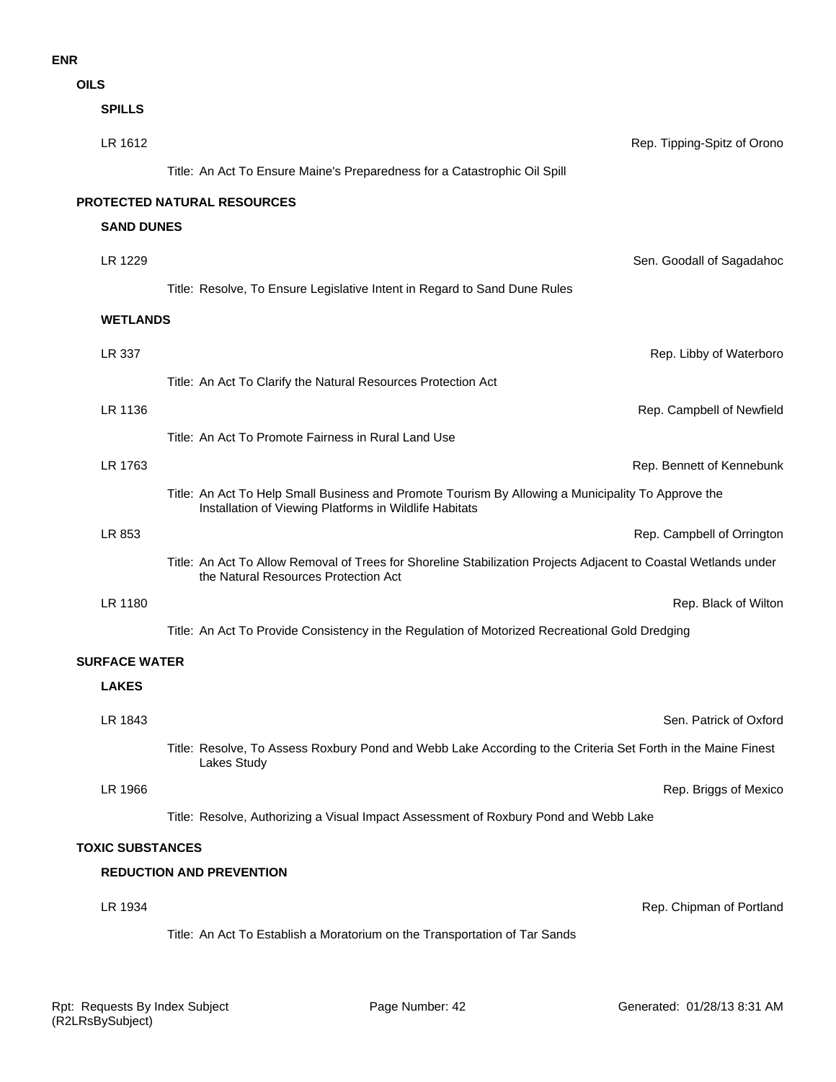# **ENR**

**OILS**

| <b>SPILLS</b>           |                                                                                                                                                              |
|-------------------------|--------------------------------------------------------------------------------------------------------------------------------------------------------------|
| LR 1612                 | Rep. Tipping-Spitz of Orono                                                                                                                                  |
|                         | Title: An Act To Ensure Maine's Preparedness for a Catastrophic Oil Spill                                                                                    |
|                         | PROTECTED NATURAL RESOURCES                                                                                                                                  |
| <b>SAND DUNES</b>       |                                                                                                                                                              |
| LR 1229                 | Sen. Goodall of Sagadahoc                                                                                                                                    |
|                         | Title: Resolve, To Ensure Legislative Intent in Regard to Sand Dune Rules                                                                                    |
| <b>WETLANDS</b>         |                                                                                                                                                              |
| LR 337                  | Rep. Libby of Waterboro                                                                                                                                      |
|                         | Title: An Act To Clarify the Natural Resources Protection Act                                                                                                |
| LR 1136                 | Rep. Campbell of Newfield                                                                                                                                    |
|                         | Title: An Act To Promote Fairness in Rural Land Use                                                                                                          |
| LR 1763                 | Rep. Bennett of Kennebunk                                                                                                                                    |
|                         | Title: An Act To Help Small Business and Promote Tourism By Allowing a Municipality To Approve the<br>Installation of Viewing Platforms in Wildlife Habitats |
| LR 853                  | Rep. Campbell of Orrington                                                                                                                                   |
|                         | Title: An Act To Allow Removal of Trees for Shoreline Stabilization Projects Adjacent to Coastal Wetlands under<br>the Natural Resources Protection Act      |
| LR 1180                 | Rep. Black of Wilton                                                                                                                                         |
|                         | Title: An Act To Provide Consistency in the Regulation of Motorized Recreational Gold Dredging                                                               |
| <b>SURFACE WATER</b>    |                                                                                                                                                              |
| <b>LAKES</b>            |                                                                                                                                                              |
| LR 1843                 | Sen. Patrick of Oxford                                                                                                                                       |
|                         | Title: Resolve, To Assess Roxbury Pond and Webb Lake According to the Criteria Set Forth in the Maine Finest<br>Lakes Study                                  |
| LR 1966                 | Rep. Briggs of Mexico                                                                                                                                        |
|                         | Title: Resolve, Authorizing a Visual Impact Assessment of Roxbury Pond and Webb Lake                                                                         |
| <b>TOXIC SUBSTANCES</b> |                                                                                                                                                              |
|                         | <b>REDUCTION AND PREVENTION</b>                                                                                                                              |
| LR 1934                 | Rep. Chipman of Portland                                                                                                                                     |
|                         | Title: An Act To Establish a Moratorium on the Transportation of Tar Sands                                                                                   |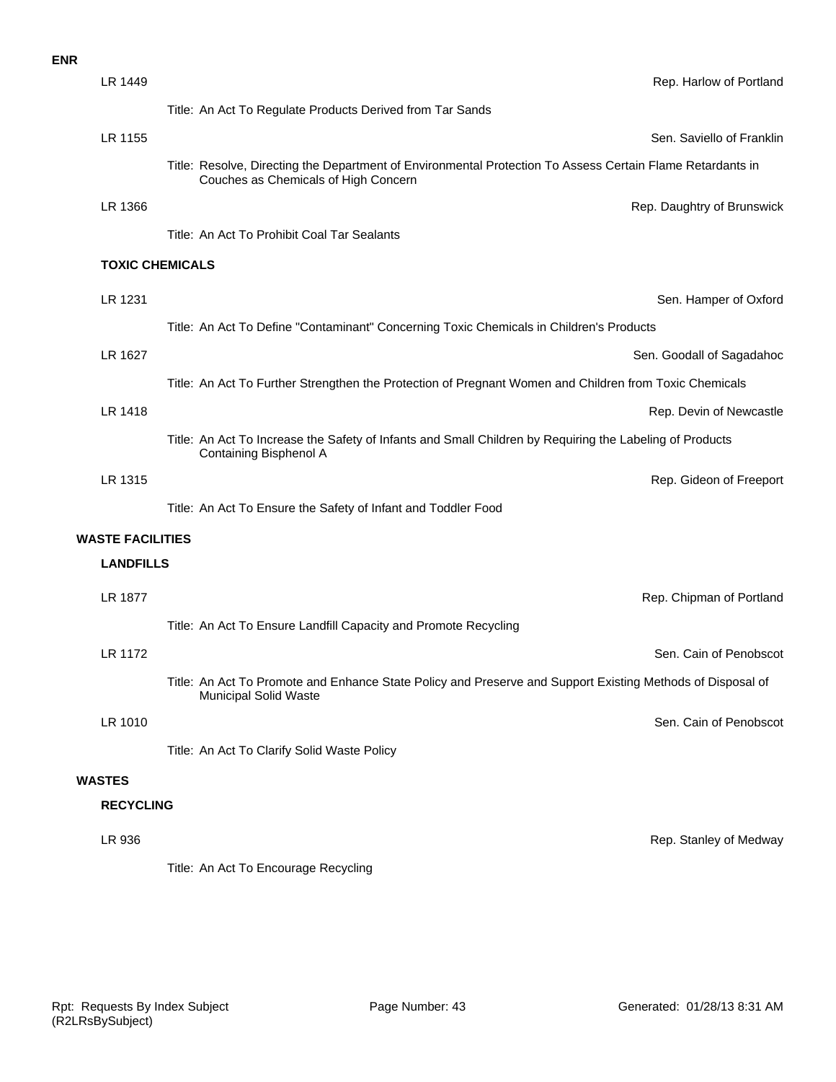| <b>ENR</b> |                         |                                                                                                                                                    |
|------------|-------------------------|----------------------------------------------------------------------------------------------------------------------------------------------------|
|            | LR 1449                 | Rep. Harlow of Portland                                                                                                                            |
|            |                         | Title: An Act To Regulate Products Derived from Tar Sands                                                                                          |
|            | LR 1155                 | Sen. Saviello of Franklin                                                                                                                          |
|            |                         | Title: Resolve, Directing the Department of Environmental Protection To Assess Certain Flame Retardants in<br>Couches as Chemicals of High Concern |
|            | LR 1366                 | Rep. Daughtry of Brunswick                                                                                                                         |
|            |                         | Title: An Act To Prohibit Coal Tar Sealants                                                                                                        |
|            | <b>TOXIC CHEMICALS</b>  |                                                                                                                                                    |
|            | LR 1231                 | Sen. Hamper of Oxford                                                                                                                              |
|            |                         | Title: An Act To Define "Contaminant" Concerning Toxic Chemicals in Children's Products                                                            |
|            | LR 1627                 | Sen. Goodall of Sagadahoc                                                                                                                          |
|            |                         | Title: An Act To Further Strengthen the Protection of Pregnant Women and Children from Toxic Chemicals                                             |
|            | LR 1418                 | Rep. Devin of Newcastle                                                                                                                            |
|            |                         | Title: An Act To Increase the Safety of Infants and Small Children by Requiring the Labeling of Products<br>Containing Bisphenol A                 |
|            | LR 1315                 | Rep. Gideon of Freeport                                                                                                                            |
|            |                         | Title: An Act To Ensure the Safety of Infant and Toddler Food                                                                                      |
|            | <b>WASTE FACILITIES</b> |                                                                                                                                                    |

#### **LANDFILLS**

| LR 1877       | Rep. Chipman of Portland                                                                                                                   |
|---------------|--------------------------------------------------------------------------------------------------------------------------------------------|
|               | Title: An Act To Ensure Landfill Capacity and Promote Recycling                                                                            |
| LR 1172       | Sen. Cain of Penobscot                                                                                                                     |
|               | Title: An Act To Promote and Enhance State Policy and Preserve and Support Existing Methods of Disposal of<br><b>Municipal Solid Waste</b> |
| LR 1010       | Sen. Cain of Penobscot                                                                                                                     |
|               | Title: An Act To Clarify Solid Waste Policy                                                                                                |
| <b>WASTES</b> |                                                                                                                                            |

#### **RECYCLING**

# LR 936 Rep. Stanley of Medway

Title: An Act To Encourage Recycling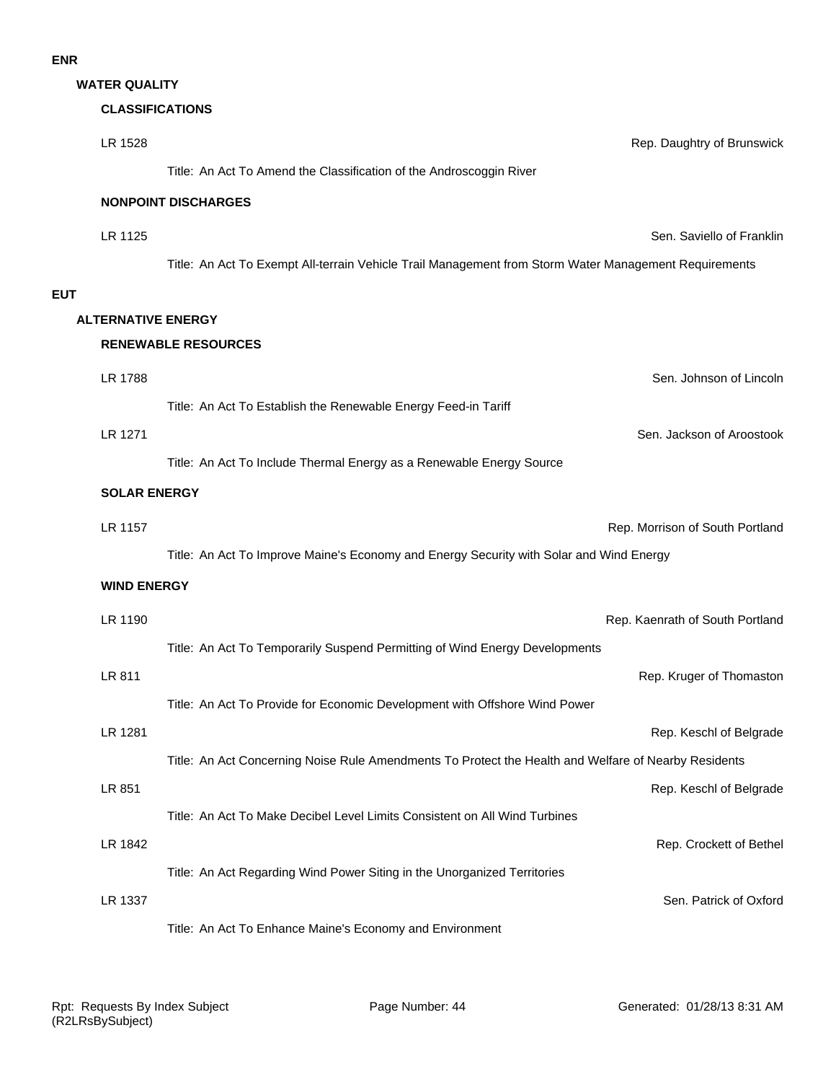**WATER QUALITY**

# **CLASSIFICATIONS**

| LR 1528                   | Rep. Daughtry of Brunswick                                                                            |
|---------------------------|-------------------------------------------------------------------------------------------------------|
|                           | Title: An Act To Amend the Classification of the Androscoggin River                                   |
|                           | <b>NONPOINT DISCHARGES</b>                                                                            |
| LR 1125                   | Sen. Saviello of Franklin                                                                             |
|                           | Title: An Act To Exempt All-terrain Vehicle Trail Management from Storm Water Management Requirements |
|                           |                                                                                                       |
| <b>ALTERNATIVE ENERGY</b> |                                                                                                       |
|                           | <b>RENEWABLE RESOURCES</b>                                                                            |
| LR 1788                   | Sen. Johnson of Lincoln                                                                               |
|                           | Title: An Act To Establish the Renewable Energy Feed-in Tariff                                        |
| LR 1271                   | Sen. Jackson of Aroostook                                                                             |
|                           | Title: An Act To Include Thermal Energy as a Renewable Energy Source                                  |
| <b>SOLAR ENERGY</b>       |                                                                                                       |
| LR 1157                   | Rep. Morrison of South Portland                                                                       |
|                           | Title: An Act To Improve Maine's Economy and Energy Security with Solar and Wind Energy               |
| <b>WIND ENERGY</b>        |                                                                                                       |
| LR 1190                   | Rep. Kaenrath of South Portland                                                                       |
|                           | Title: An Act To Temporarily Suspend Permitting of Wind Energy Developments                           |
| LR 811                    | Rep. Kruger of Thomaston                                                                              |
|                           | Title: An Act To Provide for Economic Development with Offshore Wind Power                            |
| LR 1281                   | Rep. Keschl of Belgrade                                                                               |
|                           | Title: An Act Concerning Noise Rule Amendments To Protect the Health and Welfare of Nearby Residents  |
| LR 851                    | Rep. Keschl of Belgrade                                                                               |
|                           | Title: An Act To Make Decibel Level Limits Consistent on All Wind Turbines                            |
| LR 1842                   | Rep. Crockett of Bethel                                                                               |
|                           | Title: An Act Regarding Wind Power Siting in the Unorganized Territories                              |
| LR 1337                   | Sen. Patrick of Oxford                                                                                |
|                           | Title: An Act To Enhance Maine's Economy and Environment                                              |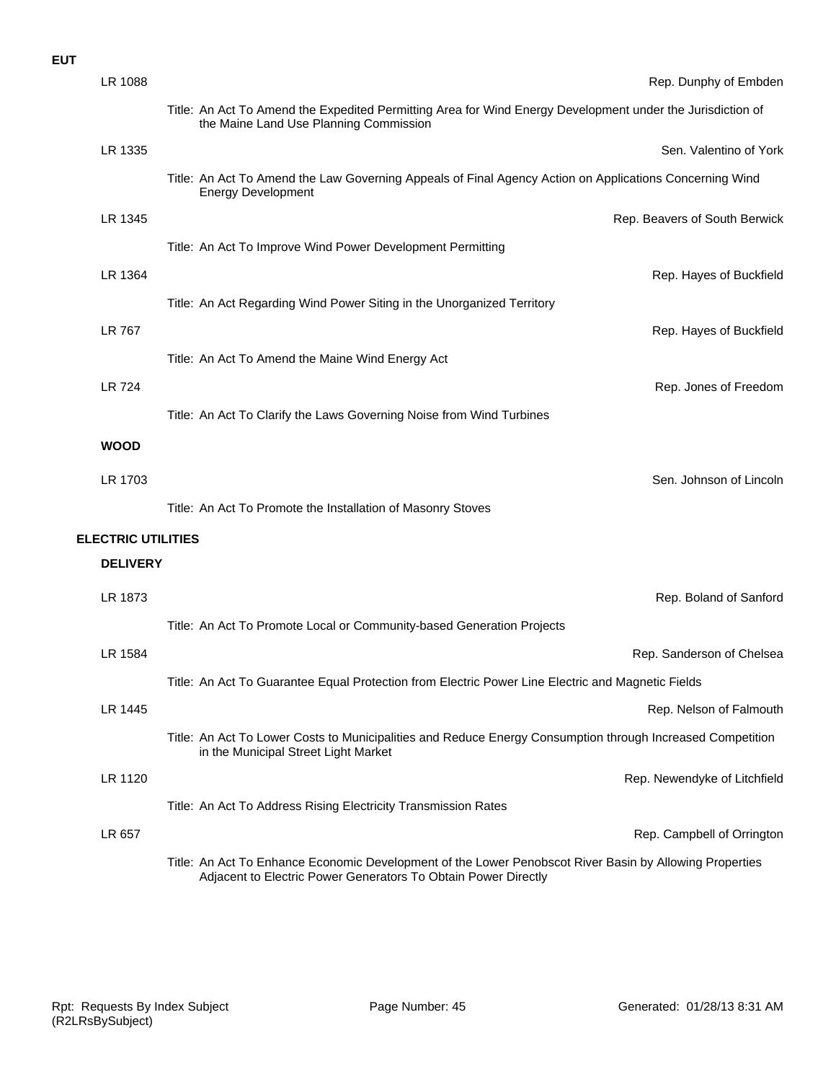| LR 1088                   | Rep. Dunphy of Embden                                                                                                                                                     |
|---------------------------|---------------------------------------------------------------------------------------------------------------------------------------------------------------------------|
|                           | Title: An Act To Amend the Expedited Permitting Area for Wind Energy Development under the Jurisdiction of<br>the Maine Land Use Planning Commission                      |
| LR 1335                   | Sen. Valentino of York                                                                                                                                                    |
|                           | Title: An Act To Amend the Law Governing Appeals of Final Agency Action on Applications Concerning Wind<br><b>Energy Development</b>                                      |
| LR 1345                   | Rep. Beavers of South Berwick                                                                                                                                             |
|                           | Title: An Act To Improve Wind Power Development Permitting                                                                                                                |
| LR 1364                   | Rep. Hayes of Buckfield                                                                                                                                                   |
|                           | Title: An Act Regarding Wind Power Siting in the Unorganized Territory                                                                                                    |
| LR 767                    | Rep. Hayes of Buckfield                                                                                                                                                   |
|                           | Title: An Act To Amend the Maine Wind Energy Act                                                                                                                          |
| LR 724                    | Rep. Jones of Freedom                                                                                                                                                     |
|                           | Title: An Act To Clarify the Laws Governing Noise from Wind Turbines                                                                                                      |
| <b>WOOD</b>               |                                                                                                                                                                           |
| LR 1703                   | Sen. Johnson of Lincoln                                                                                                                                                   |
|                           | Title: An Act To Promote the Installation of Masonry Stoves                                                                                                               |
| <b>ELECTRIC UTILITIES</b> |                                                                                                                                                                           |
| <b>DELIVERY</b>           |                                                                                                                                                                           |
| LR 1873                   | Rep. Boland of Sanford                                                                                                                                                    |
|                           | Title: An Act To Promote Local or Community-based Generation Projects                                                                                                     |
| LR 1584                   | Rep. Sanderson of Chelsea                                                                                                                                                 |
|                           | Title: An Act To Guarantee Equal Protection from Electric Power Line Electric and Magnetic Fields                                                                         |
| LR 1445                   | Rep. Nelson of Falmouth                                                                                                                                                   |
|                           | Title: An Act To Lower Costs to Municipalities and Reduce Energy Consumption through Increased Competition<br>in the Municipal Street Light Market                        |
| LR 1120                   | Rep. Newendyke of Litchfield                                                                                                                                              |
|                           | Title: An Act To Address Rising Electricity Transmission Rates                                                                                                            |
| LR 657                    | Rep. Campbell of Orrington                                                                                                                                                |
|                           | Title: An Act To Enhance Economic Development of the Lower Penobscot River Basin by Allowing Properties<br>Adjacent to Electric Power Generators To Obtain Power Directly |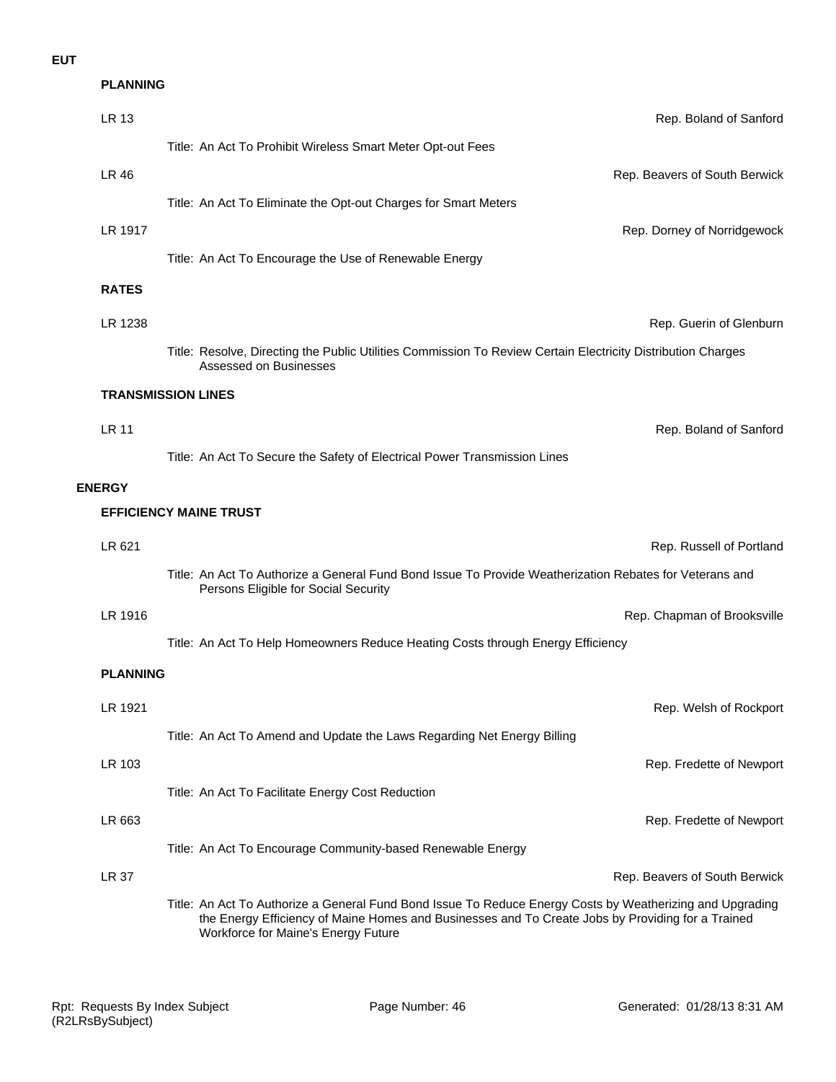| LR 13           | Rep. Boland of Sanford                                                                                                                                                                                                                                |
|-----------------|-------------------------------------------------------------------------------------------------------------------------------------------------------------------------------------------------------------------------------------------------------|
|                 | Title: An Act To Prohibit Wireless Smart Meter Opt-out Fees                                                                                                                                                                                           |
| LR 46           | Rep. Beavers of South Berwick                                                                                                                                                                                                                         |
|                 | Title: An Act To Eliminate the Opt-out Charges for Smart Meters                                                                                                                                                                                       |
| LR 1917         | Rep. Dorney of Norridgewock                                                                                                                                                                                                                           |
|                 | Title: An Act To Encourage the Use of Renewable Energy                                                                                                                                                                                                |
| <b>RATES</b>    |                                                                                                                                                                                                                                                       |
| LR 1238         | Rep. Guerin of Glenburn                                                                                                                                                                                                                               |
|                 | Title: Resolve, Directing the Public Utilities Commission To Review Certain Electricity Distribution Charges<br>Assessed on Businesses                                                                                                                |
|                 | <b>TRANSMISSION LINES</b>                                                                                                                                                                                                                             |
| <b>LR 11</b>    | Rep. Boland of Sanford                                                                                                                                                                                                                                |
|                 | Title: An Act To Secure the Safety of Electrical Power Transmission Lines                                                                                                                                                                             |
| <b>ENERGY</b>   |                                                                                                                                                                                                                                                       |
|                 | <b>EFFICIENCY MAINE TRUST</b>                                                                                                                                                                                                                         |
| LR 621          | Rep. Russell of Portland                                                                                                                                                                                                                              |
|                 | Title: An Act To Authorize a General Fund Bond Issue To Provide Weatherization Rebates for Veterans and<br>Persons Eligible for Social Security                                                                                                       |
| LR 1916         | Rep. Chapman of Brooksville                                                                                                                                                                                                                           |
|                 | Title: An Act To Help Homeowners Reduce Heating Costs through Energy Efficiency                                                                                                                                                                       |
| <b>PLANNING</b> |                                                                                                                                                                                                                                                       |
| LR 1921         | Rep. Welsh of Rockport                                                                                                                                                                                                                                |
|                 | Title: An Act To Amend and Update the Laws Regarding Net Energy Billing                                                                                                                                                                               |
| LR 103          | Rep. Fredette of Newport                                                                                                                                                                                                                              |
|                 | Title: An Act To Facilitate Energy Cost Reduction                                                                                                                                                                                                     |
| LR 663          | Rep. Fredette of Newport                                                                                                                                                                                                                              |
|                 | Title: An Act To Encourage Community-based Renewable Energy                                                                                                                                                                                           |
| <b>LR 37</b>    | Rep. Beavers of South Berwick                                                                                                                                                                                                                         |
|                 | Title: An Act To Authorize a General Fund Bond Issue To Reduce Energy Costs by Weatherizing and Upgrading<br>the Energy Efficiency of Maine Homes and Businesses and To Create Jobs by Providing for a Trained<br>Workforce for Maine's Energy Future |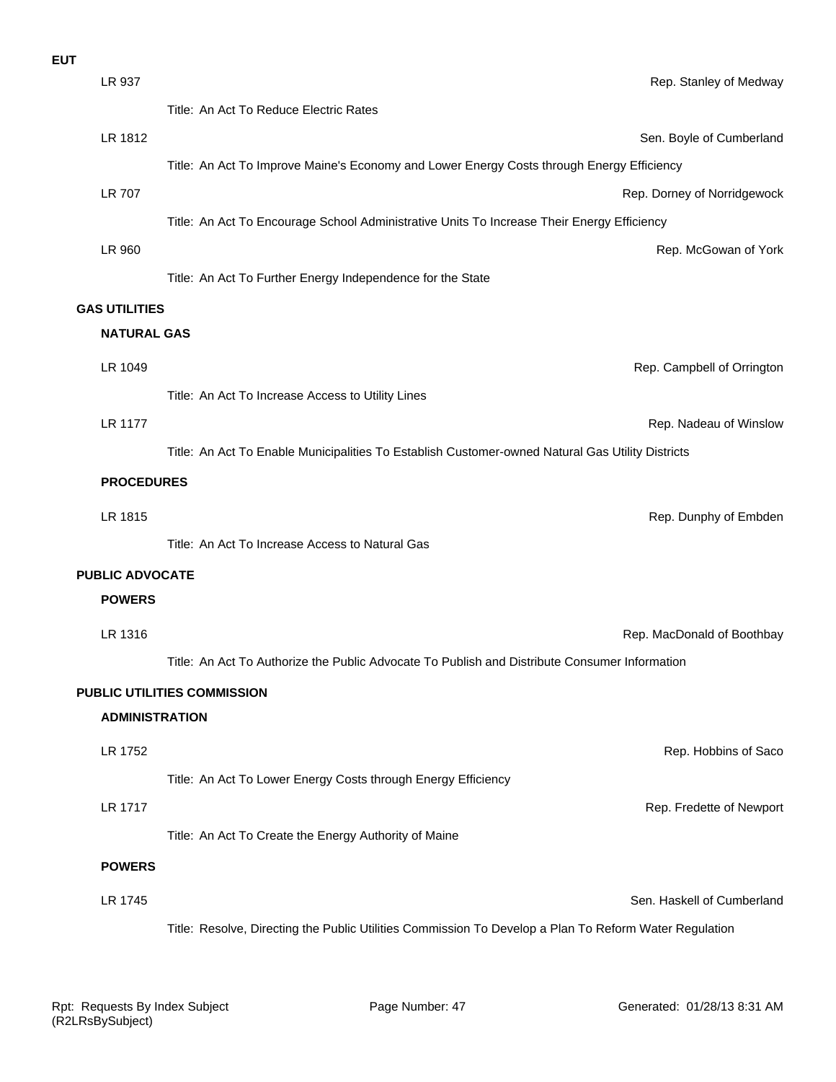| ×<br>v |  |
|--------|--|

| LR 937                 | Rep. Stanley of Medway                                                                                 |
|------------------------|--------------------------------------------------------------------------------------------------------|
|                        | Title: An Act To Reduce Electric Rates                                                                 |
| LR 1812                | Sen. Boyle of Cumberland                                                                               |
|                        | Title: An Act To Improve Maine's Economy and Lower Energy Costs through Energy Efficiency              |
| <b>LR 707</b>          | Rep. Dorney of Norridgewock                                                                            |
|                        | Title: An Act To Encourage School Administrative Units To Increase Their Energy Efficiency             |
| LR 960                 | Rep. McGowan of York                                                                                   |
|                        | Title: An Act To Further Energy Independence for the State                                             |
| <b>GAS UTILITIES</b>   |                                                                                                        |
| <b>NATURAL GAS</b>     |                                                                                                        |
| LR 1049                | Rep. Campbell of Orrington                                                                             |
|                        | Title: An Act To Increase Access to Utility Lines                                                      |
| <b>LR 1177</b>         | Rep. Nadeau of Winslow                                                                                 |
|                        | Title: An Act To Enable Municipalities To Establish Customer-owned Natural Gas Utility Districts       |
| <b>PROCEDURES</b>      |                                                                                                        |
| LR 1815                | Rep. Dunphy of Embden                                                                                  |
|                        | Title: An Act To Increase Access to Natural Gas                                                        |
| <b>PUBLIC ADVOCATE</b> |                                                                                                        |
| <b>POWERS</b>          |                                                                                                        |
| LR 1316                | Rep. MacDonald of Boothbay                                                                             |
|                        | Title: An Act To Authorize the Public Advocate To Publish and Distribute Consumer Information          |
|                        | PUBLIC UTILITIES COMMISSION                                                                            |
| <b>ADMINISTRATION</b>  |                                                                                                        |
| LR 1752                | Rep. Hobbins of Saco                                                                                   |
|                        | Title: An Act To Lower Energy Costs through Energy Efficiency                                          |
| LR 1717                | Rep. Fredette of Newport                                                                               |
|                        | Title: An Act To Create the Energy Authority of Maine                                                  |
| <b>POWERS</b>          |                                                                                                        |
| LR 1745                | Sen. Haskell of Cumberland                                                                             |
|                        | Title: Resolve, Directing the Public Utilities Commission To Develop a Plan To Reform Water Regulation |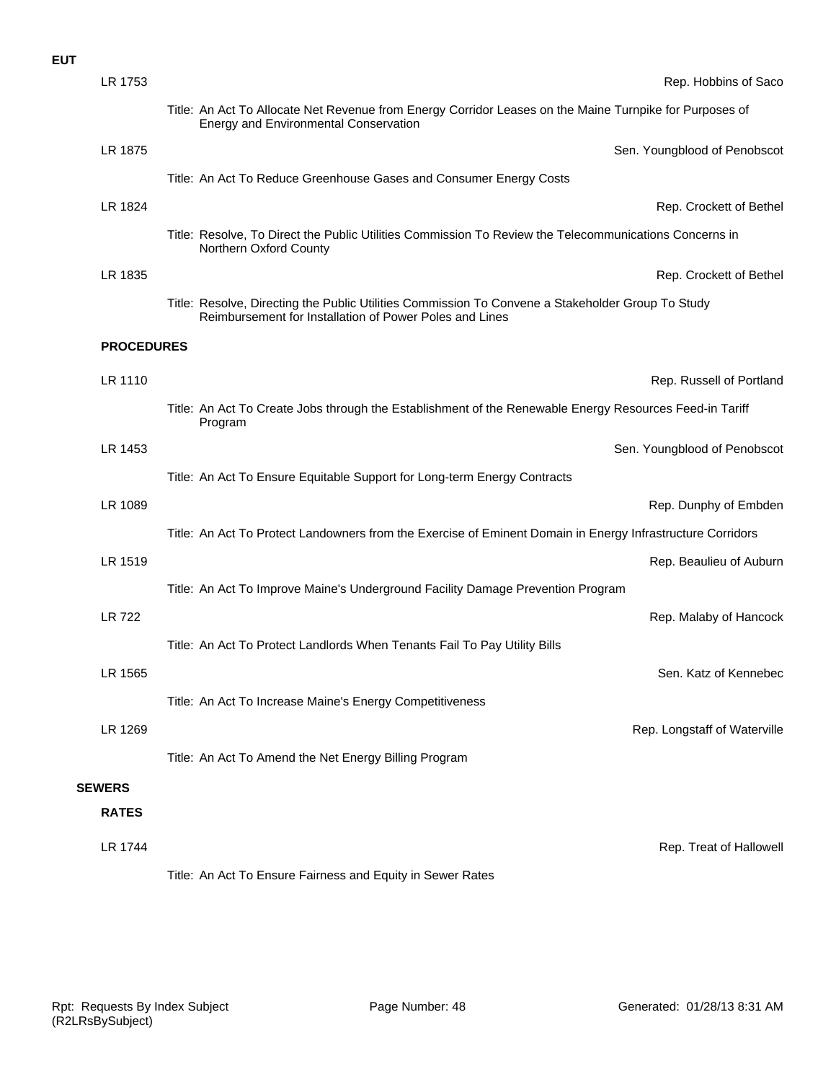| LR 1753           | Rep. Hobbins of Saco                                                                                                                                         |
|-------------------|--------------------------------------------------------------------------------------------------------------------------------------------------------------|
|                   | Title: An Act To Allocate Net Revenue from Energy Corridor Leases on the Maine Turnpike for Purposes of<br><b>Energy and Environmental Conservation</b>      |
| LR 1875           | Sen. Youngblood of Penobscot                                                                                                                                 |
|                   | Title: An Act To Reduce Greenhouse Gases and Consumer Energy Costs                                                                                           |
| LR 1824           | Rep. Crockett of Bethel                                                                                                                                      |
|                   | Title: Resolve, To Direct the Public Utilities Commission To Review the Telecommunications Concerns in<br>Northern Oxford County                             |
| LR 1835           | Rep. Crockett of Bethel                                                                                                                                      |
|                   | Title: Resolve, Directing the Public Utilities Commission To Convene a Stakeholder Group To Study<br>Reimbursement for Installation of Power Poles and Lines |
| <b>PROCEDURES</b> |                                                                                                                                                              |
| LR 1110           | Rep. Russell of Portland                                                                                                                                     |
|                   | Title: An Act To Create Jobs through the Establishment of the Renewable Energy Resources Feed-in Tariff<br>Program                                           |
| LR 1453           | Sen. Youngblood of Penobscot                                                                                                                                 |
|                   | Title: An Act To Ensure Equitable Support for Long-term Energy Contracts                                                                                     |
| LR 1089           | Rep. Dunphy of Embden                                                                                                                                        |
|                   | Title: An Act To Protect Landowners from the Exercise of Eminent Domain in Energy Infrastructure Corridors                                                   |
| LR 1519           | Rep. Beaulieu of Auburn                                                                                                                                      |
|                   | Title: An Act To Improve Maine's Underground Facility Damage Prevention Program                                                                              |
| <b>LR 722</b>     | Rep. Malaby of Hancock                                                                                                                                       |
|                   | Title: An Act To Protect Landlords When Tenants Fail To Pay Utility Bills                                                                                    |
| LR 1565           | Sen. Katz of Kennebec                                                                                                                                        |
|                   | Title: An Act To Increase Maine's Energy Competitiveness                                                                                                     |
| LR 1269           | Rep. Longstaff of Waterville                                                                                                                                 |
|                   | Title: An Act To Amend the Net Energy Billing Program                                                                                                        |
| <b>SEWERS</b>     |                                                                                                                                                              |
| <b>RATES</b>      |                                                                                                                                                              |
| <b>LR 1744</b>    | Rep. Treat of Hallowell                                                                                                                                      |
|                   | Title: An Act To Ensure Fairness and Equity in Sewer Rates                                                                                                   |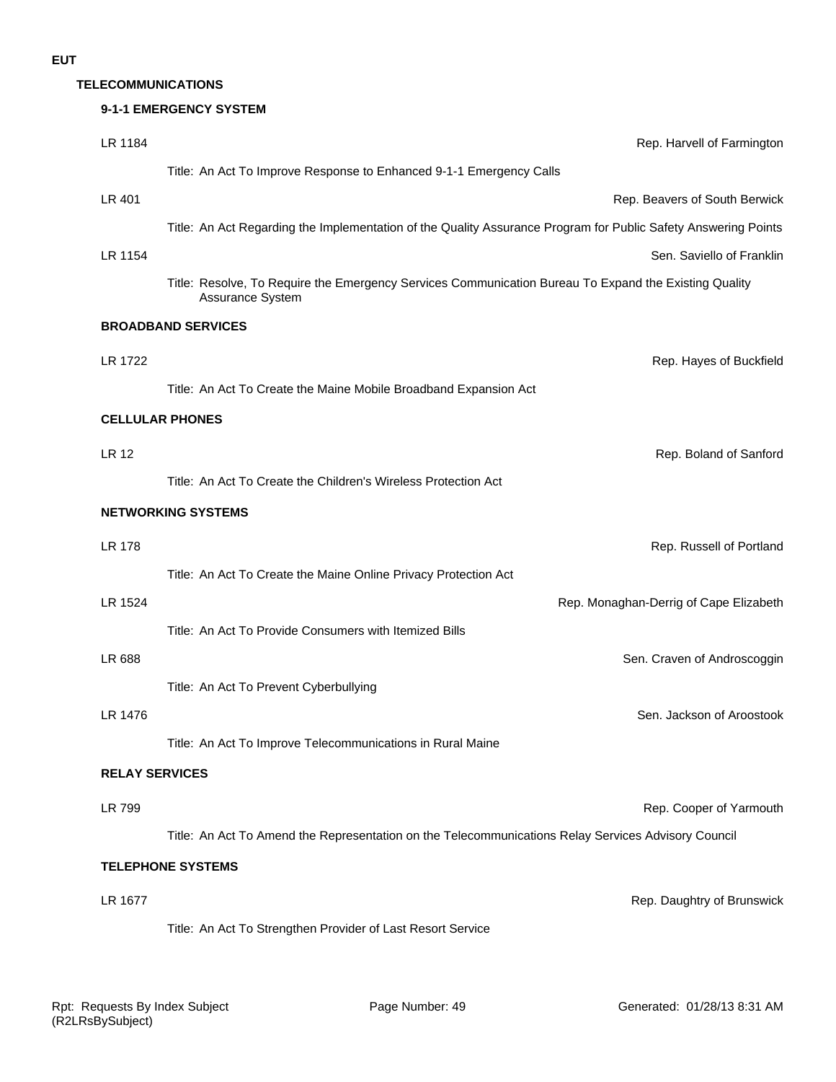#### **TELECOMMUNICATIONS**

|                       | 9-1-1 EMERGENCY SYSTEM                                                                                                    |
|-----------------------|---------------------------------------------------------------------------------------------------------------------------|
| LR 1184               | Rep. Harvell of Farmington                                                                                                |
|                       | Title: An Act To Improve Response to Enhanced 9-1-1 Emergency Calls                                                       |
| LR 401                | Rep. Beavers of South Berwick                                                                                             |
|                       | Title: An Act Regarding the Implementation of the Quality Assurance Program for Public Safety Answering Points            |
| LR 1154               | Sen. Saviello of Franklin                                                                                                 |
|                       | Title: Resolve, To Require the Emergency Services Communication Bureau To Expand the Existing Quality<br>Assurance System |
|                       | <b>BROADBAND SERVICES</b>                                                                                                 |
| LR 1722               | Rep. Hayes of Buckfield                                                                                                   |
|                       | Title: An Act To Create the Maine Mobile Broadband Expansion Act                                                          |
|                       | <b>CELLULAR PHONES</b>                                                                                                    |
| <b>LR 12</b>          | Rep. Boland of Sanford                                                                                                    |
|                       | Title: An Act To Create the Children's Wireless Protection Act                                                            |
|                       | <b>NETWORKING SYSTEMS</b>                                                                                                 |
| <b>LR 178</b>         | Rep. Russell of Portland                                                                                                  |
|                       | Title: An Act To Create the Maine Online Privacy Protection Act                                                           |
| LR 1524               | Rep. Monaghan-Derrig of Cape Elizabeth                                                                                    |
|                       | Title: An Act To Provide Consumers with Itemized Bills                                                                    |
| LR 688                | Sen. Craven of Androscoggin                                                                                               |
|                       | Title: An Act To Prevent Cyberbullying                                                                                    |
| LR 1476               | Sen. Jackson of Aroostook                                                                                                 |
|                       | Title: An Act To Improve Telecommunications in Rural Maine                                                                |
| <b>RELAY SERVICES</b> |                                                                                                                           |
| <b>LR 799</b>         | Rep. Cooper of Yarmouth                                                                                                   |
|                       | Title: An Act To Amend the Representation on the Telecommunications Relay Services Advisory Council                       |
|                       | <b>TELEPHONE SYSTEMS</b>                                                                                                  |
| LR 1677               | Rep. Daughtry of Brunswick                                                                                                |
|                       | Title: An Act To Strengthen Provider of Last Resort Service                                                               |
|                       |                                                                                                                           |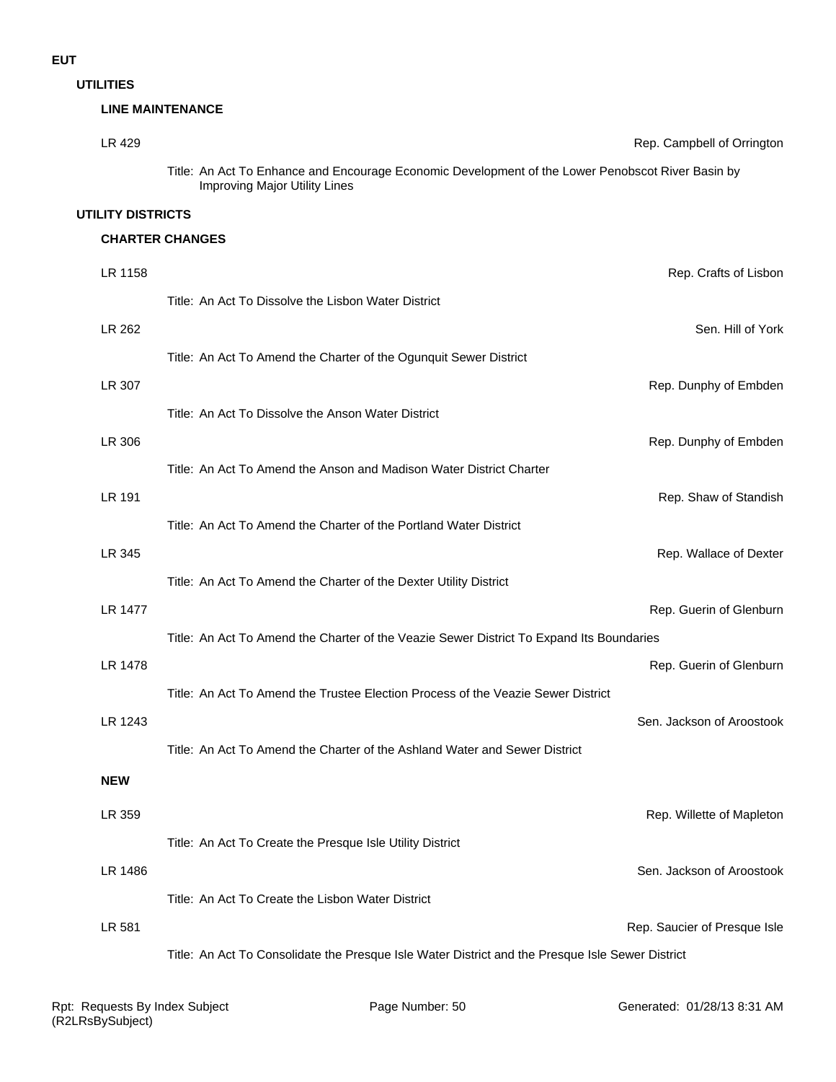**UTILITIES**

#### **LINE MAINTENANCE**

| LR 429            | Rep. Campbell of Orrington                                                                                                         |
|-------------------|------------------------------------------------------------------------------------------------------------------------------------|
|                   | Title: An Act To Enhance and Encourage Economic Development of the Lower Penobscot River Basin by<br>Improving Major Utility Lines |
| UTILITY DISTRICTS |                                                                                                                                    |

#### **CHARTER CHANGES**

| LR 1158    |                                                                                                  | Rep. Crafts of Lisbon        |
|------------|--------------------------------------------------------------------------------------------------|------------------------------|
|            | Title: An Act To Dissolve the Lisbon Water District                                              |                              |
| LR 262     |                                                                                                  | Sen. Hill of York            |
|            | Title: An Act To Amend the Charter of the Ogunquit Sewer District                                |                              |
| LR 307     |                                                                                                  | Rep. Dunphy of Embden        |
|            | Title: An Act To Dissolve the Anson Water District                                               |                              |
| LR 306     |                                                                                                  | Rep. Dunphy of Embden        |
|            | Title: An Act To Amend the Anson and Madison Water District Charter                              |                              |
| LR 191     |                                                                                                  | Rep. Shaw of Standish        |
|            | Title: An Act To Amend the Charter of the Portland Water District                                |                              |
| LR 345     |                                                                                                  | Rep. Wallace of Dexter       |
|            | Title: An Act To Amend the Charter of the Dexter Utility District                                |                              |
| LR 1477    |                                                                                                  | Rep. Guerin of Glenburn      |
|            | Title: An Act To Amend the Charter of the Veazie Sewer District To Expand Its Boundaries         |                              |
| LR 1478    |                                                                                                  | Rep. Guerin of Glenburn      |
|            | Title: An Act To Amend the Trustee Election Process of the Veazie Sewer District                 |                              |
| LR 1243    |                                                                                                  | Sen. Jackson of Aroostook    |
|            | Title: An Act To Amend the Charter of the Ashland Water and Sewer District                       |                              |
| <b>NEW</b> |                                                                                                  |                              |
| LR 359     |                                                                                                  | Rep. Willette of Mapleton    |
|            | Title: An Act To Create the Presque Isle Utility District                                        |                              |
| LR 1486    |                                                                                                  | Sen. Jackson of Aroostook    |
|            | Title: An Act To Create the Lisbon Water District                                                |                              |
| LR 581     |                                                                                                  | Rep. Saucier of Presque Isle |
|            | Title: An Act To Consolidate the Presque Isle Water District and the Presque Isle Sewer District |                              |
|            |                                                                                                  |                              |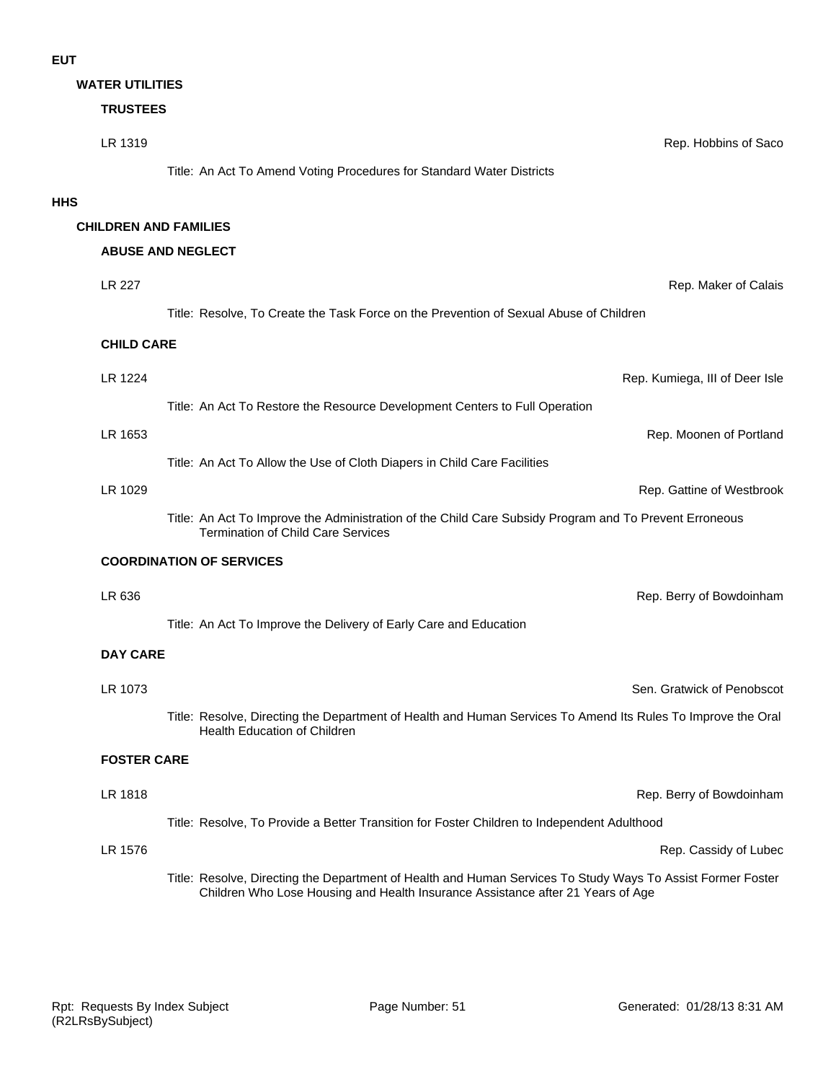|            | <b>WATER UTILITIES</b> |                                                                                                                                                                                                |                                |
|------------|------------------------|------------------------------------------------------------------------------------------------------------------------------------------------------------------------------------------------|--------------------------------|
|            | <b>TRUSTEES</b>        |                                                                                                                                                                                                |                                |
|            | LR 1319                |                                                                                                                                                                                                | Rep. Hobbins of Saco           |
|            |                        | Title: An Act To Amend Voting Procedures for Standard Water Districts                                                                                                                          |                                |
| <b>HHS</b> |                        |                                                                                                                                                                                                |                                |
|            |                        | <b>CHILDREN AND FAMILIES</b>                                                                                                                                                                   |                                |
|            |                        | <b>ABUSE AND NEGLECT</b>                                                                                                                                                                       |                                |
|            | LR 227                 |                                                                                                                                                                                                | Rep. Maker of Calais           |
|            |                        | Title: Resolve, To Create the Task Force on the Prevention of Sexual Abuse of Children                                                                                                         |                                |
|            | <b>CHILD CARE</b>      |                                                                                                                                                                                                |                                |
|            | LR 1224                |                                                                                                                                                                                                | Rep. Kumiega, III of Deer Isle |
|            |                        | Title: An Act To Restore the Resource Development Centers to Full Operation                                                                                                                    |                                |
|            | LR 1653                |                                                                                                                                                                                                | Rep. Moonen of Portland        |
|            |                        | Title: An Act To Allow the Use of Cloth Diapers in Child Care Facilities                                                                                                                       |                                |
|            | LR 1029                |                                                                                                                                                                                                | Rep. Gattine of Westbrook      |
|            |                        | Title: An Act To Improve the Administration of the Child Care Subsidy Program and To Prevent Erroneous<br><b>Termination of Child Care Services</b>                                            |                                |
|            |                        | <b>COORDINATION OF SERVICES</b>                                                                                                                                                                |                                |
|            | LR 636                 |                                                                                                                                                                                                | Rep. Berry of Bowdoinham       |
|            |                        | Title: An Act To Improve the Delivery of Early Care and Education                                                                                                                              |                                |
|            | <b>DAY CARE</b>        |                                                                                                                                                                                                |                                |
|            | LR 1073                |                                                                                                                                                                                                | Sen. Gratwick of Penobscot     |
|            |                        | Title: Resolve, Directing the Department of Health and Human Services To Amend Its Rules To Improve the Oral<br>Health Education of Children                                                   |                                |
|            | <b>FOSTER CARE</b>     |                                                                                                                                                                                                |                                |
|            | LR 1818                |                                                                                                                                                                                                | Rep. Berry of Bowdoinham       |
|            |                        | Title: Resolve, To Provide a Better Transition for Foster Children to Independent Adulthood                                                                                                    |                                |
|            | LR 1576                |                                                                                                                                                                                                | Rep. Cassidy of Lubec          |
|            |                        | Title: Resolve, Directing the Department of Health and Human Services To Study Ways To Assist Former Foster<br>Children Who Lose Housing and Health Insurance Assistance after 21 Years of Age |                                |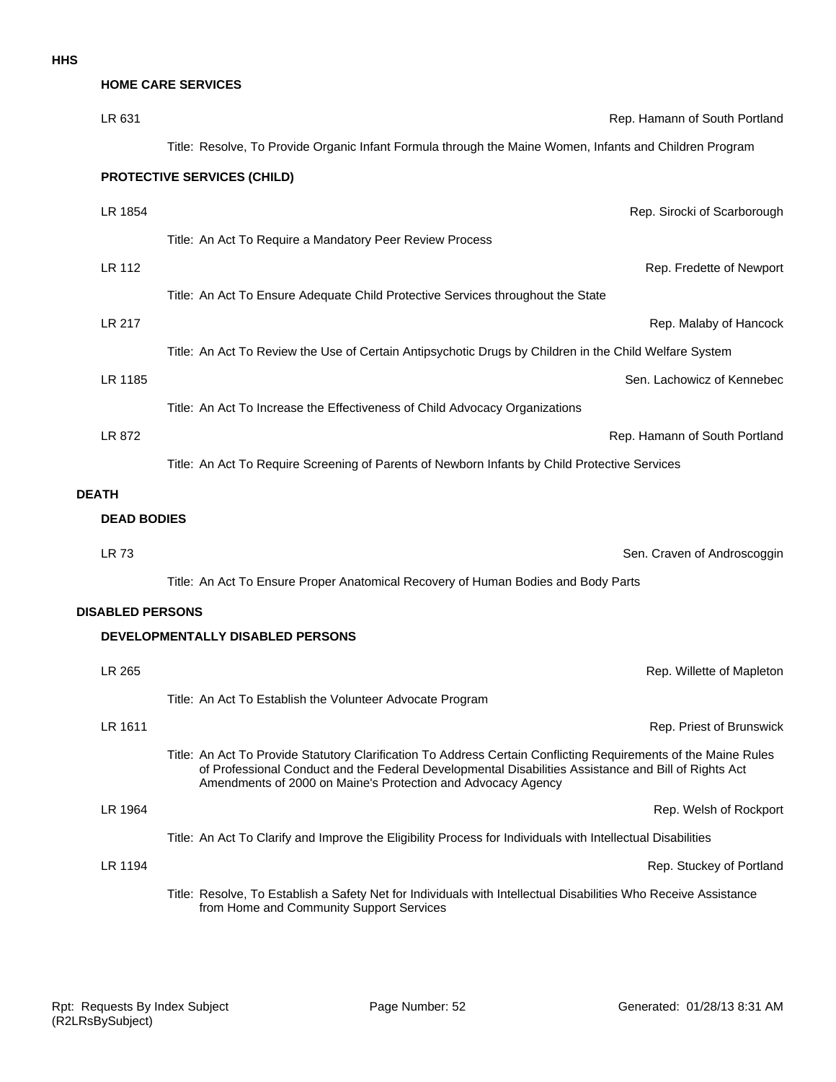# **HOME CARE SERVICES**

| LR 631                  | Rep. Hamann of South Portland                                                                                                                                                                                                                                                           |
|-------------------------|-----------------------------------------------------------------------------------------------------------------------------------------------------------------------------------------------------------------------------------------------------------------------------------------|
|                         | Title: Resolve, To Provide Organic Infant Formula through the Maine Women, Infants and Children Program                                                                                                                                                                                 |
|                         | <b>PROTECTIVE SERVICES (CHILD)</b>                                                                                                                                                                                                                                                      |
| LR 1854                 | Rep. Sirocki of Scarborough                                                                                                                                                                                                                                                             |
|                         | Title: An Act To Require a Mandatory Peer Review Process                                                                                                                                                                                                                                |
| <b>LR 112</b>           | Rep. Fredette of Newport                                                                                                                                                                                                                                                                |
|                         | Title: An Act To Ensure Adequate Child Protective Services throughout the State                                                                                                                                                                                                         |
| <b>LR 217</b>           | Rep. Malaby of Hancock                                                                                                                                                                                                                                                                  |
|                         | Title: An Act To Review the Use of Certain Antipsychotic Drugs by Children in the Child Welfare System                                                                                                                                                                                  |
| LR 1185                 | Sen. Lachowicz of Kennebec                                                                                                                                                                                                                                                              |
|                         | Title: An Act To Increase the Effectiveness of Child Advocacy Organizations                                                                                                                                                                                                             |
| LR 872                  | Rep. Hamann of South Portland                                                                                                                                                                                                                                                           |
|                         | Title: An Act To Require Screening of Parents of Newborn Infants by Child Protective Services                                                                                                                                                                                           |
| <b>DEATH</b>            |                                                                                                                                                                                                                                                                                         |
| <b>DEAD BODIES</b>      |                                                                                                                                                                                                                                                                                         |
| LR 73                   | Sen. Craven of Androscoggin                                                                                                                                                                                                                                                             |
|                         | Title: An Act To Ensure Proper Anatomical Recovery of Human Bodies and Body Parts                                                                                                                                                                                                       |
| <b>DISABLED PERSONS</b> |                                                                                                                                                                                                                                                                                         |
|                         | DEVELOPMENTALLY DISABLED PERSONS                                                                                                                                                                                                                                                        |
| LR 265                  | Rep. Willette of Mapleton                                                                                                                                                                                                                                                               |
|                         | Title: An Act To Establish the Volunteer Advocate Program                                                                                                                                                                                                                               |
| LR 1611                 | Rep. Priest of Brunswick                                                                                                                                                                                                                                                                |
|                         | Title: An Act To Provide Statutory Clarification To Address Certain Conflicting Requirements of the Maine Rules<br>of Professional Conduct and the Federal Developmental Disabilities Assistance and Bill of Rights Act<br>Amendments of 2000 on Maine's Protection and Advocacy Agency |
| LR 1964                 | Rep. Welsh of Rockport                                                                                                                                                                                                                                                                  |
|                         | Title: An Act To Clarify and Improve the Eligibility Process for Individuals with Intellectual Disabilities                                                                                                                                                                             |
| LR 1194                 | Rep. Stuckey of Portland                                                                                                                                                                                                                                                                |
|                         | Title: Resolve, To Establish a Safety Net for Individuals with Intellectual Disabilities Who Receive Assistance<br>from Home and Community Support Services                                                                                                                             |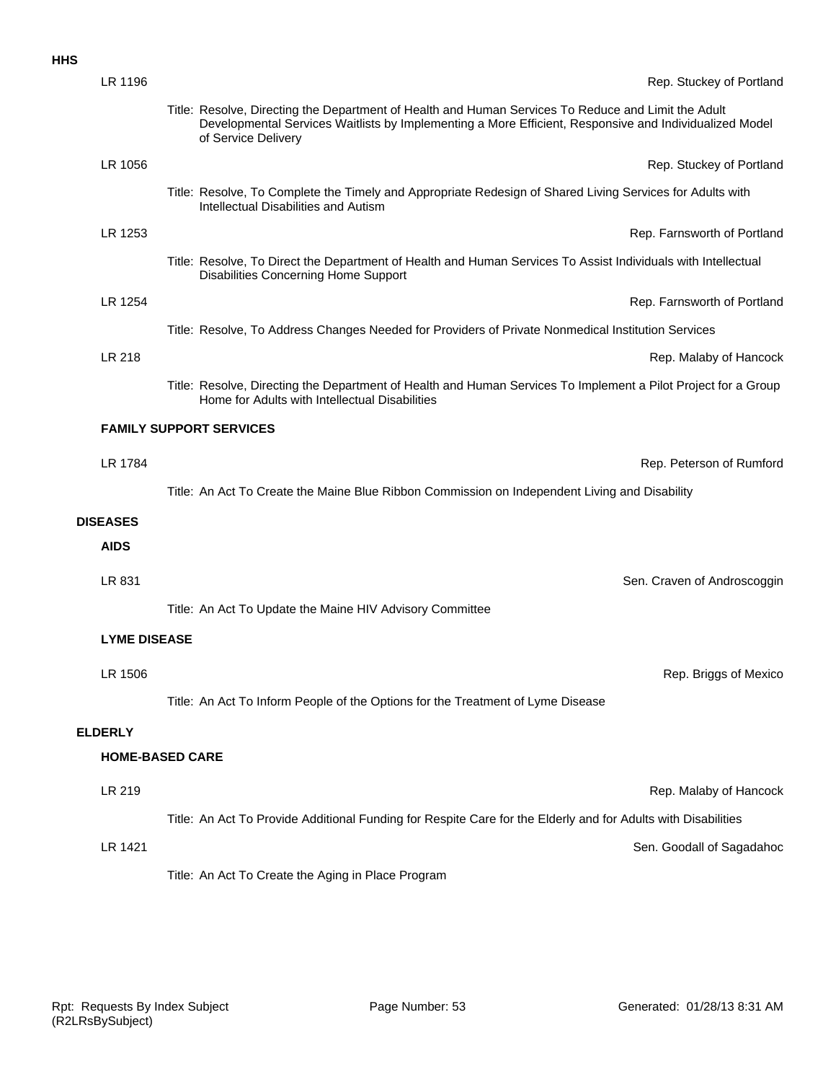#### **HHS**

| LR 1196                | Rep. Stuckey of Portland                                                                                                                                                                                                             |
|------------------------|--------------------------------------------------------------------------------------------------------------------------------------------------------------------------------------------------------------------------------------|
|                        | Title: Resolve, Directing the Department of Health and Human Services To Reduce and Limit the Adult<br>Developmental Services Waitlists by Implementing a More Efficient, Responsive and Individualized Model<br>of Service Delivery |
| LR 1056                | Rep. Stuckey of Portland                                                                                                                                                                                                             |
|                        | Title: Resolve, To Complete the Timely and Appropriate Redesign of Shared Living Services for Adults with<br>Intellectual Disabilities and Autism                                                                                    |
| LR 1253                | Rep. Farnsworth of Portland                                                                                                                                                                                                          |
|                        | Title: Resolve, To Direct the Department of Health and Human Services To Assist Individuals with Intellectual<br>Disabilities Concerning Home Support                                                                                |
| LR 1254                | Rep. Farnsworth of Portland                                                                                                                                                                                                          |
|                        | Title: Resolve, To Address Changes Needed for Providers of Private Nonmedical Institution Services                                                                                                                                   |
| LR 218                 | Rep. Malaby of Hancock                                                                                                                                                                                                               |
|                        | Title: Resolve, Directing the Department of Health and Human Services To Implement a Pilot Project for a Group<br>Home for Adults with Intellectual Disabilities                                                                     |
|                        | <b>FAMILY SUPPORT SERVICES</b>                                                                                                                                                                                                       |
| LR 1784                | Rep. Peterson of Rumford                                                                                                                                                                                                             |
|                        | Title: An Act To Create the Maine Blue Ribbon Commission on Independent Living and Disability                                                                                                                                        |
| <b>DISEASES</b>        |                                                                                                                                                                                                                                      |
| <b>AIDS</b>            |                                                                                                                                                                                                                                      |
| LR 831                 | Sen. Craven of Androscoggin                                                                                                                                                                                                          |
|                        | Title: An Act To Update the Maine HIV Advisory Committee                                                                                                                                                                             |
| <b>LYME DISEASE</b>    |                                                                                                                                                                                                                                      |
|                        |                                                                                                                                                                                                                                      |
| LR 1506                | Rep. Briggs of Mexico                                                                                                                                                                                                                |
|                        | Title: An Act To Inform People of the Options for the Treatment of Lyme Disease                                                                                                                                                      |
| <b>ELDERLY</b>         |                                                                                                                                                                                                                                      |
| <b>HOME-BASED CARE</b> |                                                                                                                                                                                                                                      |
| LR 219                 | Rep. Malaby of Hancock                                                                                                                                                                                                               |
|                        | Title: An Act To Provide Additional Funding for Respite Care for the Elderly and for Adults with Disabilities                                                                                                                        |
| LR 1421                | Sen. Goodall of Sagadahoc                                                                                                                                                                                                            |
|                        | Title: An Act To Create the Aging in Place Program                                                                                                                                                                                   |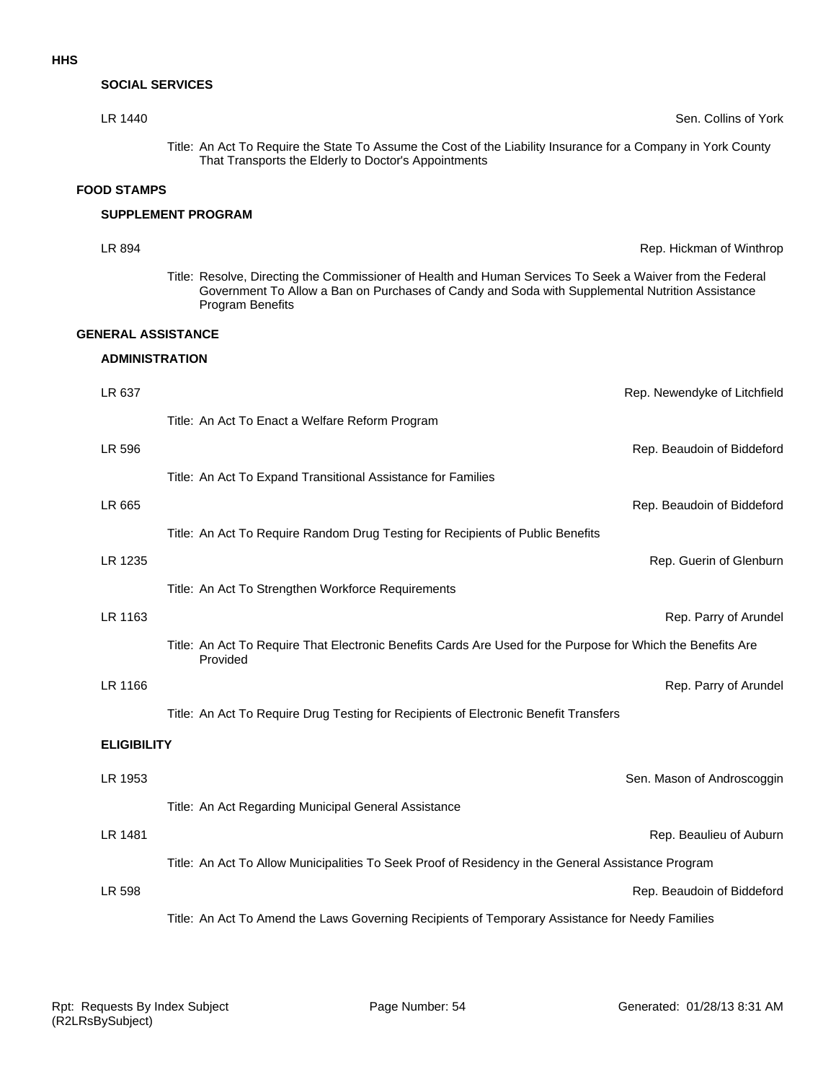#### **SOCIAL SERVICES**

# LR 1440 Sen. Collins of York Title: An Act To Require the State To Assume the Cost of the Liability Insurance for a Company in York County That Transports the Elderly to Doctor's Appointments

#### **FOOD STAMPS**

#### **SUPPLEMENT PROGRAM**

# **ADMINISTRATION GENERAL ASSISTANCE LR 894** Rep. Hickman of Winthrop **Rep. Hickman of Winthrop** Title: Resolve, Directing the Commissioner of Health and Human Services To Seek a Waiver from the Federal Government To Allow a Ban on Purchases of Candy and Soda with Supplemental Nutrition Assistance Program Benefits

| LR 637             | Rep. Newendyke of Litchfield                                                                                            |
|--------------------|-------------------------------------------------------------------------------------------------------------------------|
|                    | Title: An Act To Enact a Welfare Reform Program                                                                         |
| LR 596             | Rep. Beaudoin of Biddeford                                                                                              |
|                    | Title: An Act To Expand Transitional Assistance for Families                                                            |
| LR 665             | Rep. Beaudoin of Biddeford                                                                                              |
|                    | Title: An Act To Require Random Drug Testing for Recipients of Public Benefits                                          |
| LR 1235            | Rep. Guerin of Glenburn                                                                                                 |
|                    | Title: An Act To Strengthen Workforce Requirements                                                                      |
| LR 1163            | Rep. Parry of Arundel                                                                                                   |
|                    | Title: An Act To Require That Electronic Benefits Cards Are Used for the Purpose for Which the Benefits Are<br>Provided |
| LR 1166            | Rep. Parry of Arundel                                                                                                   |
|                    | Title: An Act To Require Drug Testing for Recipients of Electronic Benefit Transfers                                    |
| <b>ELIGIBILITY</b> |                                                                                                                         |
| LR 1953            | Sen. Mason of Androscoggin                                                                                              |
|                    | Title: An Act Regarding Municipal General Assistance                                                                    |
| LR 1481            | Rep. Beaulieu of Auburn                                                                                                 |
|                    | Title: An Act To Allow Municipalities To Seek Proof of Residency in the General Assistance Program                      |
| LR 598             | Rep. Beaudoin of Biddeford                                                                                              |
|                    | Title: An Act To Amend the Laws Governing Recipients of Temporary Assistance for Needy Families                         |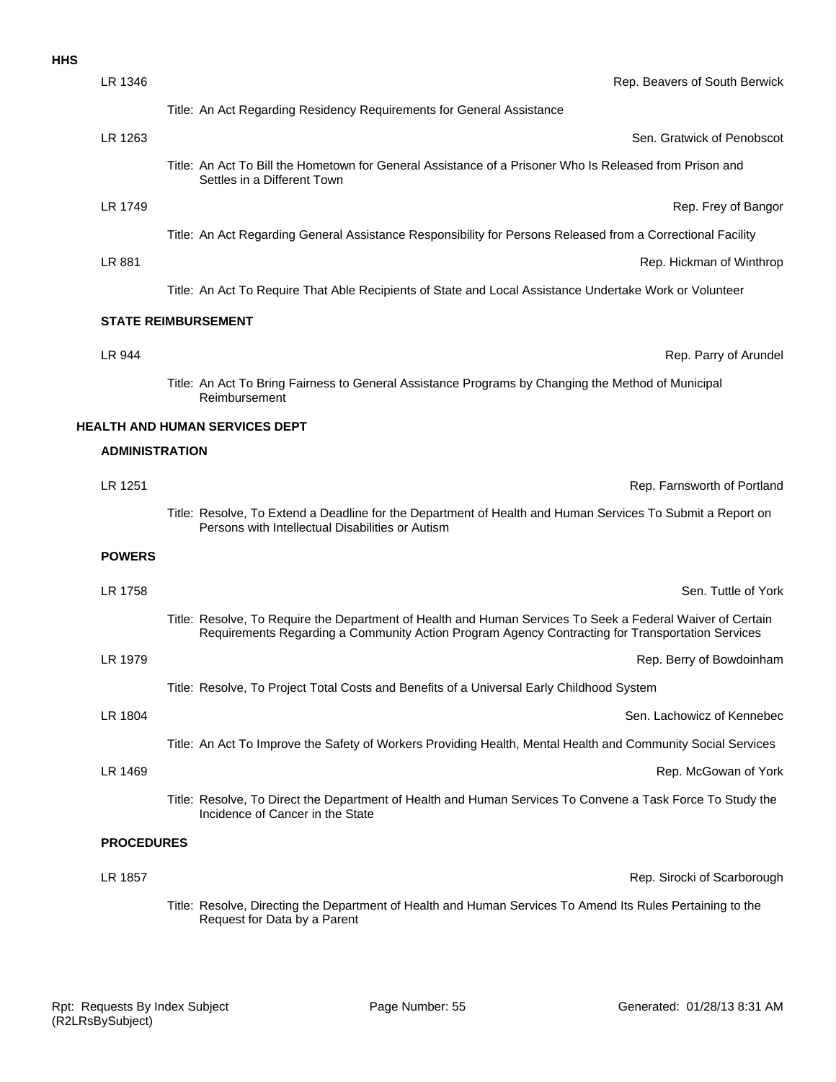| LR 1346               | Rep. Beavers of South Berwick                                                                                                                                                                                  |
|-----------------------|----------------------------------------------------------------------------------------------------------------------------------------------------------------------------------------------------------------|
|                       | Title: An Act Regarding Residency Requirements for General Assistance                                                                                                                                          |
| LR 1263               | Sen. Gratwick of Penobscot                                                                                                                                                                                     |
|                       | Title: An Act To Bill the Hometown for General Assistance of a Prisoner Who Is Released from Prison and<br>Settles in a Different Town                                                                         |
| LR 1749               | Rep. Frey of Bangor                                                                                                                                                                                            |
|                       | Title: An Act Regarding General Assistance Responsibility for Persons Released from a Correctional Facility                                                                                                    |
| LR 881                | Rep. Hickman of Winthrop                                                                                                                                                                                       |
|                       | Title: An Act To Require That Able Recipients of State and Local Assistance Undertake Work or Volunteer                                                                                                        |
|                       | <b>STATE REIMBURSEMENT</b>                                                                                                                                                                                     |
| LR 944                | Rep. Parry of Arunde                                                                                                                                                                                           |
|                       | Title: An Act To Bring Fairness to General Assistance Programs by Changing the Method of Municipal<br>Reimbursement                                                                                            |
|                       | <b>HEALTH AND HUMAN SERVICES DEPT</b>                                                                                                                                                                          |
| <b>ADMINISTRATION</b> |                                                                                                                                                                                                                |
| LR 1251               | Rep. Farnsworth of Portland                                                                                                                                                                                    |
|                       | Title: Resolve, To Extend a Deadline for the Department of Health and Human Services To Submit a Report on<br>Persons with Intellectual Disabilities or Autism                                                 |
| <b>POWERS</b>         |                                                                                                                                                                                                                |
| LR 1758               | Sen. Tuttle of York                                                                                                                                                                                            |
|                       | Title: Resolve, To Require the Department of Health and Human Services To Seek a Federal Waiver of Certain<br>Requirements Regarding a Community Action Program Agency Contracting for Transportation Services |
| LR 1979               | Rep. Berry of Bowdoinham                                                                                                                                                                                       |
|                       | Title: Resolve, To Project Total Costs and Benefits of a Universal Early Childhood System                                                                                                                      |
| LR 1804               | Sen. Lachowicz of Kennebed                                                                                                                                                                                     |
|                       | Title: An Act To Improve the Safety of Workers Providing Health, Mental Health and Community Social Services                                                                                                   |
| LR 1469               | Rep. McGowan of York                                                                                                                                                                                           |
|                       | Title: Resolve, To Direct the Department of Health and Human Services To Convene a Task Force To Study the<br>Incidence of Cancer in the State                                                                 |
| <b>PROCEDURES</b>     |                                                                                                                                                                                                                |

LR 1857 Rep. Sirocki of Scarborough Title: Resolve, Directing the Department of Health and Human Services To Amend Its Rules Pertaining to the Request for Data by a Parent

**HHS**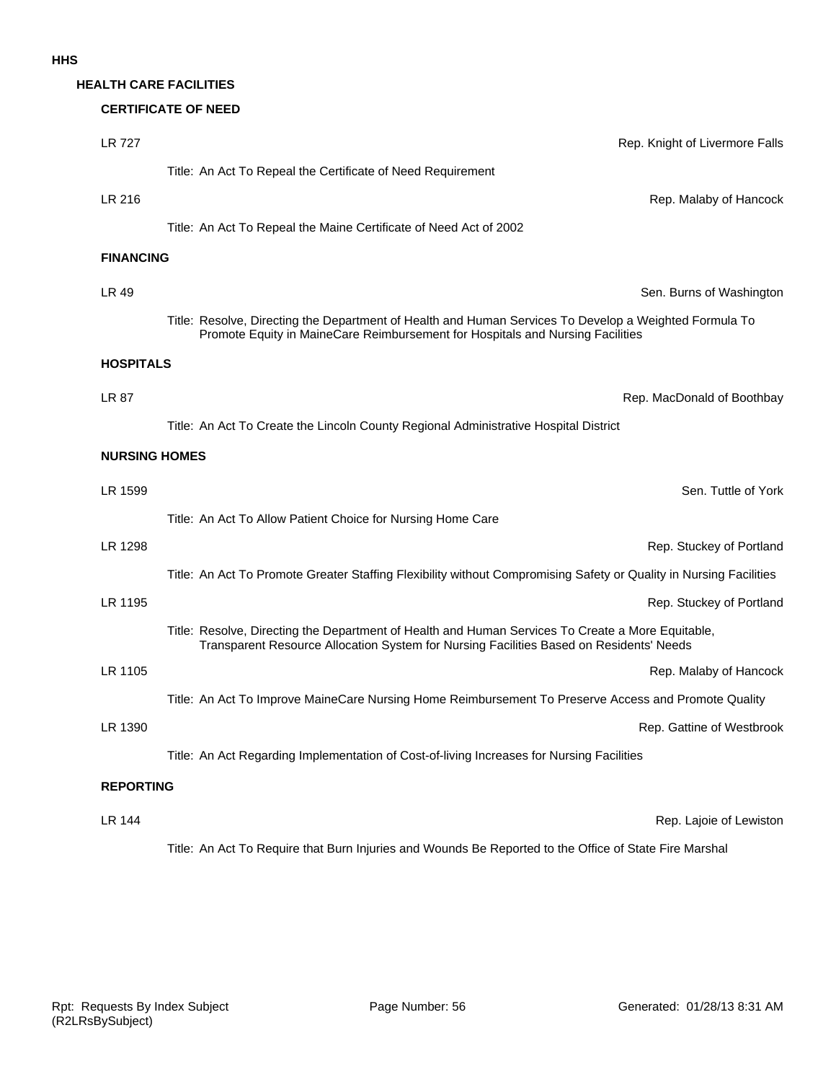#### **HEALTH CARE FACILITIES**

#### **CERTIFICATE OF NEED**

| <b>LR 727</b>        | Rep. Knight of Livermore Falls                                                                                                                                                               |
|----------------------|----------------------------------------------------------------------------------------------------------------------------------------------------------------------------------------------|
|                      | Title: An Act To Repeal the Certificate of Need Requirement                                                                                                                                  |
| LR 216               | Rep. Malaby of Hancock                                                                                                                                                                       |
|                      | Title: An Act To Repeal the Maine Certificate of Need Act of 2002                                                                                                                            |
| <b>FINANCING</b>     |                                                                                                                                                                                              |
| LR 49                | Sen. Burns of Washington                                                                                                                                                                     |
|                      | Title: Resolve, Directing the Department of Health and Human Services To Develop a Weighted Formula To<br>Promote Equity in MaineCare Reimbursement for Hospitals and Nursing Facilities     |
| <b>HOSPITALS</b>     |                                                                                                                                                                                              |
| LR 87                | Rep. MacDonald of Boothbay                                                                                                                                                                   |
|                      | Title: An Act To Create the Lincoln County Regional Administrative Hospital District                                                                                                         |
| <b>NURSING HOMES</b> |                                                                                                                                                                                              |
| LR 1599              | Sen. Tuttle of York                                                                                                                                                                          |
|                      | Title: An Act To Allow Patient Choice for Nursing Home Care                                                                                                                                  |
| LR 1298              | Rep. Stuckey of Portland                                                                                                                                                                     |
|                      | Title: An Act To Promote Greater Staffing Flexibility without Compromising Safety or Quality in Nursing Facilities                                                                           |
| LR 1195              | Rep. Stuckey of Portland                                                                                                                                                                     |
|                      | Title: Resolve, Directing the Department of Health and Human Services To Create a More Equitable,<br>Transparent Resource Allocation System for Nursing Facilities Based on Residents' Needs |
| LR 1105              | Rep. Malaby of Hancock                                                                                                                                                                       |
|                      | Title: An Act To Improve MaineCare Nursing Home Reimbursement To Preserve Access and Promote Quality                                                                                         |
| LR 1390              | Rep. Gattine of Westbrook                                                                                                                                                                    |
|                      | Title: An Act Regarding Implementation of Cost-of-living Increases for Nursing Facilities                                                                                                    |
| <b>REPORTING</b>     |                                                                                                                                                                                              |
| LR 144               | Rep. Lajoie of Lewiston                                                                                                                                                                      |

Title: An Act To Require that Burn Injuries and Wounds Be Reported to the Office of State Fire Marshal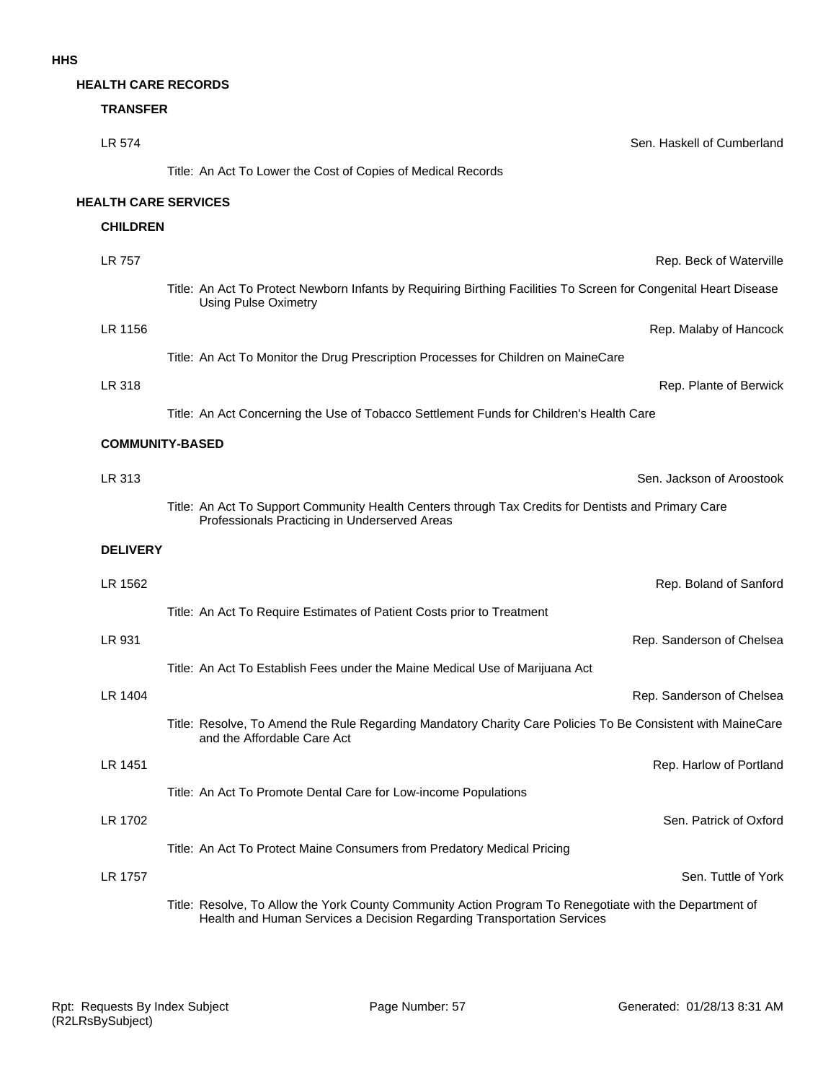#### **HEALTH CARE RECORDS**

### **TRANSFER**

| LR 574                      | Sen. Haskell of Cumberland                                                                                                                                                        |
|-----------------------------|-----------------------------------------------------------------------------------------------------------------------------------------------------------------------------------|
|                             | Title: An Act To Lower the Cost of Copies of Medical Records                                                                                                                      |
| <b>HEALTH CARE SERVICES</b> |                                                                                                                                                                                   |
| <b>CHILDREN</b>             |                                                                                                                                                                                   |
| LR 757                      | Rep. Beck of Waterville                                                                                                                                                           |
|                             | Title: An Act To Protect Newborn Infants by Requiring Birthing Facilities To Screen for Congenital Heart Disease<br><b>Using Pulse Oximetry</b>                                   |
| LR 1156                     | Rep. Malaby of Hancock                                                                                                                                                            |
|                             | Title: An Act To Monitor the Drug Prescription Processes for Children on MaineCare                                                                                                |
| LR 318                      | Rep. Plante of Berwick                                                                                                                                                            |
|                             | Title: An Act Concerning the Use of Tobacco Settlement Funds for Children's Health Care                                                                                           |
|                             | <b>COMMUNITY-BASED</b>                                                                                                                                                            |
| LR 313                      | Sen. Jackson of Aroostook                                                                                                                                                         |
|                             | Title: An Act To Support Community Health Centers through Tax Credits for Dentists and Primary Care<br>Professionals Practicing in Underserved Areas                              |
| <b>DELIVERY</b>             |                                                                                                                                                                                   |
| LR 1562                     | Rep. Boland of Sanford                                                                                                                                                            |
|                             | Title: An Act To Require Estimates of Patient Costs prior to Treatment                                                                                                            |
| LR 931                      | Rep. Sanderson of Chelsea                                                                                                                                                         |
|                             | Title: An Act To Establish Fees under the Maine Medical Use of Marijuana Act                                                                                                      |
| LR 1404                     | Rep. Sanderson of Chelsea                                                                                                                                                         |
|                             | Title: Resolve, To Amend the Rule Regarding Mandatory Charity Care Policies To Be Consistent with MaineCare<br>and the Affordable Care Act                                        |
| LR 1451                     | Rep. Harlow of Portland                                                                                                                                                           |
|                             | Title: An Act To Promote Dental Care for Low-income Populations                                                                                                                   |
| LR 1702                     | Sen. Patrick of Oxford                                                                                                                                                            |
|                             | Title: An Act To Protect Maine Consumers from Predatory Medical Pricing                                                                                                           |
| LR 1757                     | Sen. Tuttle of York                                                                                                                                                               |
|                             | Title: Resolve, To Allow the York County Community Action Program To Renegotiate with the Department of<br>Health and Human Services a Decision Regarding Transportation Services |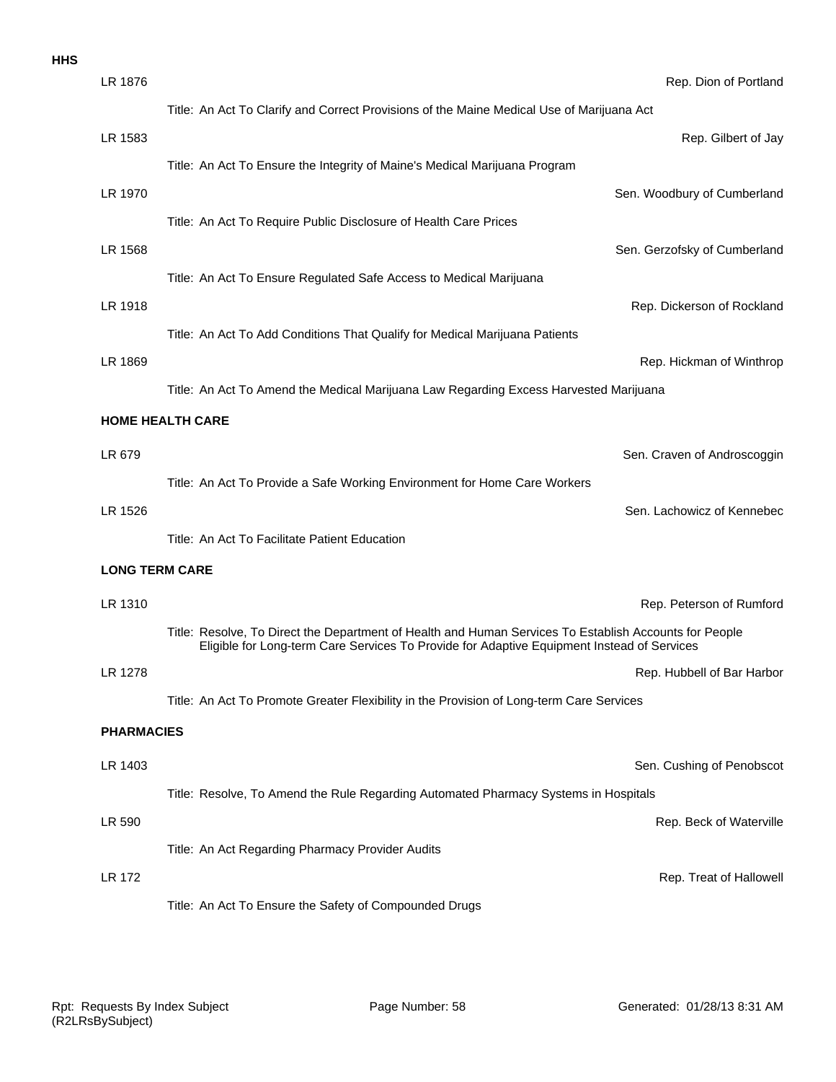| <b>HHS</b> |                       |                                                                                                                                                                                                      |
|------------|-----------------------|------------------------------------------------------------------------------------------------------------------------------------------------------------------------------------------------------|
|            | LR 1876               | Rep. Dion of Portland                                                                                                                                                                                |
|            |                       | Title: An Act To Clarify and Correct Provisions of the Maine Medical Use of Marijuana Act                                                                                                            |
|            | LR 1583               | Rep. Gilbert of Jay                                                                                                                                                                                  |
|            |                       | Title: An Act To Ensure the Integrity of Maine's Medical Marijuana Program                                                                                                                           |
|            | LR 1970               | Sen. Woodbury of Cumberland                                                                                                                                                                          |
|            |                       | Title: An Act To Require Public Disclosure of Health Care Prices                                                                                                                                     |
|            | LR 1568               | Sen. Gerzofsky of Cumberland                                                                                                                                                                         |
|            |                       | Title: An Act To Ensure Regulated Safe Access to Medical Marijuana                                                                                                                                   |
|            | LR 1918               | Rep. Dickerson of Rockland                                                                                                                                                                           |
|            |                       | Title: An Act To Add Conditions That Qualify for Medical Marijuana Patients                                                                                                                          |
|            | LR 1869               | Rep. Hickman of Winthrop                                                                                                                                                                             |
|            |                       | Title: An Act To Amend the Medical Marijuana Law Regarding Excess Harvested Marijuana                                                                                                                |
|            |                       | <b>HOME HEALTH CARE</b>                                                                                                                                                                              |
|            | LR 679                | Sen. Craven of Androscoggin                                                                                                                                                                          |
|            |                       | Title: An Act To Provide a Safe Working Environment for Home Care Workers                                                                                                                            |
|            | LR 1526               | Sen. Lachowicz of Kennebec                                                                                                                                                                           |
|            |                       | Title: An Act To Facilitate Patient Education                                                                                                                                                        |
|            | <b>LONG TERM CARE</b> |                                                                                                                                                                                                      |
|            | LR 1310               | Rep. Peterson of Rumford                                                                                                                                                                             |
|            |                       | Title: Resolve, To Direct the Department of Health and Human Services To Establish Accounts for People<br>Eligible for Long-term Care Services To Provide for Adaptive Equipment Instead of Services |
|            | LR 1278               | Rep. Hubbell of Bar Harbor                                                                                                                                                                           |
|            |                       | Title: An Act To Promote Greater Flexibility in the Provision of Long-term Care Services                                                                                                             |
|            | <b>PHARMACIES</b>     |                                                                                                                                                                                                      |
|            | LR 1403               | Sen. Cushing of Penobscot                                                                                                                                                                            |
|            |                       | Title: Resolve, To Amend the Rule Regarding Automated Pharmacy Systems in Hospitals                                                                                                                  |
|            | LR 590                | Rep. Beck of Waterville                                                                                                                                                                              |
|            |                       | Title: An Act Regarding Pharmacy Provider Audits                                                                                                                                                     |
|            | <b>LR 172</b>         | Rep. Treat of Hallowell                                                                                                                                                                              |
|            |                       | Title: An Act To Ensure the Safety of Compounded Drugs                                                                                                                                               |
|            |                       |                                                                                                                                                                                                      |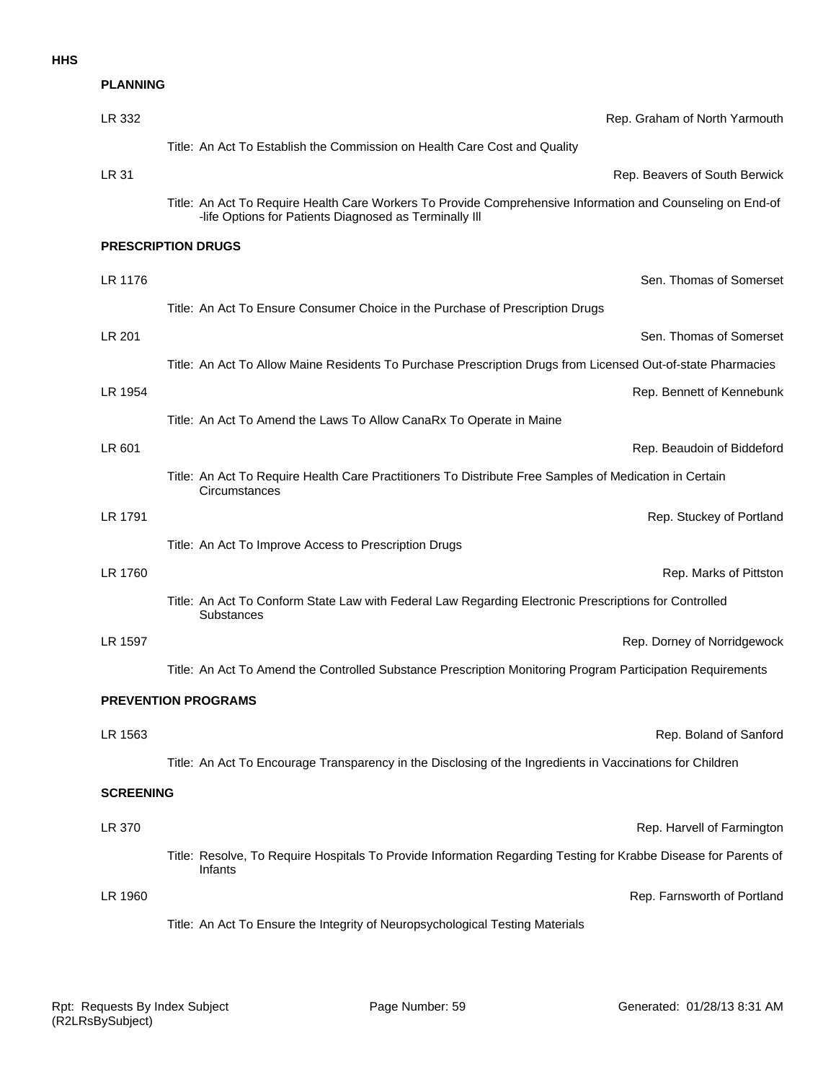#### **HHS**

| <b>PLANNING</b>            |                                                                                                                                                                      |  |
|----------------------------|----------------------------------------------------------------------------------------------------------------------------------------------------------------------|--|
| LR 332                     | Rep. Graham of North Yarmouth                                                                                                                                        |  |
|                            | Title: An Act To Establish the Commission on Health Care Cost and Quality                                                                                            |  |
| LR 31                      | Rep. Beavers of South Berwick                                                                                                                                        |  |
|                            | Title: An Act To Require Health Care Workers To Provide Comprehensive Information and Counseling on End-of<br>-life Options for Patients Diagnosed as Terminally III |  |
|                            | <b>PRESCRIPTION DRUGS</b>                                                                                                                                            |  |
| LR 1176                    | Sen. Thomas of Somerset                                                                                                                                              |  |
|                            | Title: An Act To Ensure Consumer Choice in the Purchase of Prescription Drugs                                                                                        |  |
| LR 201                     | Sen. Thomas of Somerset                                                                                                                                              |  |
|                            | Title: An Act To Allow Maine Residents To Purchase Prescription Drugs from Licensed Out-of-state Pharmacies                                                          |  |
| LR 1954                    | Rep. Bennett of Kennebunk                                                                                                                                            |  |
|                            | Title: An Act To Amend the Laws To Allow CanaRx To Operate in Maine                                                                                                  |  |
| LR 601                     | Rep. Beaudoin of Biddeford                                                                                                                                           |  |
|                            | Title: An Act To Require Health Care Practitioners To Distribute Free Samples of Medication in Certain<br>Circumstances                                              |  |
| LR 1791                    | Rep. Stuckey of Portland                                                                                                                                             |  |
|                            | Title: An Act To Improve Access to Prescription Drugs                                                                                                                |  |
| LR 1760                    | Rep. Marks of Pittston                                                                                                                                               |  |
|                            | Title: An Act To Conform State Law with Federal Law Regarding Electronic Prescriptions for Controlled<br><b>Substances</b>                                           |  |
| LR 1597                    | Rep. Dorney of Norridgewock                                                                                                                                          |  |
|                            | Title: An Act To Amend the Controlled Substance Prescription Monitoring Program Participation Requirements                                                           |  |
| <b>PREVENTION PROGRAMS</b> |                                                                                                                                                                      |  |
| LR 1563                    | Rep. Boland of Sanford                                                                                                                                               |  |
|                            | Title: An Act To Encourage Transparency in the Disclosing of the Ingredients in Vaccinations for Children                                                            |  |
| <b>SCREENING</b>           |                                                                                                                                                                      |  |
| LR 370                     | Rep. Harvell of Farmington                                                                                                                                           |  |
|                            | Title: Resolve, To Require Hospitals To Provide Information Regarding Testing for Krabbe Disease for Parents of<br>Infants                                           |  |
| LR 1960                    | Rep. Farnsworth of Portland                                                                                                                                          |  |
|                            | Title: An Act To Ensure the Integrity of Neuropsychological Testing Materials                                                                                        |  |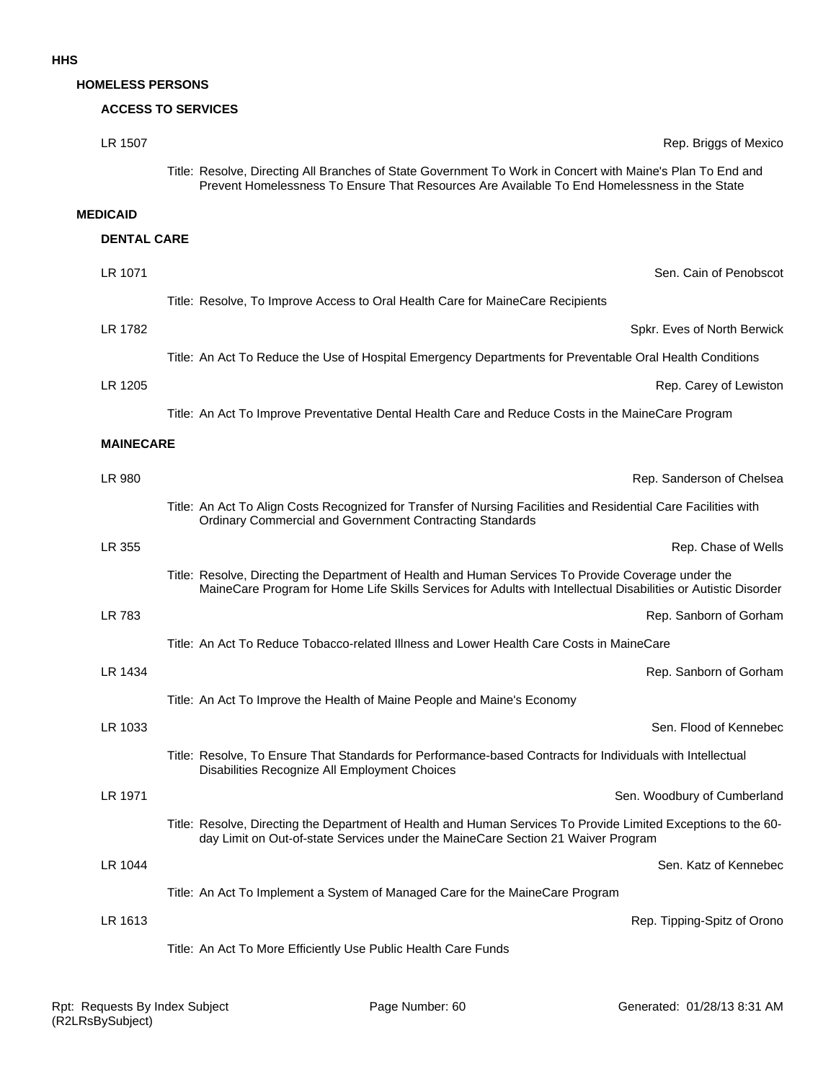#### **HOMELESS PERSONS**

#### **ACCESS TO SERVICES**

| LR 1507            | Rep. Briggs of Mexico                                                                                                                                                                                                 |
|--------------------|-----------------------------------------------------------------------------------------------------------------------------------------------------------------------------------------------------------------------|
|                    | Title: Resolve, Directing All Branches of State Government To Work in Concert with Maine's Plan To End and<br>Prevent Homelessness To Ensure That Resources Are Available To End Homelessness in the State            |
| <b>MEDICAID</b>    |                                                                                                                                                                                                                       |
| <b>DENTAL CARE</b> |                                                                                                                                                                                                                       |
| LR 1071            | Sen. Cain of Penobscot                                                                                                                                                                                                |
|                    | Title: Resolve, To Improve Access to Oral Health Care for MaineCare Recipients                                                                                                                                        |
| LR 1782            | Spkr. Eves of North Berwick                                                                                                                                                                                           |
|                    | Title: An Act To Reduce the Use of Hospital Emergency Departments for Preventable Oral Health Conditions                                                                                                              |
| LR 1205            | Rep. Carey of Lewiston                                                                                                                                                                                                |
|                    | Title: An Act To Improve Preventative Dental Health Care and Reduce Costs in the MaineCare Program                                                                                                                    |
| <b>MAINECARE</b>   |                                                                                                                                                                                                                       |
| LR 980             | Rep. Sanderson of Chelsea                                                                                                                                                                                             |
|                    | Title: An Act To Align Costs Recognized for Transfer of Nursing Facilities and Residential Care Facilities with<br>Ordinary Commercial and Government Contracting Standards                                           |
| LR 355             | Rep. Chase of Wells                                                                                                                                                                                                   |
|                    | Title: Resolve, Directing the Department of Health and Human Services To Provide Coverage under the<br>MaineCare Program for Home Life Skills Services for Adults with Intellectual Disabilities or Autistic Disorder |
| LR 783             | Rep. Sanborn of Gorham                                                                                                                                                                                                |
|                    | Title: An Act To Reduce Tobacco-related Illness and Lower Health Care Costs in MaineCare                                                                                                                              |
| LR 1434            | Rep. Sanborn of Gorham                                                                                                                                                                                                |
|                    | Title: An Act To Improve the Health of Maine People and Maine's Economy                                                                                                                                               |
| LR 1033            | Sen. Flood of Kennebec                                                                                                                                                                                                |
|                    | Title: Resolve, To Ensure That Standards for Performance-based Contracts for Individuals with Intellectual<br>Disabilities Recognize All Employment Choices                                                           |
| LR 1971            | Sen. Woodbury of Cumberland                                                                                                                                                                                           |
|                    | Title: Resolve, Directing the Department of Health and Human Services To Provide Limited Exceptions to the 60-<br>day Limit on Out-of-state Services under the MaineCare Section 21 Waiver Program                    |
| LR 1044            | Sen. Katz of Kennebec                                                                                                                                                                                                 |
|                    | Title: An Act To Implement a System of Managed Care for the MaineCare Program                                                                                                                                         |
| LR 1613            | Rep. Tipping-Spitz of Orono                                                                                                                                                                                           |
|                    | Title: An Act To More Efficiently Use Public Health Care Funds                                                                                                                                                        |
|                    |                                                                                                                                                                                                                       |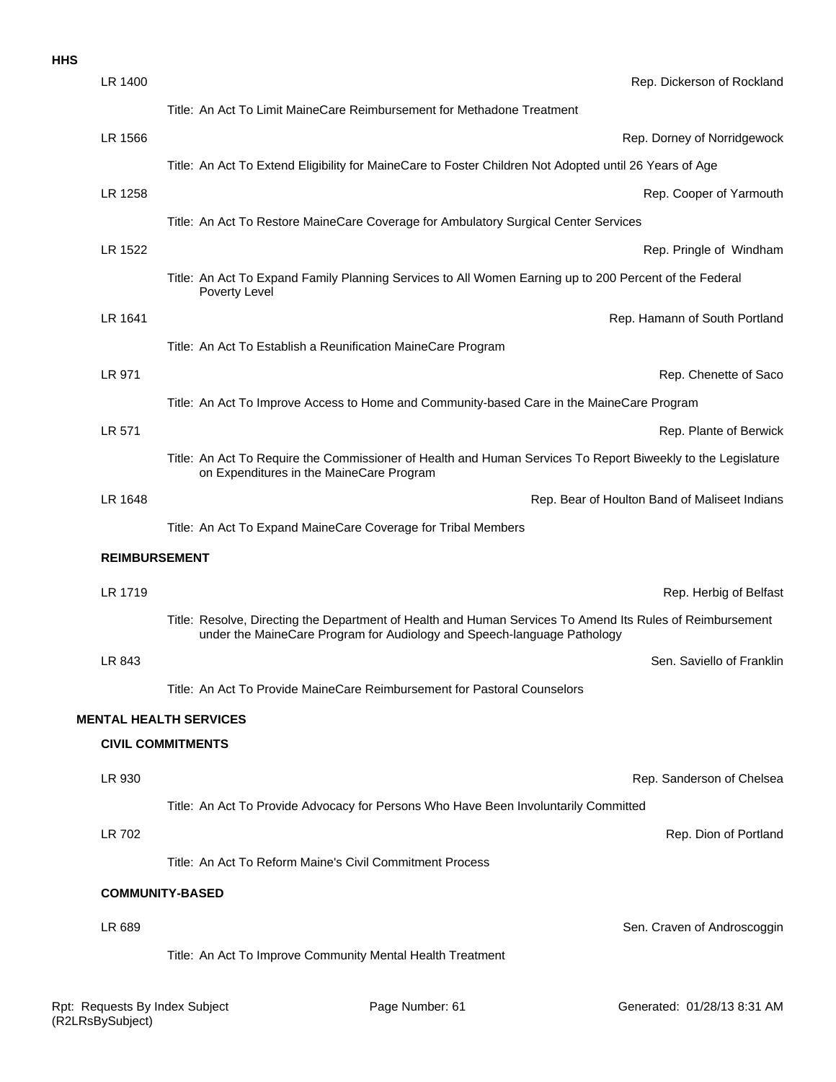|  | ×<br>v |
|--|--------|
|  |        |

| LR 1400              | Rep. Dickerson of Rockland                                                                                                                                                           |
|----------------------|--------------------------------------------------------------------------------------------------------------------------------------------------------------------------------------|
|                      | Title: An Act To Limit MaineCare Reimbursement for Methadone Treatment                                                                                                               |
| LR 1566              | Rep. Dorney of Norridgewock                                                                                                                                                          |
|                      | Title: An Act To Extend Eligibility for MaineCare to Foster Children Not Adopted until 26 Years of Age                                                                               |
| LR 1258              | Rep. Cooper of Yarmouth                                                                                                                                                              |
|                      | Title: An Act To Restore MaineCare Coverage for Ambulatory Surgical Center Services                                                                                                  |
| LR 1522              | Rep. Pringle of Windham                                                                                                                                                              |
|                      | Title: An Act To Expand Family Planning Services to All Women Earning up to 200 Percent of the Federal<br>Poverty Level                                                              |
| LR 1641              | Rep. Hamann of South Portland                                                                                                                                                        |
|                      | Title: An Act To Establish a Reunification MaineCare Program                                                                                                                         |
| LR 971               | Rep. Chenette of Saco                                                                                                                                                                |
|                      | Title: An Act To Improve Access to Home and Community-based Care in the MaineCare Program                                                                                            |
| LR 571               | Rep. Plante of Berwick                                                                                                                                                               |
|                      | Title: An Act To Require the Commissioner of Health and Human Services To Report Biweekly to the Legislature<br>on Expenditures in the MaineCare Program                             |
| LR 1648              | Rep. Bear of Houlton Band of Maliseet Indians                                                                                                                                        |
|                      | Title: An Act To Expand MaineCare Coverage for Tribal Members                                                                                                                        |
| <b>REIMBURSEMENT</b> |                                                                                                                                                                                      |
| LR 1719              | Rep. Herbig of Belfast                                                                                                                                                               |
|                      | Title: Resolve, Directing the Department of Health and Human Services To Amend Its Rules of Reimbursement<br>under the MaineCare Program for Audiology and Speech-language Pathology |
| LR 843               | Sen. Saviello of Franklin                                                                                                                                                            |
|                      | Title: An Act To Provide MaineCare Reimbursement for Pastoral Counselors                                                                                                             |
|                      | <b>MENTAL HEALTH SERVICES</b>                                                                                                                                                        |
|                      | <b>CIVIL COMMITMENTS</b>                                                                                                                                                             |
| LR 930               | Rep. Sanderson of Chelsea                                                                                                                                                            |
|                      | Title: An Act To Provide Advocacy for Persons Who Have Been Involuntarily Committed                                                                                                  |
| LR 702               | Rep. Dion of Portland                                                                                                                                                                |
|                      | Title: An Act To Reform Maine's Civil Commitment Process                                                                                                                             |
|                      | <b>COMMUNITY-BASED</b>                                                                                                                                                               |
| LR 689               | Sen. Craven of Androscoggin                                                                                                                                                          |
|                      | Title: An Act To Improve Community Mental Health Treatment                                                                                                                           |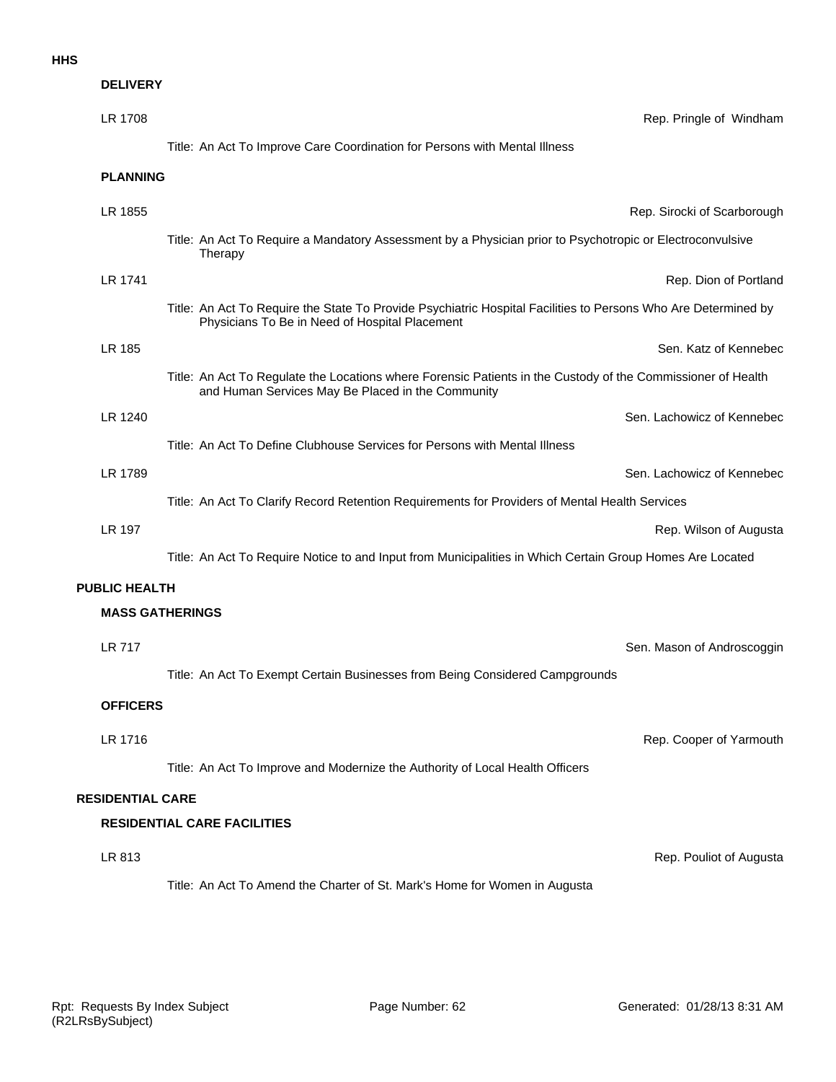#### **HHS**

| <b>DELIVERY</b>         |                                                                                                                                                                   |
|-------------------------|-------------------------------------------------------------------------------------------------------------------------------------------------------------------|
| LR 1708                 | Rep. Pringle of Windham                                                                                                                                           |
|                         | Title: An Act To Improve Care Coordination for Persons with Mental Illness                                                                                        |
| <b>PLANNING</b>         |                                                                                                                                                                   |
| LR 1855                 | Rep. Sirocki of Scarborough                                                                                                                                       |
|                         | Title: An Act To Require a Mandatory Assessment by a Physician prior to Psychotropic or Electroconvulsive<br>Therapy                                              |
| LR 1741                 | Rep. Dion of Portland                                                                                                                                             |
|                         | Title: An Act To Require the State To Provide Psychiatric Hospital Facilities to Persons Who Are Determined by<br>Physicians To Be in Need of Hospital Placement  |
| LR 185                  | Sen. Katz of Kennebec                                                                                                                                             |
|                         | Title: An Act To Regulate the Locations where Forensic Patients in the Custody of the Commissioner of Health<br>and Human Services May Be Placed in the Community |
| LR 1240                 | Sen. Lachowicz of Kennebec                                                                                                                                        |
|                         | Title: An Act To Define Clubhouse Services for Persons with Mental Illness                                                                                        |
| LR 1789                 | Sen. Lachowicz of Kennebec                                                                                                                                        |
|                         | Title: An Act To Clarify Record Retention Requirements for Providers of Mental Health Services                                                                    |
| <b>LR 197</b>           | Rep. Wilson of Augusta                                                                                                                                            |
|                         | Title: An Act To Require Notice to and Input from Municipalities in Which Certain Group Homes Are Located                                                         |
| <b>PUBLIC HEALTH</b>    |                                                                                                                                                                   |
| <b>MASS GATHERINGS</b>  |                                                                                                                                                                   |
| LR 717                  | Sen. Mason of Androscoggin                                                                                                                                        |
|                         | Title: An Act To Exempt Certain Businesses from Being Considered Campgrounds                                                                                      |
| <b>OFFICERS</b>         |                                                                                                                                                                   |
| LR 1716                 | Rep. Cooper of Yarmouth                                                                                                                                           |
|                         | Title: An Act To Improve and Modernize the Authority of Local Health Officers                                                                                     |
| <b>RESIDENTIAL CARE</b> |                                                                                                                                                                   |
|                         | <b>RESIDENTIAL CARE FACILITIES</b>                                                                                                                                |
| LR 813                  | Rep. Pouliot of Augusta                                                                                                                                           |
|                         | Title: An Act To Amend the Charter of St. Mark's Home for Women in Augusta                                                                                        |
|                         |                                                                                                                                                                   |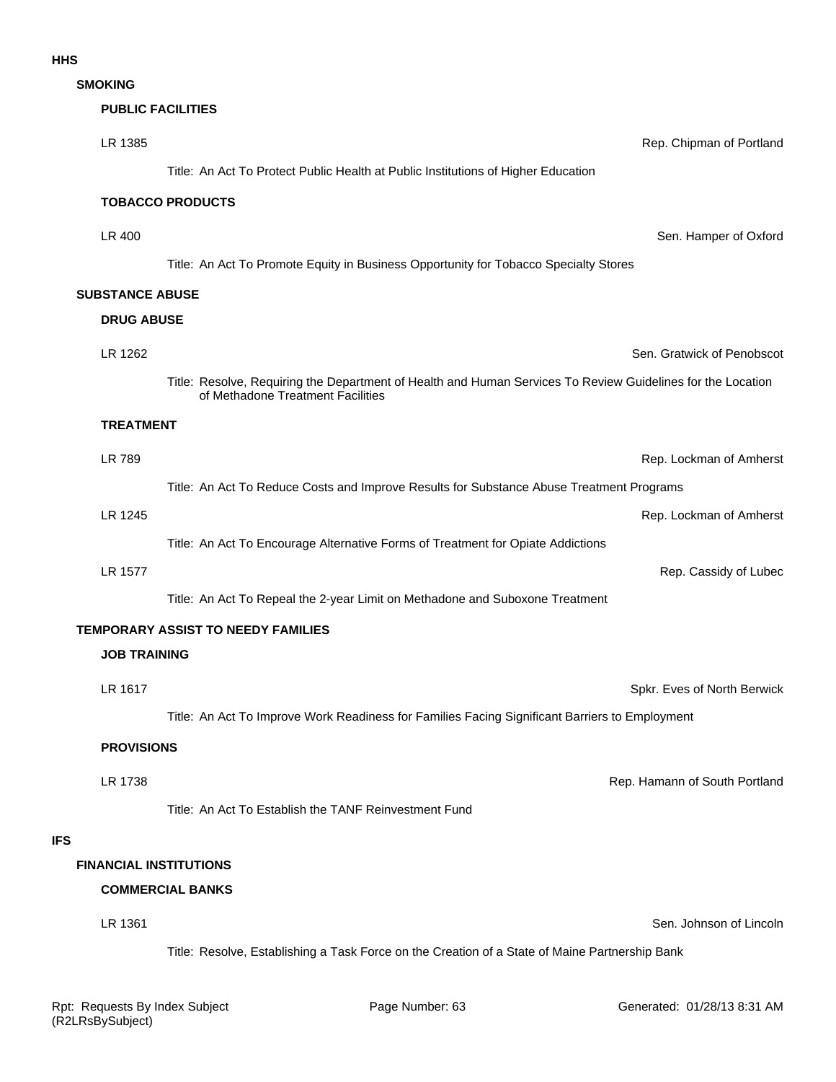**SMOKING**

# **LR 1385** Rep. Chipman of Portland **PUBLIC FACILITIES**

Title: An Act To Protect Public Health at Public Institutions of Higher Education

# **TOBACCO PRODUCTS**

LR 400 Sen. Hamper of Oxford

Title: An Act To Promote Equity in Business Opportunity for Tobacco Specialty Stores

# **SUBSTANCE ABUSE**

#### **DRUG ABUSE**

LR 1262 Sen. Gratwick of Penobscot Title: Resolve, Requiring the Department of Health and Human Services To Review Guidelines for the Location of Methadone Treatment Facilities

#### **TREATMENT**

**LR 1577 CONSIDERING A LAND CONSIDERING A LAND CONSIDERING A LAND CONSIDERING A LAND CONSIDERING A LAND CONSIDERING A LAND CONSIDERING A LAND CONSIDERING A LAND CONSIDERING A LAND CONSIDERING A LAND CONSIDERING A LAND CO** LR 1245 Rep. Lockman of Amherst Title: An Act To Encourage Alternative Forms of Treatment for Opiate Addictions LR 789 Rep. Lockman of Amherst Title: An Act To Reduce Costs and Improve Results for Substance Abuse Treatment Programs

Title: An Act To Repeal the 2-year Limit on Methadone and Suboxone Treatment

#### **TEMPORARY ASSIST TO NEEDY FAMILIES**

### **JOB TRAINING**

LR 1617 Spkr. Eves of North Berwick

Title: An Act To Improve Work Readiness for Families Facing Significant Barriers to Employment

#### **PROVISIONS**

LR 1738 **Contract Contract Contract Contract Contract Contract Contract Contract Contract Contract Contract Contract Contract Contract Contract Contract Contract Contract Contract Contract Contract Contract Contract Contra** 

Title: An Act To Establish the TANF Reinvestment Fund

#### **IFS**

#### **FINANCIAL INSTITUTIONS**

# **COMMERCIAL BANKS**

#### LR 1361 Sen. Johnson of Lincoln

Title: Resolve, Establishing a Task Force on the Creation of a State of Maine Partnership Bank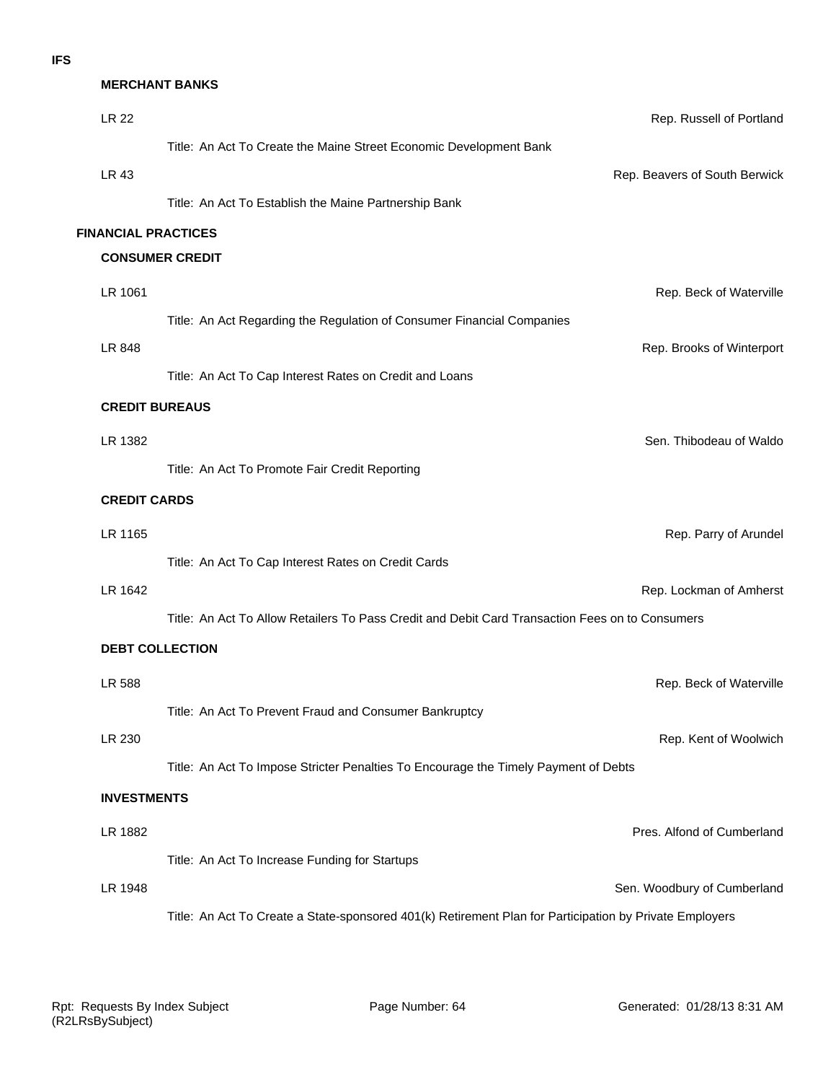#### **MERCHANT BANKS**

| <b>LR 22</b>               | Rep. Russell of Portland                                                                                |
|----------------------------|---------------------------------------------------------------------------------------------------------|
|                            | Title: An Act To Create the Maine Street Economic Development Bank                                      |
| LR 43                      | Rep. Beavers of South Berwick                                                                           |
|                            | Title: An Act To Establish the Maine Partnership Bank                                                   |
| <b>FINANCIAL PRACTICES</b> |                                                                                                         |
|                            | <b>CONSUMER CREDIT</b>                                                                                  |
| LR 1061                    | Rep. Beck of Waterville                                                                                 |
|                            | Title: An Act Regarding the Regulation of Consumer Financial Companies                                  |
| LR 848                     | Rep. Brooks of Winterport                                                                               |
|                            | Title: An Act To Cap Interest Rates on Credit and Loans                                                 |
| <b>CREDIT BUREAUS</b>      |                                                                                                         |
| LR 1382                    | Sen. Thibodeau of Waldo                                                                                 |
|                            | Title: An Act To Promote Fair Credit Reporting                                                          |
| <b>CREDIT CARDS</b>        |                                                                                                         |
| LR 1165                    | Rep. Parry of Arundel                                                                                   |
|                            | Title: An Act To Cap Interest Rates on Credit Cards                                                     |
| LR 1642                    | Rep. Lockman of Amherst                                                                                 |
|                            | Title: An Act To Allow Retailers To Pass Credit and Debit Card Transaction Fees on to Consumers         |
| <b>DEBT COLLECTION</b>     |                                                                                                         |
|                            |                                                                                                         |
| LR 588                     | Rep. Beck of Waterville                                                                                 |
|                            | Title: An Act To Prevent Fraud and Consumer Bankruptcy                                                  |
| LR 230                     | Rep. Kent of Woolwich                                                                                   |
|                            | Title: An Act To Impose Stricter Penalties To Encourage the Timely Payment of Debts                     |
| <b>INVESTMENTS</b>         |                                                                                                         |
| LR 1882                    | Pres. Alfond of Cumberland                                                                              |
|                            | Title: An Act To Increase Funding for Startups                                                          |
| LR 1948                    | Sen. Woodbury of Cumberland                                                                             |
|                            | Title: An Act To Create a State-sponsored 401(k) Retirement Plan for Participation by Private Employers |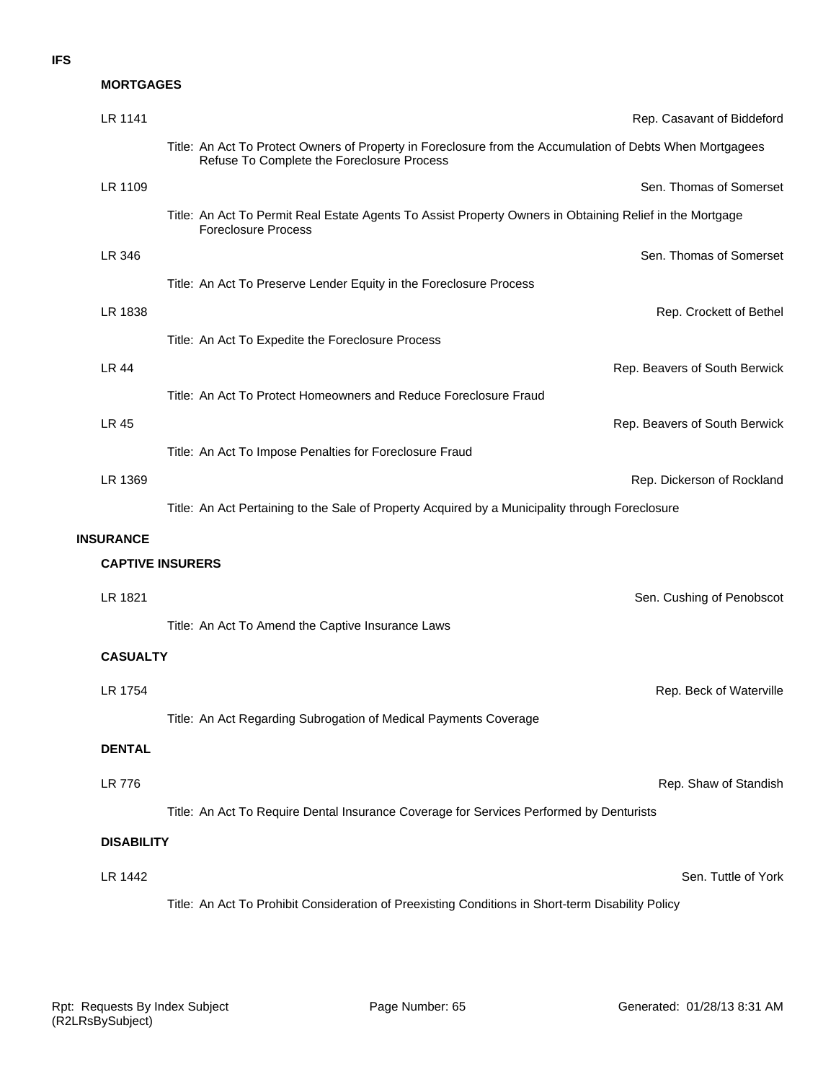#### **MORTGAGES**

| LR 1141           | Rep. Casavant of Biddeford                                                                                                                              |
|-------------------|---------------------------------------------------------------------------------------------------------------------------------------------------------|
|                   | Title: An Act To Protect Owners of Property in Foreclosure from the Accumulation of Debts When Mortgagees<br>Refuse To Complete the Foreclosure Process |
| LR 1109           | Sen. Thomas of Somerset                                                                                                                                 |
|                   | Title: An Act To Permit Real Estate Agents To Assist Property Owners in Obtaining Relief in the Mortgage<br><b>Foreclosure Process</b>                  |
| LR 346            | Sen. Thomas of Somerset                                                                                                                                 |
|                   | Title: An Act To Preserve Lender Equity in the Foreclosure Process                                                                                      |
| LR 1838           | Rep. Crockett of Bethel                                                                                                                                 |
|                   | Title: An Act To Expedite the Foreclosure Process                                                                                                       |
| <b>LR 44</b>      | Rep. Beavers of South Berwick                                                                                                                           |
|                   | Title: An Act To Protect Homeowners and Reduce Foreclosure Fraud                                                                                        |
| <b>LR 45</b>      | Rep. Beavers of South Berwick                                                                                                                           |
|                   | Title: An Act To Impose Penalties for Foreclosure Fraud                                                                                                 |
| LR 1369           | Rep. Dickerson of Rockland                                                                                                                              |
|                   | Title: An Act Pertaining to the Sale of Property Acquired by a Municipality through Foreclosure                                                         |
| <b>INSURANCE</b>  |                                                                                                                                                         |
|                   | <b>CAPTIVE INSURERS</b>                                                                                                                                 |
| LR 1821           | Sen. Cushing of Penobscot                                                                                                                               |
|                   | Title: An Act To Amend the Captive Insurance Laws                                                                                                       |
| <b>CASUALTY</b>   |                                                                                                                                                         |
| LR 1754           | Rep. Beck of Waterville                                                                                                                                 |
|                   | Title: An Act Regarding Subrogation of Medical Payments Coverage                                                                                        |
| <b>DENTAL</b>     |                                                                                                                                                         |
| <b>LR 776</b>     | Rep. Shaw of Standish                                                                                                                                   |
|                   | Title: An Act To Require Dental Insurance Coverage for Services Performed by Denturists                                                                 |
| <b>DISABILITY</b> |                                                                                                                                                         |
| LR 1442           | Sen. Tuttle of York                                                                                                                                     |
|                   |                                                                                                                                                         |
|                   | Title: An Act To Prohibit Consideration of Preexisting Conditions in Short-term Disability Policy                                                       |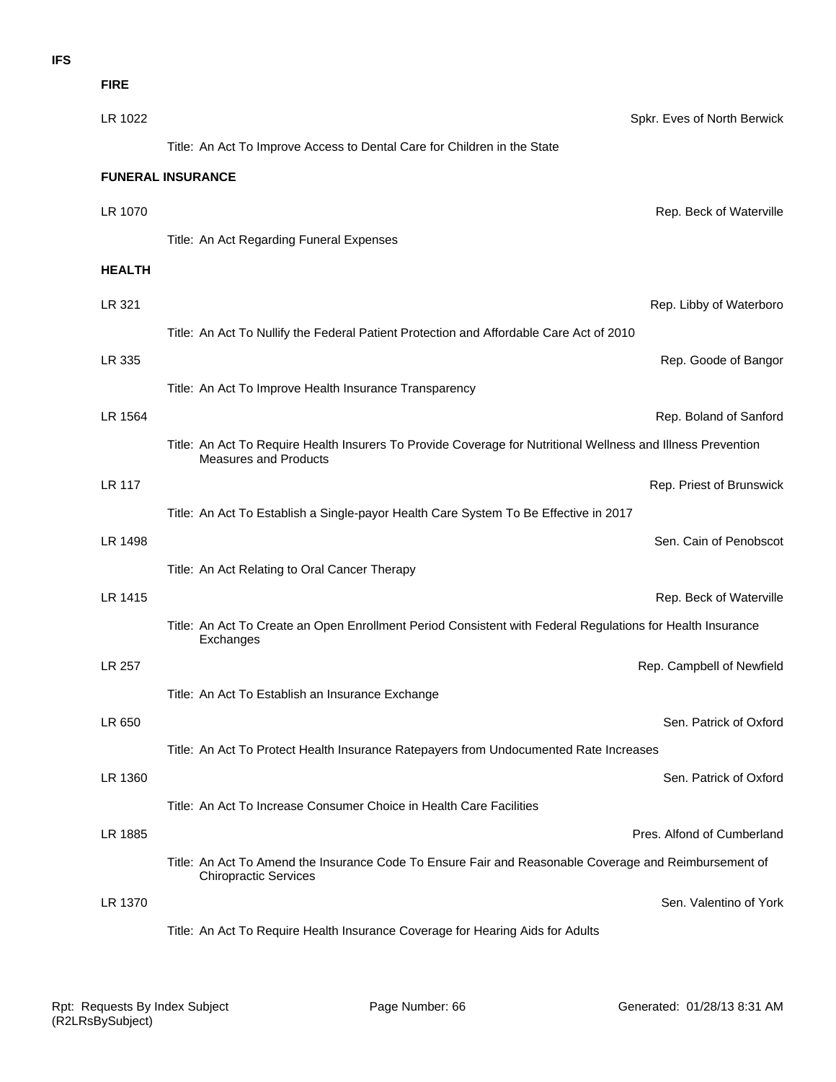**FIRE**

| LR 1022       | Spkr. Eves of North Berwick                                                                                                                  |
|---------------|----------------------------------------------------------------------------------------------------------------------------------------------|
|               | Title: An Act To Improve Access to Dental Care for Children in the State                                                                     |
|               | <b>FUNERAL INSURANCE</b>                                                                                                                     |
| LR 1070       | Rep. Beck of Waterville                                                                                                                      |
|               | Title: An Act Regarding Funeral Expenses                                                                                                     |
| <b>HEALTH</b> |                                                                                                                                              |
| LR 321        | Rep. Libby of Waterboro                                                                                                                      |
|               | Title: An Act To Nullify the Federal Patient Protection and Affordable Care Act of 2010                                                      |
| LR 335        | Rep. Goode of Bangor                                                                                                                         |
|               | Title: An Act To Improve Health Insurance Transparency                                                                                       |
| LR 1564       | Rep. Boland of Sanford                                                                                                                       |
|               | Title: An Act To Require Health Insurers To Provide Coverage for Nutritional Wellness and Illness Prevention<br><b>Measures and Products</b> |
| <b>LR 117</b> | Rep. Priest of Brunswick                                                                                                                     |
|               | Title: An Act To Establish a Single-payor Health Care System To Be Effective in 2017                                                         |
| LR 1498       | Sen. Cain of Penobscot                                                                                                                       |
|               | Title: An Act Relating to Oral Cancer Therapy                                                                                                |
| LR 1415       | Rep. Beck of Waterville                                                                                                                      |
|               | Title: An Act To Create an Open Enrollment Period Consistent with Federal Regulations for Health Insurance<br>Exchanges                      |
| LR 257        | Rep. Campbell of Newfield                                                                                                                    |
|               | Title: An Act To Establish an Insurance Exchange                                                                                             |
| LR 650        | Sen. Patrick of Oxford                                                                                                                       |
|               | Title: An Act To Protect Health Insurance Ratepayers from Undocumented Rate Increases                                                        |
| LR 1360       | Sen. Patrick of Oxford                                                                                                                       |
|               | Title: An Act To Increase Consumer Choice in Health Care Facilities                                                                          |
| LR 1885       | Pres. Alfond of Cumberland                                                                                                                   |
|               | Title: An Act To Amend the Insurance Code To Ensure Fair and Reasonable Coverage and Reimbursement of<br><b>Chiropractic Services</b>        |
| LR 1370       | Sen. Valentino of York                                                                                                                       |
|               | Title: An Act To Require Health Insurance Coverage for Hearing Aids for Adults                                                               |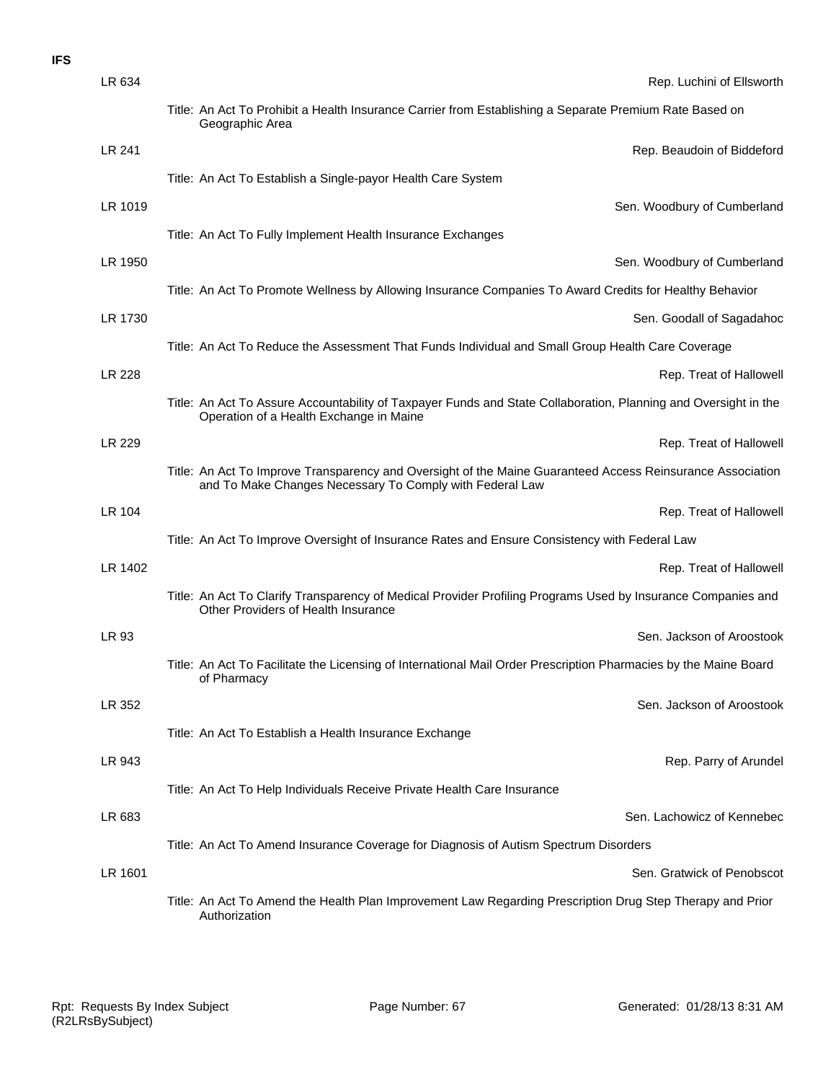| LR 634  | Rep. Luchini of Ellsworth                                                                                                                                              |
|---------|------------------------------------------------------------------------------------------------------------------------------------------------------------------------|
|         | Title: An Act To Prohibit a Health Insurance Carrier from Establishing a Separate Premium Rate Based on<br>Geographic Area                                             |
| LR 241  | Rep. Beaudoin of Biddeford                                                                                                                                             |
|         | Title: An Act To Establish a Single-payor Health Care System                                                                                                           |
| LR 1019 | Sen. Woodbury of Cumberland                                                                                                                                            |
|         | Title: An Act To Fully Implement Health Insurance Exchanges                                                                                                            |
| LR 1950 | Sen. Woodbury of Cumberland                                                                                                                                            |
|         | Title: An Act To Promote Wellness by Allowing Insurance Companies To Award Credits for Healthy Behavior                                                                |
| LR 1730 | Sen. Goodall of Sagadahoc                                                                                                                                              |
|         | Title: An Act To Reduce the Assessment That Funds Individual and Small Group Health Care Coverage                                                                      |
| LR 228  | Rep. Treat of Hallowell                                                                                                                                                |
|         | Title: An Act To Assure Accountability of Taxpayer Funds and State Collaboration, Planning and Oversight in the<br>Operation of a Health Exchange in Maine             |
| LR 229  | Rep. Treat of Hallowell                                                                                                                                                |
|         | Title: An Act To Improve Transparency and Oversight of the Maine Guaranteed Access Reinsurance Association<br>and To Make Changes Necessary To Comply with Federal Law |
| LR 104  | Rep. Treat of Hallowell                                                                                                                                                |
|         | Title: An Act To Improve Oversight of Insurance Rates and Ensure Consistency with Federal Law                                                                          |
| LR 1402 | Rep. Treat of Hallowell                                                                                                                                                |
|         | Title: An Act To Clarify Transparency of Medical Provider Profiling Programs Used by Insurance Companies and<br>Other Providers of Health Insurance                    |
| LR 93   | Sen. Jackson of Aroostook                                                                                                                                              |
|         | Title: An Act To Facilitate the Licensing of International Mail Order Prescription Pharmacies by the Maine Board<br>of Pharmacy                                        |
| LR 352  | Sen. Jackson of Aroostook                                                                                                                                              |
|         | Title: An Act To Establish a Health Insurance Exchange                                                                                                                 |
| LR 943  | Rep. Parry of Arundel                                                                                                                                                  |
|         | Title: An Act To Help Individuals Receive Private Health Care Insurance                                                                                                |
| LR 683  | Sen. Lachowicz of Kennebec                                                                                                                                             |
|         | Title: An Act To Amend Insurance Coverage for Diagnosis of Autism Spectrum Disorders                                                                                   |
| LR 1601 | Sen. Gratwick of Penobscot                                                                                                                                             |
|         | Title: An Act To Amend the Health Plan Improvement Law Regarding Prescription Drug Step Therapy and Prior<br>Authorization                                             |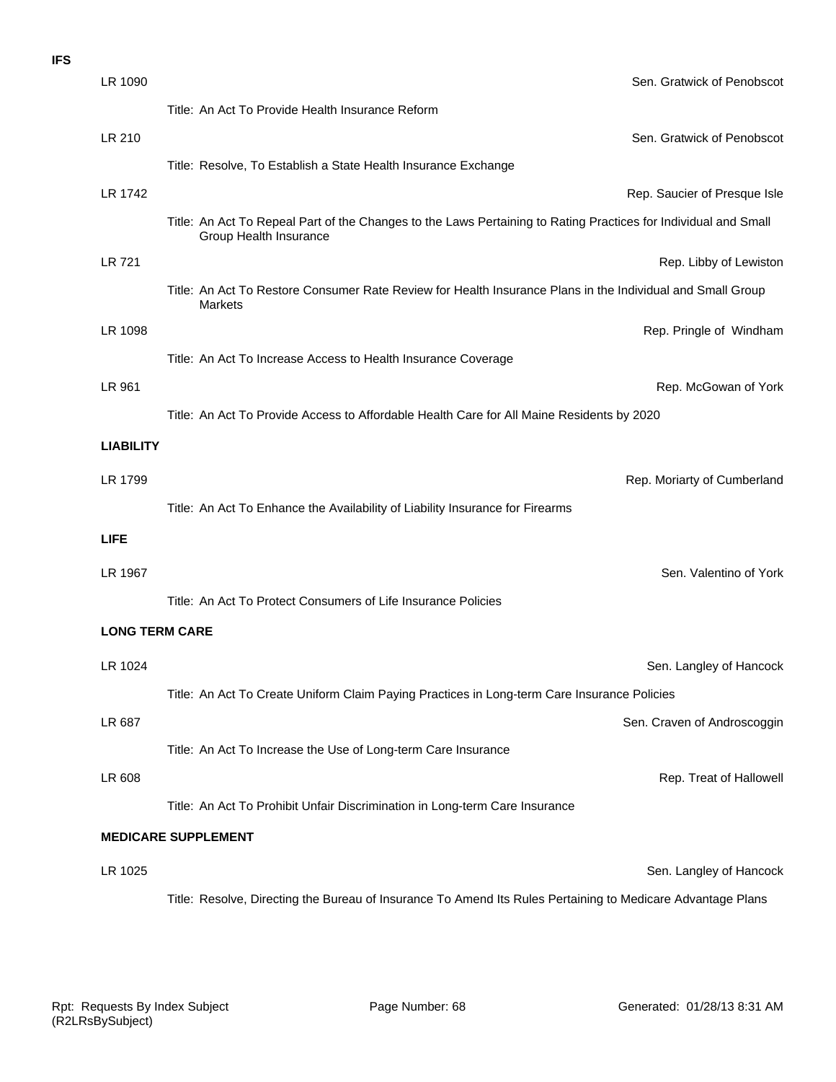| LR 1090                    | Sen. Gratwick of Penobscot                                                                                                                |
|----------------------------|-------------------------------------------------------------------------------------------------------------------------------------------|
|                            | Title: An Act To Provide Health Insurance Reform                                                                                          |
| LR 210                     | Sen. Gratwick of Penobscot                                                                                                                |
|                            | Title: Resolve, To Establish a State Health Insurance Exchange                                                                            |
| LR 1742                    | Rep. Saucier of Presque Isle                                                                                                              |
|                            | Title: An Act To Repeal Part of the Changes to the Laws Pertaining to Rating Practices for Individual and Small<br>Group Health Insurance |
| LR 721                     | Rep. Libby of Lewiston                                                                                                                    |
|                            | Title: An Act To Restore Consumer Rate Review for Health Insurance Plans in the Individual and Small Group<br>Markets                     |
| LR 1098                    | Rep. Pringle of Windham                                                                                                                   |
|                            | Title: An Act To Increase Access to Health Insurance Coverage                                                                             |
| LR 961                     | Rep. McGowan of York                                                                                                                      |
|                            | Title: An Act To Provide Access to Affordable Health Care for All Maine Residents by 2020                                                 |
| <b>LIABILITY</b>           |                                                                                                                                           |
| LR 1799                    | Rep. Moriarty of Cumberland                                                                                                               |
|                            | Title: An Act To Enhance the Availability of Liability Insurance for Firearms                                                             |
| <b>LIFE</b>                |                                                                                                                                           |
| LR 1967                    | Sen. Valentino of York                                                                                                                    |
|                            | Title: An Act To Protect Consumers of Life Insurance Policies                                                                             |
| <b>LONG TERM CARE</b>      |                                                                                                                                           |
| LR 1024                    | Sen. Langley of Hancock                                                                                                                   |
|                            | Title: An Act To Create Uniform Claim Paying Practices in Long-term Care Insurance Policies                                               |
| LR 687                     | Sen. Craven of Androscoggin                                                                                                               |
|                            | Title: An Act To Increase the Use of Long-term Care Insurance                                                                             |
| LR 608                     | Rep. Treat of Hallowell                                                                                                                   |
|                            | Title: An Act To Prohibit Unfair Discrimination in Long-term Care Insurance                                                               |
| <b>MEDICARE SUPPLEMENT</b> |                                                                                                                                           |
| LR 1025                    | Sen. Langley of Hancock                                                                                                                   |
|                            | Title: Resolve, Directing the Bureau of Insurance To Amend Its Rules Pertaining to Medicare Advantage Plans                               |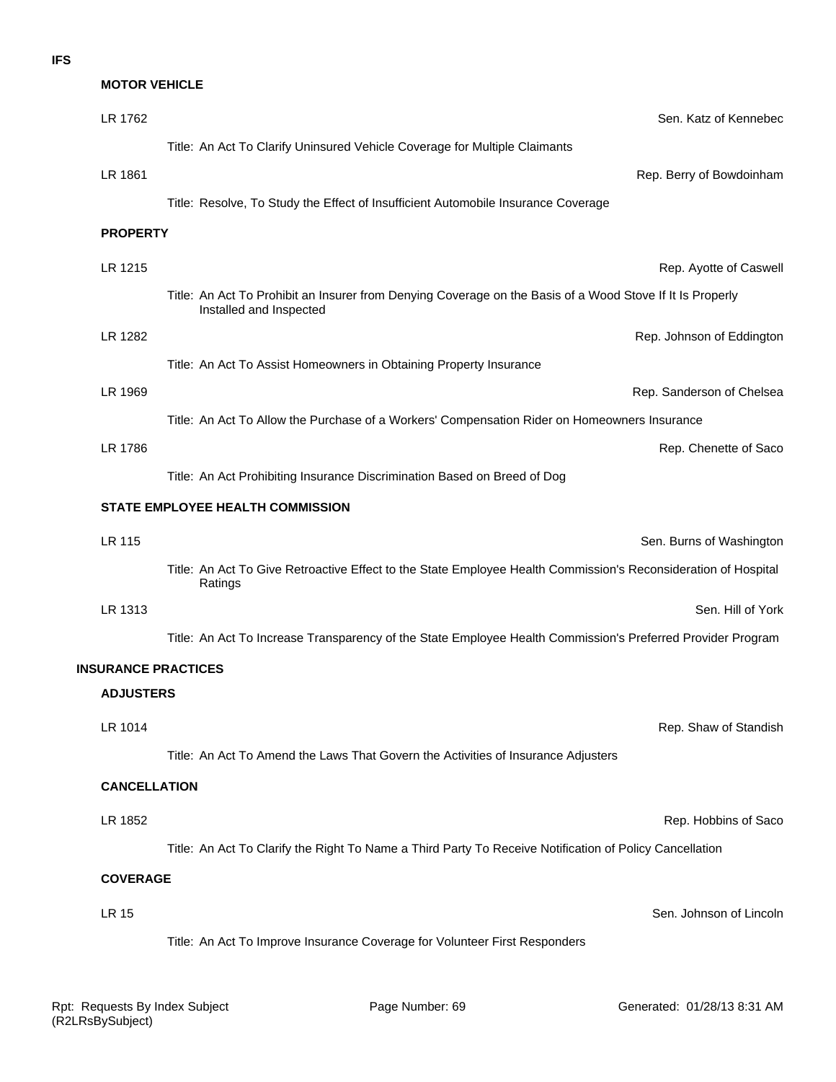# **MOTOR VEHICLE**

| LR 1762                    | Sen. Katz of Kennebec                                                                                                                |
|----------------------------|--------------------------------------------------------------------------------------------------------------------------------------|
|                            | Title: An Act To Clarify Uninsured Vehicle Coverage for Multiple Claimants                                                           |
| LR 1861                    | Rep. Berry of Bowdoinham                                                                                                             |
|                            | Title: Resolve, To Study the Effect of Insufficient Automobile Insurance Coverage                                                    |
| <b>PROPERTY</b>            |                                                                                                                                      |
| LR 1215                    | Rep. Ayotte of Caswell                                                                                                               |
|                            | Title: An Act To Prohibit an Insurer from Denying Coverage on the Basis of a Wood Stove If It Is Properly<br>Installed and Inspected |
| LR 1282                    | Rep. Johnson of Eddington                                                                                                            |
|                            | Title: An Act To Assist Homeowners in Obtaining Property Insurance                                                                   |
| LR 1969                    | Rep. Sanderson of Chelsea                                                                                                            |
|                            | Title: An Act To Allow the Purchase of a Workers' Compensation Rider on Homeowners Insurance                                         |
| LR 1786                    | Rep. Chenette of Saco                                                                                                                |
|                            | Title: An Act Prohibiting Insurance Discrimination Based on Breed of Dog                                                             |
|                            | STATE EMPLOYEE HEALTH COMMISSION                                                                                                     |
| LR 115                     | Sen. Burns of Washington                                                                                                             |
|                            | Title: An Act To Give Retroactive Effect to the State Employee Health Commission's Reconsideration of Hospital<br>Ratings            |
| LR 1313                    | Sen. Hill of York                                                                                                                    |
|                            | Title: An Act To Increase Transparency of the State Employee Health Commission's Preferred Provider Program                          |
| <b>INSURANCE PRACTICES</b> |                                                                                                                                      |
| <b>ADJUSTERS</b>           |                                                                                                                                      |
| LR 1014                    | Rep. Shaw of Standish                                                                                                                |
|                            | Title: An Act To Amend the Laws That Govern the Activities of Insurance Adjusters                                                    |
| <b>CANCELLATION</b>        |                                                                                                                                      |
| LR 1852                    | Rep. Hobbins of Saco                                                                                                                 |
|                            | Title: An Act To Clarify the Right To Name a Third Party To Receive Notification of Policy Cancellation                              |
| <b>COVERAGE</b>            |                                                                                                                                      |
| LR 15                      | Sen. Johnson of Lincoln                                                                                                              |
|                            | Title: An Act To Improve Insurance Coverage for Volunteer First Responders                                                           |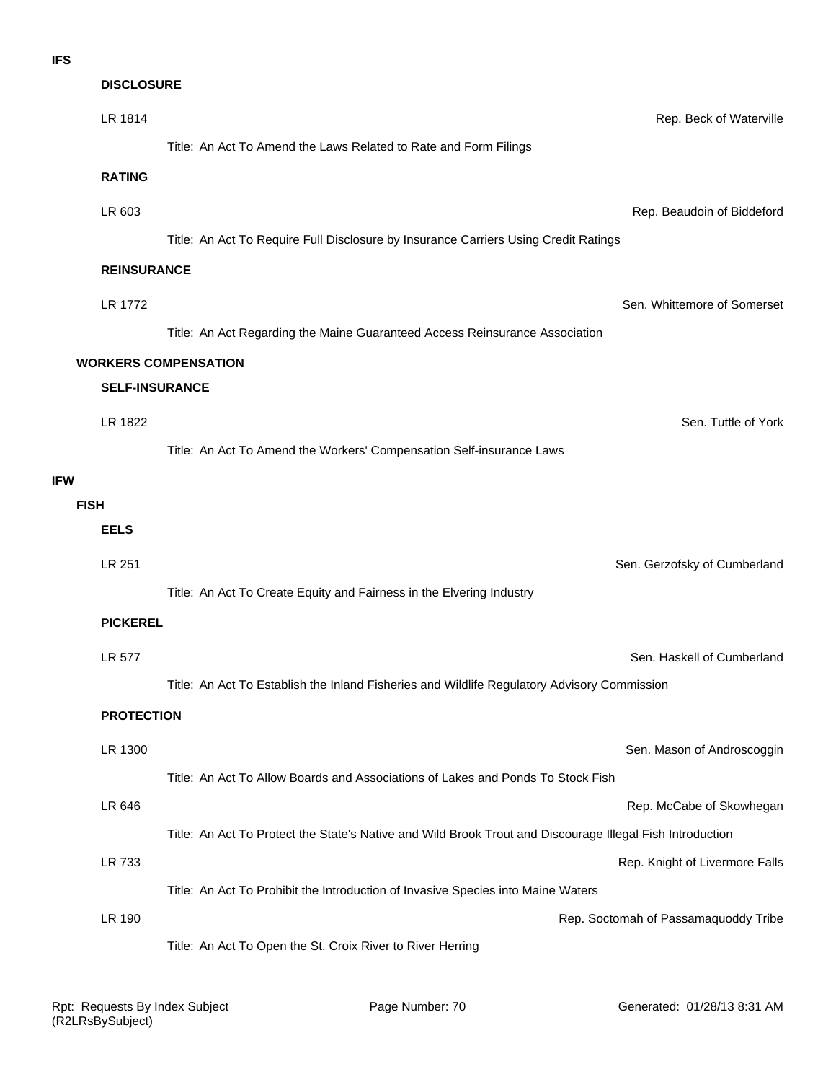|             | <b>DISCLOSURE</b>     |                                                                                                           |
|-------------|-----------------------|-----------------------------------------------------------------------------------------------------------|
|             | LR 1814               | Rep. Beck of Waterville                                                                                   |
|             |                       | Title: An Act To Amend the Laws Related to Rate and Form Filings                                          |
|             | <b>RATING</b>         |                                                                                                           |
|             | LR 603                | Rep. Beaudoin of Biddeford                                                                                |
|             |                       | Title: An Act To Require Full Disclosure by Insurance Carriers Using Credit Ratings                       |
|             | <b>REINSURANCE</b>    |                                                                                                           |
|             | <b>LR 1772</b>        | Sen. Whittemore of Somerset                                                                               |
|             |                       | Title: An Act Regarding the Maine Guaranteed Access Reinsurance Association                               |
|             |                       | <b>WORKERS COMPENSATION</b>                                                                               |
|             | <b>SELF-INSURANCE</b> |                                                                                                           |
|             | LR 1822               | Sen. Tuttle of York                                                                                       |
|             |                       | Title: An Act To Amend the Workers' Compensation Self-insurance Laws                                      |
| <b>IFW</b>  |                       |                                                                                                           |
| <b>FISH</b> |                       |                                                                                                           |
|             | <b>EELS</b>           |                                                                                                           |
|             | LR 251                | Sen. Gerzofsky of Cumberland                                                                              |
|             |                       | Title: An Act To Create Equity and Fairness in the Elvering Industry                                      |
|             | <b>PICKEREL</b>       |                                                                                                           |
|             | LR 577                | Sen. Haskell of Cumberland                                                                                |
|             |                       | Title: An Act To Establish the Inland Fisheries and Wildlife Regulatory Advisory Commission               |
|             | <b>PROTECTION</b>     |                                                                                                           |
|             | LR 1300               | Sen. Mason of Androscoggin                                                                                |
|             |                       | Title: An Act To Allow Boards and Associations of Lakes and Ponds To Stock Fish                           |
|             | LR 646                | Rep. McCabe of Skowhegan                                                                                  |
|             |                       | Title: An Act To Protect the State's Native and Wild Brook Trout and Discourage Illegal Fish Introduction |
|             | LR 733                | Rep. Knight of Livermore Falls                                                                            |
|             |                       | Title: An Act To Prohibit the Introduction of Invasive Species into Maine Waters                          |
|             | LR 190                | Rep. Soctomah of Passamaquoddy Tribe                                                                      |
|             |                       | Title: An Act To Open the St. Croix River to River Herring                                                |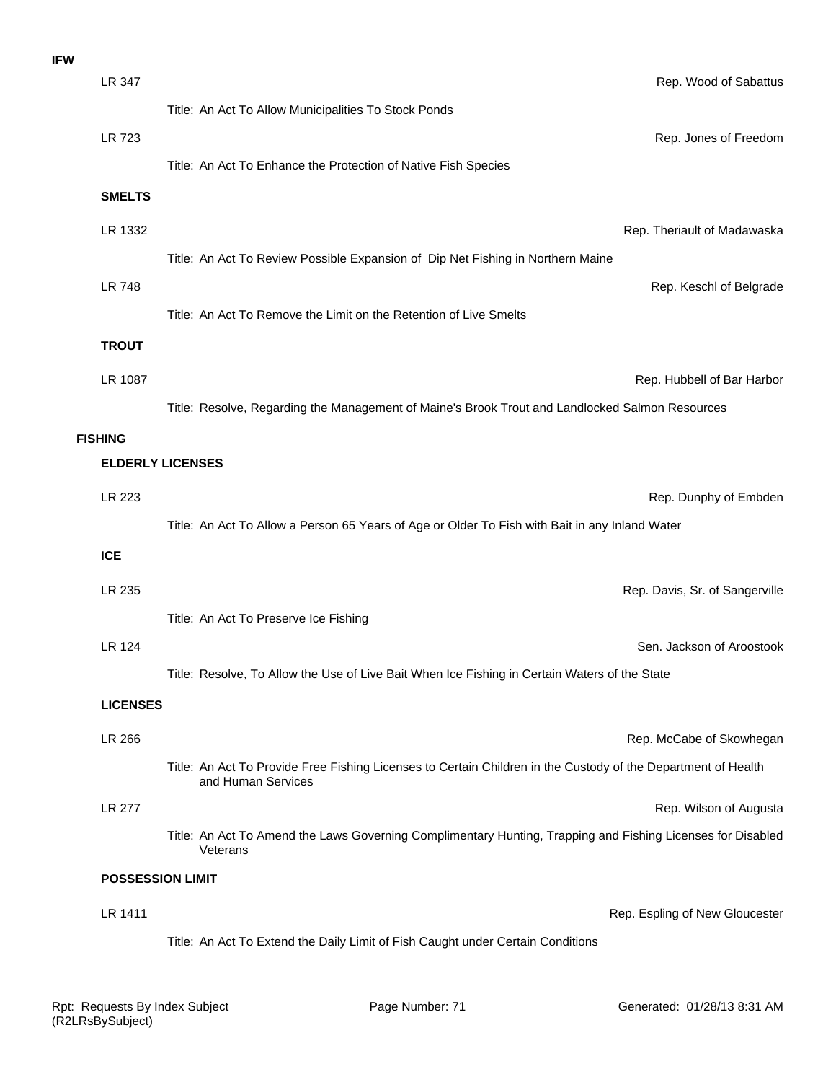| <b>IFW</b> |                         |                                                                                                                                     |                                |
|------------|-------------------------|-------------------------------------------------------------------------------------------------------------------------------------|--------------------------------|
|            | LR 347                  |                                                                                                                                     | Rep. Wood of Sabattus          |
|            |                         | Title: An Act To Allow Municipalities To Stock Ponds                                                                                |                                |
|            | <b>LR 723</b>           |                                                                                                                                     | Rep. Jones of Freedom          |
|            |                         | Title: An Act To Enhance the Protection of Native Fish Species                                                                      |                                |
|            | <b>SMELTS</b>           |                                                                                                                                     |                                |
|            | LR 1332                 |                                                                                                                                     | Rep. Theriault of Madawaska    |
|            |                         | Title: An Act To Review Possible Expansion of Dip Net Fishing in Northern Maine                                                     |                                |
|            | <b>LR 748</b>           |                                                                                                                                     | Rep. Keschl of Belgrade        |
|            |                         | Title: An Act To Remove the Limit on the Retention of Live Smelts                                                                   |                                |
|            | <b>TROUT</b>            |                                                                                                                                     |                                |
|            | LR 1087                 |                                                                                                                                     | Rep. Hubbell of Bar Harbor     |
|            |                         | Title: Resolve, Regarding the Management of Maine's Brook Trout and Landlocked Salmon Resources                                     |                                |
|            | <b>FISHING</b>          |                                                                                                                                     |                                |
|            |                         | <b>ELDERLY LICENSES</b>                                                                                                             |                                |
|            | LR 223                  |                                                                                                                                     | Rep. Dunphy of Embden          |
|            |                         | Title: An Act To Allow a Person 65 Years of Age or Older To Fish with Bait in any Inland Water                                      |                                |
|            | <b>ICE</b>              |                                                                                                                                     |                                |
|            | LR 235                  |                                                                                                                                     | Rep. Davis, Sr. of Sangerville |
|            |                         | Title: An Act To Preserve Ice Fishing                                                                                               |                                |
|            | LR 124                  |                                                                                                                                     | Sen. Jackson of Aroostook      |
|            |                         | Title: Resolve, To Allow the Use of Live Bait When Ice Fishing in Certain Waters of the State                                       |                                |
|            | <b>LICENSES</b>         |                                                                                                                                     |                                |
|            | LR 266                  |                                                                                                                                     | Rep. McCabe of Skowhegan       |
|            |                         | Title: An Act To Provide Free Fishing Licenses to Certain Children in the Custody of the Department of Health<br>and Human Services |                                |
|            | <b>LR 277</b>           |                                                                                                                                     | Rep. Wilson of Augusta         |
|            |                         | Title: An Act To Amend the Laws Governing Complimentary Hunting, Trapping and Fishing Licenses for Disabled<br>Veterans             |                                |
|            | <b>POSSESSION LIMIT</b> |                                                                                                                                     |                                |
|            | LR 1411                 |                                                                                                                                     | Rep. Espling of New Gloucester |
|            |                         | Title: An Act To Extend the Daily Limit of Fish Caught under Certain Conditions                                                     |                                |
|            |                         |                                                                                                                                     |                                |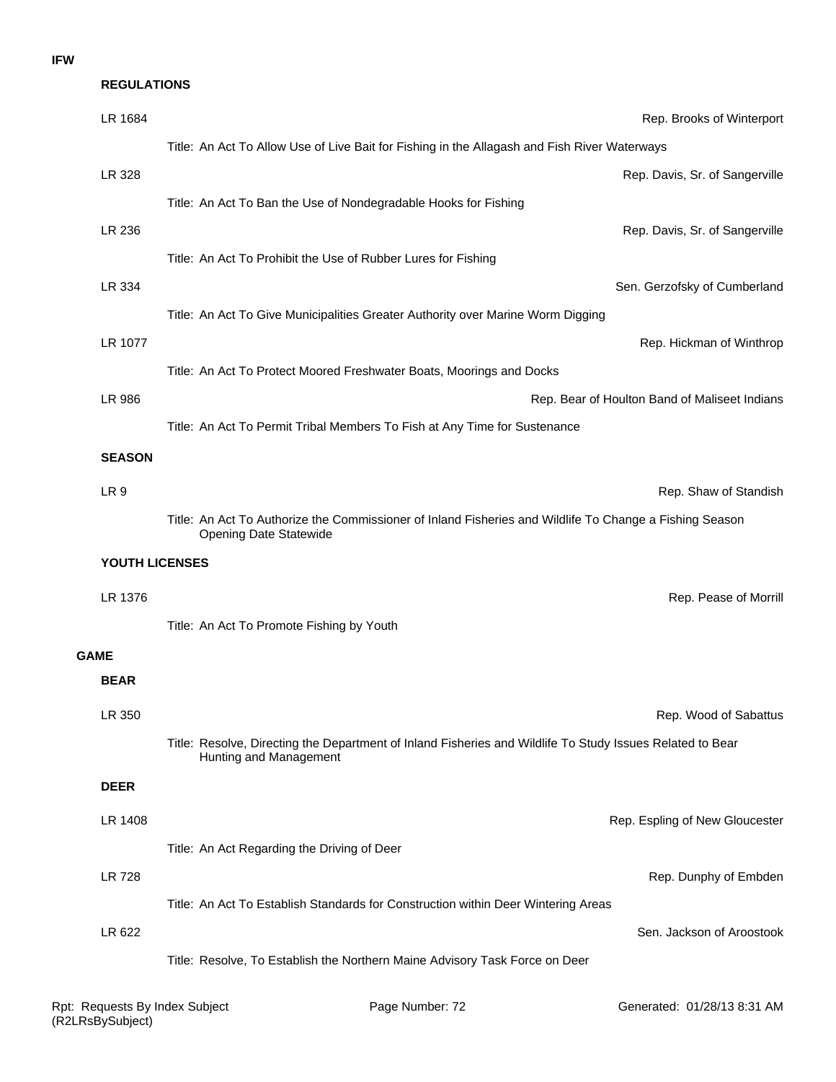| <b>REGULATIONS</b> |                                                                                                                                     |
|--------------------|-------------------------------------------------------------------------------------------------------------------------------------|
| LR 1684            | Rep. Brooks of Winterport                                                                                                           |
|                    | Title: An Act To Allow Use of Live Bait for Fishing in the Allagash and Fish River Waterways                                        |
| LR 328             | Rep. Davis, Sr. of Sangerville                                                                                                      |
|                    | Title: An Act To Ban the Use of Nondegradable Hooks for Fishing                                                                     |
| LR 236             | Rep. Davis, Sr. of Sangerville                                                                                                      |
|                    | Title: An Act To Prohibit the Use of Rubber Lures for Fishing                                                                       |
| LR 334             | Sen. Gerzofsky of Cumberland                                                                                                        |
|                    | Title: An Act To Give Municipalities Greater Authority over Marine Worm Digging                                                     |
| LR 1077            | Rep. Hickman of Winthrop                                                                                                            |
|                    | Title: An Act To Protect Moored Freshwater Boats, Moorings and Docks                                                                |
| LR 986             | Rep. Bear of Houlton Band of Maliseet Indians                                                                                       |
|                    | Title: An Act To Permit Tribal Members To Fish at Any Time for Sustenance                                                           |
| <b>SEASON</b>      |                                                                                                                                     |
| LR <sub>9</sub>    | Rep. Shaw of Standish                                                                                                               |
|                    | Title: An Act To Authorize the Commissioner of Inland Fisheries and Wildlife To Change a Fishing Season<br>Opening Date Statewide   |
| YOUTH LICENSES     |                                                                                                                                     |
| LR 1376            | Rep. Pease of Morrill                                                                                                               |
|                    | Title: An Act To Promote Fishing by Youth                                                                                           |
| <b>GAME</b>        |                                                                                                                                     |
| <b>BEAR</b>        |                                                                                                                                     |
| LR 350             | Rep. Wood of Sabattus                                                                                                               |
|                    | Title: Resolve, Directing the Department of Inland Fisheries and Wildlife To Study Issues Related to Bear<br>Hunting and Management |
| <b>DEER</b>        |                                                                                                                                     |
| LR 1408            | Rep. Espling of New Gloucester                                                                                                      |
|                    | Title: An Act Regarding the Driving of Deer                                                                                         |
| <b>LR 728</b>      | Rep. Dunphy of Embden                                                                                                               |
|                    | Title: An Act To Establish Standards for Construction within Deer Wintering Areas                                                   |
| LR 622             | Sen. Jackson of Aroostook                                                                                                           |
|                    | Title: Resolve, To Establish the Northern Maine Advisory Task Force on Deer                                                         |
|                    |                                                                                                                                     |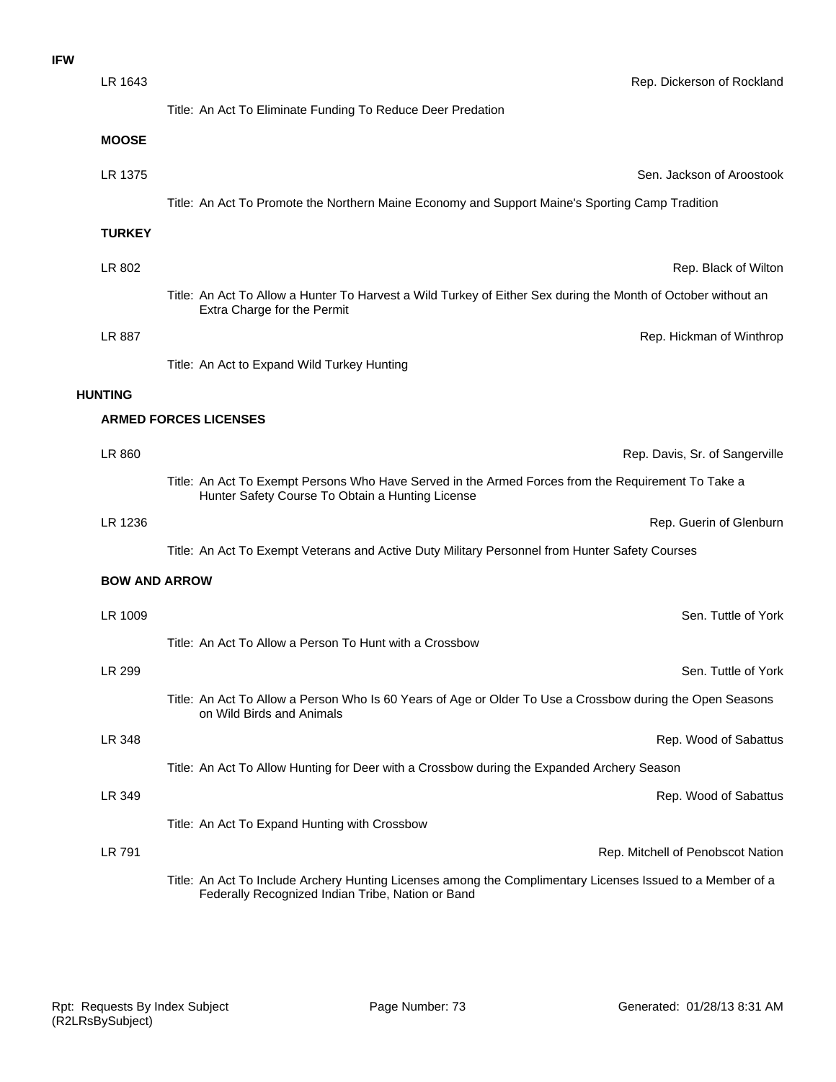| <b>IFW</b> |                      |                                                                                                                                                        |
|------------|----------------------|--------------------------------------------------------------------------------------------------------------------------------------------------------|
|            | LR 1643              | Rep. Dickerson of Rockland                                                                                                                             |
|            |                      | Title: An Act To Eliminate Funding To Reduce Deer Predation                                                                                            |
|            | <b>MOOSE</b>         |                                                                                                                                                        |
|            | LR 1375              | Sen. Jackson of Aroostook                                                                                                                              |
|            |                      | Title: An Act To Promote the Northern Maine Economy and Support Maine's Sporting Camp Tradition                                                        |
|            | <b>TURKEY</b>        |                                                                                                                                                        |
|            | LR 802               | Rep. Black of Wiltor                                                                                                                                   |
|            |                      | Title: An Act To Allow a Hunter To Harvest a Wild Turkey of Either Sex during the Month of October without an<br>Extra Charge for the Permit           |
|            | LR 887               | Rep. Hickman of Winthrop                                                                                                                               |
|            |                      | Title: An Act to Expand Wild Turkey Hunting                                                                                                            |
|            | <b>HUNTING</b>       |                                                                                                                                                        |
|            |                      | <b>ARMED FORCES LICENSES</b>                                                                                                                           |
|            | LR 860               | Rep. Davis, Sr. of Sangerville                                                                                                                         |
|            |                      | Title: An Act To Exempt Persons Who Have Served in the Armed Forces from the Requirement To Take a<br>Hunter Safety Course To Obtain a Hunting License |
|            | LR 1236              | Rep. Guerin of Glenburr                                                                                                                                |
|            |                      | Title: An Act To Exempt Veterans and Active Duty Military Personnel from Hunter Safety Courses                                                         |
|            | <b>BOW AND ARROW</b> |                                                                                                                                                        |
|            | LR 1009              | Sen. Tuttle of York                                                                                                                                    |
|            |                      | Title: An Act To Allow a Person To Hunt with a Crossbow                                                                                                |
|            | LR 299               | Sen. Tuttle of York                                                                                                                                    |
|            |                      | Title: An Act To Allow a Person Who Is 60 Years of Age or Older To Use a Crossbow during the Open Seasons<br>on Wild Birds and Animals                 |
|            | LR 348               | Rep. Wood of Sabattus                                                                                                                                  |
|            |                      | Title: An Act To Allow Hunting for Deer with a Crossbow during the Expanded Archery Season                                                             |
|            | LR 349               | Rep. Wood of Sabattus                                                                                                                                  |
|            |                      | Title: An Act To Expand Hunting with Crossbow                                                                                                          |
|            | LR 791               | Rep. Mitchell of Penobscot Nation                                                                                                                      |

Title: An Act To Include Archery Hunting Licenses among the Complimentary Licenses Issued to a Member of a Federally Recognized Indian Tribe, Nation or Band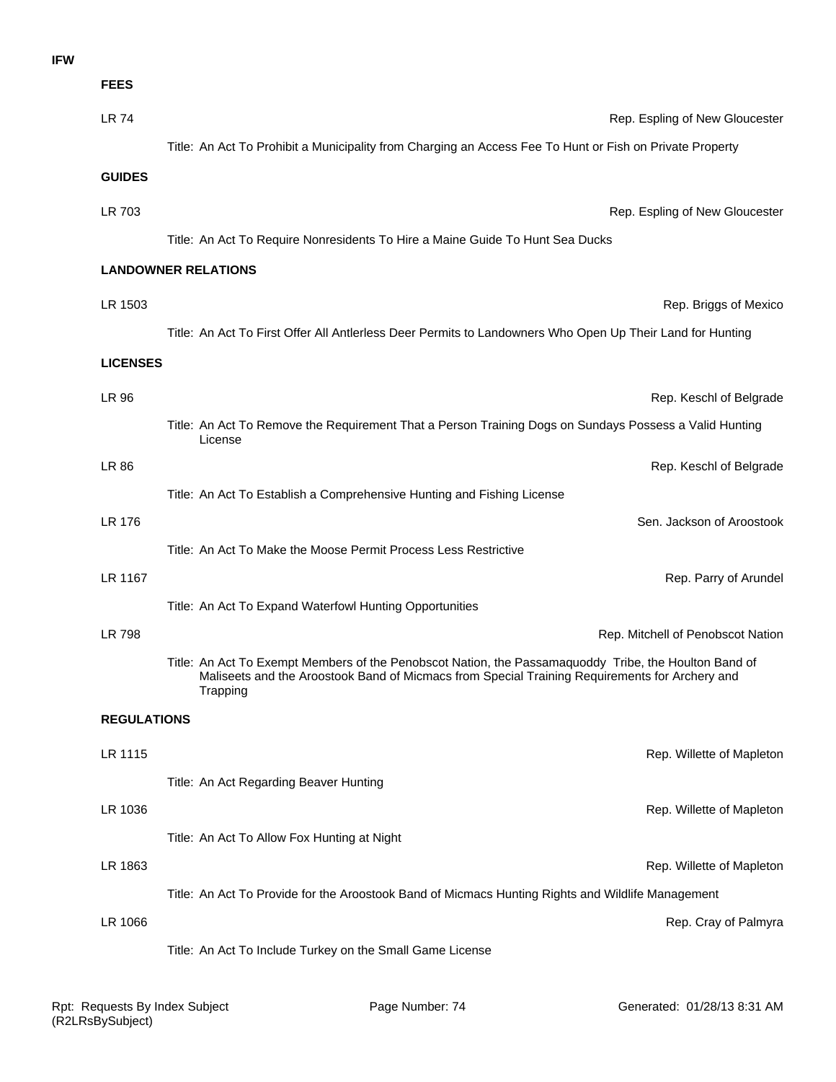#### **IFW**

| <b>FEES</b>        |                                                                                                                                                                                                                     |
|--------------------|---------------------------------------------------------------------------------------------------------------------------------------------------------------------------------------------------------------------|
| <b>LR 74</b>       | Rep. Espling of New Gloucester                                                                                                                                                                                      |
|                    | Title: An Act To Prohibit a Municipality from Charging an Access Fee To Hunt or Fish on Private Property                                                                                                            |
| <b>GUIDES</b>      |                                                                                                                                                                                                                     |
| LR 703             | Rep. Espling of New Gloucester                                                                                                                                                                                      |
|                    | Title: An Act To Require Nonresidents To Hire a Maine Guide To Hunt Sea Ducks                                                                                                                                       |
|                    | <b>LANDOWNER RELATIONS</b>                                                                                                                                                                                          |
|                    |                                                                                                                                                                                                                     |
| LR 1503            | Rep. Briggs of Mexico                                                                                                                                                                                               |
|                    | Title: An Act To First Offer All Antlerless Deer Permits to Landowners Who Open Up Their Land for Hunting                                                                                                           |
| <b>LICENSES</b>    |                                                                                                                                                                                                                     |
| LR 96              | Rep. Keschl of Belgrade                                                                                                                                                                                             |
|                    | Title: An Act To Remove the Requirement That a Person Training Dogs on Sundays Possess a Valid Hunting<br>License                                                                                                   |
| LR 86              | Rep. Keschl of Belgrade                                                                                                                                                                                             |
|                    | Title: An Act To Establish a Comprehensive Hunting and Fishing License                                                                                                                                              |
| LR 176             | Sen. Jackson of Aroostook                                                                                                                                                                                           |
|                    | Title: An Act To Make the Moose Permit Process Less Restrictive                                                                                                                                                     |
| LR 1167            | Rep. Parry of Arundel                                                                                                                                                                                               |
|                    | Title: An Act To Expand Waterfowl Hunting Opportunities                                                                                                                                                             |
| LR 798             | Rep. Mitchell of Penobscot Nation                                                                                                                                                                                   |
|                    | Title: An Act To Exempt Members of the Penobscot Nation, the Passamaquoddy Tribe, the Houlton Band of<br>Maliseets and the Aroostook Band of Micmacs from Special Training Requirements for Archery and<br>Trapping |
| <b>REGULATIONS</b> |                                                                                                                                                                                                                     |
| LR 1115            | Rep. Willette of Mapleton                                                                                                                                                                                           |
|                    | Title: An Act Regarding Beaver Hunting                                                                                                                                                                              |
| LR 1036            | Rep. Willette of Mapleton                                                                                                                                                                                           |
|                    | Title: An Act To Allow Fox Hunting at Night                                                                                                                                                                         |
| LR 1863            | Rep. Willette of Mapleton                                                                                                                                                                                           |
|                    | Title: An Act To Provide for the Aroostook Band of Micmacs Hunting Rights and Wildlife Management                                                                                                                   |
| LR 1066            | Rep. Cray of Palmyra                                                                                                                                                                                                |
|                    | Title: An Act To Include Turkey on the Small Game License                                                                                                                                                           |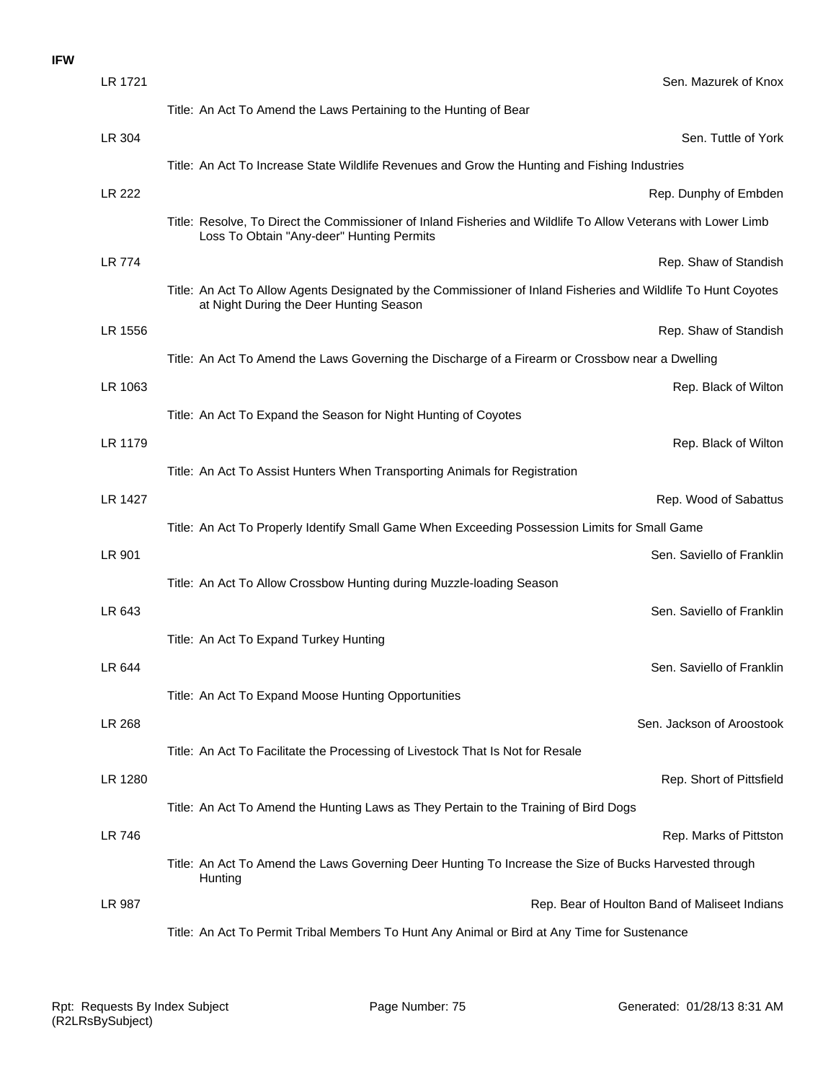#### **IFW**

| LR 1721       | Sen. Mazurek of Knox                                                                                                                                       |
|---------------|------------------------------------------------------------------------------------------------------------------------------------------------------------|
|               | Title: An Act To Amend the Laws Pertaining to the Hunting of Bear                                                                                          |
| LR 304        | Sen. Tuttle of York                                                                                                                                        |
|               | Title: An Act To Increase State Wildlife Revenues and Grow the Hunting and Fishing Industries                                                              |
| <b>LR 222</b> | Rep. Dunphy of Embden                                                                                                                                      |
|               | Title: Resolve, To Direct the Commissioner of Inland Fisheries and Wildlife To Allow Veterans with Lower Limb<br>Loss To Obtain "Any-deer" Hunting Permits |
| <b>LR 774</b> | Rep. Shaw of Standish                                                                                                                                      |
|               | Title: An Act To Allow Agents Designated by the Commissioner of Inland Fisheries and Wildlife To Hunt Coyotes<br>at Night During the Deer Hunting Season   |
| LR 1556       | Rep. Shaw of Standish                                                                                                                                      |
|               | Title: An Act To Amend the Laws Governing the Discharge of a Firearm or Crossbow near a Dwelling                                                           |
| LR 1063       | Rep. Black of Wilton                                                                                                                                       |
|               | Title: An Act To Expand the Season for Night Hunting of Coyotes                                                                                            |
| LR 1179       | Rep. Black of Wilton                                                                                                                                       |
|               | Title: An Act To Assist Hunters When Transporting Animals for Registration                                                                                 |
| LR 1427       | Rep. Wood of Sabattus                                                                                                                                      |
|               | Title: An Act To Properly Identify Small Game When Exceeding Possession Limits for Small Game                                                              |
| LR 901        | Sen. Saviello of Franklin                                                                                                                                  |
|               | Title: An Act To Allow Crossbow Hunting during Muzzle-loading Season                                                                                       |
| LR 643        | Sen. Saviello of Franklin                                                                                                                                  |
|               | Title: An Act To Expand Turkey Hunting                                                                                                                     |
| LR 644        | Sen. Saviello of Franklin                                                                                                                                  |
|               | Title: An Act To Expand Moose Hunting Opportunities                                                                                                        |
| LR 268        | Sen. Jackson of Aroostook                                                                                                                                  |
|               | Title: An Act To Facilitate the Processing of Livestock That Is Not for Resale                                                                             |
| LR 1280       | Rep. Short of Pittsfield                                                                                                                                   |
|               | Title: An Act To Amend the Hunting Laws as They Pertain to the Training of Bird Dogs                                                                       |
| <b>LR 746</b> | Rep. Marks of Pittston                                                                                                                                     |
|               | Title: An Act To Amend the Laws Governing Deer Hunting To Increase the Size of Bucks Harvested through<br>Hunting                                          |
| LR 987        | Rep. Bear of Houlton Band of Maliseet Indians                                                                                                              |
|               | Title: An Act To Permit Tribal Members To Hunt Any Animal or Bird at Any Time for Sustenance                                                               |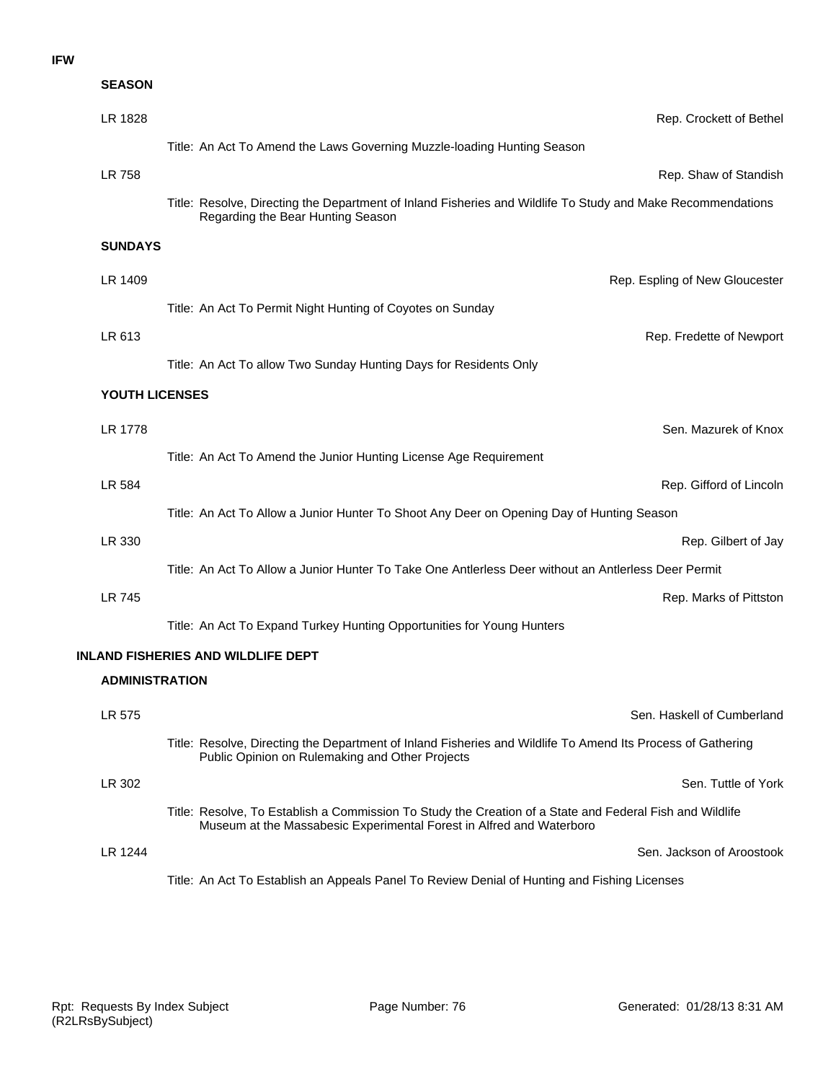#### **IFW**

| <b>SEASON</b>         |                                                                                                                                                                                  |
|-----------------------|----------------------------------------------------------------------------------------------------------------------------------------------------------------------------------|
| LR 1828               | Rep. Crockett of Bethel                                                                                                                                                          |
|                       | Title: An Act To Amend the Laws Governing Muzzle-loading Hunting Season                                                                                                          |
| LR 758                | Rep. Shaw of Standish                                                                                                                                                            |
|                       | Title: Resolve, Directing the Department of Inland Fisheries and Wildlife To Study and Make Recommendations<br>Regarding the Bear Hunting Season                                 |
| <b>SUNDAYS</b>        |                                                                                                                                                                                  |
| LR 1409               | Rep. Espling of New Gloucester                                                                                                                                                   |
|                       | Title: An Act To Permit Night Hunting of Coyotes on Sunday                                                                                                                       |
| LR 613                | Rep. Fredette of Newport                                                                                                                                                         |
|                       | Title: An Act To allow Two Sunday Hunting Days for Residents Only                                                                                                                |
| YOUTH LICENSES        |                                                                                                                                                                                  |
| LR 1778               | Sen. Mazurek of Knox                                                                                                                                                             |
|                       | Title: An Act To Amend the Junior Hunting License Age Requirement                                                                                                                |
| LR 584                | Rep. Gifford of Lincoln                                                                                                                                                          |
|                       | Title: An Act To Allow a Junior Hunter To Shoot Any Deer on Opening Day of Hunting Season                                                                                        |
| LR 330                | Rep. Gilbert of Jay                                                                                                                                                              |
|                       | Title: An Act To Allow a Junior Hunter To Take One Antlerless Deer without an Antlerless Deer Permit                                                                             |
| <b>LR 745</b>         | Rep. Marks of Pittston                                                                                                                                                           |
|                       | Title: An Act To Expand Turkey Hunting Opportunities for Young Hunters                                                                                                           |
|                       | <b>INLAND FISHERIES AND WILDLIFE DEPT</b>                                                                                                                                        |
| <b>ADMINISTRATION</b> |                                                                                                                                                                                  |
| LR 575                | Sen. Haskell of Cumberland                                                                                                                                                       |
|                       | Title: Resolve, Directing the Department of Inland Fisheries and Wildlife To Amend Its Process of Gathering<br>Public Opinion on Rulemaking and Other Projects                   |
| LR 302                | Sen. Tuttle of York                                                                                                                                                              |
|                       | Title: Resolve, To Establish a Commission To Study the Creation of a State and Federal Fish and Wildlife<br>Museum at the Massabesic Experimental Forest in Alfred and Waterboro |
| <b>LR 1244</b>        | Sen. Jackson of Aroostook                                                                                                                                                        |
|                       | Title: An Act To Establish an Appeals Panel To Review Denial of Hunting and Fishing Licenses                                                                                     |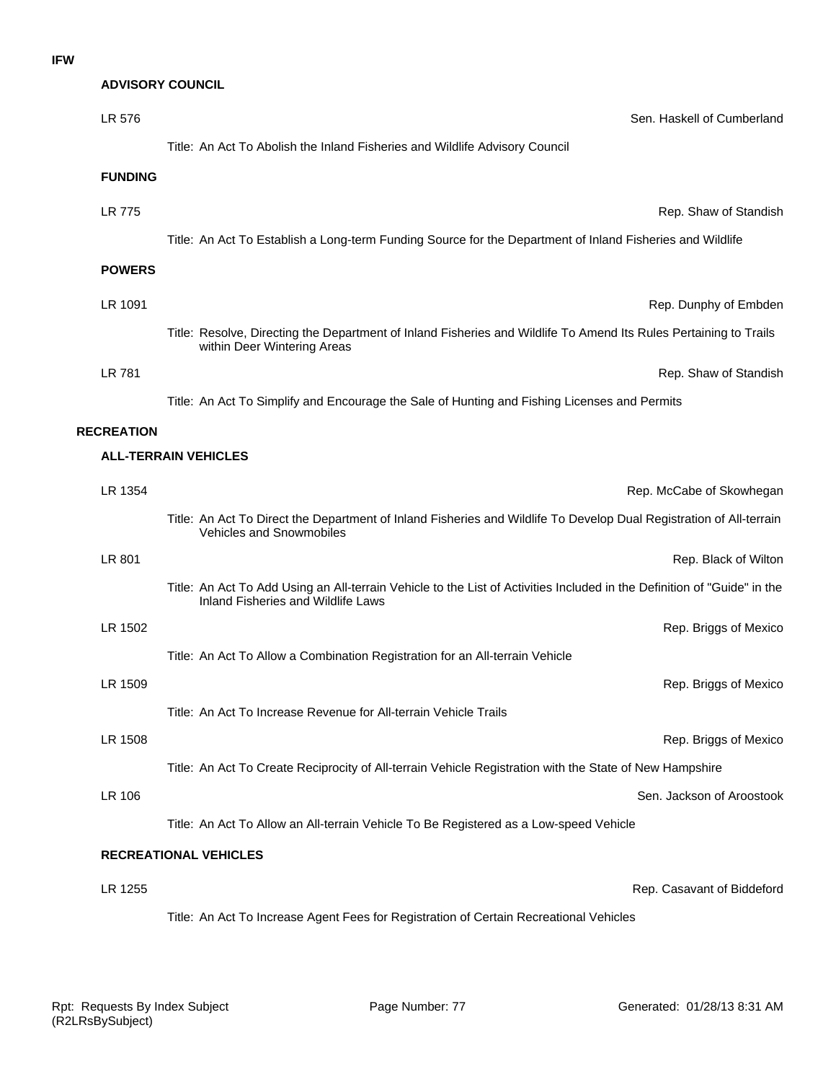## **ADVISORY COUNCIL**

| LR 576            | Sen. Haskell of Cumberland                                                                                                                                     |
|-------------------|----------------------------------------------------------------------------------------------------------------------------------------------------------------|
|                   | Title: An Act To Abolish the Inland Fisheries and Wildlife Advisory Council                                                                                    |
| <b>FUNDING</b>    |                                                                                                                                                                |
| <b>LR 775</b>     | Rep. Shaw of Standish                                                                                                                                          |
|                   | Title: An Act To Establish a Long-term Funding Source for the Department of Inland Fisheries and Wildlife                                                      |
| <b>POWERS</b>     |                                                                                                                                                                |
| LR 1091           | Rep. Dunphy of Embden                                                                                                                                          |
|                   | Title: Resolve, Directing the Department of Inland Fisheries and Wildlife To Amend Its Rules Pertaining to Trails                                              |
|                   | within Deer Wintering Areas                                                                                                                                    |
| LR 781            | Rep. Shaw of Standish                                                                                                                                          |
|                   | Title: An Act To Simplify and Encourage the Sale of Hunting and Fishing Licenses and Permits                                                                   |
| <b>RECREATION</b> |                                                                                                                                                                |
|                   | <b>ALL-TERRAIN VEHICLES</b>                                                                                                                                    |
| LR 1354           | Rep. McCabe of Skowhegan                                                                                                                                       |
|                   | Title: An Act To Direct the Department of Inland Fisheries and Wildlife To Develop Dual Registration of All-terrain<br>Vehicles and Snowmobiles                |
| LR 801            | Rep. Black of Wilton                                                                                                                                           |
|                   | Title: An Act To Add Using an All-terrain Vehicle to the List of Activities Included in the Definition of "Guide" in the<br>Inland Fisheries and Wildlife Laws |
| LR 1502           | Rep. Briggs of Mexico                                                                                                                                          |
|                   | Title: An Act To Allow a Combination Registration for an All-terrain Vehicle                                                                                   |
| LR 1509           | Rep. Briggs of Mexico                                                                                                                                          |
|                   | Title: An Act To Increase Revenue for All-terrain Vehicle Trails                                                                                               |
| LR 1508           | Rep. Briggs of Mexico                                                                                                                                          |
|                   | Title: An Act To Create Reciprocity of All-terrain Vehicle Registration with the State of New Hampshire                                                        |
| LR 106            | Sen. Jackson of Aroostook                                                                                                                                      |
|                   | Title: An Act To Allow an All-terrain Vehicle To Be Registered as a Low-speed Vehicle                                                                          |
|                   | <b>RECREATIONAL VEHICLES</b>                                                                                                                                   |
| LR 1255           | Rep. Casavant of Biddeford                                                                                                                                     |
|                   | Title: An Act To Increase Agent Fees for Registration of Certain Recreational Vehicles                                                                         |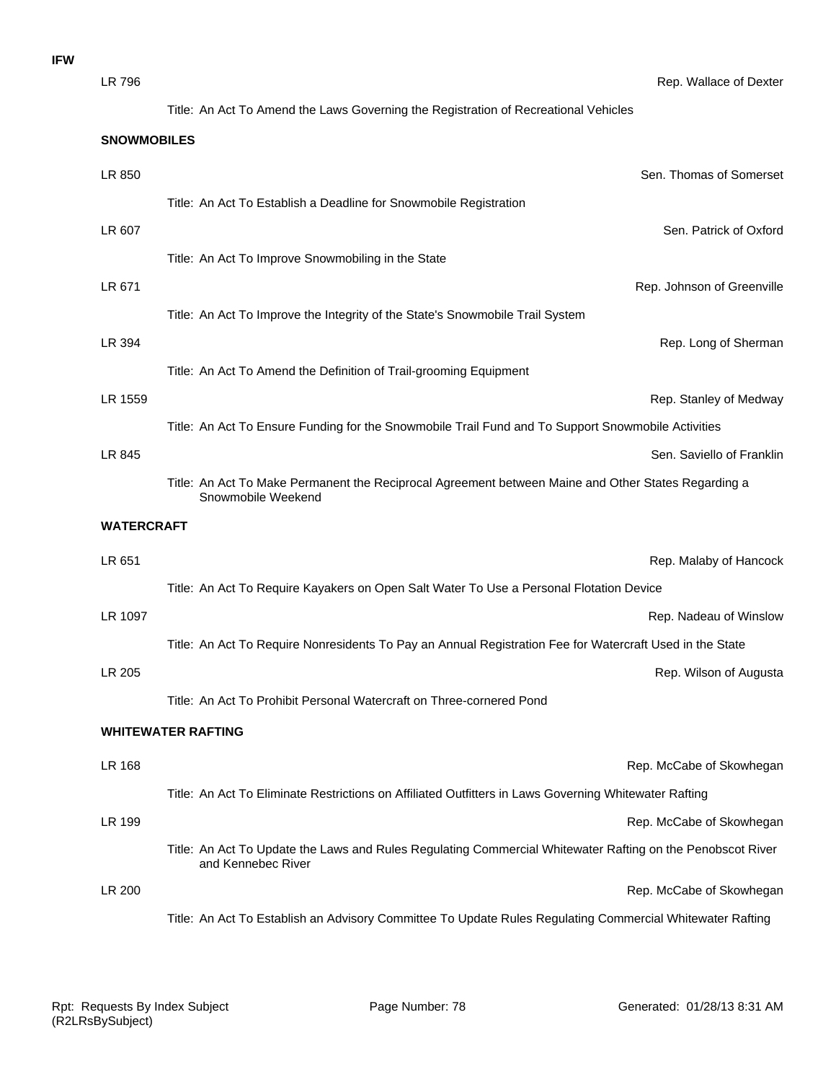| LR 796             | Rep. Wallace of Dexter                                                                                                           |
|--------------------|----------------------------------------------------------------------------------------------------------------------------------|
|                    | Title: An Act To Amend the Laws Governing the Registration of Recreational Vehicles                                              |
| <b>SNOWMOBILES</b> |                                                                                                                                  |
| LR 850             | Sen. Thomas of Somerset                                                                                                          |
|                    | Title: An Act To Establish a Deadline for Snowmobile Registration                                                                |
| LR 607             | Sen. Patrick of Oxford                                                                                                           |
|                    | Title: An Act To Improve Snowmobiling in the State                                                                               |
| LR 671             | Rep. Johnson of Greenville                                                                                                       |
|                    | Title: An Act To Improve the Integrity of the State's Snowmobile Trail System                                                    |
| LR 394             | Rep. Long of Sherman                                                                                                             |
|                    | Title: An Act To Amend the Definition of Trail-grooming Equipment                                                                |
| LR 1559            | Rep. Stanley of Medway                                                                                                           |
|                    | Title: An Act To Ensure Funding for the Snowmobile Trail Fund and To Support Snowmobile Activities                               |
| LR 845             | Sen. Saviello of Franklin                                                                                                        |
|                    | Title: An Act To Make Permanent the Reciprocal Agreement between Maine and Other States Regarding a<br>Snowmobile Weekend        |
| <b>WATERCRAFT</b>  |                                                                                                                                  |
| LR 651             | Rep. Malaby of Hancock                                                                                                           |
|                    | Title: An Act To Require Kayakers on Open Salt Water To Use a Personal Flotation Device                                          |
| LR 1097            | Rep. Nadeau of Winslow                                                                                                           |
|                    | Title: An Act To Require Nonresidents To Pay an Annual Registration Fee for Watercraft Used in the State                         |
| LR 205             |                                                                                                                                  |
|                    |                                                                                                                                  |
|                    | Rep. Wilson of Augusta<br>Title: An Act To Prohibit Personal Watercraft on Three-cornered Pond                                   |
|                    | <b>WHITEWATER RAFTING</b>                                                                                                        |
|                    |                                                                                                                                  |
| LR 168             | Rep. McCabe of Skowhegan                                                                                                         |
|                    | Title: An Act To Eliminate Restrictions on Affiliated Outfitters in Laws Governing Whitewater Rafting                            |
| LR 199             | Rep. McCabe of Skowhegan                                                                                                         |
|                    | Title: An Act To Update the Laws and Rules Regulating Commercial Whitewater Rafting on the Penobscot River<br>and Kennebec River |
| LR 200             | Rep. McCabe of Skowhegan                                                                                                         |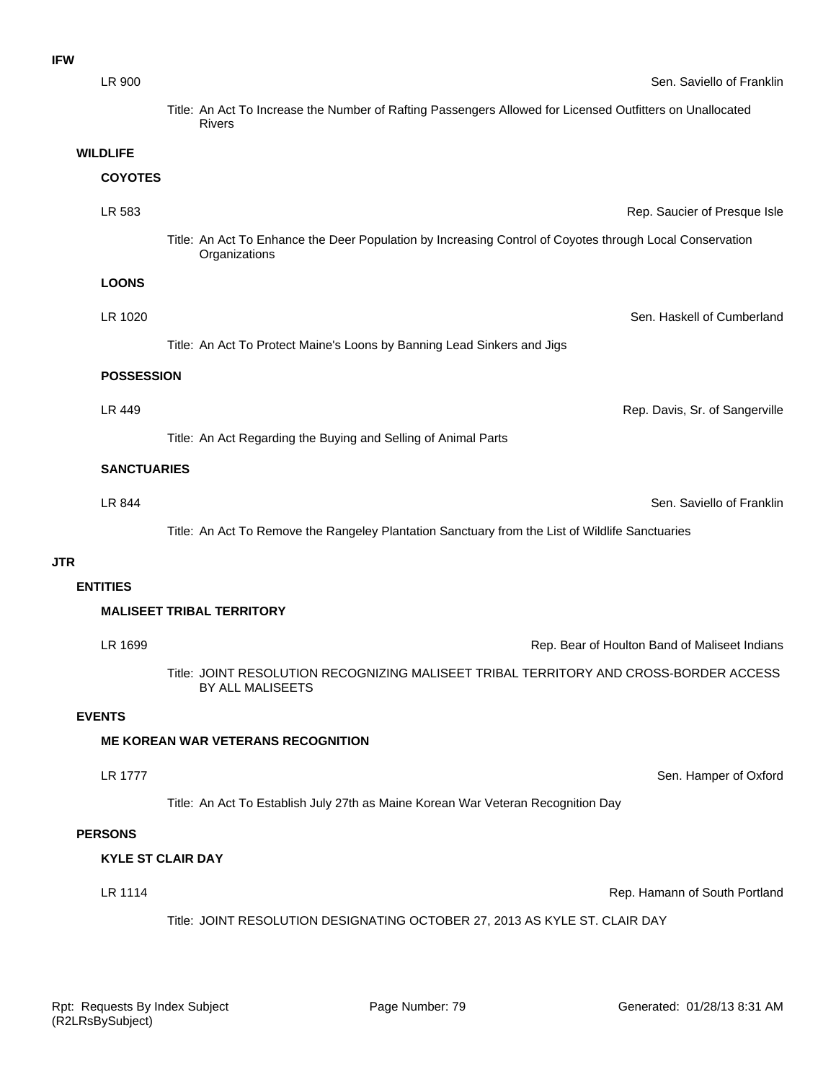| <b>IFW</b>      |                    |                                                                                                                            |
|-----------------|--------------------|----------------------------------------------------------------------------------------------------------------------------|
|                 | LR 900             | Sen. Saviello of Franklin                                                                                                  |
|                 |                    | Title: An Act To Increase the Number of Rafting Passengers Allowed for Licensed Outfitters on Unallocated<br><b>Rivers</b> |
| <b>WILDLIFE</b> |                    |                                                                                                                            |
|                 | <b>COYOTES</b>     |                                                                                                                            |
|                 | LR 583             | Rep. Saucier of Presque Isle                                                                                               |
|                 |                    | Title: An Act To Enhance the Deer Population by Increasing Control of Coyotes through Local Conservation<br>Organizations  |
|                 | <b>LOONS</b>       |                                                                                                                            |
|                 | LR 1020            | Sen. Haskell of Cumberland                                                                                                 |
|                 |                    | Title: An Act To Protect Maine's Loons by Banning Lead Sinkers and Jigs                                                    |
|                 | <b>POSSESSION</b>  |                                                                                                                            |
|                 | LR 449             | Rep. Davis, Sr. of Sangerville                                                                                             |
|                 |                    | Title: An Act Regarding the Buying and Selling of Animal Parts                                                             |
|                 | <b>SANCTUARIES</b> |                                                                                                                            |
|                 | LR 844             | Sen. Saviello of Franklin                                                                                                  |
|                 |                    | Title: An Act To Remove the Rangeley Plantation Sanctuary from the List of Wildlife Sanctuaries                            |
| <b>JTR</b>      |                    |                                                                                                                            |
| <b>ENTITIES</b> |                    |                                                                                                                            |
|                 |                    | <b>MALISEET TRIBAL TERRITORY</b>                                                                                           |
|                 | LR 1699            | Rep. Bear of Houlton Band of Maliseet Indians                                                                              |
|                 |                    | Title: JOINT RESOLUTION RECOGNIZING MALISEET TRIBAL TERRITORY AND CROSS-BORDER ACCESS<br>BY ALL MALISEETS                  |
| <b>EVENTS</b>   |                    |                                                                                                                            |
|                 |                    | <b>ME KOREAN WAR VETERANS RECOGNITION</b>                                                                                  |
|                 | <b>LR 1777</b>     | Sen. Hamper of Oxford                                                                                                      |
|                 |                    | Title: An Act To Establish July 27th as Maine Korean War Veteran Recognition Day                                           |
| <b>PERSONS</b>  |                    |                                                                                                                            |
|                 |                    | <b>KYLE ST CLAIR DAY</b>                                                                                                   |
|                 | LR 1114            | Rep. Hamann of South Portland                                                                                              |
|                 |                    | Title: JOINT RESOLUTION DESIGNATING OCTOBER 27, 2013 AS KYLE ST. CLAIR DAY                                                 |
|                 |                    |                                                                                                                            |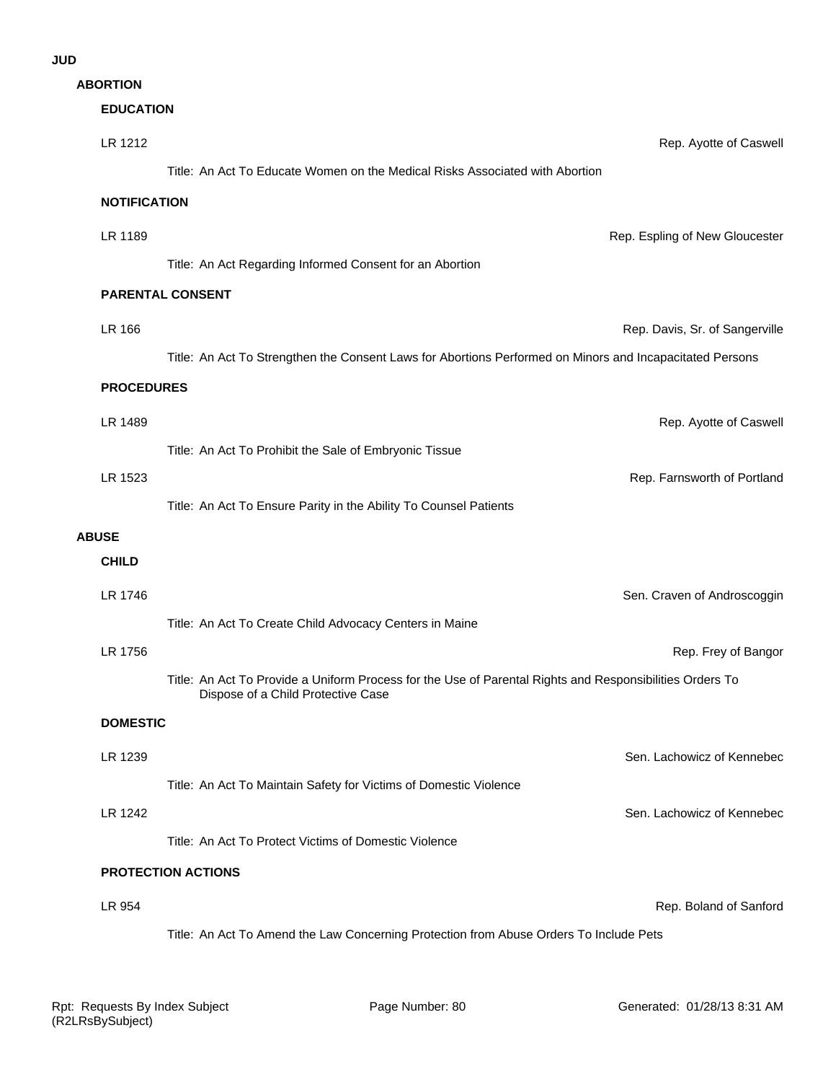| Rep. Ayotte of Caswel                                                                                    |
|----------------------------------------------------------------------------------------------------------|
| Title: An Act To Educate Women on the Medical Risks Associated with Abortion                             |
|                                                                                                          |
| Rep. Espling of New Gloucester                                                                           |
|                                                                                                          |
|                                                                                                          |
| Rep. Davis, Sr. of Sangerville                                                                           |
| Title: An Act To Strengthen the Consent Laws for Abortions Performed on Minors and Incapacitated Persons |
|                                                                                                          |
| Rep. Ayotte of Caswel                                                                                    |
|                                                                                                          |
| Rep. Farnsworth of Portland                                                                              |
|                                                                                                          |
|                                                                                                          |
|                                                                                                          |
| Sen. Craven of Androscoggir                                                                              |
|                                                                                                          |
| Rep. Frey of Bangor                                                                                      |
| Title: An Act To Provide a Uniform Process for the Use of Parental Rights and Responsibilities Orders To |
|                                                                                                          |
| Sen. Lachowicz of Kennebed                                                                               |
|                                                                                                          |
| Sen. Lachowicz of Kennebed                                                                               |
|                                                                                                          |
|                                                                                                          |
| Rep. Boland of Sanford                                                                                   |
| Title: An Act To Amend the Law Concerning Protection from Abuse Orders To Include Pets                   |
|                                                                                                          |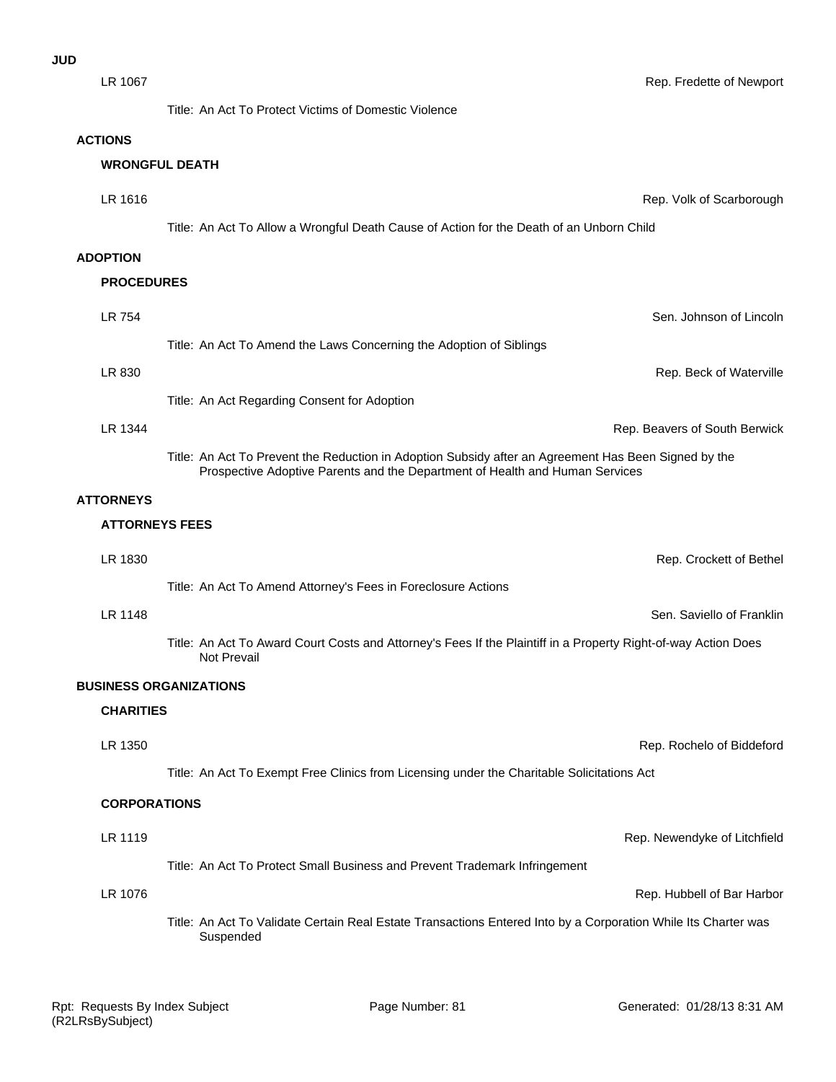LR 1076 Rep. Hubbell of Bar Harbor LR 1119 **Example 20 Telecombination** Controller Controller Controller Controller Controller Controller Controller Controller Controller Controller Controller Controller Controller Controller Controller Controller Controlle Title: An Act To Protect Small Business and Prevent Trademark Infringement **CORPORATIONS** LR 1350 Rep. Rochelo of Biddeford Title: An Act To Exempt Free Clinics from Licensing under the Charitable Solicitations Act **CHARITIES BUSINESS ORGANIZATIONS** LR 1148 Sen. Saviello of Franklin Title: An Act To Award Court Costs and Attorney's Fees If the Plaintiff in a Property Right-of-way Action Does Not Prevail Title: An Act To Amend Attorney's Fees in Foreclosure Actions LR 1830 Rep. Crockett of Bethel **ATTORNEYS FEES ATTORNEYS** LR 1344 Rep. Beavers of South Berwick Title: An Act To Prevent the Reduction in Adoption Subsidy after an Agreement Has Been Signed by the Prospective Adoptive Parents and the Department of Health and Human Services **LR 830** Rep. Beck of Waterville Title: An Act Regarding Consent for Adoption LR 754 Sen. Johnson of Lincoln Title: An Act To Amend the Laws Concerning the Adoption of Siblings **PROCEDURES ADOPTION** LR 1616 Rep. Volk of Scarborough Title: An Act To Allow a Wrongful Death Cause of Action for the Death of an Unborn Child **WRONGFUL DEATH ACTIONS** LR 1067 Rep. Fredette of Newport Title: An Act To Protect Victims of Domestic Violence

> Title: An Act To Validate Certain Real Estate Transactions Entered Into by a Corporation While Its Charter was Suspended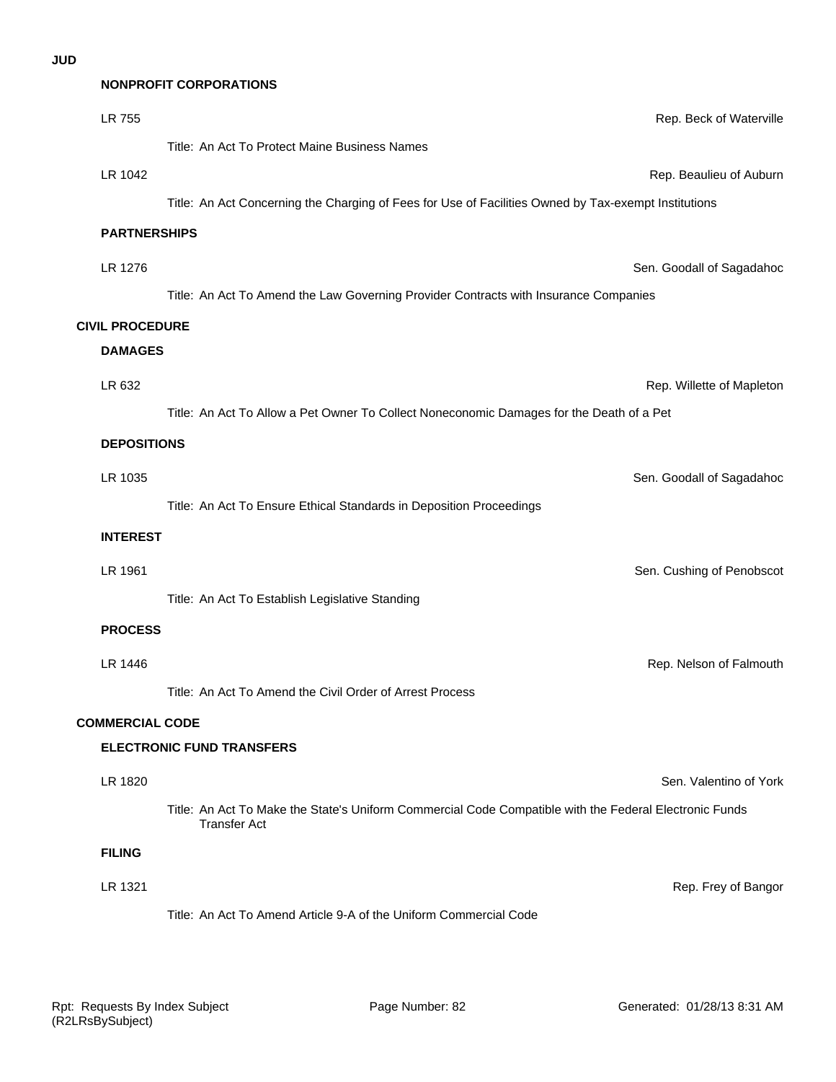## **NONPROFIT CORPORATIONS**

| LR 755                 | Rep. Beck of Waterville                                                                                                       |
|------------------------|-------------------------------------------------------------------------------------------------------------------------------|
|                        | Title: An Act To Protect Maine Business Names                                                                                 |
| LR 1042                | Rep. Beaulieu of Auburn                                                                                                       |
|                        | Title: An Act Concerning the Charging of Fees for Use of Facilities Owned by Tax-exempt Institutions                          |
| <b>PARTNERSHIPS</b>    |                                                                                                                               |
| LR 1276                | Sen. Goodall of Sagadahoc                                                                                                     |
|                        | Title: An Act To Amend the Law Governing Provider Contracts with Insurance Companies                                          |
| <b>CIVIL PROCEDURE</b> |                                                                                                                               |
| <b>DAMAGES</b>         |                                                                                                                               |
| LR 632                 | Rep. Willette of Mapleton                                                                                                     |
|                        | Title: An Act To Allow a Pet Owner To Collect Noneconomic Damages for the Death of a Pet                                      |
| <b>DEPOSITIONS</b>     |                                                                                                                               |
| LR 1035                | Sen. Goodall of Sagadahoc                                                                                                     |
|                        | Title: An Act To Ensure Ethical Standards in Deposition Proceedings                                                           |
| <b>INTEREST</b>        |                                                                                                                               |
| LR 1961                | Sen. Cushing of Penobscot                                                                                                     |
|                        | Title: An Act To Establish Legislative Standing                                                                               |
| <b>PROCESS</b>         |                                                                                                                               |
| LR 1446                | Rep. Nelson of Falmouth                                                                                                       |
|                        | Title: An Act To Amend the Civil Order of Arrest Process                                                                      |
|                        |                                                                                                                               |
| <b>COMMERCIAL CODE</b> | <b>ELECTRONIC FUND TRANSFERS</b>                                                                                              |
|                        |                                                                                                                               |
| LR 1820                | Sen. Valentino of York                                                                                                        |
|                        | Title: An Act To Make the State's Uniform Commercial Code Compatible with the Federal Electronic Funds<br><b>Transfer Act</b> |
| <b>FILING</b>          |                                                                                                                               |
| LR 1321                | Rep. Frey of Bangor                                                                                                           |
|                        | Title: An Act To Amend Article 9-A of the Uniform Commercial Code                                                             |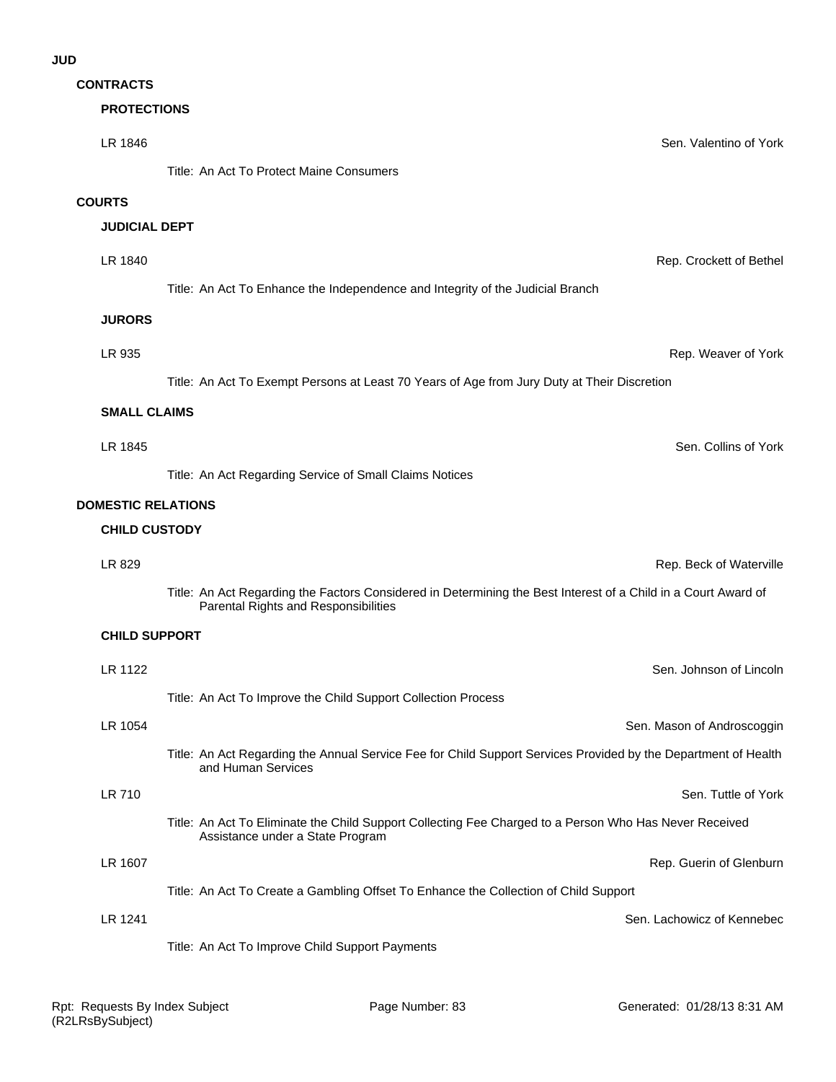# **CONTRACTS**

# **PROTECTIONS**

| LR 1846                                           | Sen. Valentino of York                                                                                                                                 |
|---------------------------------------------------|--------------------------------------------------------------------------------------------------------------------------------------------------------|
|                                                   | Title: An Act To Protect Maine Consumers                                                                                                               |
| <b>COURTS</b>                                     |                                                                                                                                                        |
| <b>JUDICIAL DEPT</b>                              |                                                                                                                                                        |
| LR 1840                                           | Rep. Crockett of Bethel                                                                                                                                |
|                                                   |                                                                                                                                                        |
|                                                   | Title: An Act To Enhance the Independence and Integrity of the Judicial Branch                                                                         |
| <b>JURORS</b>                                     |                                                                                                                                                        |
| LR 935                                            | Rep. Weaver of York                                                                                                                                    |
|                                                   | Title: An Act To Exempt Persons at Least 70 Years of Age from Jury Duty at Their Discretion                                                            |
| <b>SMALL CLAIMS</b>                               |                                                                                                                                                        |
| LR 1845                                           | Sen. Collins of York                                                                                                                                   |
|                                                   | Title: An Act Regarding Service of Small Claims Notices                                                                                                |
|                                                   |                                                                                                                                                        |
| <b>DOMESTIC RELATIONS</b><br><b>CHILD CUSTODY</b> |                                                                                                                                                        |
|                                                   |                                                                                                                                                        |
| LR 829                                            | Rep. Beck of Waterville                                                                                                                                |
|                                                   | Title: An Act Regarding the Factors Considered in Determining the Best Interest of a Child in a Court Award of<br>Parental Rights and Responsibilities |
| <b>CHILD SUPPORT</b>                              |                                                                                                                                                        |
| LR 1122                                           | Sen. Johnson of Lincoln                                                                                                                                |
|                                                   | Title: An Act To Improve the Child Support Collection Process                                                                                          |
| LR 1054                                           | Sen. Mason of Androscoggin                                                                                                                             |
|                                                   | Title: An Act Regarding the Annual Service Fee for Child Support Services Provided by the Department of Health<br>and Human Services                   |
| <b>LR 710</b>                                     | Sen. Tuttle of York                                                                                                                                    |
|                                                   | Title: An Act To Eliminate the Child Support Collecting Fee Charged to a Person Who Has Never Received<br>Assistance under a State Program             |
| LR 1607                                           | Rep. Guerin of Glenburn                                                                                                                                |
|                                                   | Title: An Act To Create a Gambling Offset To Enhance the Collection of Child Support                                                                   |
| LR 1241                                           | Sen. Lachowicz of Kennebec                                                                                                                             |
|                                                   | Title: An Act To Improve Child Support Payments                                                                                                        |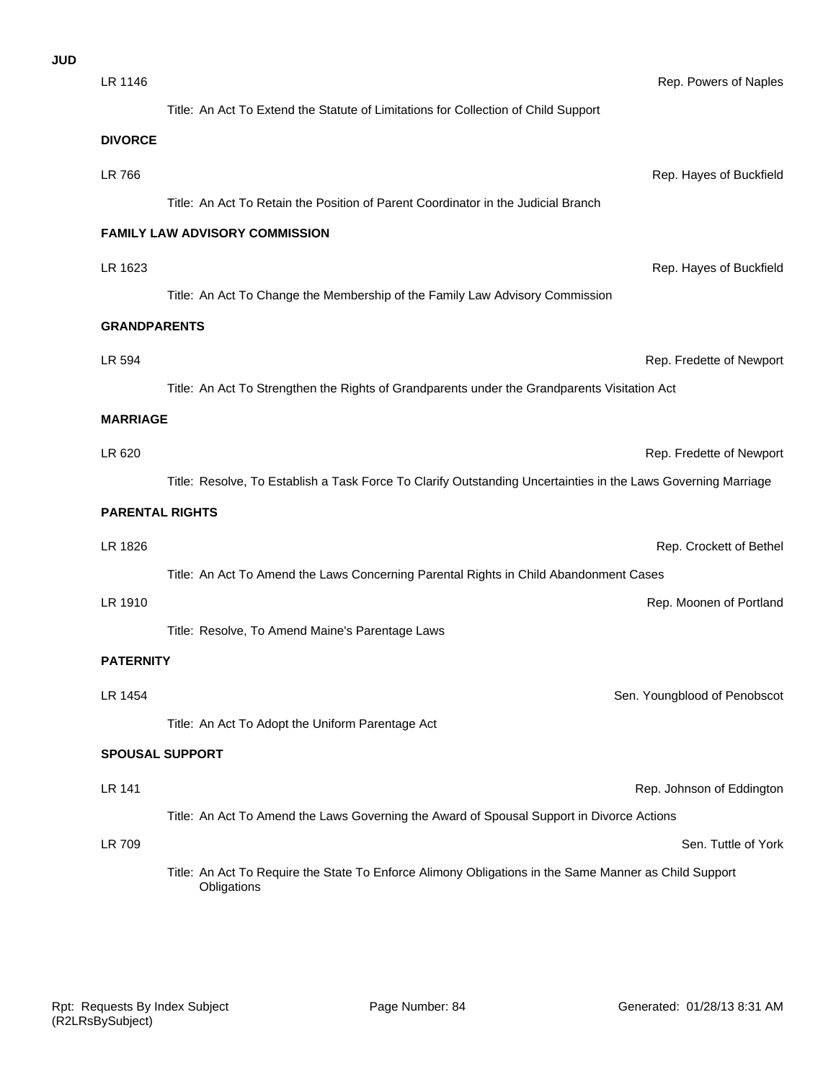| <b>JUD</b> |                        |                                                                                                                      |
|------------|------------------------|----------------------------------------------------------------------------------------------------------------------|
|            | LR 1146                | Rep. Powers of Naples                                                                                                |
|            |                        | Title: An Act To Extend the Statute of Limitations for Collection of Child Support                                   |
|            | <b>DIVORCE</b>         |                                                                                                                      |
|            | LR 766                 | Rep. Hayes of Buckfield                                                                                              |
|            |                        | Title: An Act To Retain the Position of Parent Coordinator in the Judicial Branch                                    |
|            |                        | FAMILY LAW ADVISORY COMMISSION                                                                                       |
|            | LR 1623                | Rep. Hayes of Buckfield                                                                                              |
|            |                        | Title: An Act To Change the Membership of the Family Law Advisory Commission                                         |
|            | <b>GRANDPARENTS</b>    |                                                                                                                      |
|            | LR 594                 | Rep. Fredette of Newport                                                                                             |
|            |                        | Title: An Act To Strengthen the Rights of Grandparents under the Grandparents Visitation Act                         |
|            | <b>MARRIAGE</b>        |                                                                                                                      |
|            | LR 620                 | Rep. Fredette of Newport                                                                                             |
|            |                        | Title: Resolve, To Establish a Task Force To Clarify Outstanding Uncertainties in the Laws Governing Marriage        |
|            | <b>PARENTAL RIGHTS</b> |                                                                                                                      |
|            | LR 1826                | Rep. Crockett of Bethel                                                                                              |
|            |                        | Title: An Act To Amend the Laws Concerning Parental Rights in Child Abandonment Cases                                |
|            | LR 1910                | Rep. Moonen of Portland                                                                                              |
|            |                        | Title: Resolve, To Amend Maine's Parentage Laws                                                                      |
|            | <b>PATERNITY</b>       |                                                                                                                      |
|            | LR 1454                | Sen. Youngblood of Penobscot                                                                                         |
|            |                        | Title: An Act To Adopt the Uniform Parentage Act                                                                     |
|            |                        | <b>SPOUSAL SUPPORT</b>                                                                                               |
|            | LR 141                 | Rep. Johnson of Eddington                                                                                            |
|            |                        | Title: An Act To Amend the Laws Governing the Award of Spousal Support in Divorce Actions                            |
|            | LR 709                 | Sen. Tuttle of York                                                                                                  |
|            |                        | Title: An Act To Require the State To Enforce Alimony Obligations in the Same Manner as Child Support<br>Obligations |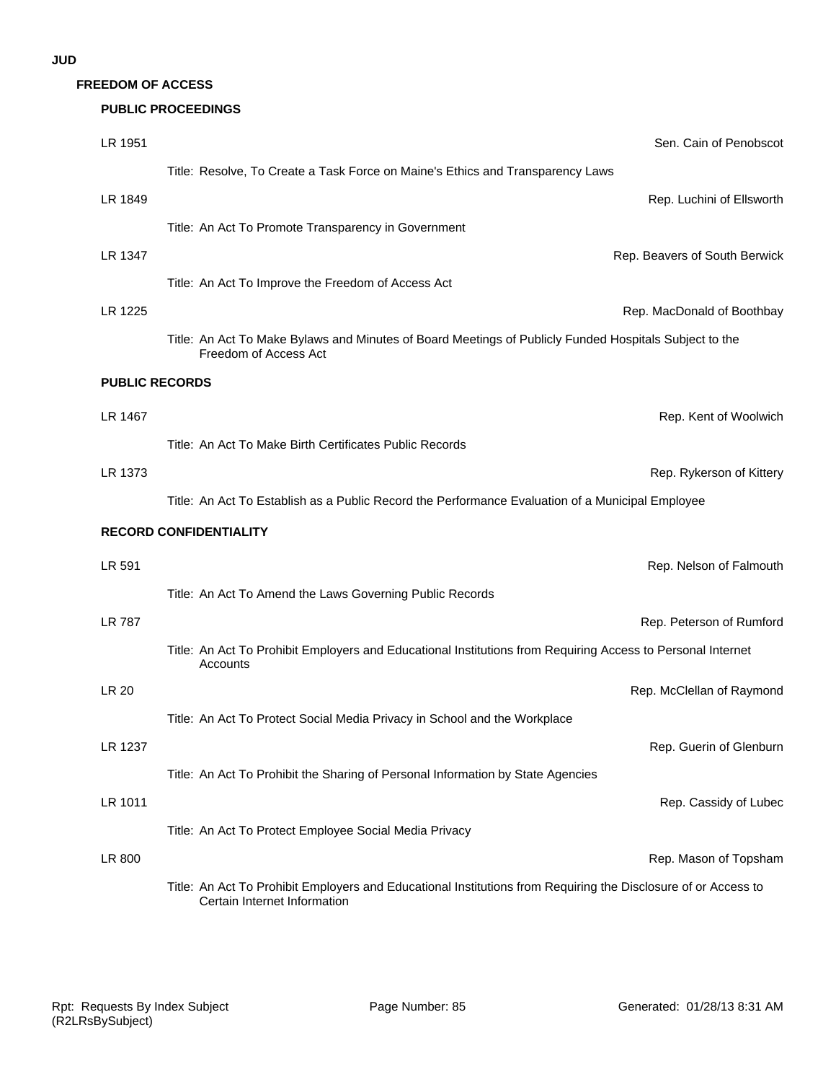**FREEDOM OF ACCESS**

#### **PUBLIC PROCEEDINGS**

| LR 1951               | Sen. Cain of Penobscot                                                                                                                         |
|-----------------------|------------------------------------------------------------------------------------------------------------------------------------------------|
|                       | Title: Resolve, To Create a Task Force on Maine's Ethics and Transparency Laws                                                                 |
| LR 1849               | Rep. Luchini of Ellsworth                                                                                                                      |
|                       | Title: An Act To Promote Transparency in Government                                                                                            |
| LR 1347               | Rep. Beavers of South Berwick                                                                                                                  |
|                       | Title: An Act To Improve the Freedom of Access Act                                                                                             |
| LR 1225               | Rep. MacDonald of Boothbay                                                                                                                     |
|                       | Title: An Act To Make Bylaws and Minutes of Board Meetings of Publicly Funded Hospitals Subject to the<br>Freedom of Access Act                |
| <b>PUBLIC RECORDS</b> |                                                                                                                                                |
| LR 1467               | Rep. Kent of Woolwich                                                                                                                          |
|                       | Title: An Act To Make Birth Certificates Public Records                                                                                        |
| LR 1373               | Rep. Rykerson of Kittery                                                                                                                       |
|                       | Title: An Act To Establish as a Public Record the Performance Evaluation of a Municipal Employee                                               |
|                       | <b>RECORD CONFIDENTIALITY</b>                                                                                                                  |
| LR 591                | Rep. Nelson of Falmouth                                                                                                                        |
|                       | Title: An Act To Amend the Laws Governing Public Records                                                                                       |
| <b>LR 787</b>         | Rep. Peterson of Rumford                                                                                                                       |
|                       | Title: An Act To Prohibit Employers and Educational Institutions from Requiring Access to Personal Internet<br>Accounts                        |
| LR 20                 | Rep. McClellan of Raymond                                                                                                                      |
|                       | Title: An Act To Protect Social Media Privacy in School and the Workplace                                                                      |
| LR 1237               | Rep. Guerin of Glenburn                                                                                                                        |
|                       | Title: An Act To Prohibit the Sharing of Personal Information by State Agencies                                                                |
| LR 1011               | Rep. Cassidy of Lubec                                                                                                                          |
|                       | Title: An Act To Protect Employee Social Media Privacy                                                                                         |
| LR 800                | Rep. Mason of Topsham                                                                                                                          |
|                       | Title: An Act To Prohibit Employers and Educational Institutions from Requiring the Disclosure of or Access to<br>Certain Internet Information |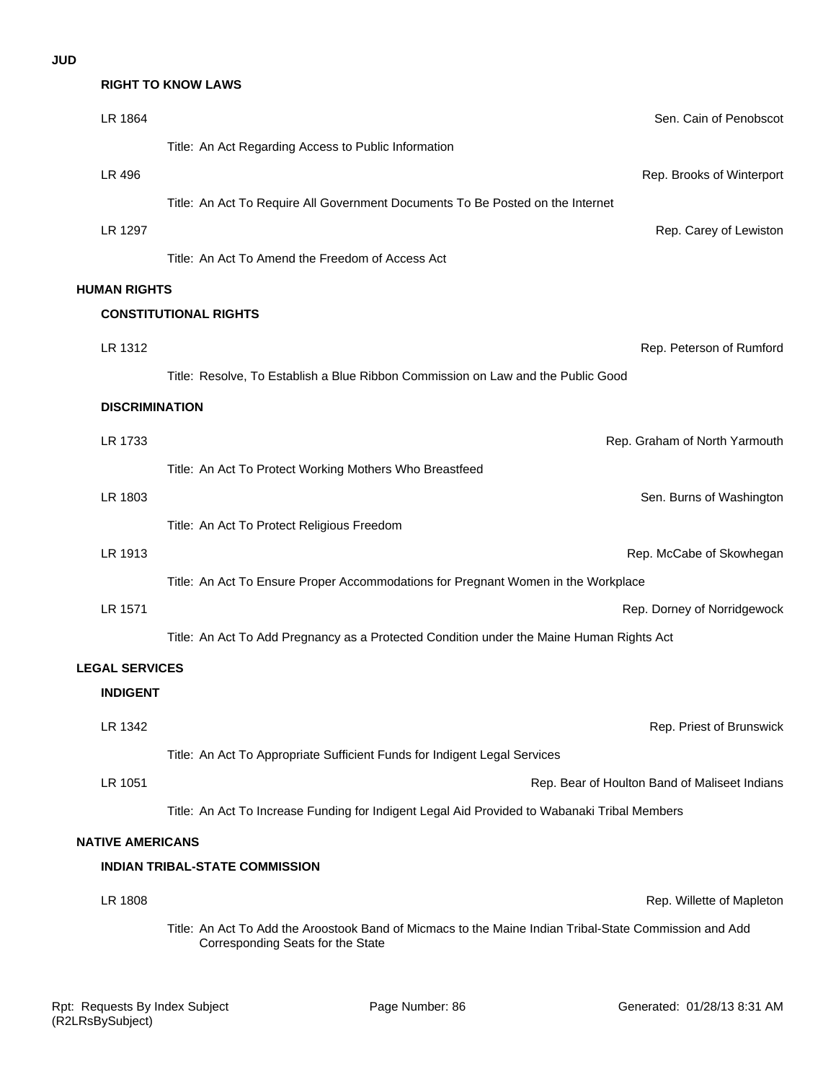## **RIGHT TO KNOW LAWS**

| LR 1864                 | Sen. Cain of Penobscot                                                                                                                      |
|-------------------------|---------------------------------------------------------------------------------------------------------------------------------------------|
|                         | Title: An Act Regarding Access to Public Information                                                                                        |
| LR 496                  | Rep. Brooks of Winterport                                                                                                                   |
|                         | Title: An Act To Require All Government Documents To Be Posted on the Internet                                                              |
| LR 1297                 | Rep. Carey of Lewiston                                                                                                                      |
|                         | Title: An Act To Amend the Freedom of Access Act                                                                                            |
| <b>HUMAN RIGHTS</b>     |                                                                                                                                             |
|                         | <b>CONSTITUTIONAL RIGHTS</b>                                                                                                                |
| LR 1312                 | Rep. Peterson of Rumford                                                                                                                    |
|                         | Title: Resolve, To Establish a Blue Ribbon Commission on Law and the Public Good                                                            |
| <b>DISCRIMINATION</b>   |                                                                                                                                             |
| LR 1733                 | Rep. Graham of North Yarmouth                                                                                                               |
|                         | Title: An Act To Protect Working Mothers Who Breastfeed                                                                                     |
| LR 1803                 | Sen. Burns of Washington                                                                                                                    |
|                         | Title: An Act To Protect Religious Freedom                                                                                                  |
| LR 1913                 | Rep. McCabe of Skowhegan                                                                                                                    |
|                         | Title: An Act To Ensure Proper Accommodations for Pregnant Women in the Workplace                                                           |
| LR 1571                 | Rep. Dorney of Norridgewock                                                                                                                 |
|                         | Title: An Act To Add Pregnancy as a Protected Condition under the Maine Human Rights Act                                                    |
| <b>LEGAL SERVICES</b>   |                                                                                                                                             |
| <b>INDIGENT</b>         |                                                                                                                                             |
| LR 1342                 | Rep. Priest of Brunswick                                                                                                                    |
|                         | Title: An Act To Appropriate Sufficient Funds for Indigent Legal Services                                                                   |
| LR 1051                 | Rep. Bear of Houlton Band of Maliseet Indians                                                                                               |
|                         | Title: An Act To Increase Funding for Indigent Legal Aid Provided to Wabanaki Tribal Members                                                |
| <b>NATIVE AMERICANS</b> |                                                                                                                                             |
|                         | <b>INDIAN TRIBAL-STATE COMMISSION</b>                                                                                                       |
| LR 1808                 | Rep. Willette of Mapleton                                                                                                                   |
|                         | Title: An Act To Add the Aroostook Band of Micmacs to the Maine Indian Tribal-State Commission and Add<br>Corresponding Seats for the State |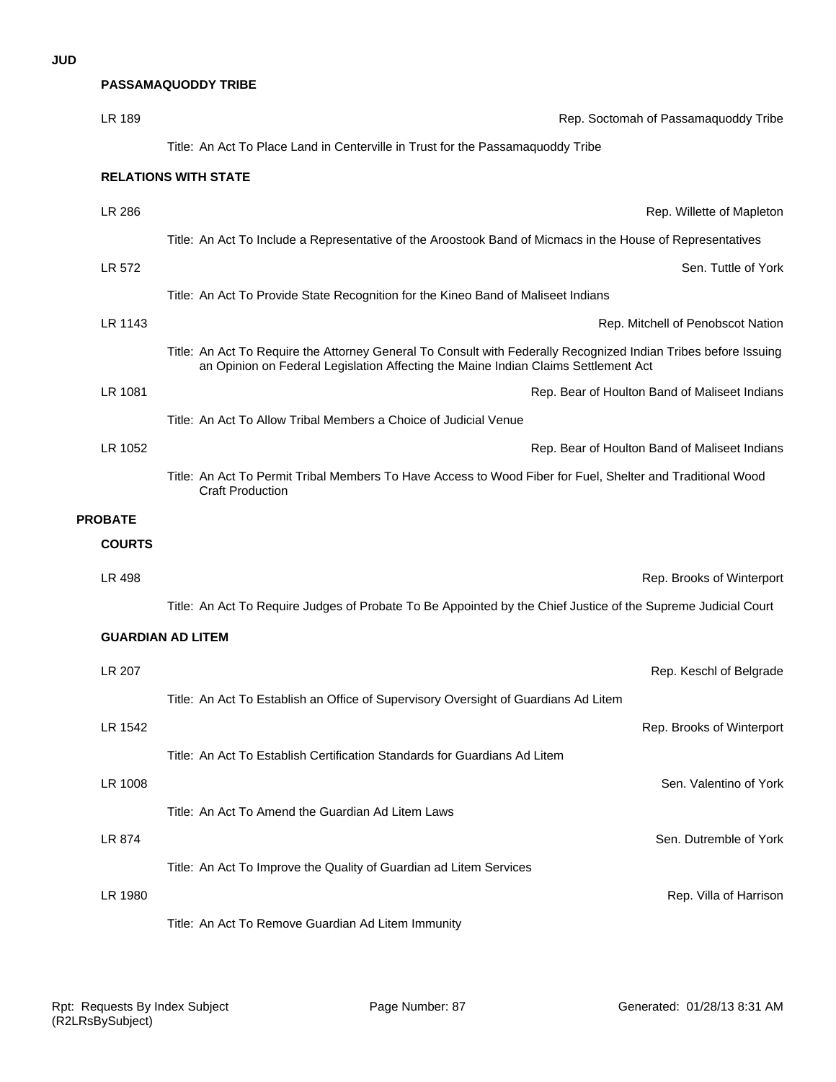|                | <b>PASSAMAQUODDY TRIBE</b>                                                                                                                                                                            |
|----------------|-------------------------------------------------------------------------------------------------------------------------------------------------------------------------------------------------------|
| LR 189         | Rep. Soctomah of Passamaquoddy Tribe                                                                                                                                                                  |
|                | Title: An Act To Place Land in Centerville in Trust for the Passamaquoddy Tribe                                                                                                                       |
|                | <b>RELATIONS WITH STATE</b>                                                                                                                                                                           |
| LR 286         | Rep. Willette of Mapleton                                                                                                                                                                             |
|                | Title: An Act To Include a Representative of the Aroostook Band of Micmacs in the House of Representatives                                                                                            |
| LR 572         | Sen. Tuttle of York                                                                                                                                                                                   |
|                | Title: An Act To Provide State Recognition for the Kineo Band of Maliseet Indians                                                                                                                     |
| LR 1143        | Rep. Mitchell of Penobscot Nation                                                                                                                                                                     |
|                | Title: An Act To Require the Attorney General To Consult with Federally Recognized Indian Tribes before Issuing<br>an Opinion on Federal Legislation Affecting the Maine Indian Claims Settlement Act |
| LR 1081        | Rep. Bear of Houlton Band of Maliseet Indians                                                                                                                                                         |
|                | Title: An Act To Allow Tribal Members a Choice of Judicial Venue                                                                                                                                      |
| LR 1052        | Rep. Bear of Houlton Band of Maliseet Indians                                                                                                                                                         |
|                | Title: An Act To Permit Tribal Members To Have Access to Wood Fiber for Fuel, Shelter and Traditional Wood<br><b>Craft Production</b>                                                                 |
| <b>PROBATE</b> |                                                                                                                                                                                                       |
| <b>COURTS</b>  |                                                                                                                                                                                                       |
| LR 498         | Rep. Brooks of Winterport                                                                                                                                                                             |
|                | Title: An Act To Require Judges of Probate To Be Appointed by the Chief Justice of the Supreme Judicial Court                                                                                         |
|                | <b>GUARDIAN AD LITEM</b>                                                                                                                                                                              |
| LR 207         | Rep. Keschl of Belgrade                                                                                                                                                                               |
|                | Title: An Act To Establish an Office of Supervisory Oversight of Guardians Ad Litem                                                                                                                   |
| LR 1542        | Rep. Brooks of Winterport                                                                                                                                                                             |
|                | Title: An Act To Establish Certification Standards for Guardians Ad Litem                                                                                                                             |
| LR 1008        | Sen. Valentino of York                                                                                                                                                                                |
|                | Title: An Act To Amend the Guardian Ad Litem Laws                                                                                                                                                     |
| LR 874         | Sen. Dutremble of York                                                                                                                                                                                |
|                | Title: An Act To Improve the Quality of Guardian ad Litem Services                                                                                                                                    |
| LR 1980        | Rep. Villa of Harrison                                                                                                                                                                                |
|                | Title: An Act To Remove Guardian Ad Litem Immunity                                                                                                                                                    |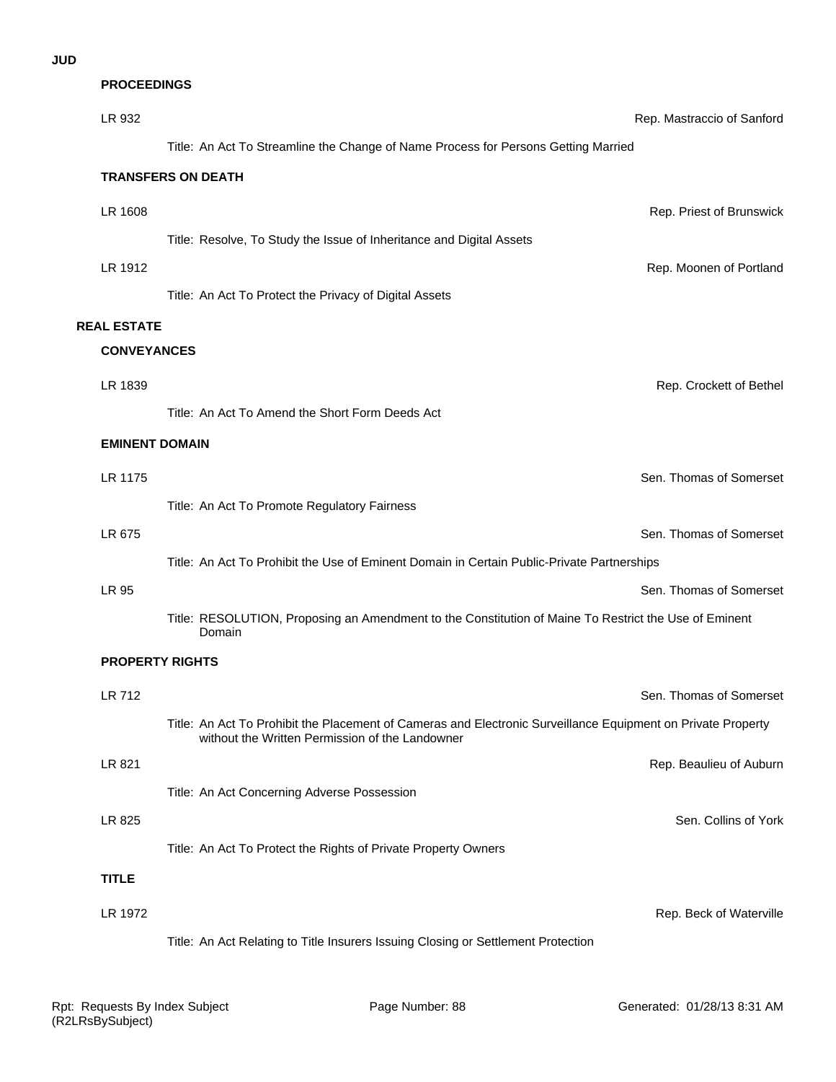| <b>PROCEEDINGS</b>     |                                                                                                                                                                 |                            |
|------------------------|-----------------------------------------------------------------------------------------------------------------------------------------------------------------|----------------------------|
| LR 932                 |                                                                                                                                                                 | Rep. Mastraccio of Sanford |
|                        | Title: An Act To Streamline the Change of Name Process for Persons Getting Married                                                                              |                            |
|                        | <b>TRANSFERS ON DEATH</b>                                                                                                                                       |                            |
| LR 1608                |                                                                                                                                                                 | Rep. Priest of Brunswick   |
|                        | Title: Resolve, To Study the Issue of Inheritance and Digital Assets                                                                                            |                            |
| LR 1912                |                                                                                                                                                                 | Rep. Moonen of Portland    |
|                        | Title: An Act To Protect the Privacy of Digital Assets                                                                                                          |                            |
| <b>REAL ESTATE</b>     |                                                                                                                                                                 |                            |
| <b>CONVEYANCES</b>     |                                                                                                                                                                 |                            |
| LR 1839                |                                                                                                                                                                 | Rep. Crockett of Bethel    |
|                        | Title: An Act To Amend the Short Form Deeds Act                                                                                                                 |                            |
| <b>EMINENT DOMAIN</b>  |                                                                                                                                                                 |                            |
| LR 1175                |                                                                                                                                                                 | Sen. Thomas of Somerset    |
|                        | Title: An Act To Promote Regulatory Fairness                                                                                                                    |                            |
| LR 675                 |                                                                                                                                                                 | Sen. Thomas of Somerset    |
|                        | Title: An Act To Prohibit the Use of Eminent Domain in Certain Public-Private Partnerships                                                                      |                            |
| LR 95                  |                                                                                                                                                                 | Sen. Thomas of Somerset    |
|                        | Title: RESOLUTION, Proposing an Amendment to the Constitution of Maine To Restrict the Use of Eminent<br>Domain                                                 |                            |
| <b>PROPERTY RIGHTS</b> |                                                                                                                                                                 |                            |
| LR 712                 |                                                                                                                                                                 | Sen. Thomas of Somerset    |
|                        | Title: An Act To Prohibit the Placement of Cameras and Electronic Surveillance Equipment on Private Property<br>without the Written Permission of the Landowner |                            |
| LR 821                 |                                                                                                                                                                 | Rep. Beaulieu of Auburn    |
|                        | Title: An Act Concerning Adverse Possession                                                                                                                     |                            |
| LR 825                 |                                                                                                                                                                 | Sen. Collins of York       |
|                        | Title: An Act To Protect the Rights of Private Property Owners                                                                                                  |                            |
| <b>TITLE</b>           |                                                                                                                                                                 |                            |
| LR 1972                |                                                                                                                                                                 | Rep. Beck of Waterville    |

Title: An Act Relating to Title Insurers Issuing Closing or Settlement Protection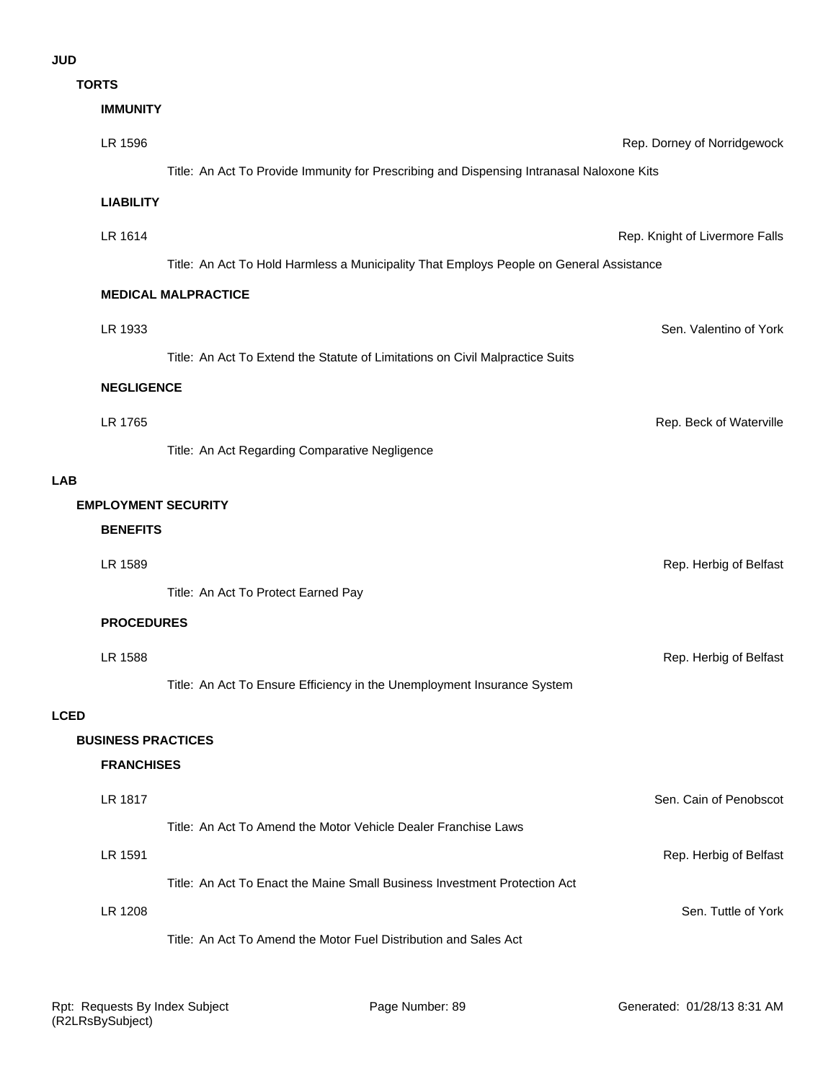## **JUD**

**TORTS**

|             | 1 UR 1 3                   |                                                                                           |                                |
|-------------|----------------------------|-------------------------------------------------------------------------------------------|--------------------------------|
|             | <b>IMMUNITY</b>            |                                                                                           |                                |
|             | LR 1596                    |                                                                                           | Rep. Dorney of Norridgewock    |
|             |                            | Title: An Act To Provide Immunity for Prescribing and Dispensing Intranasal Naloxone Kits |                                |
|             | <b>LIABILITY</b>           |                                                                                           |                                |
|             | LR 1614                    |                                                                                           | Rep. Knight of Livermore Falls |
|             |                            | Title: An Act To Hold Harmless a Municipality That Employs People on General Assistance   |                                |
|             |                            | <b>MEDICAL MALPRACTICE</b>                                                                |                                |
|             |                            |                                                                                           |                                |
|             | LR 1933                    |                                                                                           | Sen. Valentino of York         |
|             |                            | Title: An Act To Extend the Statute of Limitations on Civil Malpractice Suits             |                                |
|             | <b>NEGLIGENCE</b>          |                                                                                           |                                |
|             | LR 1765                    |                                                                                           | Rep. Beck of Waterville        |
|             |                            | Title: An Act Regarding Comparative Negligence                                            |                                |
| <b>LAB</b>  |                            |                                                                                           |                                |
|             | <b>EMPLOYMENT SECURITY</b> |                                                                                           |                                |
|             | <b>BENEFITS</b>            |                                                                                           |                                |
|             | LR 1589                    |                                                                                           | Rep. Herbig of Belfast         |
|             |                            | Title: An Act To Protect Earned Pay                                                       |                                |
|             | <b>PROCEDURES</b>          |                                                                                           |                                |
|             | LR 1588                    |                                                                                           | Rep. Herbig of Belfast         |
|             |                            | Title: An Act To Ensure Efficiency in the Unemployment Insurance System                   |                                |
| <b>LCED</b> |                            |                                                                                           |                                |
|             | <b>BUSINESS PRACTICES</b>  |                                                                                           |                                |
|             | <b>FRANCHISES</b>          |                                                                                           |                                |
|             | LR 1817                    |                                                                                           | Sen. Cain of Penobscot         |
|             |                            | Title: An Act To Amend the Motor Vehicle Dealer Franchise Laws                            |                                |
|             | LR 1591                    |                                                                                           | Rep. Herbig of Belfast         |
|             |                            | Title: An Act To Enact the Maine Small Business Investment Protection Act                 |                                |
|             | LR 1208                    |                                                                                           | Sen. Tuttle of York            |
|             |                            | Title: An Act To Amend the Motor Fuel Distribution and Sales Act                          |                                |
|             |                            |                                                                                           |                                |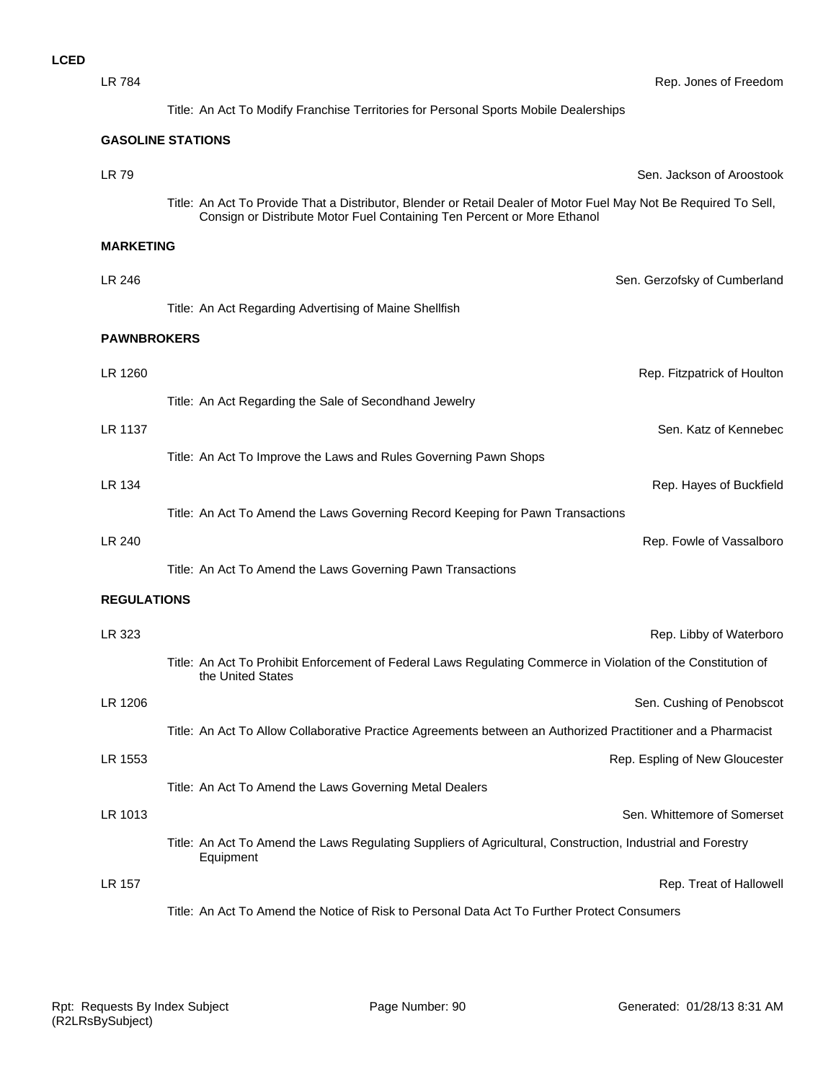| <b>LR 784</b>      | Rep. Jones of Freedom                                                                                                                                                                       |  |  |
|--------------------|---------------------------------------------------------------------------------------------------------------------------------------------------------------------------------------------|--|--|
|                    | Title: An Act To Modify Franchise Territories for Personal Sports Mobile Dealerships                                                                                                        |  |  |
|                    | <b>GASOLINE STATIONS</b>                                                                                                                                                                    |  |  |
| LR 79              | Sen. Jackson of Aroostook                                                                                                                                                                   |  |  |
|                    | Title: An Act To Provide That a Distributor, Blender or Retail Dealer of Motor Fuel May Not Be Required To Sell,<br>Consign or Distribute Motor Fuel Containing Ten Percent or More Ethanol |  |  |
| <b>MARKETING</b>   |                                                                                                                                                                                             |  |  |
| LR 246             | Sen. Gerzofsky of Cumberland                                                                                                                                                                |  |  |
|                    | Title: An Act Regarding Advertising of Maine Shellfish                                                                                                                                      |  |  |
| <b>PAWNBROKERS</b> |                                                                                                                                                                                             |  |  |
| LR 1260            | Rep. Fitzpatrick of Houlton                                                                                                                                                                 |  |  |
|                    | Title: An Act Regarding the Sale of Secondhand Jewelry                                                                                                                                      |  |  |
| LR 1137            | Sen. Katz of Kennebec                                                                                                                                                                       |  |  |
|                    | Title: An Act To Improve the Laws and Rules Governing Pawn Shops                                                                                                                            |  |  |
| LR 134             | Rep. Hayes of Buckfield                                                                                                                                                                     |  |  |
|                    | Title: An Act To Amend the Laws Governing Record Keeping for Pawn Transactions                                                                                                              |  |  |
| LR 240             | Rep. Fowle of Vassalboro                                                                                                                                                                    |  |  |
|                    | Title: An Act To Amend the Laws Governing Pawn Transactions                                                                                                                                 |  |  |
| <b>REGULATIONS</b> |                                                                                                                                                                                             |  |  |
| LR 323             | Rep. Libby of Waterboro                                                                                                                                                                     |  |  |
|                    | Title: An Act To Prohibit Enforcement of Federal Laws Regulating Commerce in Violation of the Constitution of<br>the United States                                                          |  |  |
| LR 1206            | Sen. Cushing of Penobscot                                                                                                                                                                   |  |  |
|                    | Title: An Act To Allow Collaborative Practice Agreements between an Authorized Practitioner and a Pharmacist                                                                                |  |  |
| LR 1553            | Rep. Espling of New Gloucester                                                                                                                                                              |  |  |
|                    | Title: An Act To Amend the Laws Governing Metal Dealers                                                                                                                                     |  |  |
| LR 1013            | Sen. Whittemore of Somerset                                                                                                                                                                 |  |  |
|                    | Title: An Act To Amend the Laws Regulating Suppliers of Agricultural, Construction, Industrial and Forestry<br>Equipment                                                                    |  |  |
| LR 157             | Rep. Treat of Hallowell                                                                                                                                                                     |  |  |
|                    | Title: An Act To Amend the Notice of Risk to Personal Data Act To Further Protect Consumers                                                                                                 |  |  |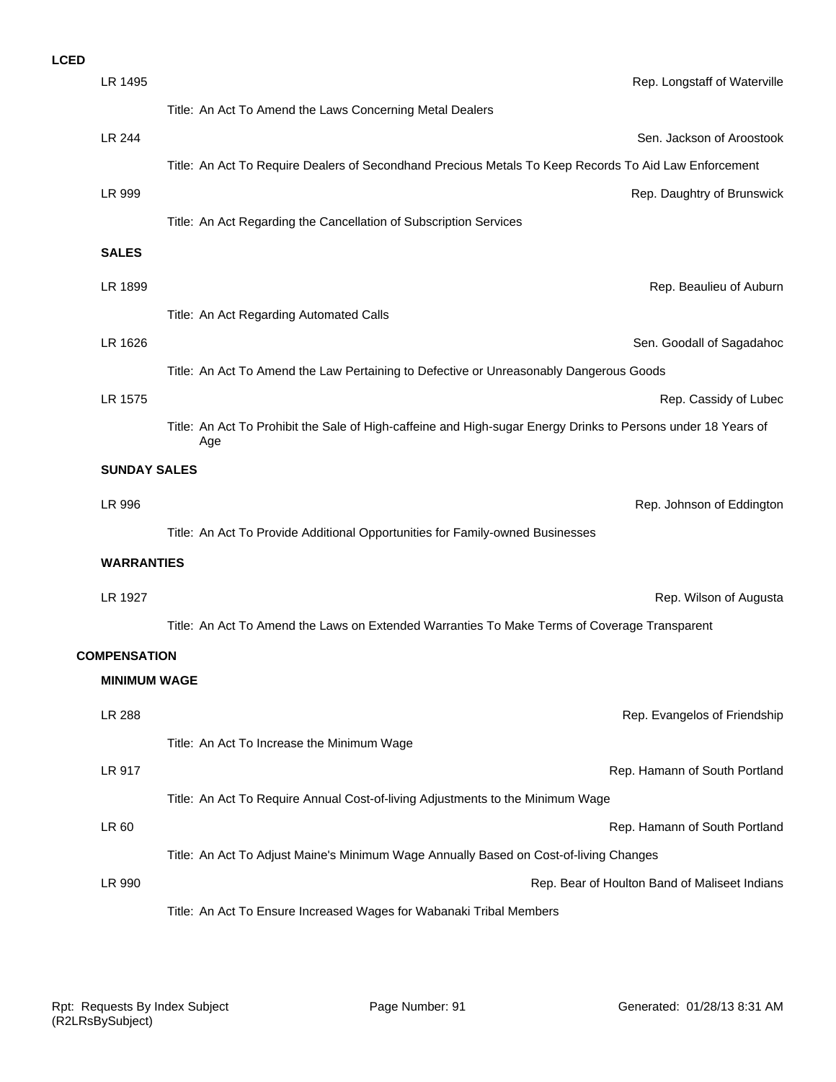| LR 1495             | Rep. Longstaff of Waterville                                                                                         |
|---------------------|----------------------------------------------------------------------------------------------------------------------|
|                     | Title: An Act To Amend the Laws Concerning Metal Dealers                                                             |
| <b>LR 244</b>       | Sen. Jackson of Aroostook                                                                                            |
|                     | Title: An Act To Require Dealers of Secondhand Precious Metals To Keep Records To Aid Law Enforcement                |
| LR 999              | Rep. Daughtry of Brunswick                                                                                           |
|                     | Title: An Act Regarding the Cancellation of Subscription Services                                                    |
| <b>SALES</b>        |                                                                                                                      |
| LR 1899             | Rep. Beaulieu of Auburn                                                                                              |
|                     | Title: An Act Regarding Automated Calls                                                                              |
| LR 1626             | Sen. Goodall of Sagadahoc                                                                                            |
|                     | Title: An Act To Amend the Law Pertaining to Defective or Unreasonably Dangerous Goods                               |
| LR 1575             | Rep. Cassidy of Lubec                                                                                                |
|                     | Title: An Act To Prohibit the Sale of High-caffeine and High-sugar Energy Drinks to Persons under 18 Years of<br>Age |
| <b>SUNDAY SALES</b> |                                                                                                                      |
| LR 996              | Rep. Johnson of Eddington                                                                                            |
|                     | Title: An Act To Provide Additional Opportunities for Family-owned Businesses                                        |
| <b>WARRANTIES</b>   |                                                                                                                      |
| LR 1927             | Rep. Wilson of Augusta                                                                                               |
|                     | Title: An Act To Amend the Laws on Extended Warranties To Make Terms of Coverage Transparent                         |
| <b>COMPENSATION</b> |                                                                                                                      |
| <b>MINIMUM WAGE</b> |                                                                                                                      |
| <b>LR 288</b>       | Rep. Evangelos of Friendship                                                                                         |
|                     | Title: An Act To Increase the Minimum Wage                                                                           |
| LR 917              | Rep. Hamann of South Portland                                                                                        |
|                     | Title: An Act To Require Annual Cost-of-living Adjustments to the Minimum Wage                                       |
| LR 60               | Rep. Hamann of South Portland                                                                                        |
|                     | Title: An Act To Adjust Maine's Minimum Wage Annually Based on Cost-of-living Changes                                |
| LR 990              | Rep. Bear of Houlton Band of Maliseet Indians                                                                        |
|                     | Title: An Act To Ensure Increased Wages for Wabanaki Tribal Members                                                  |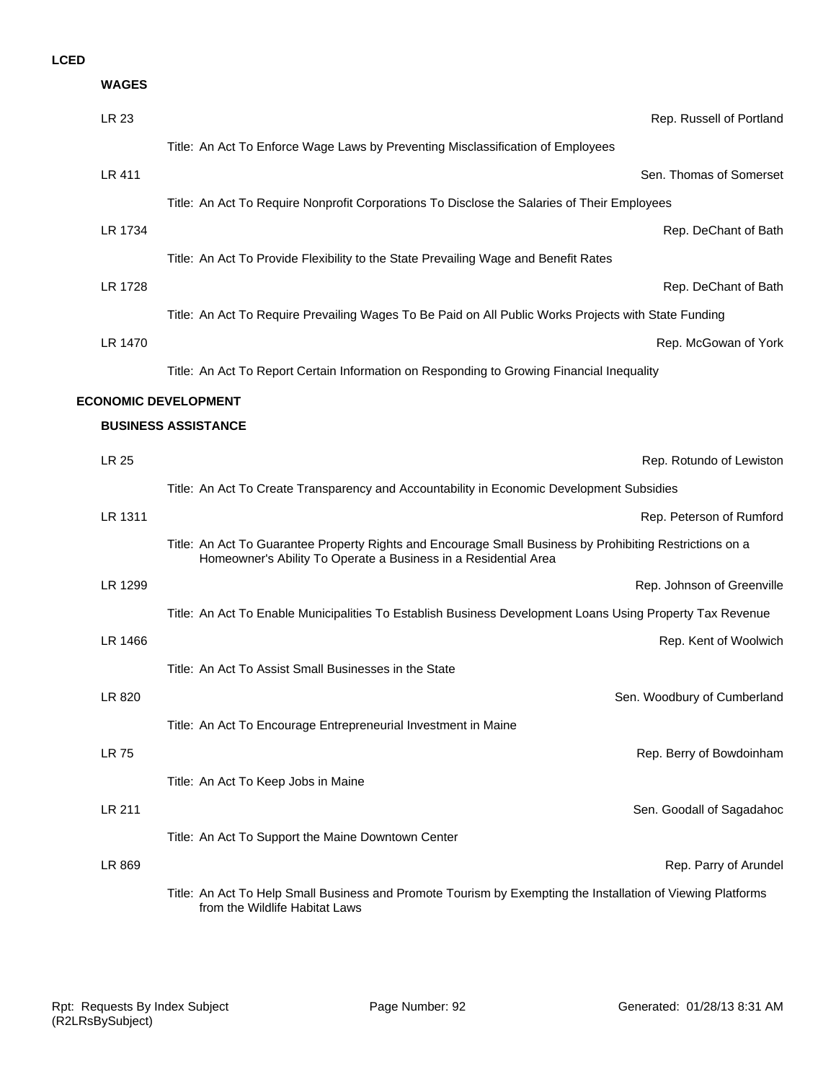| <b>WAGES</b> |                                                                                                                                                                             |
|--------------|-----------------------------------------------------------------------------------------------------------------------------------------------------------------------------|
| LR 23        | Rep. Russell of Portland                                                                                                                                                    |
|              | Title: An Act To Enforce Wage Laws by Preventing Misclassification of Employees                                                                                             |
| LR 411       | Sen. Thomas of Somerset                                                                                                                                                     |
|              | Title: An Act To Require Nonprofit Corporations To Disclose the Salaries of Their Employees                                                                                 |
| LR 1734      | Rep. DeChant of Bath                                                                                                                                                        |
|              | Title: An Act To Provide Flexibility to the State Prevailing Wage and Benefit Rates                                                                                         |
| LR 1728      | Rep. DeChant of Bath                                                                                                                                                        |
|              | Title: An Act To Require Prevailing Wages To Be Paid on All Public Works Projects with State Funding                                                                        |
| LR 1470      | Rep. McGowan of York                                                                                                                                                        |
|              | Title: An Act To Report Certain Information on Responding to Growing Financial Inequality                                                                                   |
|              | <b>ECONOMIC DEVELOPMENT</b>                                                                                                                                                 |
|              | <b>BUSINESS ASSISTANCE</b>                                                                                                                                                  |
| <b>LR 25</b> | Rep. Rotundo of Lewiston                                                                                                                                                    |
|              | Title: An Act To Create Transparency and Accountability in Economic Development Subsidies                                                                                   |
| LR 1311      | Rep. Peterson of Rumford                                                                                                                                                    |
|              | Title: An Act To Guarantee Property Rights and Encourage Small Business by Prohibiting Restrictions on a<br>Homeowner's Ability To Operate a Business in a Residential Area |
| LR 1299      | Rep. Johnson of Greenville                                                                                                                                                  |
|              | Title: An Act To Enable Municipalities To Establish Business Development Loans Using Property Tax Revenue                                                                   |
| LR 1466      | Rep. Kent of Woolwich                                                                                                                                                       |
|              | Title: An Act To Assist Small Businesses in the State                                                                                                                       |
| LR 820       | Sen. Woodbury of Cumberland                                                                                                                                                 |
|              | Title: An Act To Encourage Entrepreneurial Investment in Maine                                                                                                              |
| <b>LR 75</b> | Rep. Berry of Bowdoinham                                                                                                                                                    |
|              | Title: An Act To Keep Jobs in Maine                                                                                                                                         |
| LR 211       | Sen. Goodall of Sagadahoc                                                                                                                                                   |
|              | Title: An Act To Support the Maine Downtown Center                                                                                                                          |
| LR 869       | Rep. Parry of Arundel                                                                                                                                                       |
|              | Title: An Act To Help Small Business and Promote Tourism by Exempting the Installation of Viewing Platforms<br>from the Wildlife Habitat Laws                               |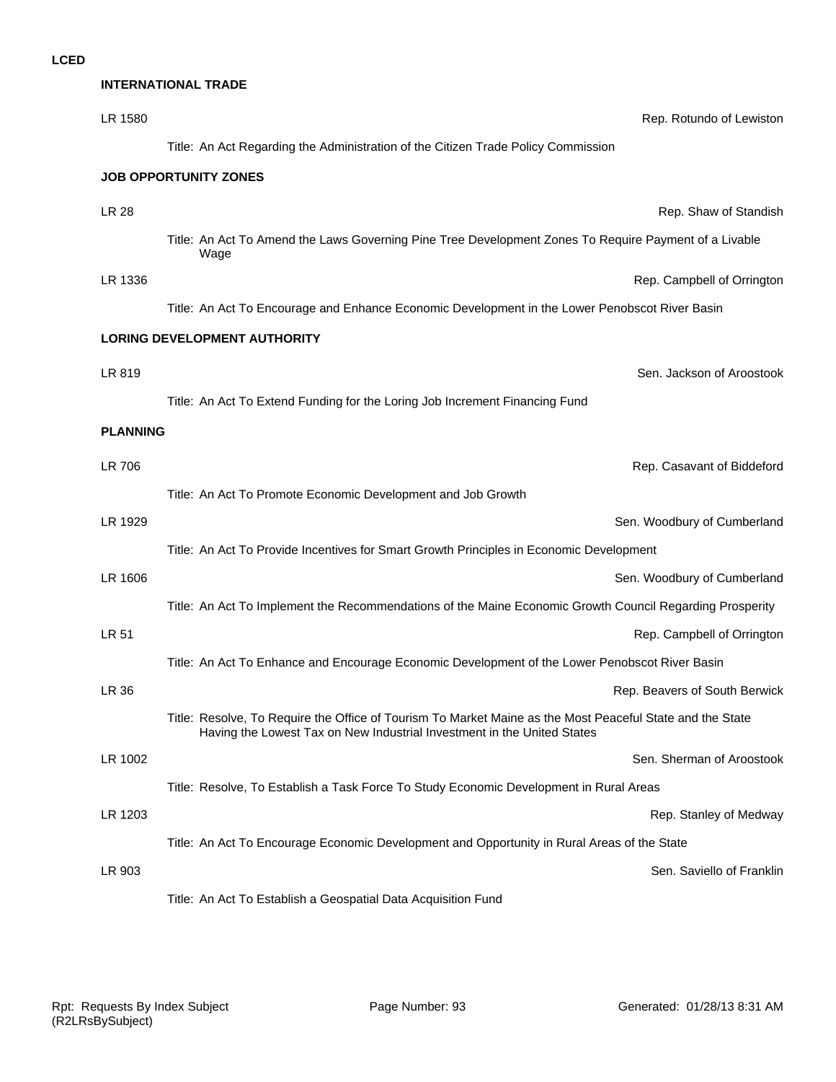| <b>INTERNATIONAL TRADE</b> |                                                                                                                                                                                      |  |
|----------------------------|--------------------------------------------------------------------------------------------------------------------------------------------------------------------------------------|--|
| LR 1580                    | Rep. Rotundo of Lewiston                                                                                                                                                             |  |
|                            | Title: An Act Regarding the Administration of the Citizen Trade Policy Commission                                                                                                    |  |
|                            | <b>JOB OPPORTUNITY ZONES</b>                                                                                                                                                         |  |
| <b>LR 28</b>               | Rep. Shaw of Standish                                                                                                                                                                |  |
|                            | Title: An Act To Amend the Laws Governing Pine Tree Development Zones To Require Payment of a Livable<br>Wage                                                                        |  |
| LR 1336                    | Rep. Campbell of Orrington                                                                                                                                                           |  |
|                            | Title: An Act To Encourage and Enhance Economic Development in the Lower Penobscot River Basin                                                                                       |  |
|                            | <b>LORING DEVELOPMENT AUTHORITY</b>                                                                                                                                                  |  |
| LR 819                     | Sen. Jackson of Aroostook                                                                                                                                                            |  |
|                            | Title: An Act To Extend Funding for the Loring Job Increment Financing Fund                                                                                                          |  |
| <b>PLANNING</b>            |                                                                                                                                                                                      |  |
| LR 706                     | Rep. Casavant of Biddeford                                                                                                                                                           |  |
|                            | Title: An Act To Promote Economic Development and Job Growth                                                                                                                         |  |
| LR 1929                    | Sen. Woodbury of Cumberland                                                                                                                                                          |  |
|                            | Title: An Act To Provide Incentives for Smart Growth Principles in Economic Development                                                                                              |  |
| LR 1606                    | Sen. Woodbury of Cumberland                                                                                                                                                          |  |
|                            | Title: An Act To Implement the Recommendations of the Maine Economic Growth Council Regarding Prosperity                                                                             |  |
| LR 51                      | Rep. Campbell of Orrington                                                                                                                                                           |  |
|                            | Title: An Act To Enhance and Encourage Economic Development of the Lower Penobscot River Basin                                                                                       |  |
| <b>LR 36</b>               | Rep. Beavers of South Berwick                                                                                                                                                        |  |
|                            | Title: Resolve, To Require the Office of Tourism To Market Maine as the Most Peaceful State and the State<br>Having the Lowest Tax on New Industrial Investment in the United States |  |
| LR 1002                    | Sen. Sherman of Aroostook                                                                                                                                                            |  |
|                            | Title: Resolve, To Establish a Task Force To Study Economic Development in Rural Areas                                                                                               |  |
| LR 1203                    | Rep. Stanley of Medway                                                                                                                                                               |  |
|                            | Title: An Act To Encourage Economic Development and Opportunity in Rural Areas of the State                                                                                          |  |
| LR 903                     | Sen. Saviello of Franklin                                                                                                                                                            |  |
|                            | Title: An Act To Establish a Geospatial Data Acquisition Fund                                                                                                                        |  |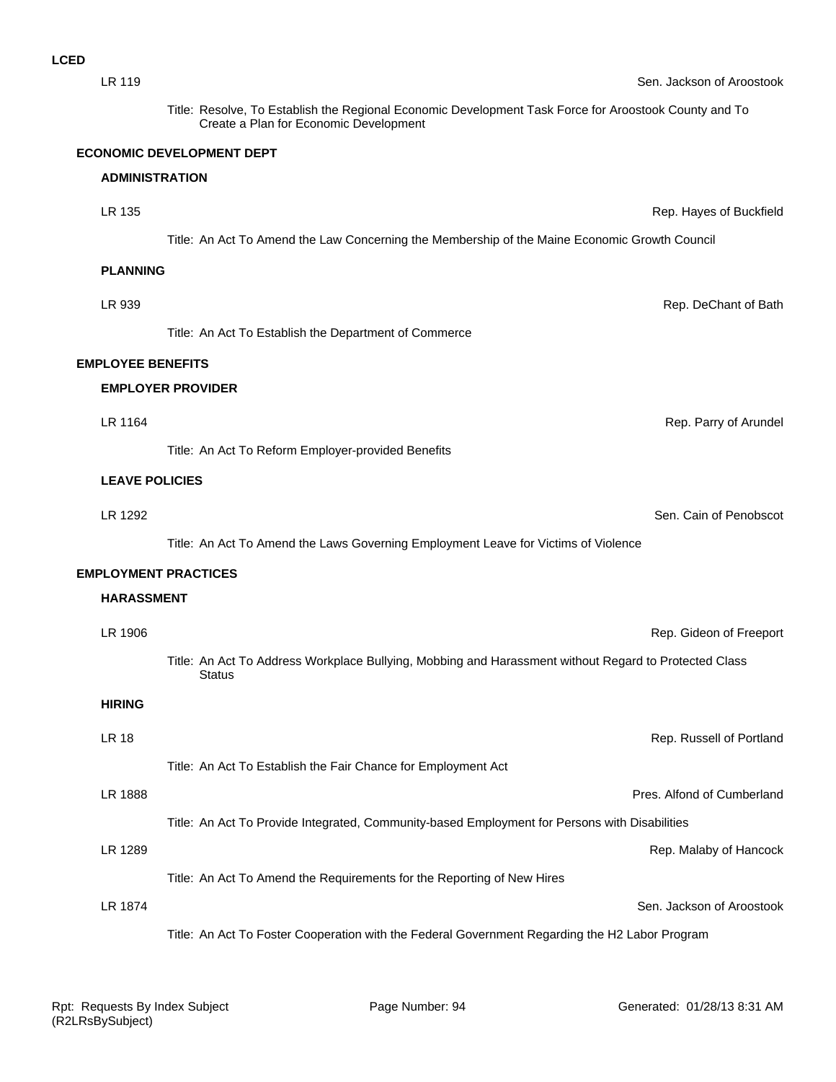| LR 119                   | Sen. Jackson of Aroostook                                                                                                                       |
|--------------------------|-------------------------------------------------------------------------------------------------------------------------------------------------|
|                          | Title: Resolve, To Establish the Regional Economic Development Task Force for Aroostook County and To<br>Create a Plan for Economic Development |
|                          | <b>ECONOMIC DEVELOPMENT DEPT</b>                                                                                                                |
| <b>ADMINISTRATION</b>    |                                                                                                                                                 |
| LR 135                   | Rep. Hayes of Buckfield                                                                                                                         |
|                          | Title: An Act To Amend the Law Concerning the Membership of the Maine Economic Growth Council                                                   |
| <b>PLANNING</b>          |                                                                                                                                                 |
| LR 939                   | Rep. DeChant of Bath                                                                                                                            |
|                          | Title: An Act To Establish the Department of Commerce                                                                                           |
| <b>EMPLOYEE BENEFITS</b> |                                                                                                                                                 |
|                          | <b>EMPLOYER PROVIDER</b>                                                                                                                        |
| LR 1164                  | Rep. Parry of Arundel                                                                                                                           |
|                          | Title: An Act To Reform Employer-provided Benefits                                                                                              |
| <b>LEAVE POLICIES</b>    |                                                                                                                                                 |
| LR 1292                  | Sen. Cain of Penobscot                                                                                                                          |
|                          | Title: An Act To Amend the Laws Governing Employment Leave for Victims of Violence                                                              |
|                          | <b>EMPLOYMENT PRACTICES</b>                                                                                                                     |
| <b>HARASSMENT</b>        |                                                                                                                                                 |
| LR 1906                  | Rep. Gideon of Freeport                                                                                                                         |
|                          | Title: An Act To Address Workplace Bullying, Mobbing and Harassment without Regard to Protected Class<br>Status                                 |
| <b>HIRING</b>            |                                                                                                                                                 |
| <b>LR 18</b>             | Rep. Russell of Portland                                                                                                                        |
|                          | Title: An Act To Establish the Fair Chance for Employment Act                                                                                   |
| LR 1888                  | Pres. Alfond of Cumberland                                                                                                                      |
|                          | Title: An Act To Provide Integrated, Community-based Employment for Persons with Disabilities                                                   |
| LR 1289                  | Rep. Malaby of Hancock                                                                                                                          |
|                          | Title: An Act To Amend the Requirements for the Reporting of New Hires                                                                          |
| LR 1874                  | Sen. Jackson of Aroostook                                                                                                                       |
|                          | Title: An Act To Foster Cooperation with the Federal Government Regarding the H2 Labor Program                                                  |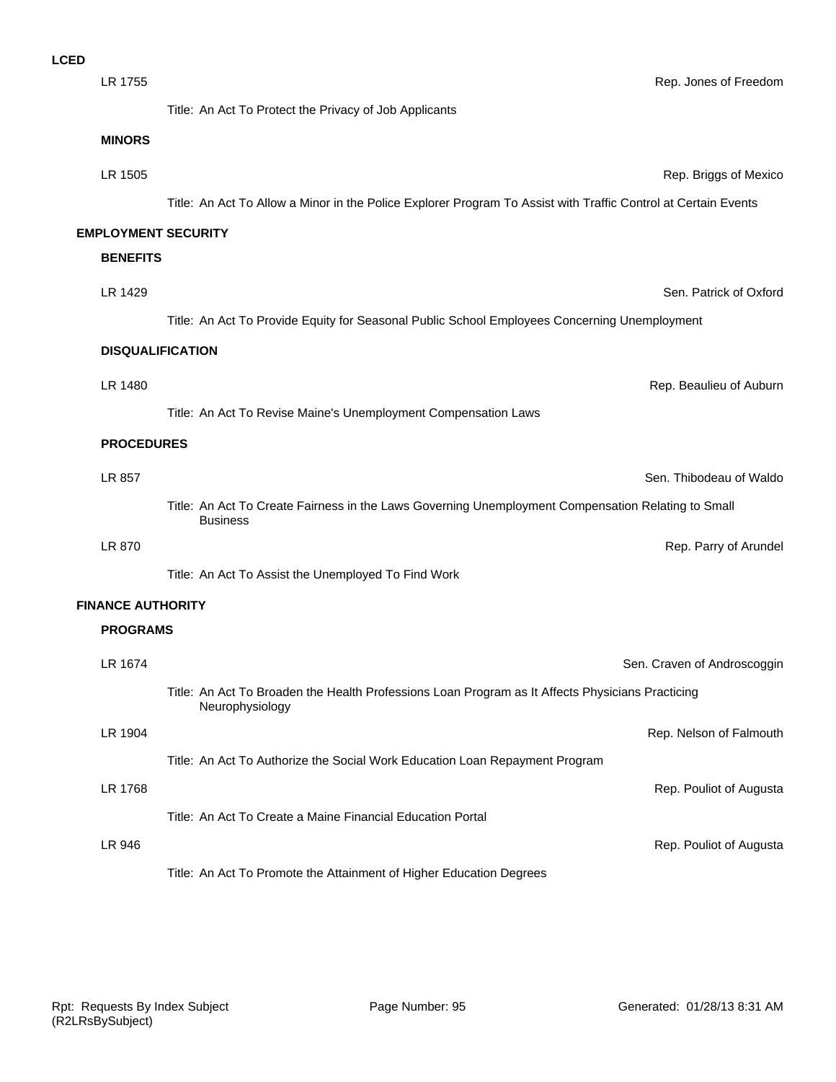| LR 1755                    | Rep. Jones of Freedom                                                                                                 |
|----------------------------|-----------------------------------------------------------------------------------------------------------------------|
|                            | Title: An Act To Protect the Privacy of Job Applicants                                                                |
| <b>MINORS</b>              |                                                                                                                       |
| LR 1505                    | Rep. Briggs of Mexico                                                                                                 |
|                            | Title: An Act To Allow a Minor in the Police Explorer Program To Assist with Traffic Control at Certain Events        |
| <b>EMPLOYMENT SECURITY</b> |                                                                                                                       |
| <b>BENEFITS</b>            |                                                                                                                       |
| LR 1429                    | Sen. Patrick of Oxford                                                                                                |
|                            | Title: An Act To Provide Equity for Seasonal Public School Employees Concerning Unemployment                          |
|                            | <b>DISQUALIFICATION</b>                                                                                               |
| LR 1480                    | Rep. Beaulieu of Auburn                                                                                               |
|                            | Title: An Act To Revise Maine's Unemployment Compensation Laws                                                        |
| <b>PROCEDURES</b>          |                                                                                                                       |
| LR 857                     | Sen. Thibodeau of Waldo                                                                                               |
|                            | Title: An Act To Create Fairness in the Laws Governing Unemployment Compensation Relating to Small<br><b>Business</b> |
| LR 870                     | Rep. Parry of Arundel                                                                                                 |
|                            | Title: An Act To Assist the Unemployed To Find Work                                                                   |
| <b>FINANCE AUTHORITY</b>   |                                                                                                                       |
| <b>PROGRAMS</b>            |                                                                                                                       |
| LR 1674                    | Sen. Craven of Androscoggin                                                                                           |
|                            | Title: An Act To Broaden the Health Professions Loan Program as It Affects Physicians Practicing<br>Neurophysiology   |
| LR 1904                    | Rep. Nelson of Falmouth                                                                                               |
|                            | Title: An Act To Authorize the Social Work Education Loan Repayment Program                                           |
| LR 1768                    | Rep. Pouliot of Augusta                                                                                               |

Title: An Act To Create a Maine Financial Education Portal

LR 946 Rep. Pouliot of Augusta

Title: An Act To Promote the Attainment of Higher Education Degrees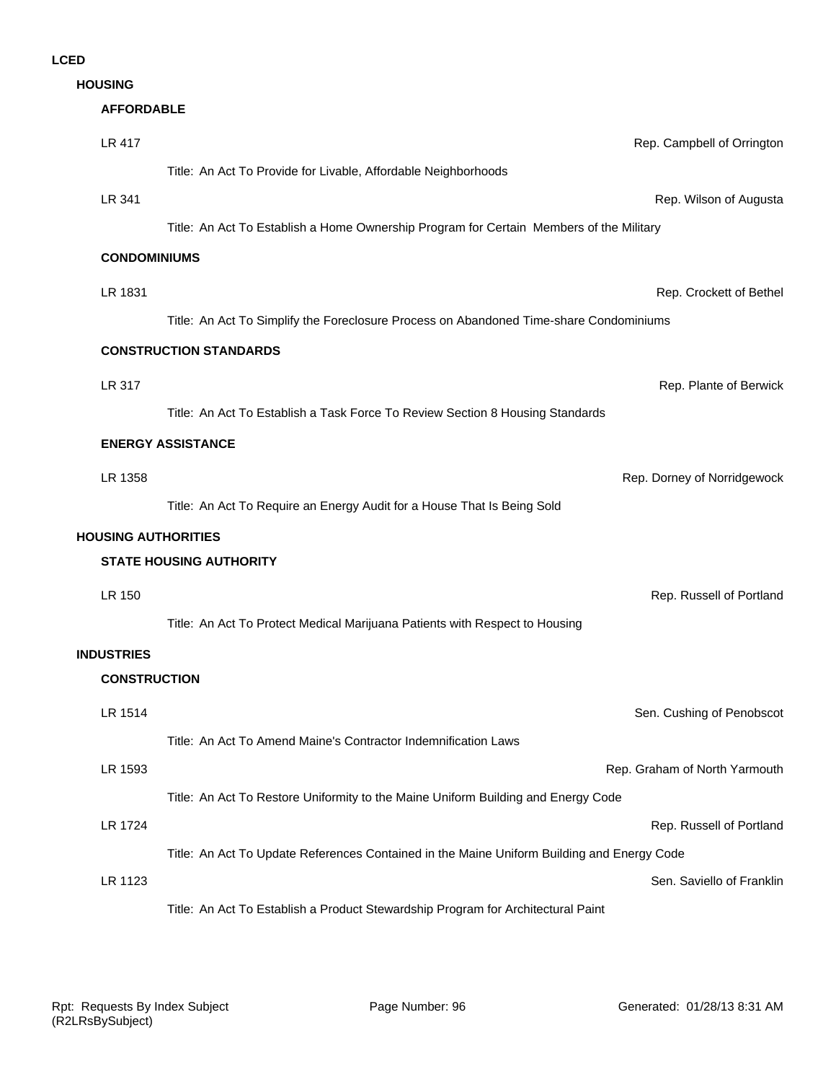**HOUSING**

#### **AFFORDABLE**

| <b>LR 417</b>              |                                                                                            | Rep. Campbell of Orrington    |
|----------------------------|--------------------------------------------------------------------------------------------|-------------------------------|
|                            | Title: An Act To Provide for Livable, Affordable Neighborhoods                             |                               |
| LR 341                     |                                                                                            | Rep. Wilson of Augusta        |
|                            | Title: An Act To Establish a Home Ownership Program for Certain Members of the Military    |                               |
| <b>CONDOMINIUMS</b>        |                                                                                            |                               |
| LR 1831                    |                                                                                            | Rep. Crockett of Bethel       |
|                            | Title: An Act To Simplify the Foreclosure Process on Abandoned Time-share Condominiums     |                               |
|                            | <b>CONSTRUCTION STANDARDS</b>                                                              |                               |
| LR 317                     |                                                                                            | Rep. Plante of Berwick        |
|                            | Title: An Act To Establish a Task Force To Review Section 8 Housing Standards              |                               |
|                            | <b>ENERGY ASSISTANCE</b>                                                                   |                               |
| LR 1358                    |                                                                                            | Rep. Dorney of Norridgewock   |
|                            | Title: An Act To Require an Energy Audit for a House That Is Being Sold                    |                               |
| <b>HOUSING AUTHORITIES</b> |                                                                                            |                               |
|                            | <b>STATE HOUSING AUTHORITY</b>                                                             |                               |
| LR 150                     |                                                                                            | Rep. Russell of Portland      |
|                            | Title: An Act To Protect Medical Marijuana Patients with Respect to Housing                |                               |
| <b>INDUSTRIES</b>          |                                                                                            |                               |
| <b>CONSTRUCTION</b>        |                                                                                            |                               |
| LR 1514                    |                                                                                            | Sen. Cushing of Penobscot     |
|                            | Title: An Act To Amend Maine's Contractor Indemnification Laws                             |                               |
| LR 1593                    |                                                                                            | Rep. Graham of North Yarmouth |
|                            | Title: An Act To Restore Uniformity to the Maine Uniform Building and Energy Code          |                               |
| LR 1724                    |                                                                                            | Rep. Russell of Portland      |
|                            | Title: An Act To Update References Contained in the Maine Uniform Building and Energy Code |                               |
| LR 1123                    |                                                                                            | Sen. Saviello of Franklin     |
|                            | Title: An Act To Establish a Product Stewardship Program for Architectural Paint           |                               |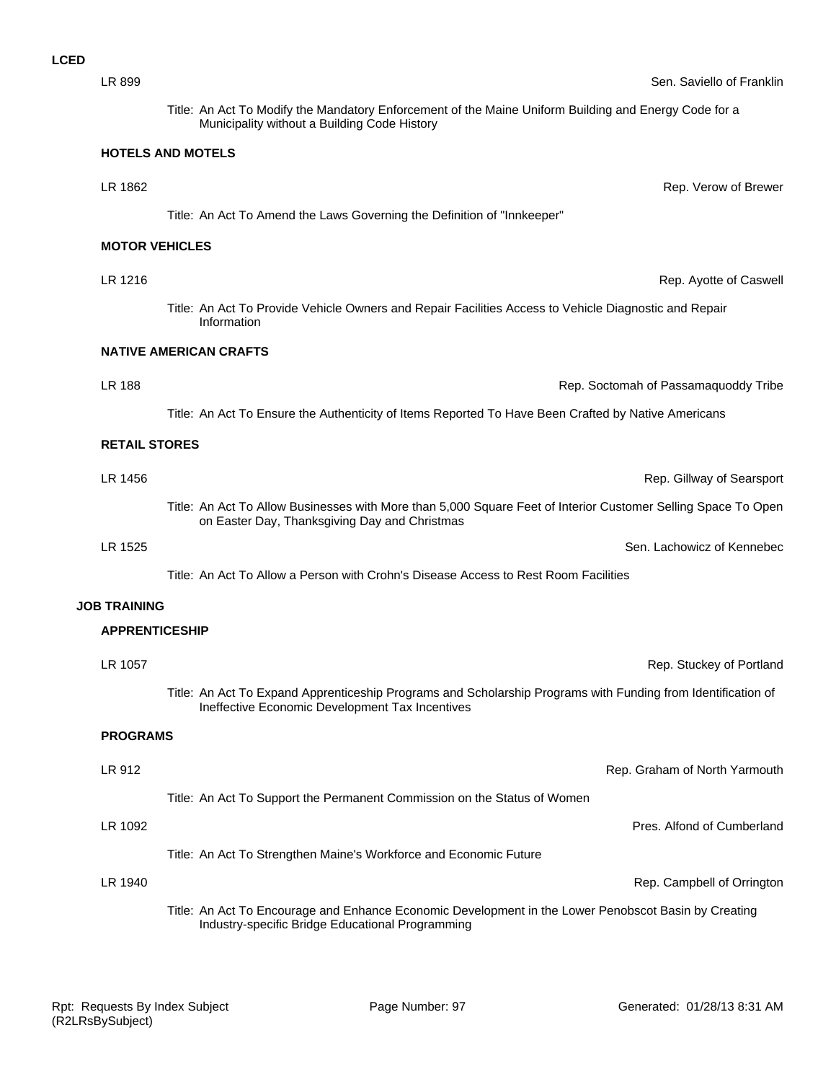Title: An Act To Modify the Mandatory Enforcement of the Maine Uniform Building and Energy Code for a Municipality without a Building Code History

LR 1862 Rep. Verow of Brewer

#### **HOTELS AND MOTELS**

Title: An Act To Amend the Laws Governing the Definition of "Innkeeper"

# **MOTOR VEHICLES**

Title: An Act To Provide Vehicle Owners and Repair Facilities Access to Vehicle Diagnostic and Repair Information

## **NATIVE AMERICAN CRAFTS**

Title: An Act To Ensure the Authenticity of Items Reported To Have Been Crafted by Native Americans

#### **RETAIL STORES**

LR 1456 Rep. Gillway of Searsport Title: An Act To Allow Businesses with More than 5,000 Square Feet of Interior Customer Selling Space To Open on Easter Day, Thanksgiving Day and Christmas

LR 1525 Sen. Lachowicz of Kennebec

Title: An Act To Allow a Person with Crohn's Disease Access to Rest Room Facilities

#### **JOB TRAINING**

## **APPRENTICESHIP**

| LR 1057         |                                                                                                                                                                 | Rep. Stuckey of Portland      |
|-----------------|-----------------------------------------------------------------------------------------------------------------------------------------------------------------|-------------------------------|
|                 | Title: An Act To Expand Apprenticeship Programs and Scholarship Programs with Funding from Identification of<br>Ineffective Economic Development Tax Incentives |                               |
| <b>PROGRAMS</b> |                                                                                                                                                                 |                               |
| LR 912          |                                                                                                                                                                 | Rep. Graham of North Yarmouth |
|                 | Title: An Act To Support the Permanent Commission on the Status of Women                                                                                        |                               |
| LR 1092         |                                                                                                                                                                 | Pres. Alfond of Cumberland    |
|                 | Title: An Act To Strengthen Maine's Workforce and Economic Future                                                                                               |                               |
| LR 1940         |                                                                                                                                                                 | Rep. Campbell of Orrington    |

Title: An Act To Encourage and Enhance Economic Development in the Lower Penobscot Basin by Creating Industry-specific Bridge Educational Programming

LR 1216 Rep. Ayotte of Caswell

LR 188 Rep. Soctomah of Passamaquoddy Tribe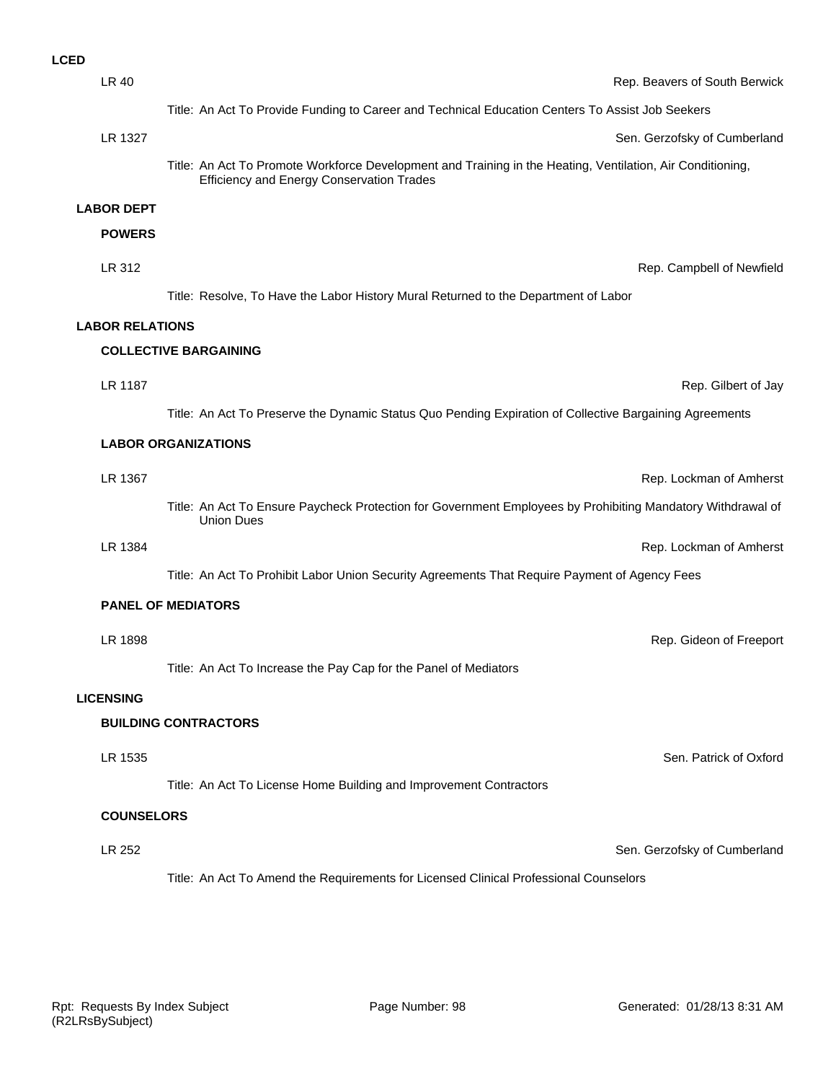| <b>LCED</b> |                        |                                                                                                                                                         |
|-------------|------------------------|---------------------------------------------------------------------------------------------------------------------------------------------------------|
|             | <b>LR 40</b>           | Rep. Beavers of South Berwick                                                                                                                           |
|             |                        | Title: An Act To Provide Funding to Career and Technical Education Centers To Assist Job Seekers                                                        |
|             | LR 1327                | Sen. Gerzofsky of Cumberland                                                                                                                            |
|             |                        | Title: An Act To Promote Workforce Development and Training in the Heating, Ventilation, Air Conditioning,<br>Efficiency and Energy Conservation Trades |
|             | <b>LABOR DEPT</b>      |                                                                                                                                                         |
|             | <b>POWERS</b>          |                                                                                                                                                         |
|             | LR 312                 | Rep. Campbell of Newfield                                                                                                                               |
|             |                        | Title: Resolve, To Have the Labor History Mural Returned to the Department of Labor                                                                     |
|             | <b>LABOR RELATIONS</b> |                                                                                                                                                         |
|             |                        | <b>COLLECTIVE BARGAINING</b>                                                                                                                            |
|             | LR 1187                | Rep. Gilbert of Jay                                                                                                                                     |
|             |                        | Title: An Act To Preserve the Dynamic Status Quo Pending Expiration of Collective Bargaining Agreements                                                 |
|             |                        | <b>LABOR ORGANIZATIONS</b>                                                                                                                              |
|             | LR 1367                | Rep. Lockman of Amherst                                                                                                                                 |
|             |                        | Title: An Act To Ensure Paycheck Protection for Government Employees by Prohibiting Mandatory Withdrawal of                                             |
|             |                        | <b>Union Dues</b>                                                                                                                                       |
|             | LR 1384                | Rep. Lockman of Amherst                                                                                                                                 |
|             |                        | Title: An Act To Prohibit Labor Union Security Agreements That Require Payment of Agency Fees                                                           |
|             |                        | <b>PANEL OF MEDIATORS</b>                                                                                                                               |
|             | LR 1898                | Rep. Gideon of Freeport                                                                                                                                 |
|             |                        | Title: An Act To Increase the Pay Cap for the Panel of Mediators                                                                                        |
|             | <b>LICENSING</b>       |                                                                                                                                                         |
|             |                        | <b>BUILDING CONTRACTORS</b>                                                                                                                             |
|             | LR 1535                | Sen. Patrick of Oxford                                                                                                                                  |
|             |                        | Title: An Act To License Home Building and Improvement Contractors                                                                                      |
|             | <b>COUNSELORS</b>      |                                                                                                                                                         |
|             | LR 252                 |                                                                                                                                                         |
|             |                        | Sen. Gerzofsky of Cumberland                                                                                                                            |
|             |                        | Title: An Act To Amend the Requirements for Licensed Clinical Professional Counselors                                                                   |
|             |                        |                                                                                                                                                         |
|             |                        |                                                                                                                                                         |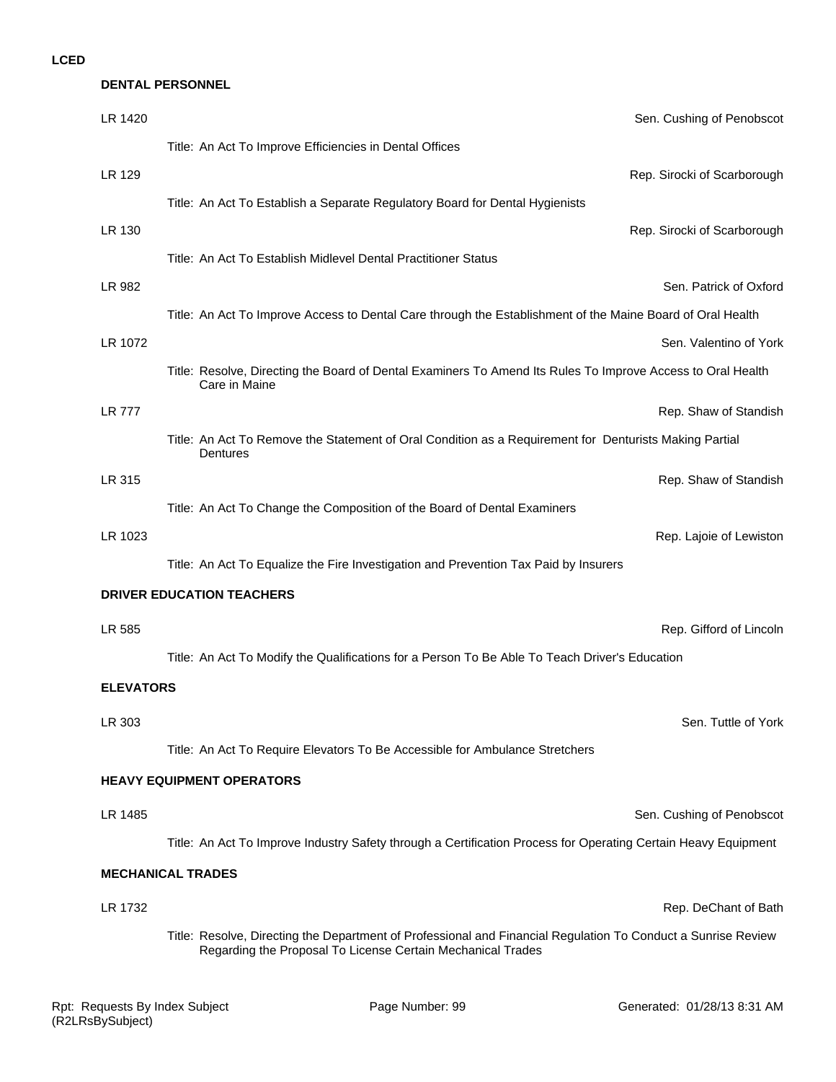# **DENTAL PERSONNEL**

| LR 1420          | Sen. Cushing of Penobscot                                                                                                                                                    |
|------------------|------------------------------------------------------------------------------------------------------------------------------------------------------------------------------|
|                  | Title: An Act To Improve Efficiencies in Dental Offices                                                                                                                      |
| LR 129           | Rep. Sirocki of Scarborough                                                                                                                                                  |
|                  | Title: An Act To Establish a Separate Regulatory Board for Dental Hygienists                                                                                                 |
| LR 130           | Rep. Sirocki of Scarborough                                                                                                                                                  |
|                  | Title: An Act To Establish Midlevel Dental Practitioner Status                                                                                                               |
| LR 982           | Sen. Patrick of Oxford                                                                                                                                                       |
|                  | Title: An Act To Improve Access to Dental Care through the Establishment of the Maine Board of Oral Health                                                                   |
| LR 1072          | Sen. Valentino of York                                                                                                                                                       |
|                  | Title: Resolve, Directing the Board of Dental Examiners To Amend Its Rules To Improve Access to Oral Health<br>Care in Maine                                                 |
| <b>LR 777</b>    | Rep. Shaw of Standish                                                                                                                                                        |
|                  | Title: An Act To Remove the Statement of Oral Condition as a Requirement for Denturists Making Partial<br>Dentures                                                           |
| LR 315           | Rep. Shaw of Standish                                                                                                                                                        |
|                  | Title: An Act To Change the Composition of the Board of Dental Examiners                                                                                                     |
| LR 1023          | Rep. Lajoie of Lewiston                                                                                                                                                      |
|                  | Title: An Act To Equalize the Fire Investigation and Prevention Tax Paid by Insurers                                                                                         |
|                  | <b>DRIVER EDUCATION TEACHERS</b>                                                                                                                                             |
| LR 585           | Rep. Gifford of Lincoln                                                                                                                                                      |
|                  | Title: An Act To Modify the Qualifications for a Person To Be Able To Teach Driver's Education                                                                               |
| <b>ELEVATORS</b> |                                                                                                                                                                              |
| LR 303           | Sen. Tuttle of York                                                                                                                                                          |
|                  | Title: An Act To Require Elevators To Be Accessible for Ambulance Stretchers                                                                                                 |
|                  | <b>HEAVY EQUIPMENT OPERATORS</b>                                                                                                                                             |
| LR 1485          | Sen. Cushing of Penobscot                                                                                                                                                    |
|                  | Title: An Act To Improve Industry Safety through a Certification Process for Operating Certain Heavy Equipment                                                               |
|                  | <b>MECHANICAL TRADES</b>                                                                                                                                                     |
| LR 1732          | Rep. DeChant of Bath                                                                                                                                                         |
|                  | Title: Resolve, Directing the Department of Professional and Financial Regulation To Conduct a Sunrise Review<br>Regarding the Proposal To License Certain Mechanical Trades |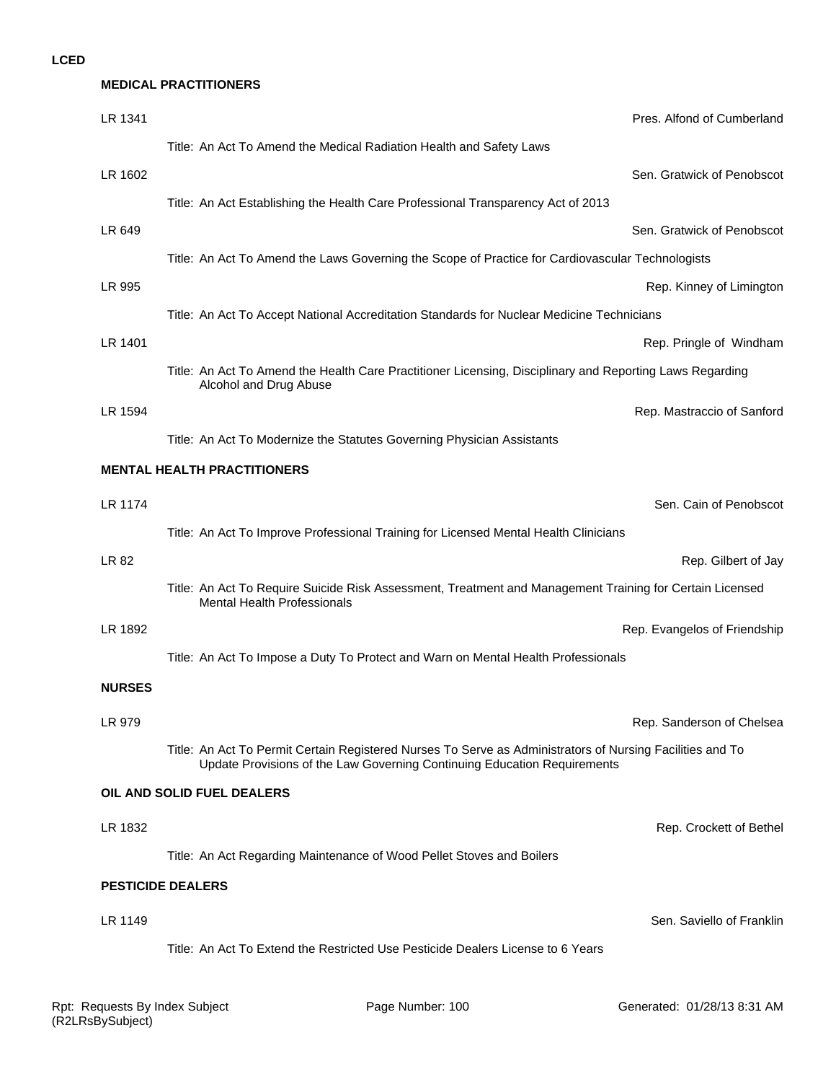| <b>MEDICAL PRACTITIONERS</b>                                                                                                                                                          |                              |  |
|---------------------------------------------------------------------------------------------------------------------------------------------------------------------------------------|------------------------------|--|
|                                                                                                                                                                                       | Pres. Alfond of Cumberland   |  |
| Title: An Act To Amend the Medical Radiation Health and Safety Laws                                                                                                                   |                              |  |
|                                                                                                                                                                                       | Sen. Gratwick of Penobscot   |  |
| Title: An Act Establishing the Health Care Professional Transparency Act of 2013                                                                                                      |                              |  |
|                                                                                                                                                                                       | Sen. Gratwick of Penobscot   |  |
| Title: An Act To Amend the Laws Governing the Scope of Practice for Cardiovascular Technologists                                                                                      |                              |  |
|                                                                                                                                                                                       | Rep. Kinney of Limington     |  |
| Title: An Act To Accept National Accreditation Standards for Nuclear Medicine Technicians                                                                                             |                              |  |
|                                                                                                                                                                                       | Rep. Pringle of Windham      |  |
| Title: An Act To Amend the Health Care Practitioner Licensing, Disciplinary and Reporting Laws Regarding<br>Alcohol and Drug Abuse                                                    |                              |  |
|                                                                                                                                                                                       | Rep. Mastraccio of Sanford   |  |
| Title: An Act To Modernize the Statutes Governing Physician Assistants                                                                                                                |                              |  |
| <b>MENTAL HEALTH PRACTITIONERS</b>                                                                                                                                                    |                              |  |
|                                                                                                                                                                                       | Sen. Cain of Penobscot       |  |
| Title: An Act To Improve Professional Training for Licensed Mental Health Clinicians                                                                                                  |                              |  |
|                                                                                                                                                                                       | Rep. Gilbert of Jay          |  |
| Title: An Act To Require Suicide Risk Assessment, Treatment and Management Training for Certain Licensed<br><b>Mental Health Professionals</b>                                        |                              |  |
|                                                                                                                                                                                       | Rep. Evangelos of Friendship |  |
| Title: An Act To Impose a Duty To Protect and Warn on Mental Health Professionals                                                                                                     |                              |  |
|                                                                                                                                                                                       |                              |  |
|                                                                                                                                                                                       | Rep. Sanderson of Chelsea    |  |
| Title: An Act To Permit Certain Registered Nurses To Serve as Administrators of Nursing Facilities and To<br>Update Provisions of the Law Governing Continuing Education Requirements |                              |  |
| OIL AND SOLID FUEL DEALERS                                                                                                                                                            |                              |  |
|                                                                                                                                                                                       | Rep. Crockett of Bethel      |  |
| Title: An Act Regarding Maintenance of Wood Pellet Stoves and Boilers                                                                                                                 |                              |  |
| <b>PESTICIDE DEALERS</b>                                                                                                                                                              |                              |  |
|                                                                                                                                                                                       | Sen. Saviello of Franklin    |  |
| Title: An Act To Extend the Restricted Use Pesticide Dealers License to 6 Years                                                                                                       |                              |  |
|                                                                                                                                                                                       |                              |  |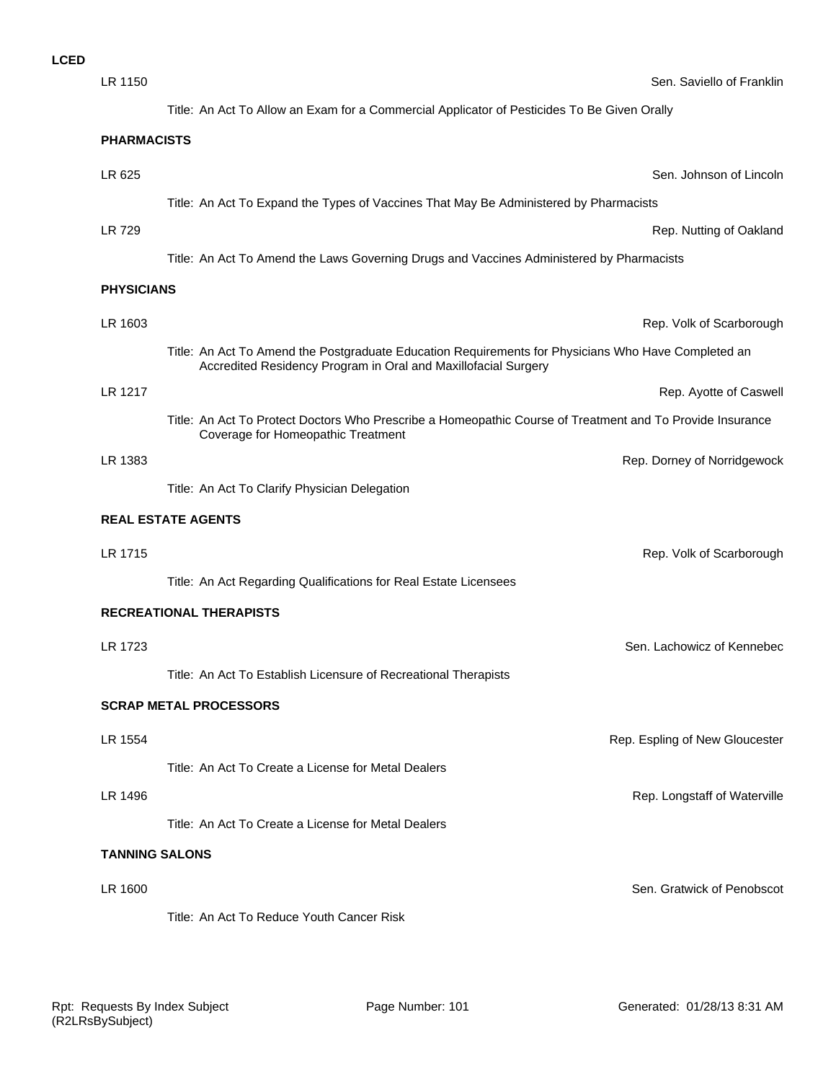| LR 1150               |                                                                                                                                                 | Sen. Saviello of Franklin      |
|-----------------------|-------------------------------------------------------------------------------------------------------------------------------------------------|--------------------------------|
|                       | Title: An Act To Allow an Exam for a Commercial Applicator of Pesticides To Be Given Orally                                                     |                                |
| <b>PHARMACISTS</b>    |                                                                                                                                                 |                                |
| LR 625                |                                                                                                                                                 | Sen. Johnson of Lincoln        |
|                       | Title: An Act To Expand the Types of Vaccines That May Be Administered by Pharmacists                                                           |                                |
| <b>LR 729</b>         |                                                                                                                                                 | Rep. Nutting of Oakland        |
|                       | Title: An Act To Amend the Laws Governing Drugs and Vaccines Administered by Pharmacists                                                        |                                |
| <b>PHYSICIANS</b>     |                                                                                                                                                 |                                |
| LR 1603               |                                                                                                                                                 |                                |
|                       | Title: An Act To Amend the Postgraduate Education Requirements for Physicians Who Have Completed an                                             | Rep. Volk of Scarborough       |
|                       | Accredited Residency Program in Oral and Maxillofacial Surgery                                                                                  |                                |
| LR 1217               |                                                                                                                                                 | Rep. Ayotte of Caswell         |
|                       | Title: An Act To Protect Doctors Who Prescribe a Homeopathic Course of Treatment and To Provide Insurance<br>Coverage for Homeopathic Treatment |                                |
| LR 1383               |                                                                                                                                                 | Rep. Dorney of Norridgewock    |
|                       | Title: An Act To Clarify Physician Delegation                                                                                                   |                                |
|                       | <b>REAL ESTATE AGENTS</b>                                                                                                                       |                                |
| LR 1715               |                                                                                                                                                 | Rep. Volk of Scarborough       |
|                       | Title: An Act Regarding Qualifications for Real Estate Licensees                                                                                |                                |
|                       | <b>RECREATIONAL THERAPISTS</b>                                                                                                                  |                                |
| LR 1723               |                                                                                                                                                 | Sen. Lachowicz of Kennebec     |
|                       | Title: An Act To Establish Licensure of Recreational Therapists                                                                                 |                                |
|                       | <b>SCRAP METAL PROCESSORS</b>                                                                                                                   |                                |
|                       |                                                                                                                                                 |                                |
| LR 1554               |                                                                                                                                                 | Rep. Espling of New Gloucester |
|                       | Title: An Act To Create a License for Metal Dealers                                                                                             |                                |
| LR 1496               |                                                                                                                                                 | Rep. Longstaff of Waterville   |
|                       | Title: An Act To Create a License for Metal Dealers                                                                                             |                                |
| <b>TANNING SALONS</b> |                                                                                                                                                 |                                |
| LR 1600               |                                                                                                                                                 | Sen. Gratwick of Penobscot     |
|                       | Title: An Act To Reduce Youth Cancer Risk                                                                                                       |                                |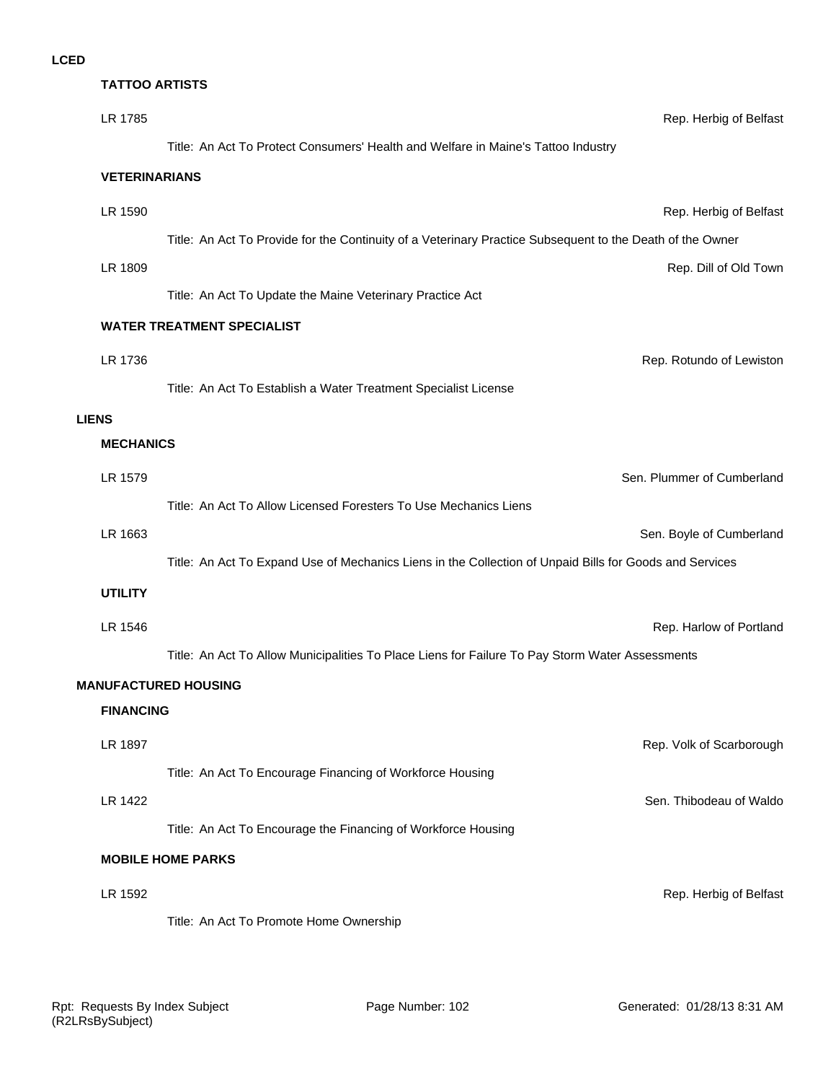| <b>TATTOO ARTISTS</b> |                                                                                                           |
|-----------------------|-----------------------------------------------------------------------------------------------------------|
| LR 1785               | Rep. Herbig of Belfast                                                                                    |
|                       | Title: An Act To Protect Consumers' Health and Welfare in Maine's Tattoo Industry                         |
| <b>VETERINARIANS</b>  |                                                                                                           |
| LR 1590               | Rep. Herbig of Belfast                                                                                    |
|                       | Title: An Act To Provide for the Continuity of a Veterinary Practice Subsequent to the Death of the Owner |
| LR 1809               | Rep. Dill of Old Town                                                                                     |
|                       | Title: An Act To Update the Maine Veterinary Practice Act                                                 |
|                       | <b>WATER TREATMENT SPECIALIST</b>                                                                         |
| LR 1736               | Rep. Rotundo of Lewiston                                                                                  |
|                       | Title: An Act To Establish a Water Treatment Specialist License                                           |
| <b>LIENS</b>          |                                                                                                           |
| <b>MECHANICS</b>      |                                                                                                           |
| LR 1579               | Sen. Plummer of Cumberland                                                                                |
|                       | Title: An Act To Allow Licensed Foresters To Use Mechanics Liens                                          |
| LR 1663               | Sen. Boyle of Cumberland                                                                                  |
|                       | Title: An Act To Expand Use of Mechanics Liens in the Collection of Unpaid Bills for Goods and Services   |
| <b>UTILITY</b>        |                                                                                                           |
| LR 1546               | Rep. Harlow of Portland                                                                                   |
|                       | Title: An Act To Allow Municipalities To Place Liens for Failure To Pay Storm Water Assessments           |
|                       | <b>MANUFACTURED HOUSING</b>                                                                               |
| <b>FINANCING</b>      |                                                                                                           |
| LR 1897               | Rep. Volk of Scarborough                                                                                  |
|                       | Title: An Act To Encourage Financing of Workforce Housing                                                 |
| LR 1422               | Sen. Thibodeau of Waldo                                                                                   |
|                       | Title: An Act To Encourage the Financing of Workforce Housing                                             |
|                       | <b>MOBILE HOME PARKS</b>                                                                                  |
| LR 1592               | Rep. Herbig of Belfast                                                                                    |
|                       | Title: An Act To Promote Home Ownership                                                                   |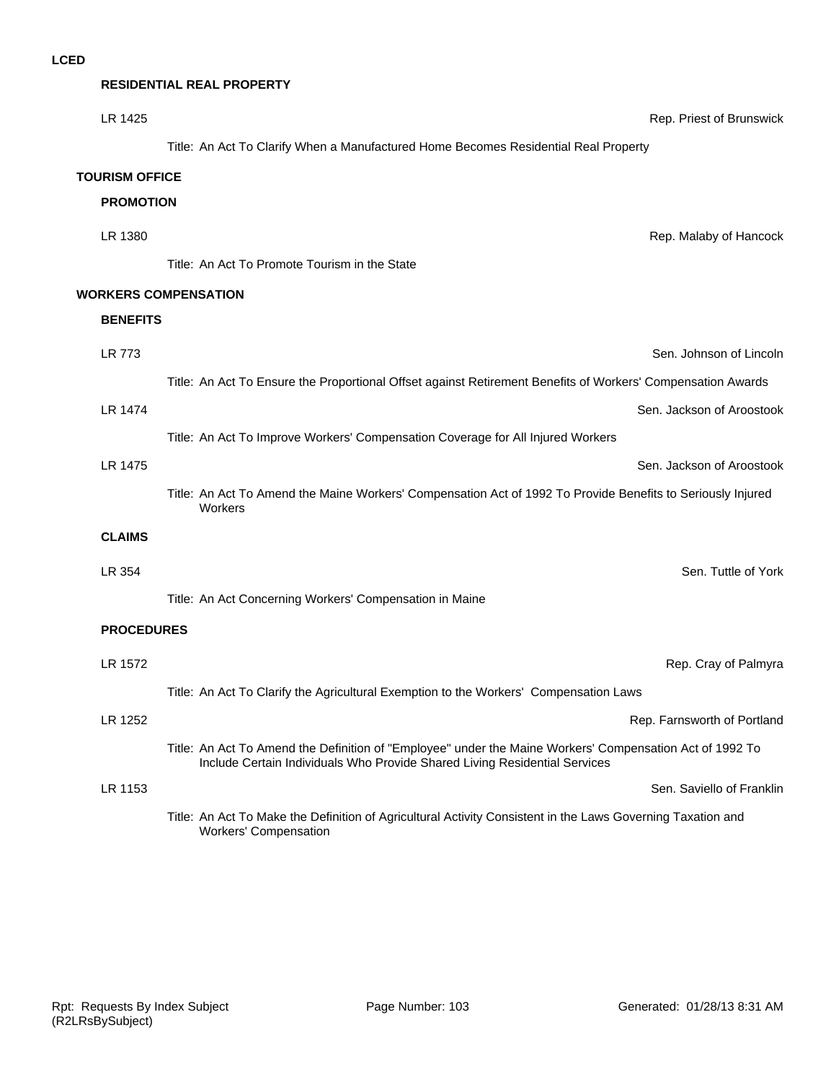**RESIDENTIAL REAL PROPERTY**

| LR 1425               | Rep. Priest of Brunswick                                                                                                                                                               |
|-----------------------|----------------------------------------------------------------------------------------------------------------------------------------------------------------------------------------|
|                       | Title: An Act To Clarify When a Manufactured Home Becomes Residential Real Property                                                                                                    |
| <b>TOURISM OFFICE</b> |                                                                                                                                                                                        |
| <b>PROMOTION</b>      |                                                                                                                                                                                        |
| LR 1380               | Rep. Malaby of Hancock                                                                                                                                                                 |
|                       | Title: An Act To Promote Tourism in the State                                                                                                                                          |
|                       | <b>WORKERS COMPENSATION</b>                                                                                                                                                            |
| <b>BENEFITS</b>       |                                                                                                                                                                                        |
| LR 773                | Sen. Johnson of Lincoln                                                                                                                                                                |
|                       | Title: An Act To Ensure the Proportional Offset against Retirement Benefits of Workers' Compensation Awards                                                                            |
| <b>LR 1474</b>        | Sen. Jackson of Aroostook                                                                                                                                                              |
|                       | Title: An Act To Improve Workers' Compensation Coverage for All Injured Workers                                                                                                        |
| <b>LR 1475</b>        | Sen. Jackson of Aroostook                                                                                                                                                              |
|                       | Title: An Act To Amend the Maine Workers' Compensation Act of 1992 To Provide Benefits to Seriously Injured<br>Workers                                                                 |
| <b>CLAIMS</b>         |                                                                                                                                                                                        |
| LR 354                | Sen. Tuttle of York                                                                                                                                                                    |
|                       | Title: An Act Concerning Workers' Compensation in Maine                                                                                                                                |
| <b>PROCEDURES</b>     |                                                                                                                                                                                        |
| LR 1572               | Rep. Cray of Palmyra                                                                                                                                                                   |
|                       | Title: An Act To Clarify the Agricultural Exemption to the Workers' Compensation Laws                                                                                                  |
| LR 1252               | Rep. Farnsworth of Portland                                                                                                                                                            |
|                       | Title: An Act To Amend the Definition of "Employee" under the Maine Workers' Compensation Act of 1992 To<br>Include Certain Individuals Who Provide Shared Living Residential Services |
| LR 1153               | Sen. Saviello of Franklin                                                                                                                                                              |
|                       | Title: An Act To Make the Definition of Agricultural Activity Consistent in the Laws Governing Taxation and<br>Workers' Compensation                                                   |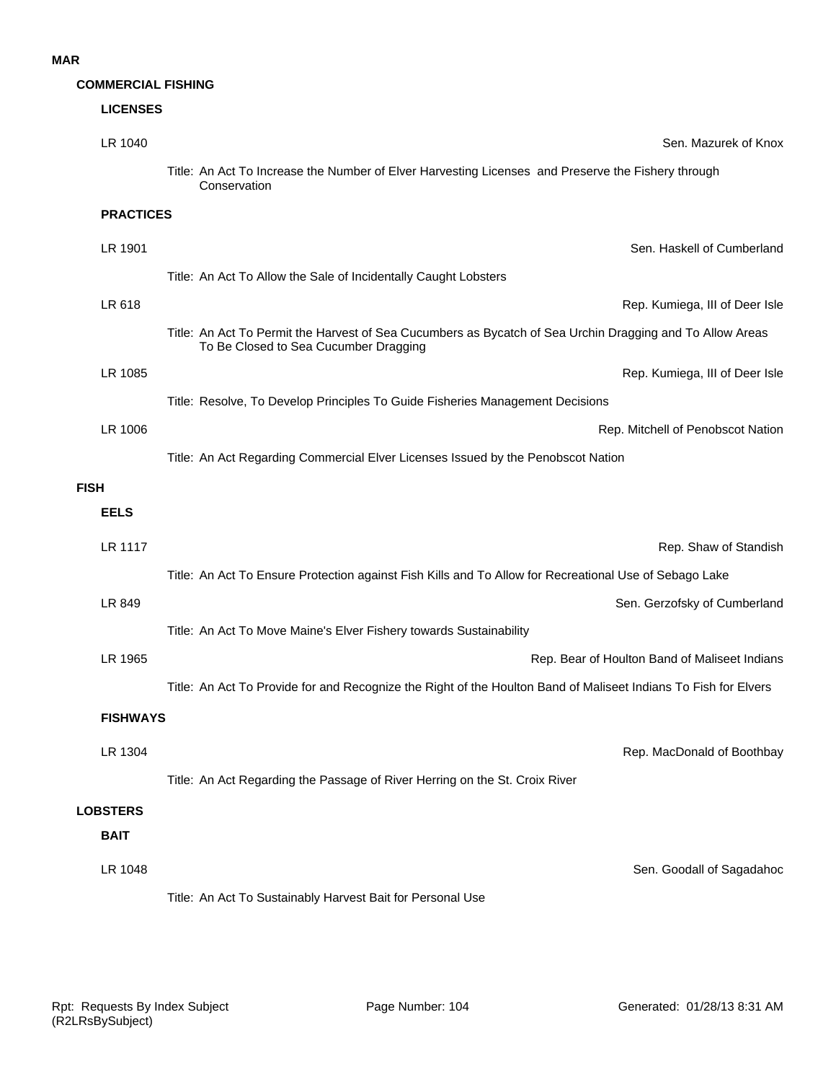# **COMMERCIAL FISHING**

|             | <b>LICENSES</b>  |                                                                                                                                                    |
|-------------|------------------|----------------------------------------------------------------------------------------------------------------------------------------------------|
|             | LR 1040          | Sen. Mazurek of Knox                                                                                                                               |
|             |                  | Title: An Act To Increase the Number of Elver Harvesting Licenses and Preserve the Fishery through<br>Conservation                                 |
|             | <b>PRACTICES</b> |                                                                                                                                                    |
|             | LR 1901          | Sen. Haskell of Cumberland                                                                                                                         |
|             |                  | Title: An Act To Allow the Sale of Incidentally Caught Lobsters                                                                                    |
|             | LR 618           | Rep. Kumiega, III of Deer Isle                                                                                                                     |
|             |                  | Title: An Act To Permit the Harvest of Sea Cucumbers as Bycatch of Sea Urchin Dragging and To Allow Areas<br>To Be Closed to Sea Cucumber Dragging |
|             | LR 1085          | Rep. Kumiega, III of Deer Isle                                                                                                                     |
|             |                  | Title: Resolve, To Develop Principles To Guide Fisheries Management Decisions                                                                      |
|             | LR 1006          | Rep. Mitchell of Penobscot Nation                                                                                                                  |
|             |                  | Title: An Act Regarding Commercial Elver Licenses Issued by the Penobscot Nation                                                                   |
| <b>FISH</b> |                  |                                                                                                                                                    |
|             | <b>EELS</b>      |                                                                                                                                                    |
|             | LR 1117          | Rep. Shaw of Standish                                                                                                                              |
|             |                  | Title: An Act To Ensure Protection against Fish Kills and To Allow for Recreational Use of Sebago Lake                                             |
|             | LR 849           | Sen. Gerzofsky of Cumberland                                                                                                                       |
|             |                  | Title: An Act To Move Maine's Elver Fishery towards Sustainability                                                                                 |
|             | LR 1965          | Rep. Bear of Houlton Band of Maliseet Indians                                                                                                      |
|             |                  | Title: An Act To Provide for and Recognize the Right of the Houlton Band of Maliseet Indians To Fish for Elvers                                    |
|             | <b>FISHWAYS</b>  |                                                                                                                                                    |
|             | LR 1304          | Rep. MacDonald of Boothbay                                                                                                                         |
|             |                  | Title: An Act Regarding the Passage of River Herring on the St. Croix River                                                                        |
|             | <b>LOBSTERS</b>  |                                                                                                                                                    |
|             | <b>BAIT</b>      |                                                                                                                                                    |
|             | LR 1048          | Sen. Goodall of Sagadahoo                                                                                                                          |
|             |                  | Title: An Act To Sustainably Harvest Bait for Personal Use                                                                                         |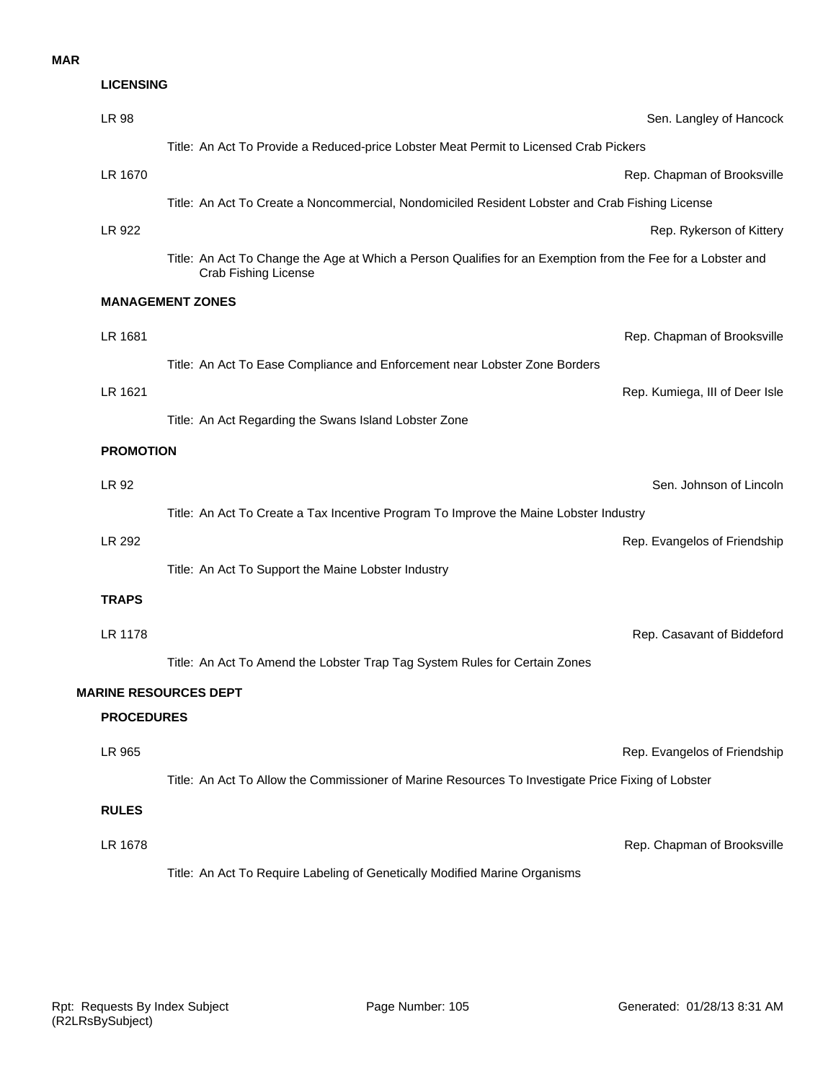#### **MAR**

| <b>LICENSING</b>  |                                                                                                                                     |
|-------------------|-------------------------------------------------------------------------------------------------------------------------------------|
| <b>LR 98</b>      | Sen. Langley of Hancock                                                                                                             |
|                   | Title: An Act To Provide a Reduced-price Lobster Meat Permit to Licensed Crab Pickers                                               |
| LR 1670           | Rep. Chapman of Brooksville                                                                                                         |
|                   | Title: An Act To Create a Noncommercial, Nondomiciled Resident Lobster and Crab Fishing License                                     |
| LR 922            | Rep. Rykerson of Kittery                                                                                                            |
|                   | Title: An Act To Change the Age at Which a Person Qualifies for an Exemption from the Fee for a Lobster and<br>Crab Fishing License |
|                   | <b>MANAGEMENT ZONES</b>                                                                                                             |
| LR 1681           | Rep. Chapman of Brooksville                                                                                                         |
|                   | Title: An Act To Ease Compliance and Enforcement near Lobster Zone Borders                                                          |
| LR 1621           | Rep. Kumiega, III of Deer Isle                                                                                                      |
|                   | Title: An Act Regarding the Swans Island Lobster Zone                                                                               |
| <b>PROMOTION</b>  |                                                                                                                                     |
| LR 92             | Sen. Johnson of Lincoln                                                                                                             |
|                   | Title: An Act To Create a Tax Incentive Program To Improve the Maine Lobster Industry                                               |
| LR 292            | Rep. Evangelos of Friendship                                                                                                        |
|                   | Title: An Act To Support the Maine Lobster Industry                                                                                 |
| <b>TRAPS</b>      |                                                                                                                                     |
| LR 1178           | Rep. Casavant of Biddeford                                                                                                          |
|                   | Title: An Act To Amend the Lobster Trap Tag System Rules for Certain Zones                                                          |
|                   | <b>MARINE RESOURCES DEPT</b>                                                                                                        |
| <b>PROCEDURES</b> |                                                                                                                                     |
| LR 965            | Rep. Evangelos of Friendship                                                                                                        |
|                   | Title: An Act To Allow the Commissioner of Marine Resources To Investigate Price Fixing of Lobster                                  |
| <b>RULES</b>      |                                                                                                                                     |
| LR 1678           | Rep. Chapman of Brooksville                                                                                                         |
|                   | Title: An Act To Require Labeling of Genetically Modified Marine Organisms                                                          |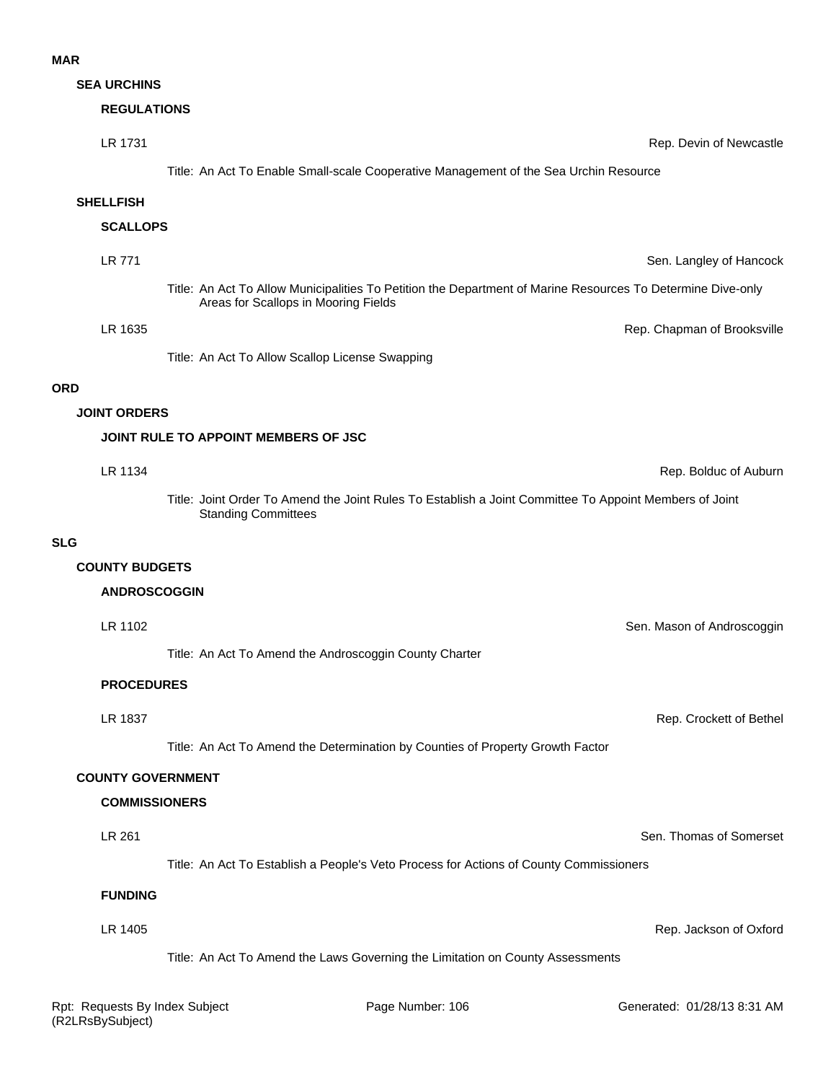#### **MAR**

**SEA URCHINS**

#### **REGULATIONS**

| LR 1731             |                                                                                                                                                     | Rep. Devin of Newcastle     |
|---------------------|-----------------------------------------------------------------------------------------------------------------------------------------------------|-----------------------------|
|                     | Title: An Act To Enable Small-scale Cooperative Management of the Sea Urchin Resource                                                               |                             |
| <b>SHELLFISH</b>    |                                                                                                                                                     |                             |
| <b>SCALLOPS</b>     |                                                                                                                                                     |                             |
| LR 771              |                                                                                                                                                     | Sen. Langley of Hancock     |
|                     | Title: An Act To Allow Municipalities To Petition the Department of Marine Resources To Determine Dive-only<br>Areas for Scallops in Mooring Fields |                             |
| LR 1635             |                                                                                                                                                     | Rep. Chapman of Brooksville |
|                     | Title: An Act To Allow Scallop License Swapping                                                                                                     |                             |
|                     |                                                                                                                                                     |                             |
| <b>JOINT ORDERS</b> |                                                                                                                                                     |                             |
|                     | JOINT RULE TO APPOINT MEMBERS OF JSC                                                                                                                |                             |
| LR 1134             |                                                                                                                                                     | Rep. Bolduc of Auburn       |

Title: Joint Order To Amend the Joint Rules To Establish a Joint Committee To Appoint Members of Joint Standing Committees

#### **SLG**

**ORD**

#### **COUNTY BUDGETS**

#### **ANDROSCOGGIN**

| LR 1102 | Sen. Mason of Androscoggin |
|---------|----------------------------|
|         |                            |

Title: An Act To Amend the Androscoggin County Charter

#### **PROCEDURES**

LR 1837 Rep. Crockett of Bethel

Title: An Act To Amend the Determination by Counties of Property Growth Factor

#### **COUNTY GOVERNMENT**

#### **COMMISSIONERS**

#### LR 261 Sen. Thomas of Somerset

Title: An Act To Establish a People's Veto Process for Actions of County Commissioners

#### **FUNDING**

LR 1405 Rep. Jackson of Oxford Title: An Act To Amend the Laws Governing the Limitation on County Assessments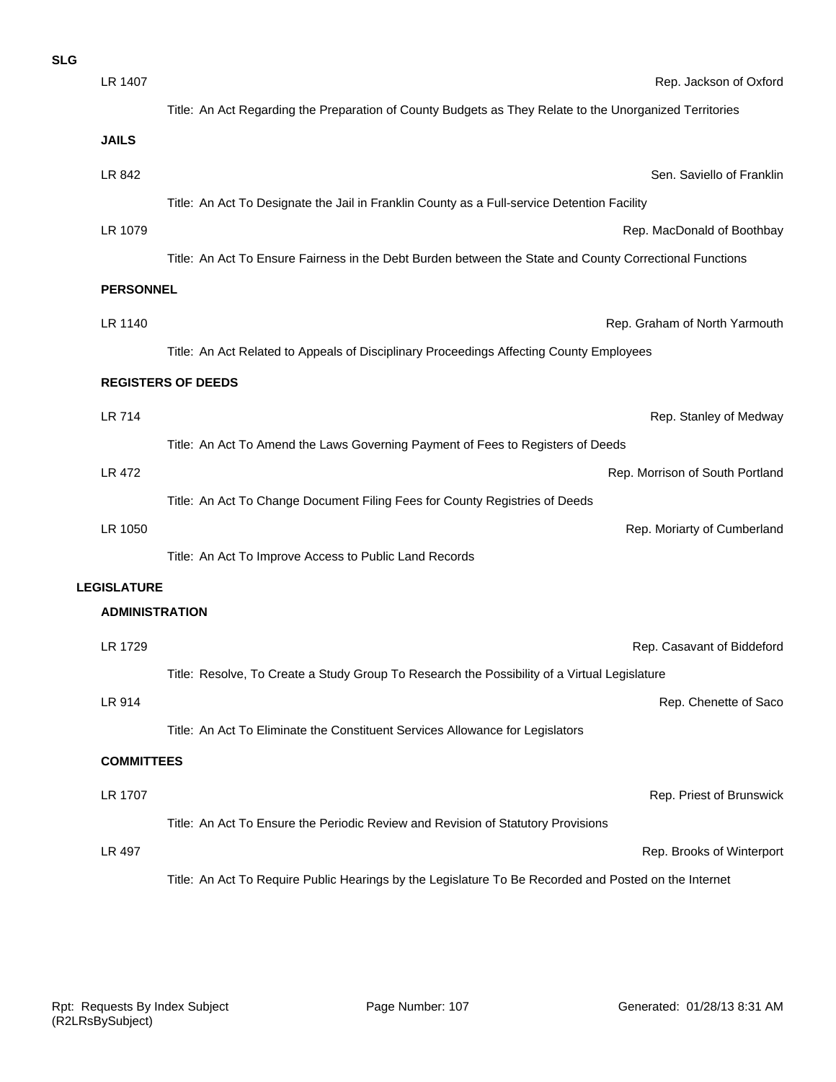| <b>SLG</b> |                       |                                                                                                                |
|------------|-----------------------|----------------------------------------------------------------------------------------------------------------|
|            | LR 1407               | Rep. Jackson of Oxford                                                                                         |
|            |                       | Title: An Act Regarding the Preparation of County Budgets as They Relate to the Unorganized Territories        |
|            | <b>JAILS</b>          |                                                                                                                |
|            | LR 842                | Sen. Saviello of Franklin                                                                                      |
|            |                       | Title: An Act To Designate the Jail in Franklin County as a Full-service Detention Facility                    |
|            | LR 1079               | Rep. MacDonald of Boothbay                                                                                     |
|            |                       | Title: An Act To Ensure Fairness in the Debt Burden between the State and County Correctional Functions        |
|            | <b>PERSONNEL</b>      |                                                                                                                |
|            | LR 1140               | Rep. Graham of North Yarmouth                                                                                  |
|            |                       | Title: An Act Related to Appeals of Disciplinary Proceedings Affecting County Employees                        |
|            |                       | <b>REGISTERS OF DEEDS</b>                                                                                      |
|            |                       |                                                                                                                |
|            | LR 714                | Rep. Stanley of Medway                                                                                         |
|            | LR 472                | Title: An Act To Amend the Laws Governing Payment of Fees to Registers of Deeds                                |
|            |                       | Rep. Morrison of South Portland<br>Title: An Act To Change Document Filing Fees for County Registries of Deeds |
|            | LR 1050               | Rep. Moriarty of Cumberland                                                                                    |
|            |                       | Title: An Act To Improve Access to Public Land Records                                                         |
|            | <b>LEGISLATURE</b>    |                                                                                                                |
|            | <b>ADMINISTRATION</b> |                                                                                                                |
|            | LR 1729               | Rep. Casavant of Biddeford                                                                                     |
|            |                       | Title: Resolve, To Create a Study Group To Research the Possibility of a Virtual Legislature                   |
|            | LR 914                | Rep. Chenette of Saco                                                                                          |
|            |                       | Title: An Act To Eliminate the Constituent Services Allowance for Legislators                                  |
|            | <b>COMMITTEES</b>     |                                                                                                                |
|            |                       |                                                                                                                |
|            | LR 1707               | Rep. Priest of Brunswick                                                                                       |
|            |                       | Title: An Act To Ensure the Periodic Review and Revision of Statutory Provisions                               |
|            | LR 497                | Rep. Brooks of Winterport                                                                                      |
|            |                       | Title: An Act To Require Public Hearings by the Legislature To Be Recorded and Posted on the Internet          |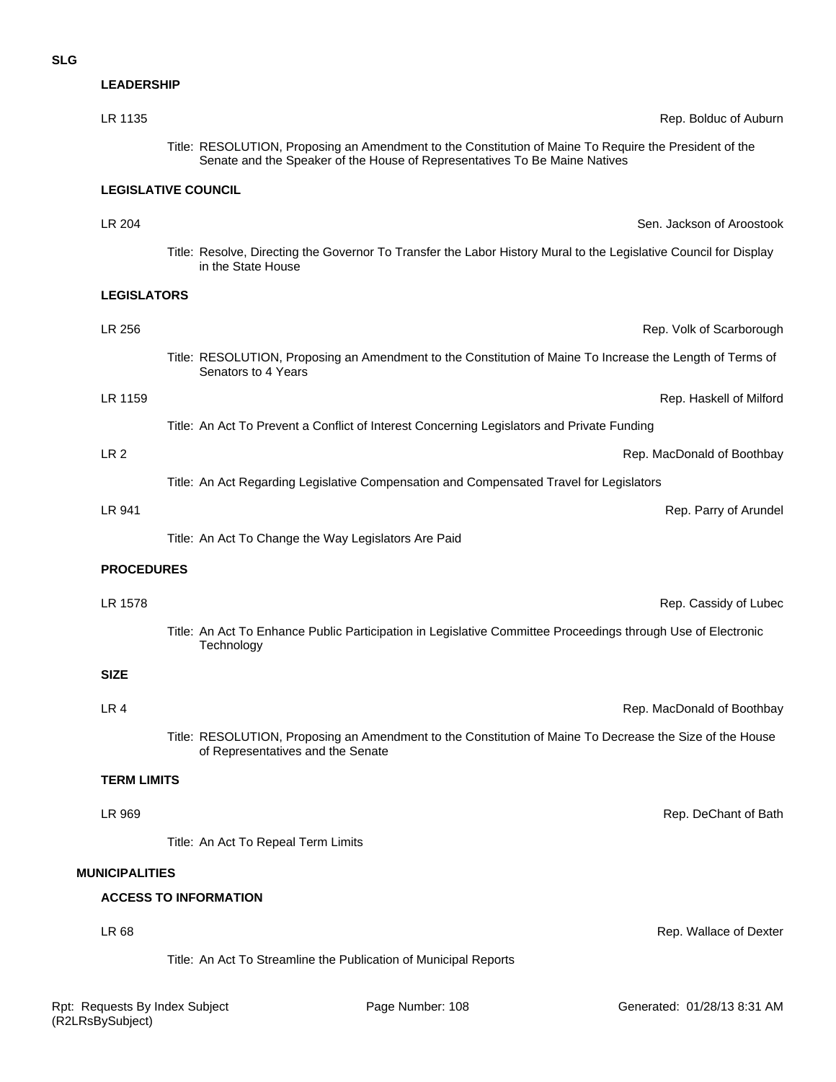## **LEADERSHIP**

|                       | LR 1135            | Rep. Bolduc of Auburn                                                                                                                                                                |
|-----------------------|--------------------|--------------------------------------------------------------------------------------------------------------------------------------------------------------------------------------|
|                       |                    | Title: RESOLUTION, Proposing an Amendment to the Constitution of Maine To Require the President of the<br>Senate and the Speaker of the House of Representatives To Be Maine Natives |
|                       |                    | <b>LEGISLATIVE COUNCIL</b>                                                                                                                                                           |
|                       | LR 204             | Sen. Jackson of Aroostook                                                                                                                                                            |
|                       |                    | Title: Resolve, Directing the Governor To Transfer the Labor History Mural to the Legislative Council for Display<br>in the State House                                              |
|                       | <b>LEGISLATORS</b> |                                                                                                                                                                                      |
|                       | LR 256             | Rep. Volk of Scarborough                                                                                                                                                             |
|                       |                    | Title: RESOLUTION, Proposing an Amendment to the Constitution of Maine To Increase the Length of Terms of<br>Senators to 4 Years                                                     |
|                       | LR 1159            | Rep. Haskell of Milford                                                                                                                                                              |
|                       |                    | Title: An Act To Prevent a Conflict of Interest Concerning Legislators and Private Funding                                                                                           |
|                       | LR <sub>2</sub>    | Rep. MacDonald of Boothbay                                                                                                                                                           |
|                       |                    | Title: An Act Regarding Legislative Compensation and Compensated Travel for Legislators                                                                                              |
|                       | LR 941             | Rep. Parry of Arundel                                                                                                                                                                |
|                       |                    | Title: An Act To Change the Way Legislators Are Paid                                                                                                                                 |
|                       | <b>PROCEDURES</b>  |                                                                                                                                                                                      |
|                       | LR 1578            | Rep. Cassidy of Lubec                                                                                                                                                                |
|                       |                    | Title: An Act To Enhance Public Participation in Legislative Committee Proceedings through Use of Electronic<br>Technology                                                           |
|                       | <b>SIZE</b>        |                                                                                                                                                                                      |
|                       | LR 4               | Rep. MacDonald of Boothbay                                                                                                                                                           |
|                       |                    | Title: RESOLUTION, Proposing an Amendment to the Constitution of Maine To Decrease the Size of the House<br>of Representatives and the Senate                                        |
|                       | <b>TERM LIMITS</b> |                                                                                                                                                                                      |
|                       | LR 969             | Rep. DeChant of Bath                                                                                                                                                                 |
|                       |                    | Title: An Act To Repeal Term Limits                                                                                                                                                  |
| <b>MUNICIPALITIES</b> |                    |                                                                                                                                                                                      |
|                       |                    | <b>ACCESS TO INFORMATION</b>                                                                                                                                                         |
|                       | LR 68              | Rep. Wallace of Dexter                                                                                                                                                               |

Title: An Act To Streamline the Publication of Municipal Reports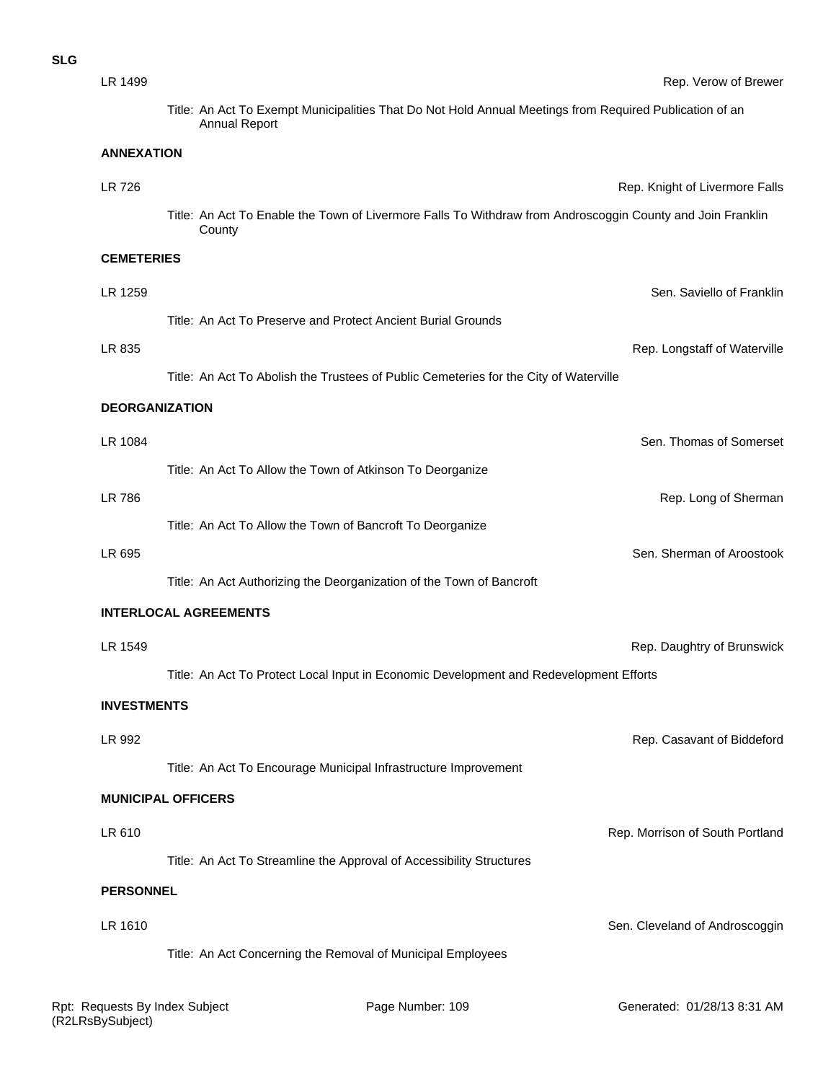| ۰.<br>I<br>×<br>۰.<br>×<br>۰. |  |
|-------------------------------|--|
|-------------------------------|--|

|                                                                      | Rep. Verow of Brewer                                                                                                                                                                                                                                                                                                                                                                                                                                                                                                                                                |
|----------------------------------------------------------------------|---------------------------------------------------------------------------------------------------------------------------------------------------------------------------------------------------------------------------------------------------------------------------------------------------------------------------------------------------------------------------------------------------------------------------------------------------------------------------------------------------------------------------------------------------------------------|
| <b>Annual Report</b>                                                 |                                                                                                                                                                                                                                                                                                                                                                                                                                                                                                                                                                     |
| <b>ANNEXATION</b>                                                    |                                                                                                                                                                                                                                                                                                                                                                                                                                                                                                                                                                     |
|                                                                      | Rep. Knight of Livermore Falls                                                                                                                                                                                                                                                                                                                                                                                                                                                                                                                                      |
| County                                                               |                                                                                                                                                                                                                                                                                                                                                                                                                                                                                                                                                                     |
| <b>CEMETERIES</b>                                                    |                                                                                                                                                                                                                                                                                                                                                                                                                                                                                                                                                                     |
|                                                                      | Sen. Saviello of Franklir                                                                                                                                                                                                                                                                                                                                                                                                                                                                                                                                           |
| Title: An Act To Preserve and Protect Ancient Burial Grounds         |                                                                                                                                                                                                                                                                                                                                                                                                                                                                                                                                                                     |
|                                                                      | Rep. Longstaff of Waterville                                                                                                                                                                                                                                                                                                                                                                                                                                                                                                                                        |
|                                                                      |                                                                                                                                                                                                                                                                                                                                                                                                                                                                                                                                                                     |
| <b>DEORGANIZATION</b>                                                |                                                                                                                                                                                                                                                                                                                                                                                                                                                                                                                                                                     |
|                                                                      | Sen. Thomas of Somerset                                                                                                                                                                                                                                                                                                                                                                                                                                                                                                                                             |
| Title: An Act To Allow the Town of Atkinson To Deorganize            |                                                                                                                                                                                                                                                                                                                                                                                                                                                                                                                                                                     |
|                                                                      | Rep. Long of Shermar                                                                                                                                                                                                                                                                                                                                                                                                                                                                                                                                                |
| Title: An Act To Allow the Town of Bancroft To Deorganize            |                                                                                                                                                                                                                                                                                                                                                                                                                                                                                                                                                                     |
|                                                                      | Sen. Sherman of Aroostook                                                                                                                                                                                                                                                                                                                                                                                                                                                                                                                                           |
| Title: An Act Authorizing the Deorganization of the Town of Bancroft |                                                                                                                                                                                                                                                                                                                                                                                                                                                                                                                                                                     |
| <b>INTERLOCAL AGREEMENTS</b>                                         |                                                                                                                                                                                                                                                                                                                                                                                                                                                                                                                                                                     |
|                                                                      | Rep. Daughtry of Brunswick                                                                                                                                                                                                                                                                                                                                                                                                                                                                                                                                          |
|                                                                      |                                                                                                                                                                                                                                                                                                                                                                                                                                                                                                                                                                     |
| <b>INVESTMENTS</b>                                                   |                                                                                                                                                                                                                                                                                                                                                                                                                                                                                                                                                                     |
|                                                                      | Rep. Casavant of Biddeford                                                                                                                                                                                                                                                                                                                                                                                                                                                                                                                                          |
| Title: An Act To Encourage Municipal Infrastructure Improvement      |                                                                                                                                                                                                                                                                                                                                                                                                                                                                                                                                                                     |
| <b>MUNICIPAL OFFICERS</b>                                            |                                                                                                                                                                                                                                                                                                                                                                                                                                                                                                                                                                     |
|                                                                      | Rep. Morrison of South Portland                                                                                                                                                                                                                                                                                                                                                                                                                                                                                                                                     |
|                                                                      |                                                                                                                                                                                                                                                                                                                                                                                                                                                                                                                                                                     |
|                                                                      |                                                                                                                                                                                                                                                                                                                                                                                                                                                                                                                                                                     |
|                                                                      |                                                                                                                                                                                                                                                                                                                                                                                                                                                                                                                                                                     |
|                                                                      | Sen. Cleveland of Androscoggin                                                                                                                                                                                                                                                                                                                                                                                                                                                                                                                                      |
|                                                                      |                                                                                                                                                                                                                                                                                                                                                                                                                                                                                                                                                                     |
|                                                                      | Title: An Act To Exempt Municipalities That Do Not Hold Annual Meetings from Required Publication of an<br>Title: An Act To Enable the Town of Livermore Falls To Withdraw from Androscoggin County and Join Franklin<br>Title: An Act To Abolish the Trustees of Public Cemeteries for the City of Waterville<br>Title: An Act To Protect Local Input in Economic Development and Redevelopment Efforts<br>Title: An Act To Streamline the Approval of Accessibility Structures<br><b>PERSONNEL</b><br>Title: An Act Concerning the Removal of Municipal Employees |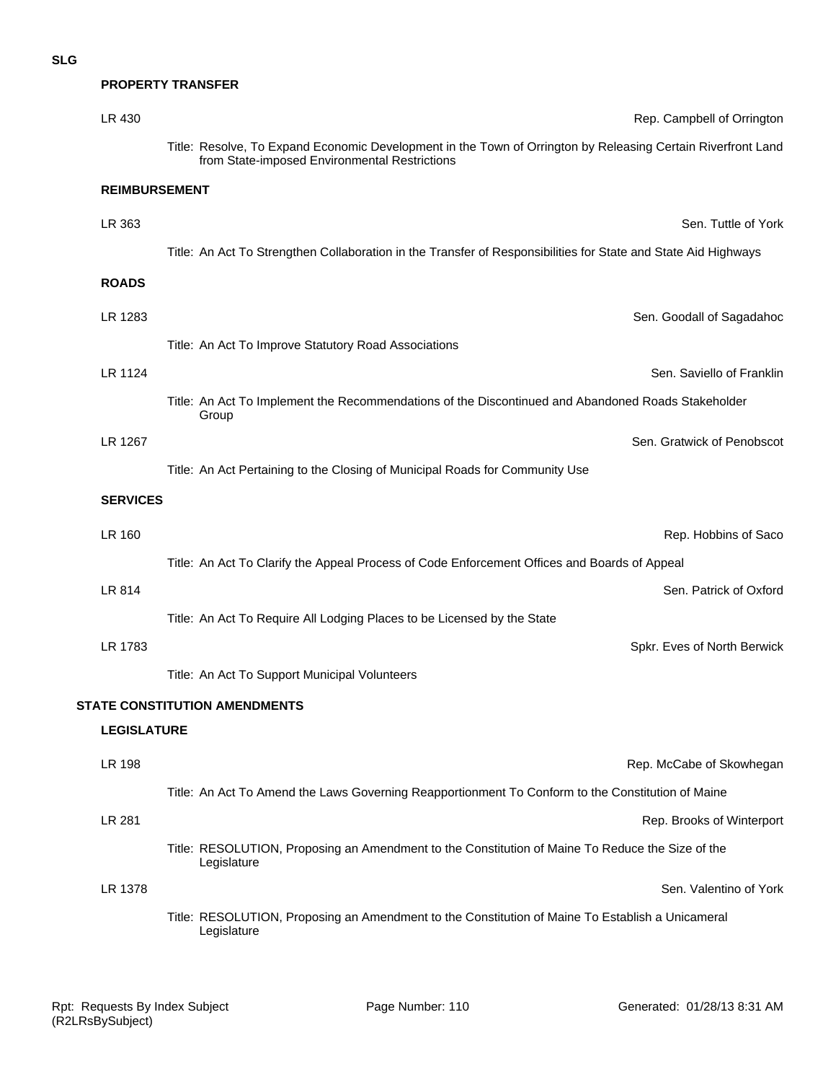#### **PROPERTY TRANSFER**

| LR 430               | Rep. Campbell of Orrington                                                                                                                                    |
|----------------------|---------------------------------------------------------------------------------------------------------------------------------------------------------------|
|                      | Title: Resolve, To Expand Economic Development in the Town of Orrington by Releasing Certain Riverfront Land<br>from State-imposed Environmental Restrictions |
| <b>REIMBURSEMENT</b> |                                                                                                                                                               |
| LR 363               | Sen. Tuttle of York                                                                                                                                           |
|                      | Title: An Act To Strengthen Collaboration in the Transfer of Responsibilities for State and State Aid Highways                                                |
| <b>ROADS</b>         |                                                                                                                                                               |
| LR 1283              | Sen. Goodall of Sagadahoc                                                                                                                                     |
|                      | Title: An Act To Improve Statutory Road Associations                                                                                                          |
| LR 1124              | Sen. Saviello of Franklin                                                                                                                                     |
|                      | Title: An Act To Implement the Recommendations of the Discontinued and Abandoned Roads Stakeholder<br>Group                                                   |
| LR 1267              | Sen. Gratwick of Penobscot                                                                                                                                    |
|                      | Title: An Act Pertaining to the Closing of Municipal Roads for Community Use                                                                                  |
| <b>SERVICES</b>      |                                                                                                                                                               |
| LR 160               | Rep. Hobbins of Saco                                                                                                                                          |
|                      | Title: An Act To Clarify the Appeal Process of Code Enforcement Offices and Boards of Appeal                                                                  |
| LR 814               | Sen. Patrick of Oxford                                                                                                                                        |
|                      | Title: An Act To Require All Lodging Places to be Licensed by the State                                                                                       |
| LR 1783              | Spkr. Eves of North Berwick                                                                                                                                   |
|                      | Title: An Act To Support Municipal Volunteers                                                                                                                 |
|                      | <b>STATE CONSTITUTION AMENDMENTS</b>                                                                                                                          |
| <b>LEGISLATURE</b>   |                                                                                                                                                               |
| <b>LR 198</b>        | Rep. McCabe of Skowhegan                                                                                                                                      |
|                      | Title: An Act To Amend the Laws Governing Reapportionment To Conform to the Constitution of Maine                                                             |
| LR 281               | Rep. Brooks of Winterport                                                                                                                                     |
|                      | Title: RESOLUTION, Proposing an Amendment to the Constitution of Maine To Reduce the Size of the<br>Legislature                                               |
| LR 1378              | Sen. Valentino of York                                                                                                                                        |
|                      | Title: RESOLUTION, Proposing an Amendment to the Constitution of Maine To Establish a Unicameral<br>Legislature                                               |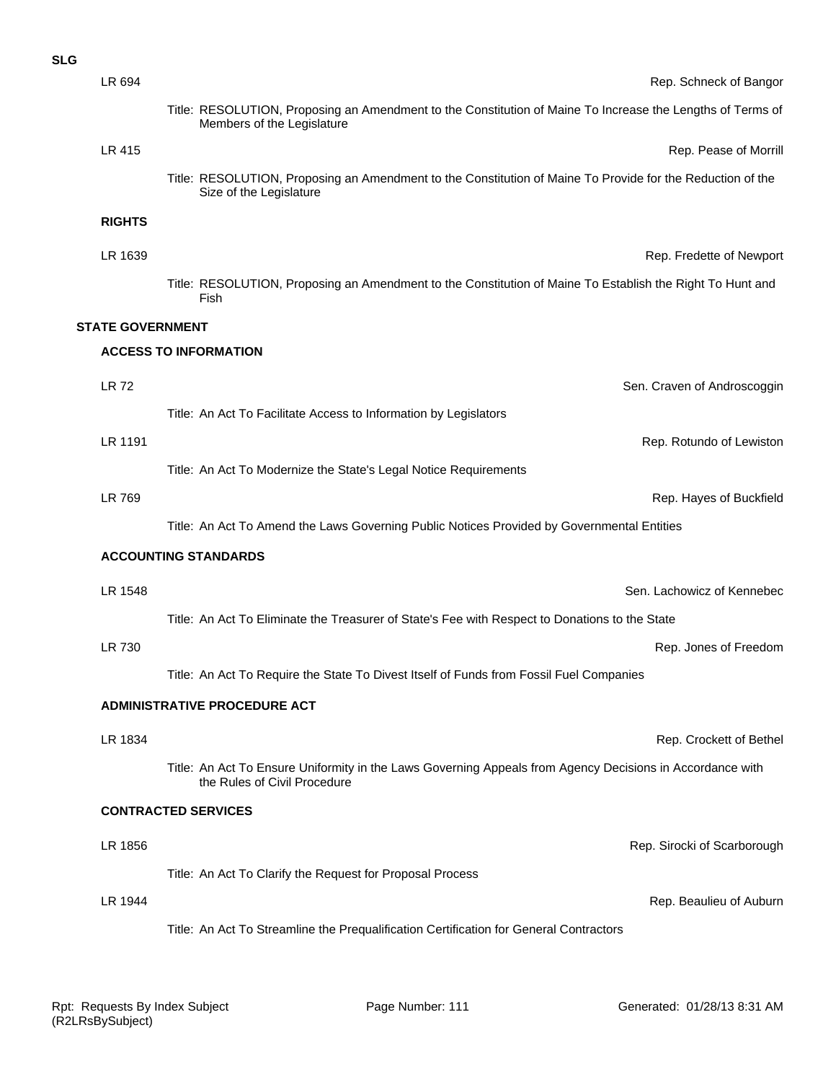| LR 694                  | Rep. Schneck of Bangor                                                                                                                    |
|-------------------------|-------------------------------------------------------------------------------------------------------------------------------------------|
|                         | Title: RESOLUTION, Proposing an Amendment to the Constitution of Maine To Increase the Lengths of Terms of<br>Members of the Legislature  |
| LR 415                  | Rep. Pease of Morrill                                                                                                                     |
|                         | Title: RESOLUTION, Proposing an Amendment to the Constitution of Maine To Provide for the Reduction of the<br>Size of the Legislature     |
| <b>RIGHTS</b>           |                                                                                                                                           |
| LR 1639                 | Rep. Fredette of Newport                                                                                                                  |
|                         | Title: RESOLUTION, Proposing an Amendment to the Constitution of Maine To Establish the Right To Hunt and<br>Fish                         |
| <b>STATE GOVERNMENT</b> |                                                                                                                                           |
|                         | <b>ACCESS TO INFORMATION</b>                                                                                                              |
| <b>LR72</b>             | Sen. Craven of Androscoggin                                                                                                               |
|                         | Title: An Act To Facilitate Access to Information by Legislators                                                                          |
| LR 1191                 | Rep. Rotundo of Lewiston                                                                                                                  |
|                         | Title: An Act To Modernize the State's Legal Notice Requirements                                                                          |
| LR 769                  | Rep. Hayes of Buckfield                                                                                                                   |
|                         | Title: An Act To Amend the Laws Governing Public Notices Provided by Governmental Entities                                                |
|                         | <b>ACCOUNTING STANDARDS</b>                                                                                                               |
| LR 1548                 | Sen. Lachowicz of Kennebec                                                                                                                |
|                         | Title: An Act To Eliminate the Treasurer of State's Fee with Respect to Donations to the State                                            |
| LR 730                  | Rep. Jones of Freedom                                                                                                                     |
|                         | Title: An Act To Require the State To Divest Itself of Funds from Fossil Fuel Companies                                                   |
|                         | <b>ADMINISTRATIVE PROCEDURE ACT</b>                                                                                                       |
| LR 1834                 | Rep. Crockett of Bethel                                                                                                                   |
|                         | Title: An Act To Ensure Uniformity in the Laws Governing Appeals from Agency Decisions in Accordance with<br>the Rules of Civil Procedure |
|                         | <b>CONTRACTED SERVICES</b>                                                                                                                |
| LR 1856                 | Rep. Sirocki of Scarborough                                                                                                               |
|                         | Title: An Act To Clarify the Request for Proposal Process                                                                                 |
| LR 1944                 | Rep. Beaulieu of Auburn                                                                                                                   |
|                         | Title: An Act To Streamline the Prequalification Certification for General Contractors                                                    |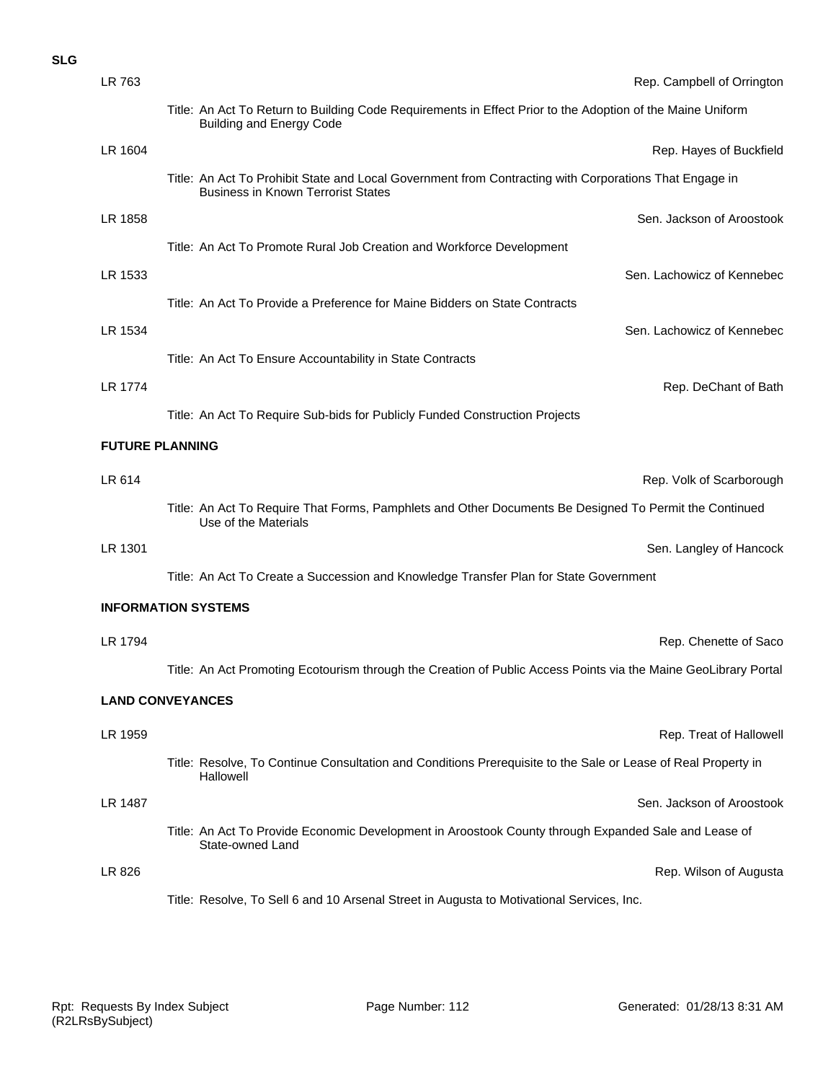### **SLG**

| LR 763  | Rep. Campbell of Orrington                                                                                                                          |
|---------|-----------------------------------------------------------------------------------------------------------------------------------------------------|
|         | Title: An Act To Return to Building Code Requirements in Effect Prior to the Adoption of the Maine Uniform<br><b>Building and Energy Code</b>       |
| LR 1604 | Rep. Hayes of Buckfield                                                                                                                             |
|         | Title: An Act To Prohibit State and Local Government from Contracting with Corporations That Engage in<br><b>Business in Known Terrorist States</b> |
| LR 1858 | Sen. Jackson of Aroostook                                                                                                                           |
|         | Title: An Act To Promote Rural Job Creation and Workforce Development                                                                               |
| LR 1533 | Sen. Lachowicz of Kennebec                                                                                                                          |
|         | Title: An Act To Provide a Preference for Maine Bidders on State Contracts                                                                          |
| LR 1534 | Sen. Lachowicz of Kennebec                                                                                                                          |
|         | Title: An Act To Ensure Accountability in State Contracts                                                                                           |
| LR 1774 | Rep. DeChant of Bath                                                                                                                                |
|         | Title: An Act To Require Sub-bids for Publicly Funded Construction Projects                                                                         |
|         | <b>FUTURE PLANNING</b>                                                                                                                              |
| LR 614  | Rep. Volk of Scarborough                                                                                                                            |
|         | Title: An Act To Require That Forms, Pamphlets and Other Documents Be Designed To Permit the Continued<br>Use of the Materials                      |
| LR 1301 | Sen. Langley of Hancock                                                                                                                             |
|         | Title: An Act To Create a Succession and Knowledge Transfer Plan for State Government                                                               |
|         | <b>INFORMATION SYSTEMS</b>                                                                                                                          |
| LR 1794 | Rep. Chenette of Saco                                                                                                                               |
|         | Title: An Act Promoting Ecotourism through the Creation of Public Access Points via the Maine GeoLibrary Portal                                     |
|         | <b>LAND CONVEYANCES</b>                                                                                                                             |
| LR 1959 | Rep. Treat of Hallowell                                                                                                                             |
|         | Title: Resolve, To Continue Consultation and Conditions Prerequisite to the Sale or Lease of Real Property in<br>Hallowell                          |
| LR 1487 | Sen. Jackson of Aroostook                                                                                                                           |
|         | Title: An Act To Provide Economic Development in Aroostook County through Expanded Sale and Lease of<br>State-owned Land                            |
| LR 826  | Rep. Wilson of Augusta                                                                                                                              |
|         | Title: Resolve, To Sell 6 and 10 Arsenal Street in Augusta to Motivational Services, Inc.                                                           |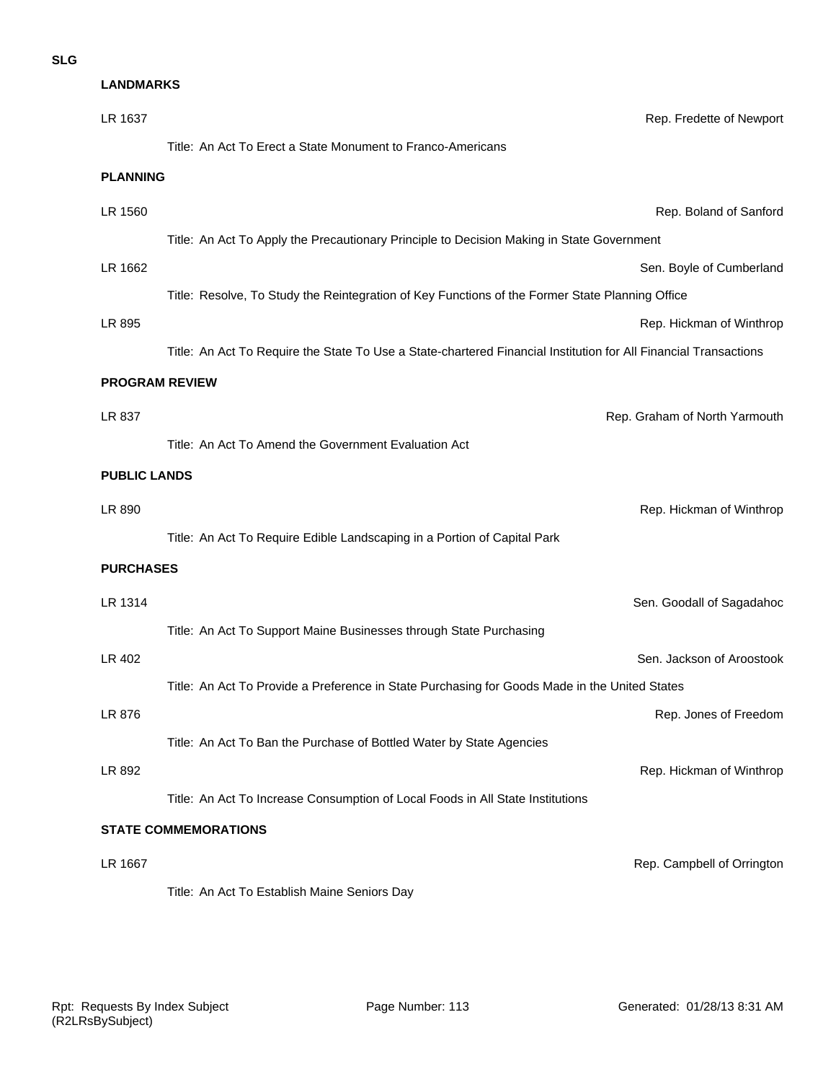**LANDMARKS**

| LR 1637                     | Rep. Fredette of Newport                                                                                         |  |
|-----------------------------|------------------------------------------------------------------------------------------------------------------|--|
|                             | Title: An Act To Erect a State Monument to Franco-Americans                                                      |  |
| <b>PLANNING</b>             |                                                                                                                  |  |
| LR 1560                     | Rep. Boland of Sanford                                                                                           |  |
|                             | Title: An Act To Apply the Precautionary Principle to Decision Making in State Government                        |  |
| LR 1662                     | Sen. Boyle of Cumberland                                                                                         |  |
|                             | Title: Resolve, To Study the Reintegration of Key Functions of the Former State Planning Office                  |  |
| LR 895                      | Rep. Hickman of Winthrop                                                                                         |  |
|                             | Title: An Act To Require the State To Use a State-chartered Financial Institution for All Financial Transactions |  |
| <b>PROGRAM REVIEW</b>       |                                                                                                                  |  |
| LR 837                      | Rep. Graham of North Yarmouth                                                                                    |  |
|                             | Title: An Act To Amend the Government Evaluation Act                                                             |  |
| <b>PUBLIC LANDS</b>         |                                                                                                                  |  |
| LR 890                      | Rep. Hickman of Winthrop                                                                                         |  |
|                             | Title: An Act To Require Edible Landscaping in a Portion of Capital Park                                         |  |
| <b>PURCHASES</b>            |                                                                                                                  |  |
| LR 1314                     | Sen. Goodall of Sagadahoc                                                                                        |  |
|                             | Title: An Act To Support Maine Businesses through State Purchasing                                               |  |
| LR 402                      | Sen. Jackson of Aroostook                                                                                        |  |
|                             | Title: An Act To Provide a Preference in State Purchasing for Goods Made in the United States                    |  |
| LR 876                      | Rep. Jones of Freedom                                                                                            |  |
|                             | Title: An Act To Ban the Purchase of Bottled Water by State Agencies                                             |  |
| LR 892                      | Rep. Hickman of Winthrop                                                                                         |  |
|                             | Title: An Act To Increase Consumption of Local Foods in All State Institutions                                   |  |
| <b>STATE COMMEMORATIONS</b> |                                                                                                                  |  |
| LR 1667                     | Rep. Campbell of Orrington                                                                                       |  |
|                             | Title: An Act To Establish Maine Seniors Day                                                                     |  |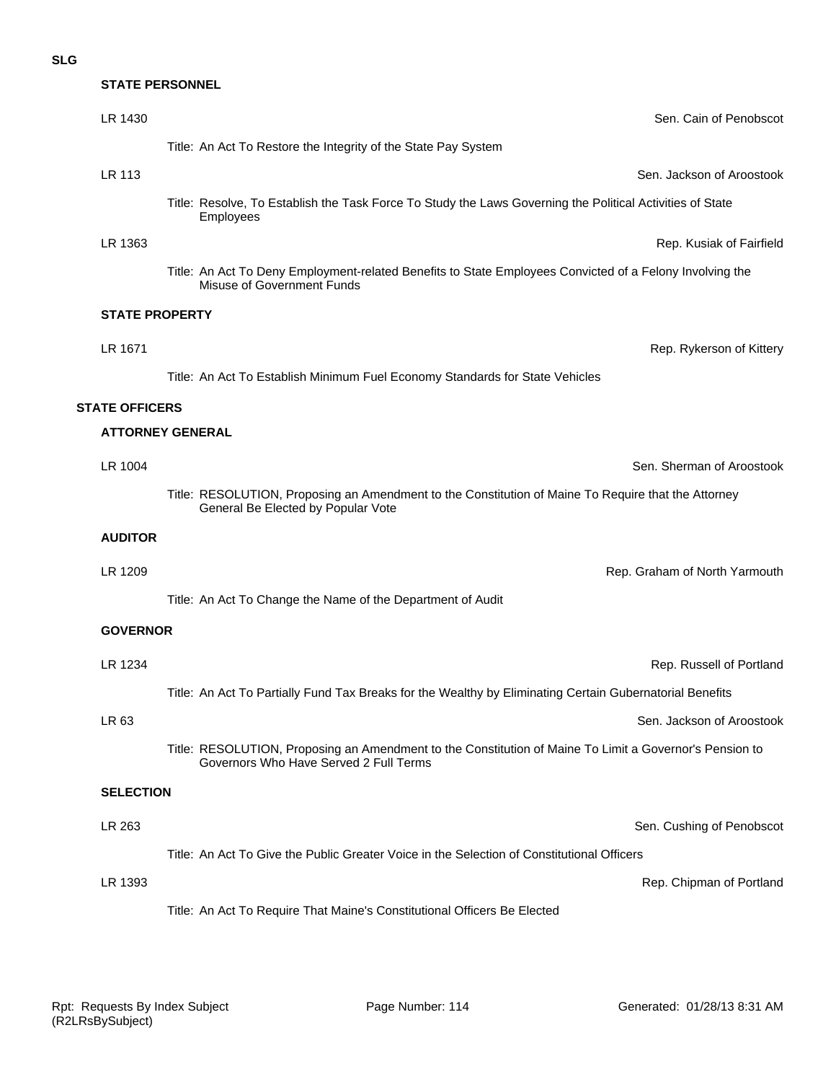# **STATE PERSONNEL**

| LR 1430                 | Sen. Cain of Penobscot                                                                                                                            |
|-------------------------|---------------------------------------------------------------------------------------------------------------------------------------------------|
|                         | Title: An Act To Restore the Integrity of the State Pay System                                                                                    |
| LR 113                  | Sen. Jackson of Aroostook                                                                                                                         |
|                         | Title: Resolve, To Establish the Task Force To Study the Laws Governing the Political Activities of State<br>Employees                            |
| LR 1363                 | Rep. Kusiak of Fairfield                                                                                                                          |
|                         | Title: An Act To Deny Employment-related Benefits to State Employees Convicted of a Felony Involving the<br>Misuse of Government Funds            |
| <b>STATE PROPERTY</b>   |                                                                                                                                                   |
| LR 1671                 | Rep. Rykerson of Kittery                                                                                                                          |
|                         | Title: An Act To Establish Minimum Fuel Economy Standards for State Vehicles                                                                      |
| <b>STATE OFFICERS</b>   |                                                                                                                                                   |
| <b>ATTORNEY GENERAL</b> |                                                                                                                                                   |
| LR 1004                 | Sen. Sherman of Aroostook                                                                                                                         |
|                         | Title: RESOLUTION, Proposing an Amendment to the Constitution of Maine To Require that the Attorney<br>General Be Elected by Popular Vote         |
| <b>AUDITOR</b>          |                                                                                                                                                   |
| LR 1209                 | Rep. Graham of North Yarmouth                                                                                                                     |
|                         | Title: An Act To Change the Name of the Department of Audit                                                                                       |
| <b>GOVERNOR</b>         |                                                                                                                                                   |
| LR 1234                 | Rep. Russell of Portland                                                                                                                          |
|                         | Title: An Act To Partially Fund Tax Breaks for the Wealthy by Eliminating Certain Gubernatorial Benefits                                          |
| LR 63                   | Sen. Jackson of Aroostook                                                                                                                         |
|                         | Title: RESOLUTION, Proposing an Amendment to the Constitution of Maine To Limit a Governor's Pension to<br>Governors Who Have Served 2 Full Terms |
| <b>SELECTION</b>        |                                                                                                                                                   |
| LR 263                  | Sen. Cushing of Penobscot                                                                                                                         |
|                         | Title: An Act To Give the Public Greater Voice in the Selection of Constitutional Officers                                                        |
| LR 1393                 | Rep. Chipman of Portland                                                                                                                          |
|                         | Title: An Act To Require That Maine's Constitutional Officers Be Elected                                                                          |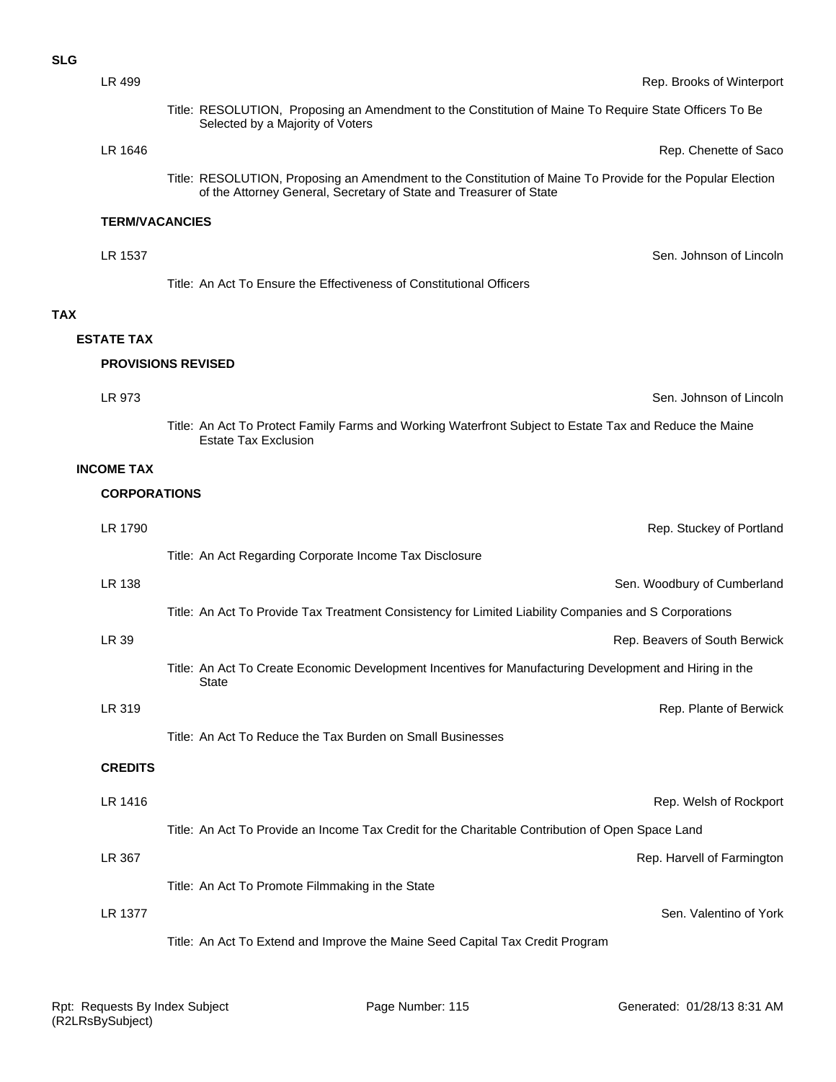|            | LR 499                | Rep. Brooks of Winterport                                                                                                                                                        |
|------------|-----------------------|----------------------------------------------------------------------------------------------------------------------------------------------------------------------------------|
|            |                       | Title: RESOLUTION, Proposing an Amendment to the Constitution of Maine To Require State Officers To Be<br>Selected by a Majority of Voters                                       |
|            | LR 1646               | Rep. Chenette of Saco                                                                                                                                                            |
|            |                       | Title: RESOLUTION, Proposing an Amendment to the Constitution of Maine To Provide for the Popular Election<br>of the Attorney General, Secretary of State and Treasurer of State |
|            | <b>TERM/VACANCIES</b> |                                                                                                                                                                                  |
|            | LR 1537               | Sen. Johnson of Lincoln                                                                                                                                                          |
|            |                       | Title: An Act To Ensure the Effectiveness of Constitutional Officers                                                                                                             |
| <b>TAX</b> |                       |                                                                                                                                                                                  |
|            | <b>ESTATE TAX</b>     |                                                                                                                                                                                  |
|            |                       | <b>PROVISIONS REVISED</b>                                                                                                                                                        |
|            | LR 973                | Sen. Johnson of Lincoln                                                                                                                                                          |
|            |                       | Title: An Act To Protect Family Farms and Working Waterfront Subject to Estate Tax and Reduce the Maine<br><b>Estate Tax Exclusion</b>                                           |
|            | <b>INCOME TAX</b>     |                                                                                                                                                                                  |
|            | <b>CORPORATIONS</b>   |                                                                                                                                                                                  |
|            | LR 1790               | Rep. Stuckey of Portland                                                                                                                                                         |
|            |                       | Title: An Act Regarding Corporate Income Tax Disclosure                                                                                                                          |
|            | LR 138                | Sen. Woodbury of Cumberland                                                                                                                                                      |
|            |                       | Title: An Act To Provide Tax Treatment Consistency for Limited Liability Companies and S Corporations                                                                            |
|            | LR 39                 | Rep. Beavers of South Berwick                                                                                                                                                    |
|            |                       | Title: An Act To Create Economic Development Incentives for Manufacturing Development and Hiring in the<br><b>State</b>                                                          |
|            | LR 319                | Rep. Plante of Berwick                                                                                                                                                           |
|            |                       | Title: An Act To Reduce the Tax Burden on Small Businesses                                                                                                                       |
|            | <b>CREDITS</b>        |                                                                                                                                                                                  |
|            | LR 1416               | Rep. Welsh of Rockport                                                                                                                                                           |
|            |                       | Title: An Act To Provide an Income Tax Credit for the Charitable Contribution of Open Space Land                                                                                 |
|            | LR 367                | Rep. Harvell of Farmington                                                                                                                                                       |
|            |                       | Title: An Act To Promote Filmmaking in the State                                                                                                                                 |
|            | LR 1377               | Sen. Valentino of York                                                                                                                                                           |
|            |                       | Title: An Act To Extend and Improve the Maine Seed Capital Tax Credit Program                                                                                                    |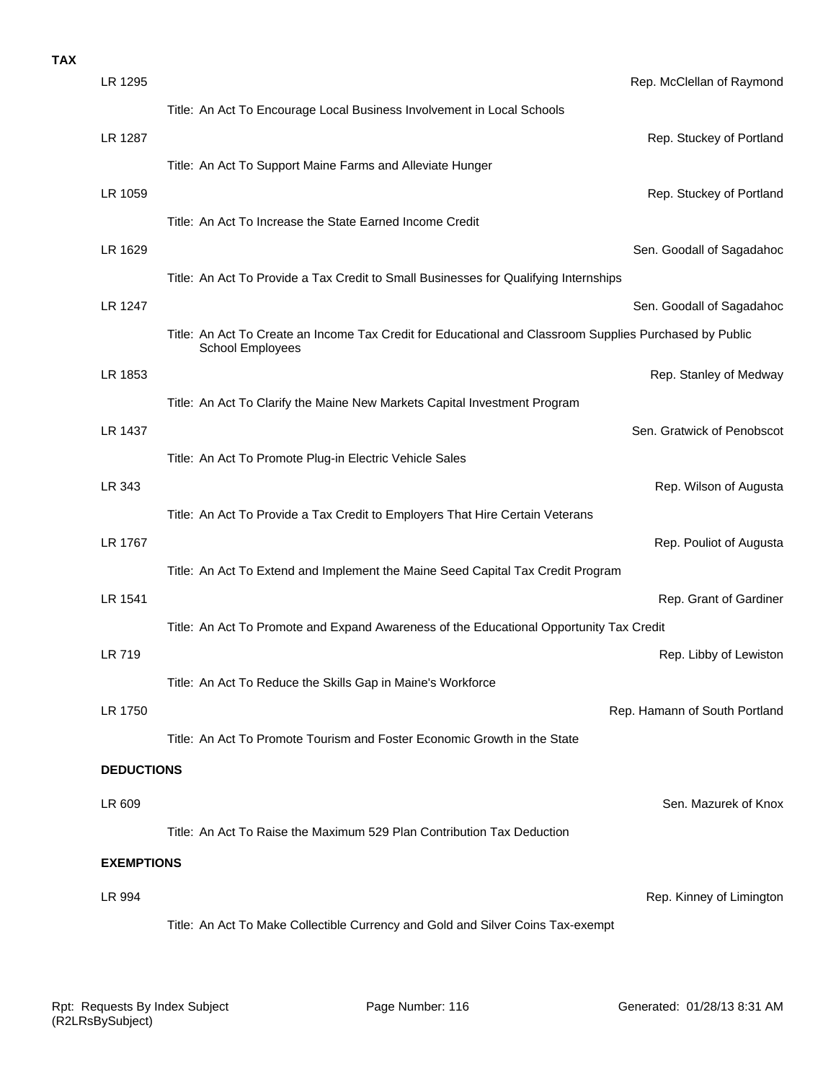| LR 1295           | Rep. McClellan of Raymond                                                                                                   |
|-------------------|-----------------------------------------------------------------------------------------------------------------------------|
|                   | Title: An Act To Encourage Local Business Involvement in Local Schools                                                      |
| LR 1287           | Rep. Stuckey of Portland                                                                                                    |
|                   | Title: An Act To Support Maine Farms and Alleviate Hunger                                                                   |
| LR 1059           | Rep. Stuckey of Portland                                                                                                    |
|                   | Title: An Act To Increase the State Earned Income Credit                                                                    |
| LR 1629           | Sen. Goodall of Sagadahoo                                                                                                   |
|                   | Title: An Act To Provide a Tax Credit to Small Businesses for Qualifying Internships                                        |
| LR 1247           | Sen. Goodall of Sagadahoo                                                                                                   |
|                   | Title: An Act To Create an Income Tax Credit for Educational and Classroom Supplies Purchased by Public<br>School Employees |
| LR 1853           | Rep. Stanley of Medway                                                                                                      |
|                   | Title: An Act To Clarify the Maine New Markets Capital Investment Program                                                   |
| LR 1437           | Sen. Gratwick of Penobscot                                                                                                  |
|                   | Title: An Act To Promote Plug-in Electric Vehicle Sales                                                                     |
| LR 343            | Rep. Wilson of Augusta                                                                                                      |
|                   | Title: An Act To Provide a Tax Credit to Employers That Hire Certain Veterans                                               |
| LR 1767           | Rep. Pouliot of Augusta                                                                                                     |
|                   | Title: An Act To Extend and Implement the Maine Seed Capital Tax Credit Program                                             |
| LR 1541           | Rep. Grant of Gardiner                                                                                                      |
|                   | Title: An Act To Promote and Expand Awareness of the Educational Opportunity Tax Credit                                     |
| LR 719            | Rep. Libby of Lewistor                                                                                                      |
|                   | Title: An Act To Reduce the Skills Gap in Maine's Workforce                                                                 |
| LR 1750           | Rep. Hamann of South Portland                                                                                               |
|                   | Title: An Act To Promote Tourism and Foster Economic Growth in the State                                                    |
| <b>DEDUCTIONS</b> |                                                                                                                             |
| LR 609            | Sen. Mazurek of Knox                                                                                                        |
|                   | Title: An Act To Raise the Maximum 529 Plan Contribution Tax Deduction                                                      |
| <b>EXEMPTIONS</b> |                                                                                                                             |
| LR 994            | Rep. Kinney of Limingtor                                                                                                    |
|                   |                                                                                                                             |

Title: An Act To Make Collectible Currency and Gold and Silver Coins Tax-exempt

**TAX**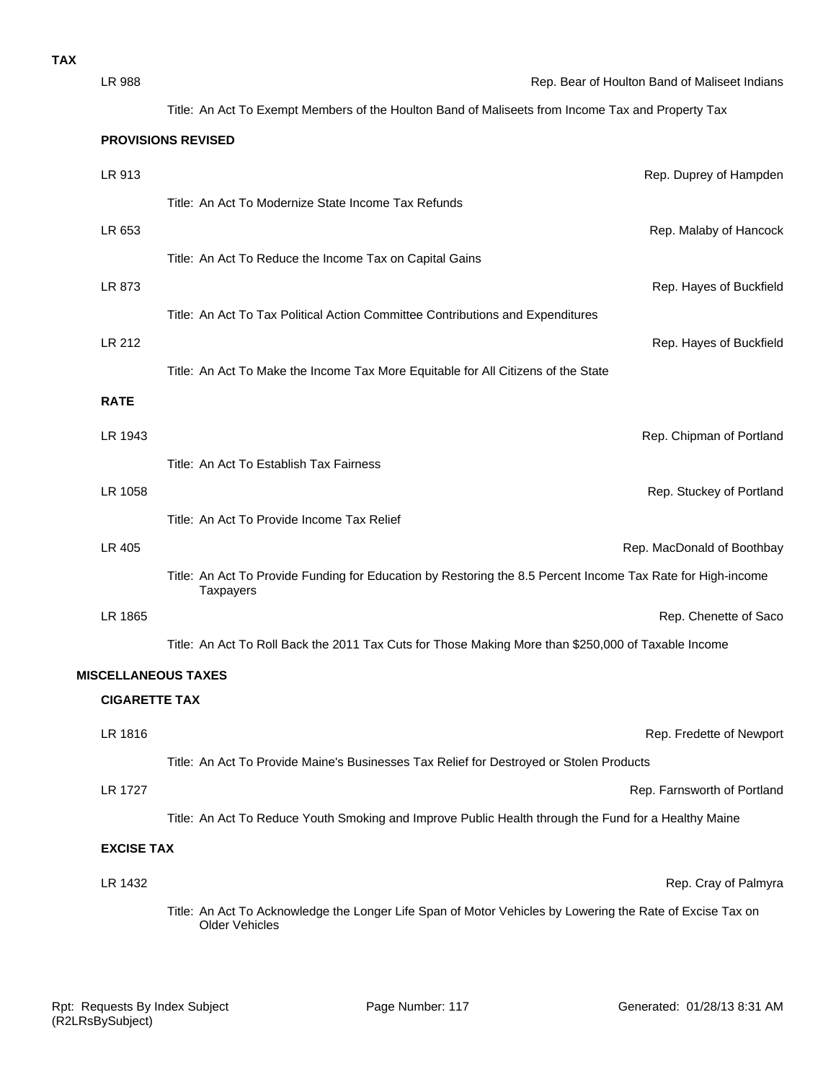| LR 988                     | Rep. Bear of Houlton Band of Maliseet Indians                                                                                      |
|----------------------------|------------------------------------------------------------------------------------------------------------------------------------|
|                            | Title: An Act To Exempt Members of the Houlton Band of Maliseets from Income Tax and Property Tax                                  |
|                            | <b>PROVISIONS REVISED</b>                                                                                                          |
| LR 913                     | Rep. Duprey of Hampden                                                                                                             |
|                            | Title: An Act To Modernize State Income Tax Refunds                                                                                |
| LR 653                     | Rep. Malaby of Hancock                                                                                                             |
|                            | Title: An Act To Reduce the Income Tax on Capital Gains                                                                            |
| LR 873                     | Rep. Hayes of Buckfield                                                                                                            |
|                            | Title: An Act To Tax Political Action Committee Contributions and Expenditures                                                     |
| LR 212                     | Rep. Hayes of Buckfield                                                                                                            |
|                            | Title: An Act To Make the Income Tax More Equitable for All Citizens of the State                                                  |
| <b>RATE</b>                |                                                                                                                                    |
| LR 1943                    | Rep. Chipman of Portland                                                                                                           |
|                            | Title: An Act To Establish Tax Fairness                                                                                            |
| LR 1058                    | Rep. Stuckey of Portland                                                                                                           |
|                            | Title: An Act To Provide Income Tax Relief                                                                                         |
| LR 405                     | Rep. MacDonald of Boothbay                                                                                                         |
|                            | Title: An Act To Provide Funding for Education by Restoring the 8.5 Percent Income Tax Rate for High-income<br>Taxpayers           |
| LR 1865                    | Rep. Chenette of Saco                                                                                                              |
|                            | Title: An Act To Roll Back the 2011 Tax Cuts for Those Making More than \$250,000 of Taxable Income                                |
| <b>MISCELLANEOUS TAXES</b> |                                                                                                                                    |
| <b>CIGARETTE TAX</b>       |                                                                                                                                    |
| LR 1816                    | Rep. Fredette of Newport                                                                                                           |
|                            | Title: An Act To Provide Maine's Businesses Tax Relief for Destroyed or Stolen Products                                            |
| LR 1727                    | Rep. Farnsworth of Portland                                                                                                        |
|                            | Title: An Act To Reduce Youth Smoking and Improve Public Health through the Fund for a Healthy Maine                               |
| <b>EXCISE TAX</b>          |                                                                                                                                    |
| LR 1432                    | Rep. Cray of Palmyra                                                                                                               |
|                            | Title: An Act To Acknowledge the Longer Life Span of Motor Vehicles by Lowering the Rate of Excise Tax on<br><b>Older Vehicles</b> |
|                            |                                                                                                                                    |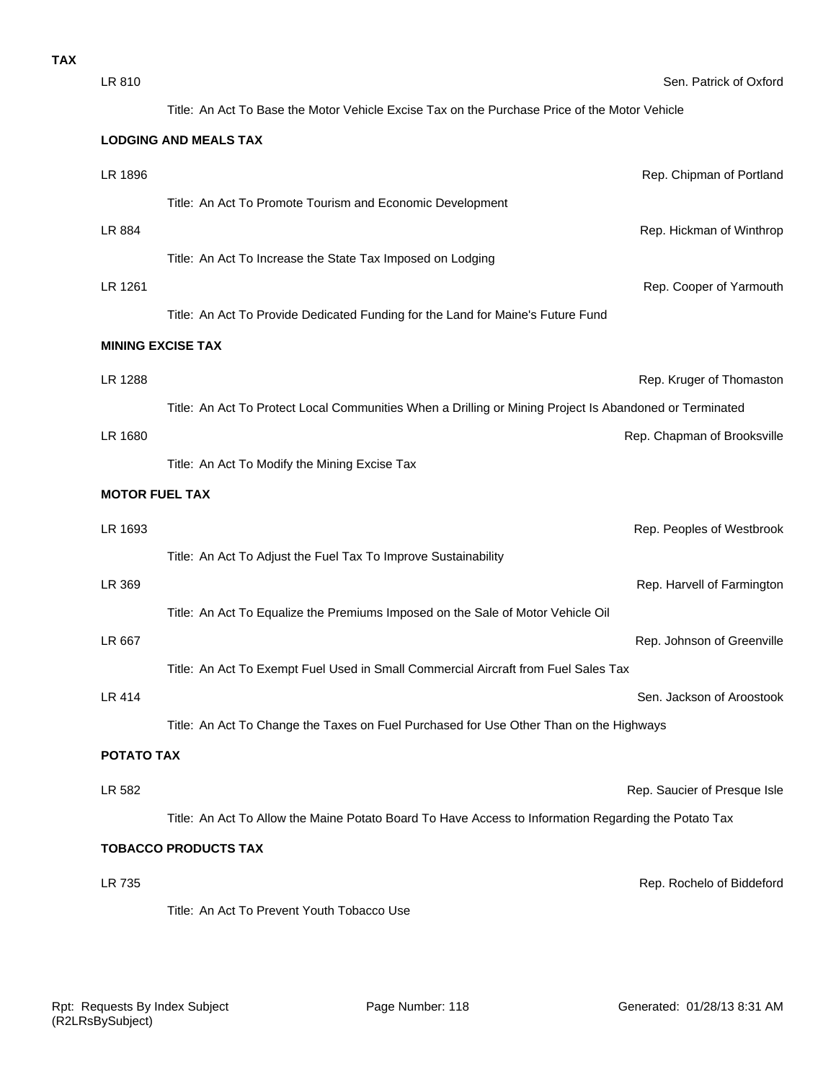| LR 810                      | Sen. Patrick of Oxford                                                                                  |  |  |
|-----------------------------|---------------------------------------------------------------------------------------------------------|--|--|
|                             | Title: An Act To Base the Motor Vehicle Excise Tax on the Purchase Price of the Motor Vehicle           |  |  |
|                             | <b>LODGING AND MEALS TAX</b>                                                                            |  |  |
| LR 1896                     | Rep. Chipman of Portland                                                                                |  |  |
|                             | Title: An Act To Promote Tourism and Economic Development                                               |  |  |
| LR 884                      | Rep. Hickman of Winthrop                                                                                |  |  |
|                             | Title: An Act To Increase the State Tax Imposed on Lodging                                              |  |  |
| LR 1261                     | Rep. Cooper of Yarmouth                                                                                 |  |  |
|                             | Title: An Act To Provide Dedicated Funding for the Land for Maine's Future Fund                         |  |  |
|                             | <b>MINING EXCISE TAX</b>                                                                                |  |  |
| LR 1288                     | Rep. Kruger of Thomaston                                                                                |  |  |
|                             | Title: An Act To Protect Local Communities When a Drilling or Mining Project Is Abandoned or Terminated |  |  |
| LR 1680                     | Rep. Chapman of Brooksville                                                                             |  |  |
|                             | Title: An Act To Modify the Mining Excise Tax                                                           |  |  |
| <b>MOTOR FUEL TAX</b>       |                                                                                                         |  |  |
| LR 1693                     | Rep. Peoples of Westbrook                                                                               |  |  |
|                             | Title: An Act To Adjust the Fuel Tax To Improve Sustainability                                          |  |  |
| LR 369                      | Rep. Harvell of Farmington                                                                              |  |  |
|                             | Title: An Act To Equalize the Premiums Imposed on the Sale of Motor Vehicle Oil                         |  |  |
| LR 667                      | Rep. Johnson of Greenville                                                                              |  |  |
|                             | Title: An Act To Exempt Fuel Used in Small Commercial Aircraft from Fuel Sales Tax                      |  |  |
| LR 414                      | Sen. Jackson of Aroostook                                                                               |  |  |
|                             | Title: An Act To Change the Taxes on Fuel Purchased for Use Other Than on the Highways                  |  |  |
| <b>POTATO TAX</b>           |                                                                                                         |  |  |
| LR 582                      | Rep. Saucier of Presque Isle                                                                            |  |  |
|                             | Title: An Act To Allow the Maine Potato Board To Have Access to Information Regarding the Potato Tax    |  |  |
| <b>TOBACCO PRODUCTS TAX</b> |                                                                                                         |  |  |
| LR 735                      | Rep. Rochelo of Biddeford                                                                               |  |  |
|                             | Title: An Act To Prevent Youth Tobacco Use                                                              |  |  |
|                             |                                                                                                         |  |  |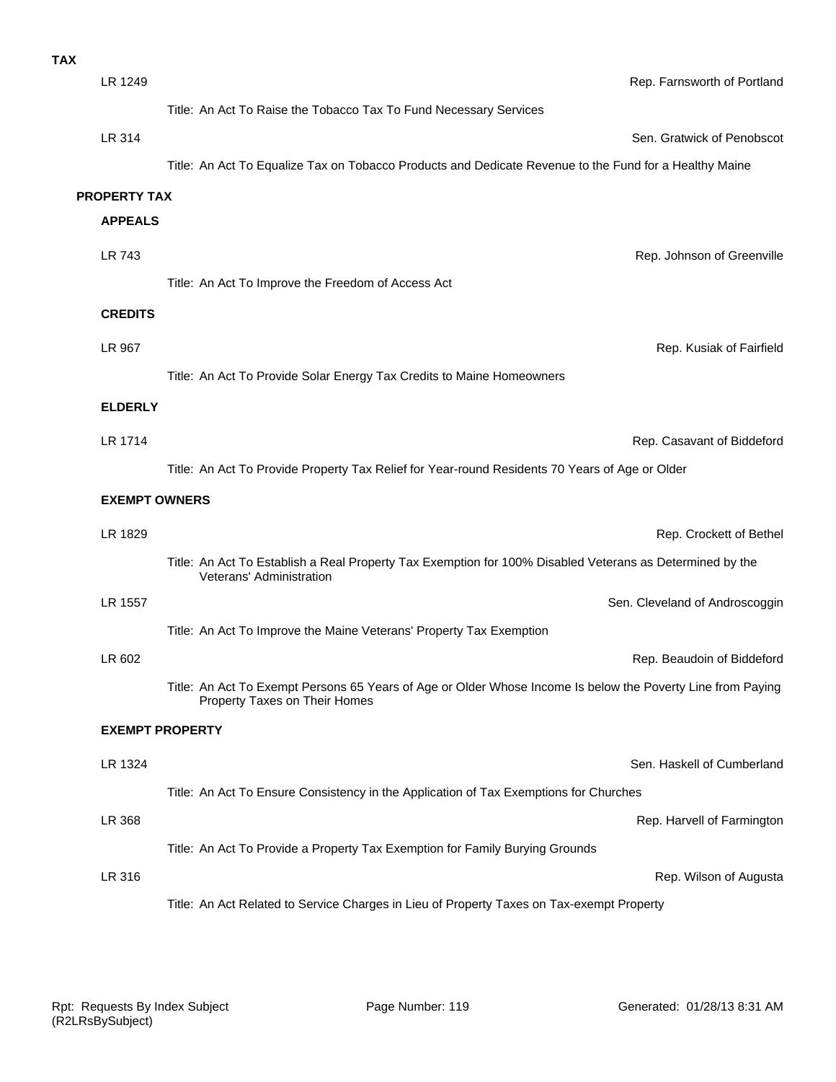| <b>TAX</b> |                      |                                                                                                                                              |
|------------|----------------------|----------------------------------------------------------------------------------------------------------------------------------------------|
|            | LR 1249              | Rep. Farnsworth of Portland                                                                                                                  |
|            |                      | Title: An Act To Raise the Tobacco Tax To Fund Necessary Services                                                                            |
|            | LR 314               | Sen. Gratwick of Penobscot                                                                                                                   |
|            |                      | Title: An Act To Equalize Tax on Tobacco Products and Dedicate Revenue to the Fund for a Healthy Maine                                       |
|            | <b>PROPERTY TAX</b>  |                                                                                                                                              |
|            | <b>APPEALS</b>       |                                                                                                                                              |
|            | LR 743               | Rep. Johnson of Greenville                                                                                                                   |
|            |                      | Title: An Act To Improve the Freedom of Access Act                                                                                           |
|            | <b>CREDITS</b>       |                                                                                                                                              |
|            | LR 967               | Rep. Kusiak of Fairfield                                                                                                                     |
|            |                      | Title: An Act To Provide Solar Energy Tax Credits to Maine Homeowners                                                                        |
|            | <b>ELDERLY</b>       |                                                                                                                                              |
|            | LR 1714              | Rep. Casavant of Biddeford                                                                                                                   |
|            |                      | Title: An Act To Provide Property Tax Relief for Year-round Residents 70 Years of Age or Older                                               |
|            | <b>EXEMPT OWNERS</b> |                                                                                                                                              |
|            | LR 1829              | Rep. Crockett of Bethel                                                                                                                      |
|            |                      | Title: An Act To Establish a Real Property Tax Exemption for 100% Disabled Veterans as Determined by the<br>Veterans' Administration         |
|            | LR 1557              | Sen. Cleveland of Androscoggin                                                                                                               |
|            |                      | Title: An Act To Improve the Maine Veterans' Property Tax Exemption                                                                          |
|            | LR 602               | Rep. Beaudoin of Biddeford                                                                                                                   |
|            |                      | Title: An Act To Exempt Persons 65 Years of Age or Older Whose Income Is below the Poverty Line from Paying<br>Property Taxes on Their Homes |
|            |                      | <b>EXEMPT PROPERTY</b>                                                                                                                       |
|            | LR 1324              | Sen. Haskell of Cumberland                                                                                                                   |
|            |                      | Title: An Act To Ensure Consistency in the Application of Tax Exemptions for Churches                                                        |
|            | LR 368               | Rep. Harvell of Farmington                                                                                                                   |
|            |                      | Title: An Act To Provide a Property Tax Exemption for Family Burying Grounds                                                                 |
|            | LR 316               | Rep. Wilson of Augusta                                                                                                                       |
|            |                      | Title: An Act Related to Service Charges in Lieu of Property Taxes on Tax-exempt Property                                                    |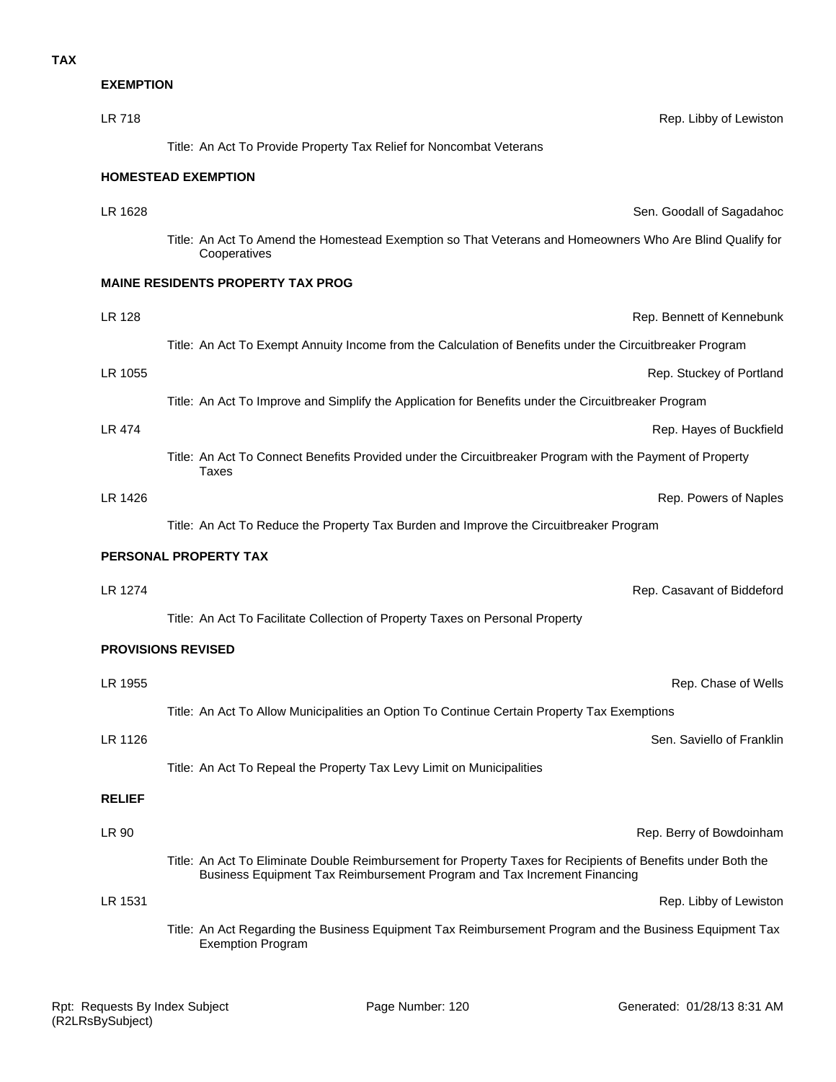**EXEMPTION**

| LR 718        | Rep. Libby of Lewiston                                                                                                                                                                   |
|---------------|------------------------------------------------------------------------------------------------------------------------------------------------------------------------------------------|
|               | Title: An Act To Provide Property Tax Relief for Noncombat Veterans                                                                                                                      |
|               | <b>HOMESTEAD EXEMPTION</b>                                                                                                                                                               |
| LR 1628       | Sen. Goodall of Sagadahoc                                                                                                                                                                |
|               | Title: An Act To Amend the Homestead Exemption so That Veterans and Homeowners Who Are Blind Qualify for<br>Cooperatives                                                                 |
|               | <b>MAINE RESIDENTS PROPERTY TAX PROG</b>                                                                                                                                                 |
| LR 128        | Rep. Bennett of Kennebunk                                                                                                                                                                |
|               | Title: An Act To Exempt Annuity Income from the Calculation of Benefits under the Circuitbreaker Program                                                                                 |
| LR 1055       | Rep. Stuckey of Portland                                                                                                                                                                 |
|               | Title: An Act To Improve and Simplify the Application for Benefits under the Circuitbreaker Program                                                                                      |
| LR 474        | Rep. Hayes of Buckfield                                                                                                                                                                  |
|               | Title: An Act To Connect Benefits Provided under the Circuitbreaker Program with the Payment of Property<br><b>Taxes</b>                                                                 |
| LR 1426       | Rep. Powers of Naples                                                                                                                                                                    |
|               | Title: An Act To Reduce the Property Tax Burden and Improve the Circuitbreaker Program                                                                                                   |
|               | PERSONAL PROPERTY TAX                                                                                                                                                                    |
| LR 1274       | Rep. Casavant of Biddeford                                                                                                                                                               |
|               | Title: An Act To Facilitate Collection of Property Taxes on Personal Property                                                                                                            |
|               | <b>PROVISIONS REVISED</b>                                                                                                                                                                |
| LR 1955       | Rep. Chase of Wells                                                                                                                                                                      |
|               | Title: An Act To Allow Municipalities an Option To Continue Certain Property Tax Exemptions                                                                                              |
| LR 1126       | Sen. Saviello of Franklin                                                                                                                                                                |
|               | Title: An Act To Repeal the Property Tax Levy Limit on Municipalities                                                                                                                    |
| <b>RELIEF</b> |                                                                                                                                                                                          |
| LR 90         | Rep. Berry of Bowdoinham                                                                                                                                                                 |
|               | Title: An Act To Eliminate Double Reimbursement for Property Taxes for Recipients of Benefits under Both the<br>Business Equipment Tax Reimbursement Program and Tax Increment Financing |
| LR 1531       | Rep. Libby of Lewiston                                                                                                                                                                   |
|               | Title: An Act Regarding the Business Equipment Tax Reimbursement Program and the Business Equipment Tax<br><b>Exemption Program</b>                                                      |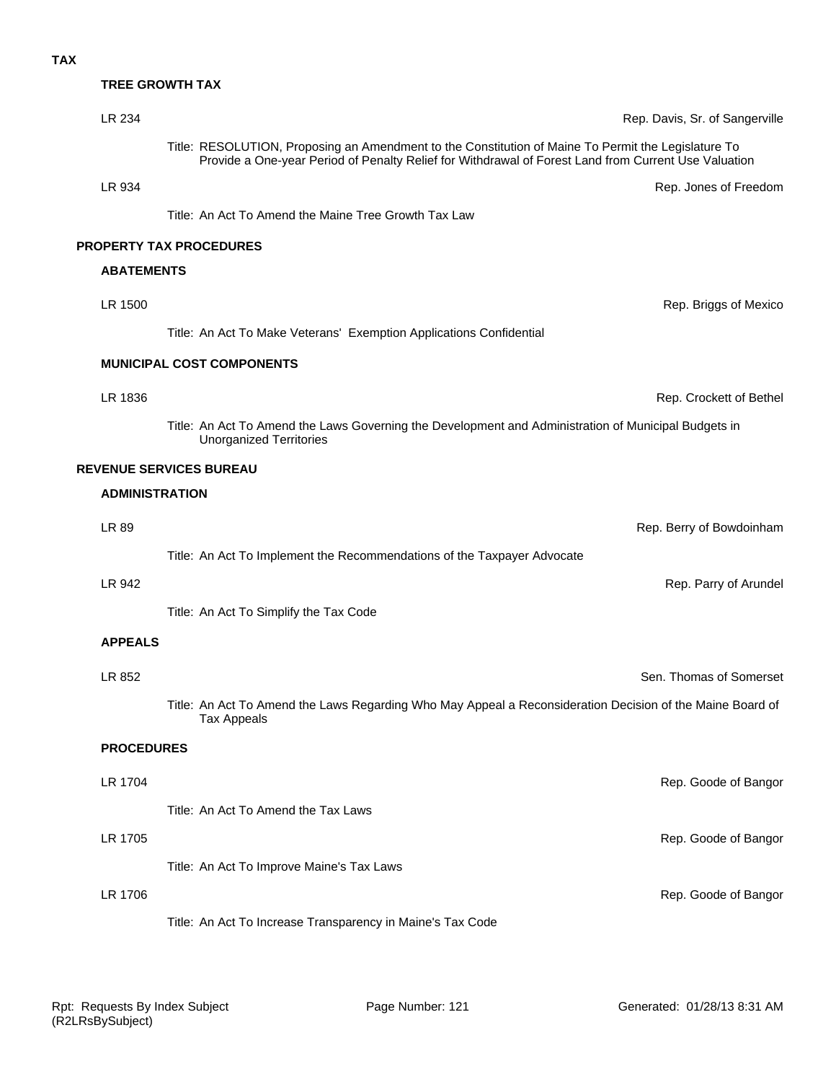# **TREE GROWTH TAX**

| LR 234                | Rep. Davis, Sr. of Sangerville                                                                                                                                                                              |
|-----------------------|-------------------------------------------------------------------------------------------------------------------------------------------------------------------------------------------------------------|
|                       | Title: RESOLUTION, Proposing an Amendment to the Constitution of Maine To Permit the Legislature To<br>Provide a One-year Period of Penalty Relief for Withdrawal of Forest Land from Current Use Valuation |
| LR 934                | Rep. Jones of Freedom                                                                                                                                                                                       |
|                       | Title: An Act To Amend the Maine Tree Growth Tax Law                                                                                                                                                        |
|                       | PROPERTY TAX PROCEDURES                                                                                                                                                                                     |
| <b>ABATEMENTS</b>     |                                                                                                                                                                                                             |
| LR 1500               | Rep. Briggs of Mexico                                                                                                                                                                                       |
|                       | Title: An Act To Make Veterans' Exemption Applications Confidential                                                                                                                                         |
|                       | <b>MUNICIPAL COST COMPONENTS</b>                                                                                                                                                                            |
| LR 1836               | Rep. Crockett of Bethel                                                                                                                                                                                     |
|                       | Title: An Act To Amend the Laws Governing the Development and Administration of Municipal Budgets in<br><b>Unorganized Territories</b>                                                                      |
|                       | <b>REVENUE SERVICES BUREAU</b>                                                                                                                                                                              |
| <b>ADMINISTRATION</b> |                                                                                                                                                                                                             |
| LR 89                 | Rep. Berry of Bowdoinham                                                                                                                                                                                    |
|                       | Title: An Act To Implement the Recommendations of the Taxpayer Advocate                                                                                                                                     |
| LR 942                | Rep. Parry of Arundel                                                                                                                                                                                       |
|                       | Title: An Act To Simplify the Tax Code                                                                                                                                                                      |
| <b>APPEALS</b>        |                                                                                                                                                                                                             |
| LR 852                | Sen. Thomas of Somerset                                                                                                                                                                                     |
|                       | Title: An Act To Amend the Laws Regarding Who May Appeal a Reconsideration Decision of the Maine Board of<br>Tax Appeals                                                                                    |
| <b>PROCEDURES</b>     |                                                                                                                                                                                                             |
| LR 1704               | Rep. Goode of Bangor                                                                                                                                                                                        |
|                       | Title: An Act To Amend the Tax Laws                                                                                                                                                                         |
| LR 1705               | Rep. Goode of Bangor                                                                                                                                                                                        |
|                       | Title: An Act To Improve Maine's Tax Laws                                                                                                                                                                   |
| LR 1706               | Rep. Goode of Bangor                                                                                                                                                                                        |
|                       | Title: An Act To Increase Transparency in Maine's Tax Code                                                                                                                                                  |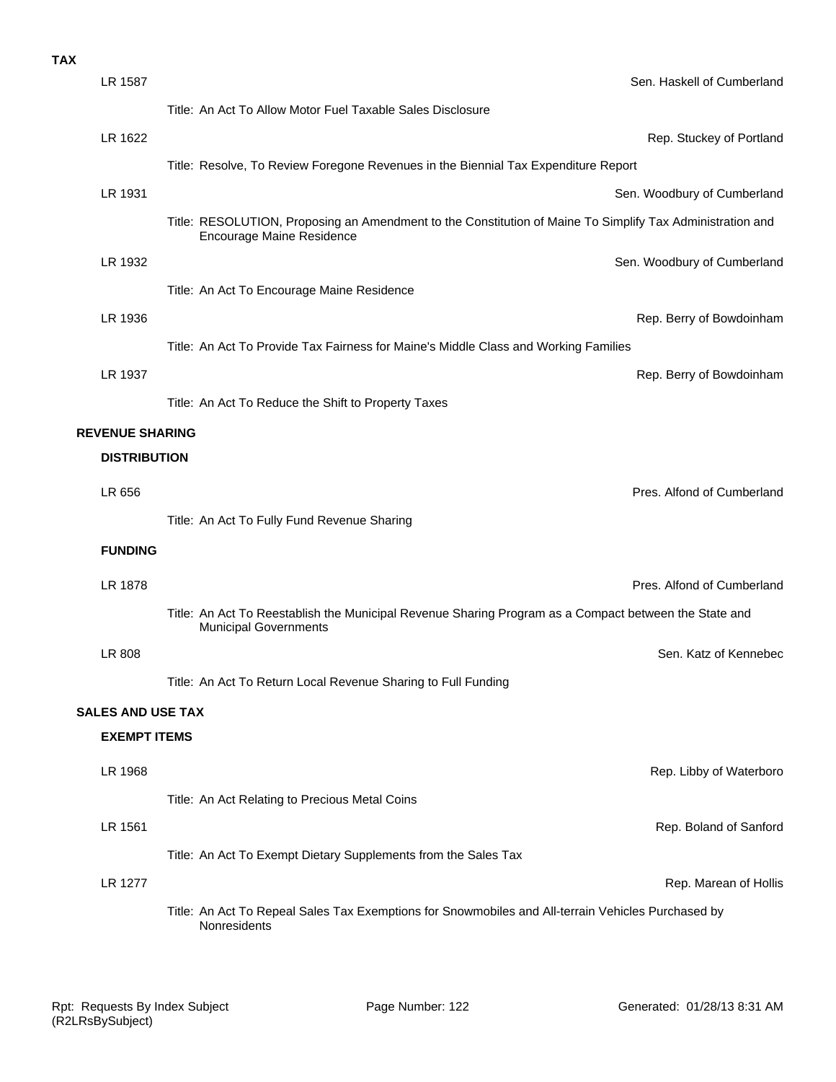#### **TAX**

| LR 1587                  | Sen. Haskell of Cumberland                                                                                                             |
|--------------------------|----------------------------------------------------------------------------------------------------------------------------------------|
|                          | Title: An Act To Allow Motor Fuel Taxable Sales Disclosure                                                                             |
| LR 1622                  | Rep. Stuckey of Portland                                                                                                               |
|                          | Title: Resolve, To Review Foregone Revenues in the Biennial Tax Expenditure Report                                                     |
| LR 1931                  | Sen. Woodbury of Cumberland                                                                                                            |
|                          | Title: RESOLUTION, Proposing an Amendment to the Constitution of Maine To Simplify Tax Administration and<br>Encourage Maine Residence |
| LR 1932                  | Sen. Woodbury of Cumberland                                                                                                            |
|                          | Title: An Act To Encourage Maine Residence                                                                                             |
| LR 1936                  | Rep. Berry of Bowdoinham                                                                                                               |
|                          | Title: An Act To Provide Tax Fairness for Maine's Middle Class and Working Families                                                    |
| LR 1937                  | Rep. Berry of Bowdoinham                                                                                                               |
|                          | Title: An Act To Reduce the Shift to Property Taxes                                                                                    |
| <b>REVENUE SHARING</b>   |                                                                                                                                        |
| <b>DISTRIBUTION</b>      |                                                                                                                                        |
| LR 656                   | Pres. Alfond of Cumberland                                                                                                             |
|                          | Title: An Act To Fully Fund Revenue Sharing                                                                                            |
| <b>FUNDING</b>           |                                                                                                                                        |
| <b>LR 1878</b>           | Pres. Alfond of Cumberland                                                                                                             |
|                          | Title: An Act To Reestablish the Municipal Revenue Sharing Program as a Compact between the State and<br><b>Municipal Governments</b>  |
| LR 808                   | Sen. Katz of Kennebec                                                                                                                  |
|                          | Title: An Act To Return Local Revenue Sharing to Full Funding                                                                          |
| <b>SALES AND USE TAX</b> |                                                                                                                                        |
| <b>EXEMPT ITEMS</b>      |                                                                                                                                        |
| LR 1968                  | Rep. Libby of Waterboro                                                                                                                |
|                          | Title: An Act Relating to Precious Metal Coins                                                                                         |
| LR 1561                  | Rep. Boland of Sanford                                                                                                                 |
|                          | Title: An Act To Exempt Dietary Supplements from the Sales Tax                                                                         |
| <b>LR 1277</b>           | Rep. Marean of Hollis                                                                                                                  |
|                          | Title: An Act To Repeal Sales Tax Exemptions for Snowmobiles and All-terrain Vehicles Purchased by<br>Nonresidents                     |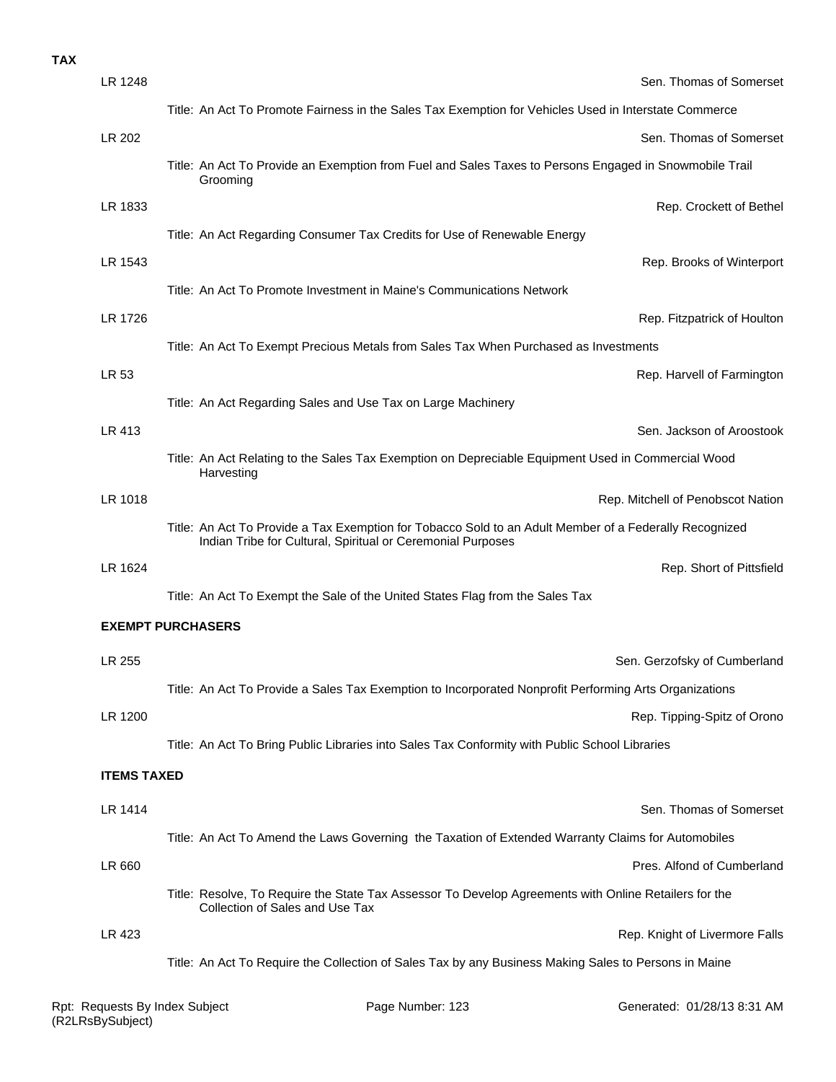| <b>TAX</b> |                    |                                                                                                                                                                       |
|------------|--------------------|-----------------------------------------------------------------------------------------------------------------------------------------------------------------------|
|            | LR 1248            | Sen. Thomas of Somerset                                                                                                                                               |
|            |                    | Title: An Act To Promote Fairness in the Sales Tax Exemption for Vehicles Used in Interstate Commerce                                                                 |
|            | LR 202             | Sen. Thomas of Somerset                                                                                                                                               |
|            |                    | Title: An Act To Provide an Exemption from Fuel and Sales Taxes to Persons Engaged in Snowmobile Trail<br>Grooming                                                    |
|            | LR 1833            | Rep. Crockett of Bethe                                                                                                                                                |
|            |                    | Title: An Act Regarding Consumer Tax Credits for Use of Renewable Energy                                                                                              |
|            | LR 1543            | Rep. Brooks of Winterport                                                                                                                                             |
|            |                    | Title: An Act To Promote Investment in Maine's Communications Network                                                                                                 |
|            | LR 1726            | Rep. Fitzpatrick of Houltor                                                                                                                                           |
|            |                    | Title: An Act To Exempt Precious Metals from Sales Tax When Purchased as Investments                                                                                  |
|            | LR 53              | Rep. Harvell of Farmington                                                                                                                                            |
|            |                    | Title: An Act Regarding Sales and Use Tax on Large Machinery                                                                                                          |
|            | LR 413             | Sen. Jackson of Aroostook                                                                                                                                             |
|            |                    | Title: An Act Relating to the Sales Tax Exemption on Depreciable Equipment Used in Commercial Wood<br>Harvesting                                                      |
|            | LR 1018            | Rep. Mitchell of Penobscot Nation                                                                                                                                     |
|            |                    | Title: An Act To Provide a Tax Exemption for Tobacco Sold to an Adult Member of a Federally Recognized<br>Indian Tribe for Cultural, Spiritual or Ceremonial Purposes |
|            | LR 1624            | Rep. Short of Pittsfield                                                                                                                                              |
|            |                    | Title: An Act To Exempt the Sale of the United States Flag from the Sales Tax                                                                                         |
|            |                    | <b>EXEMPT PURCHASERS</b>                                                                                                                                              |
|            | LR 255             | Sen. Gerzofsky of Cumberland                                                                                                                                          |
|            |                    | Title: An Act To Provide a Sales Tax Exemption to Incorporated Nonprofit Performing Arts Organizations                                                                |
|            | LR 1200            | Rep. Tipping-Spitz of Orono                                                                                                                                           |
|            |                    | Title: An Act To Bring Public Libraries into Sales Tax Conformity with Public School Libraries                                                                        |
|            | <b>ITEMS TAXED</b> |                                                                                                                                                                       |
|            | LR 1414            | Sen. Thomas of Somerset                                                                                                                                               |
|            |                    | Title: An Act To Amend the Laws Governing the Taxation of Extended Warranty Claims for Automobiles                                                                    |
|            | LR 660             | Pres. Alfond of Cumberland                                                                                                                                            |
|            |                    | Title: Resolve, To Require the State Tax Assessor To Develop Agreements with Online Retailers for the<br>Collection of Sales and Use Tax                              |
|            | LR 423             | Rep. Knight of Livermore Falls                                                                                                                                        |
|            |                    | Title: An Act To Require the Collection of Sales Tax by any Business Making Sales to Persons in Maine                                                                 |
|            |                    |                                                                                                                                                                       |

Page Number: 123 Generated: 01/28/13 8:31 AM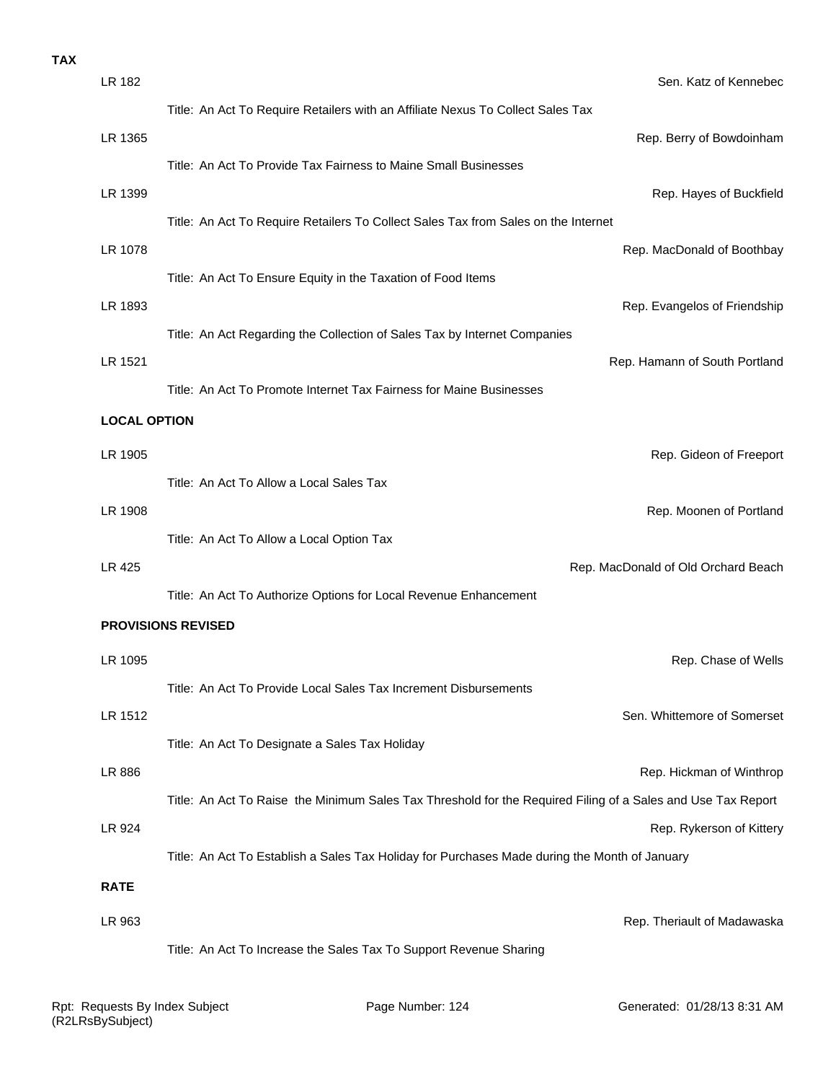| <b>TAX</b> |                     |                                                                                                              |
|------------|---------------------|--------------------------------------------------------------------------------------------------------------|
|            | LR 182              | Sen. Katz of Kennebec                                                                                        |
|            |                     | Title: An Act To Require Retailers with an Affiliate Nexus To Collect Sales Tax                              |
|            | LR 1365             | Rep. Berry of Bowdoinham                                                                                     |
|            |                     | Title: An Act To Provide Tax Fairness to Maine Small Businesses                                              |
|            | LR 1399             | Rep. Hayes of Buckfield                                                                                      |
|            |                     | Title: An Act To Require Retailers To Collect Sales Tax from Sales on the Internet                           |
|            | LR 1078             | Rep. MacDonald of Boothbay                                                                                   |
|            |                     | Title: An Act To Ensure Equity in the Taxation of Food Items                                                 |
|            | LR 1893             | Rep. Evangelos of Friendship                                                                                 |
|            |                     | Title: An Act Regarding the Collection of Sales Tax by Internet Companies                                    |
|            | LR 1521             | Rep. Hamann of South Portland                                                                                |
|            |                     | Title: An Act To Promote Internet Tax Fairness for Maine Businesses                                          |
|            | <b>LOCAL OPTION</b> |                                                                                                              |
|            | LR 1905             | Rep. Gideon of Freeport                                                                                      |
|            |                     | Title: An Act To Allow a Local Sales Tax                                                                     |
|            | LR 1908             | Rep. Moonen of Portland                                                                                      |
|            |                     | Title: An Act To Allow a Local Option Tax                                                                    |
|            | LR 425              | Rep. MacDonald of Old Orchard Beach                                                                          |
|            |                     | Title: An Act To Authorize Options for Local Revenue Enhancement                                             |
|            |                     | <b>PROVISIONS REVISED</b>                                                                                    |
|            | LR 1095             | Rep. Chase of Wells                                                                                          |
|            |                     | Title: An Act To Provide Local Sales Tax Increment Disbursements                                             |
|            | LR 1512             | Sen. Whittemore of Somerset                                                                                  |
|            |                     |                                                                                                              |
|            |                     | Title: An Act To Designate a Sales Tax Holiday                                                               |
|            | LR 886              | Rep. Hickman of Winthrop                                                                                     |
|            |                     | Title: An Act To Raise the Minimum Sales Tax Threshold for the Required Filing of a Sales and Use Tax Report |
|            | LR 924              | Rep. Rykerson of Kittery                                                                                     |
|            |                     | Title: An Act To Establish a Sales Tax Holiday for Purchases Made during the Month of January                |
|            | <b>RATE</b>         |                                                                                                              |
|            | LR 963              | Rep. Theriault of Madawaska                                                                                  |
|            |                     | Title: An Act To Increase the Sales Tax To Support Revenue Sharing                                           |
|            |                     |                                                                                                              |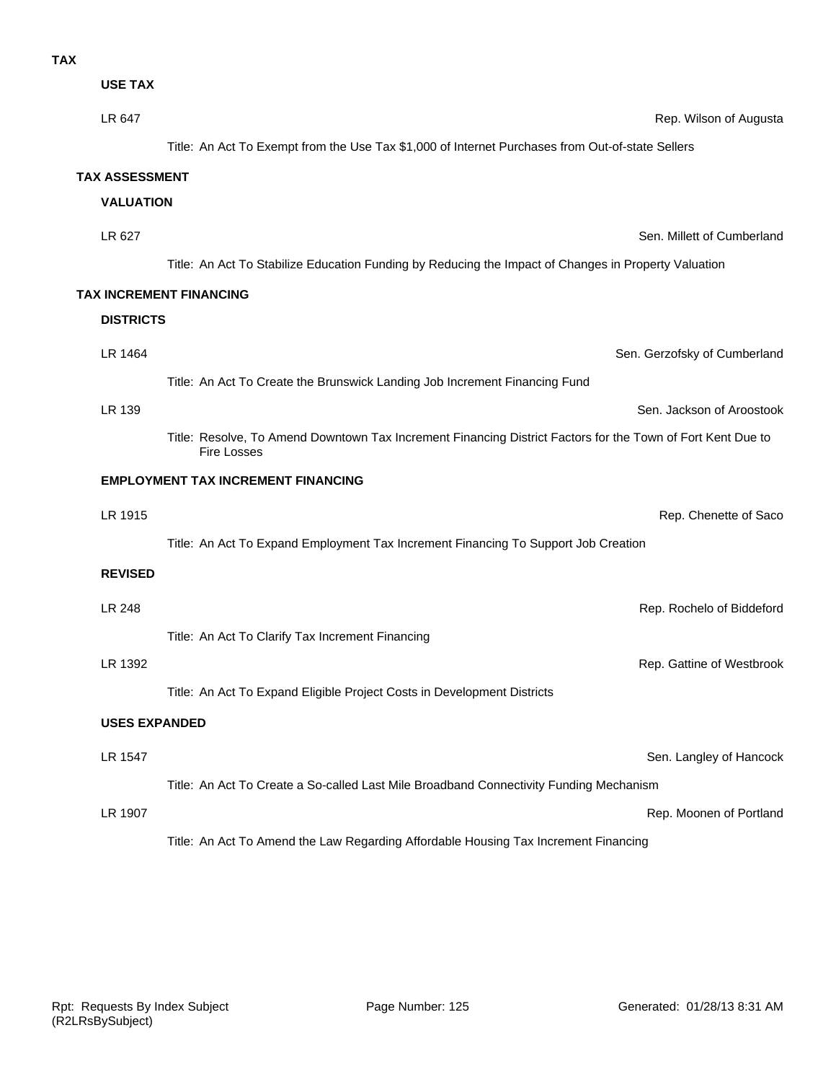| <b>USE TAX</b> |  |
|----------------|--|

**TAX**

| LR 647                | Rep. Wilson of Augusta                                                                                                            |  |  |
|-----------------------|-----------------------------------------------------------------------------------------------------------------------------------|--|--|
|                       | Title: An Act To Exempt from the Use Tax \$1,000 of Internet Purchases from Out-of-state Sellers                                  |  |  |
| <b>TAX ASSESSMENT</b> |                                                                                                                                   |  |  |
| <b>VALUATION</b>      |                                                                                                                                   |  |  |
| LR 627                | Sen. Millett of Cumberland                                                                                                        |  |  |
|                       | Title: An Act To Stabilize Education Funding by Reducing the Impact of Changes in Property Valuation                              |  |  |
|                       | TAX INCREMENT FINANCING                                                                                                           |  |  |
| <b>DISTRICTS</b>      |                                                                                                                                   |  |  |
| LR 1464               | Sen. Gerzofsky of Cumberland                                                                                                      |  |  |
|                       | Title: An Act To Create the Brunswick Landing Job Increment Financing Fund                                                        |  |  |
| LR 139                | Sen. Jackson of Aroostook                                                                                                         |  |  |
|                       | Title: Resolve, To Amend Downtown Tax Increment Financing District Factors for the Town of Fort Kent Due to<br><b>Fire Losses</b> |  |  |
|                       | <b>EMPLOYMENT TAX INCREMENT FINANCING</b>                                                                                         |  |  |
| LR 1915               | Rep. Chenette of Saco                                                                                                             |  |  |
|                       | Title: An Act To Expand Employment Tax Increment Financing To Support Job Creation                                                |  |  |
| <b>REVISED</b>        |                                                                                                                                   |  |  |
| LR 248                | Rep. Rochelo of Biddeford                                                                                                         |  |  |
|                       | Title: An Act To Clarify Tax Increment Financing                                                                                  |  |  |
| LR 1392               | Rep. Gattine of Westbrook                                                                                                         |  |  |
|                       | Title: An Act To Expand Eligible Project Costs in Development Districts                                                           |  |  |
| <b>USES EXPANDED</b>  |                                                                                                                                   |  |  |
| LR 1547               | Sen. Langley of Hancock                                                                                                           |  |  |
|                       | Title: An Act To Create a So-called Last Mile Broadband Connectivity Funding Mechanism                                            |  |  |

LR 1907 **Rep. Moonen of Portland** 

Title: An Act To Amend the Law Regarding Affordable Housing Tax Increment Financing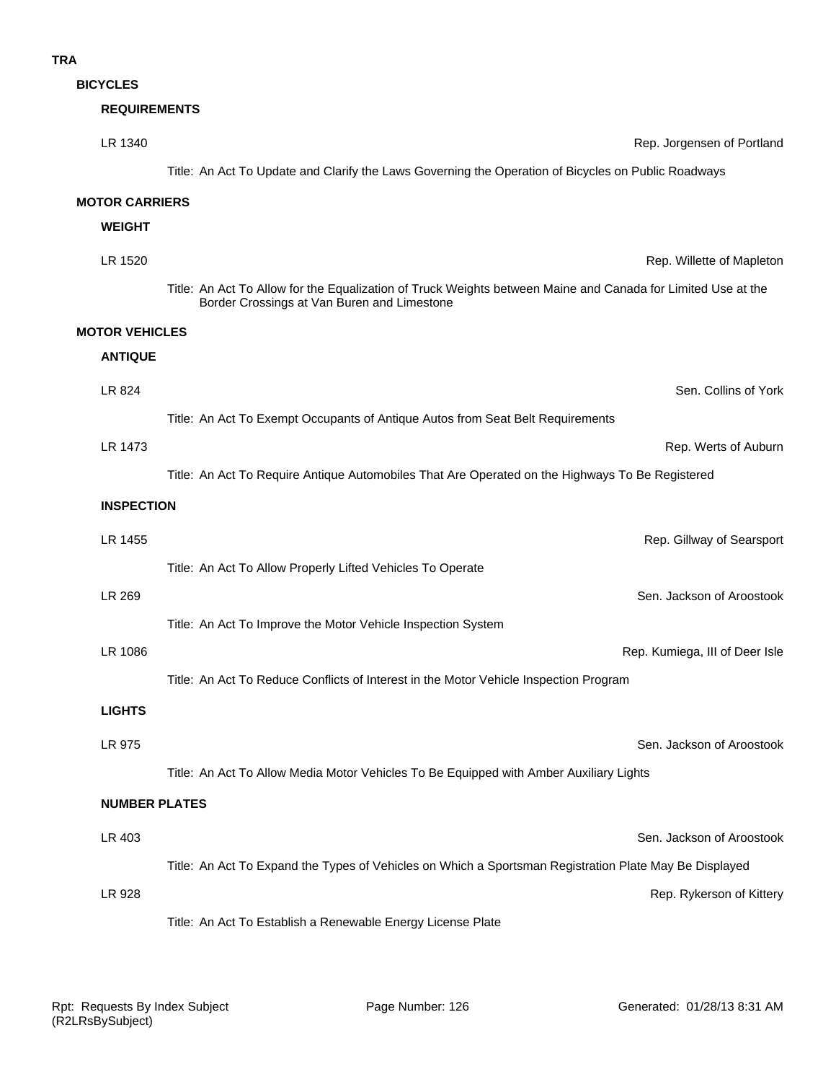**BICYCLES**

### **REQUIREMENTS**

| LR 1340               | Rep. Jorgensen of Portland                                                                                                                                  |  |
|-----------------------|-------------------------------------------------------------------------------------------------------------------------------------------------------------|--|
|                       | Title: An Act To Update and Clarify the Laws Governing the Operation of Bicycles on Public Roadways                                                         |  |
| <b>MOTOR CARRIERS</b> |                                                                                                                                                             |  |
| <b>WEIGHT</b>         |                                                                                                                                                             |  |
| LR 1520               | Rep. Willette of Mapleton                                                                                                                                   |  |
|                       | Title: An Act To Allow for the Equalization of Truck Weights between Maine and Canada for Limited Use at the<br>Border Crossings at Van Buren and Limestone |  |
| <b>MOTOR VEHICLES</b> |                                                                                                                                                             |  |
| <b>ANTIQUE</b>        |                                                                                                                                                             |  |
| LR 824                | Sen. Collins of York                                                                                                                                        |  |
|                       | Title: An Act To Exempt Occupants of Antique Autos from Seat Belt Requirements                                                                              |  |
| LR 1473               | Rep. Werts of Auburn                                                                                                                                        |  |
|                       | Title: An Act To Require Antique Automobiles That Are Operated on the Highways To Be Registered                                                             |  |
|                       | <b>INSPECTION</b>                                                                                                                                           |  |
| LR 1455               | Rep. Gillway of Searsport                                                                                                                                   |  |
|                       | Title: An Act To Allow Properly Lifted Vehicles To Operate                                                                                                  |  |
| LR 269                | Sen. Jackson of Aroostook                                                                                                                                   |  |
|                       | Title: An Act To Improve the Motor Vehicle Inspection System                                                                                                |  |
| LR 1086               | Rep. Kumiega, III of Deer Isle                                                                                                                              |  |
|                       | Title: An Act To Reduce Conflicts of Interest in the Motor Vehicle Inspection Program                                                                       |  |
| <b>LIGHTS</b>         |                                                                                                                                                             |  |
| LR 975                | Sen. Jackson of Aroostook                                                                                                                                   |  |
|                       | Title: An Act To Allow Media Motor Vehicles To Be Equipped with Amber Auxiliary Lights                                                                      |  |
| <b>NUMBER PLATES</b>  |                                                                                                                                                             |  |
| LR 403                | Sen. Jackson of Aroostook                                                                                                                                   |  |
|                       | Title: An Act To Expand the Types of Vehicles on Which a Sportsman Registration Plate May Be Displayed                                                      |  |
| LR 928                | Rep. Rykerson of Kittery                                                                                                                                    |  |
|                       | Title: An Act To Establish a Renewable Energy License Plate                                                                                                 |  |
|                       |                                                                                                                                                             |  |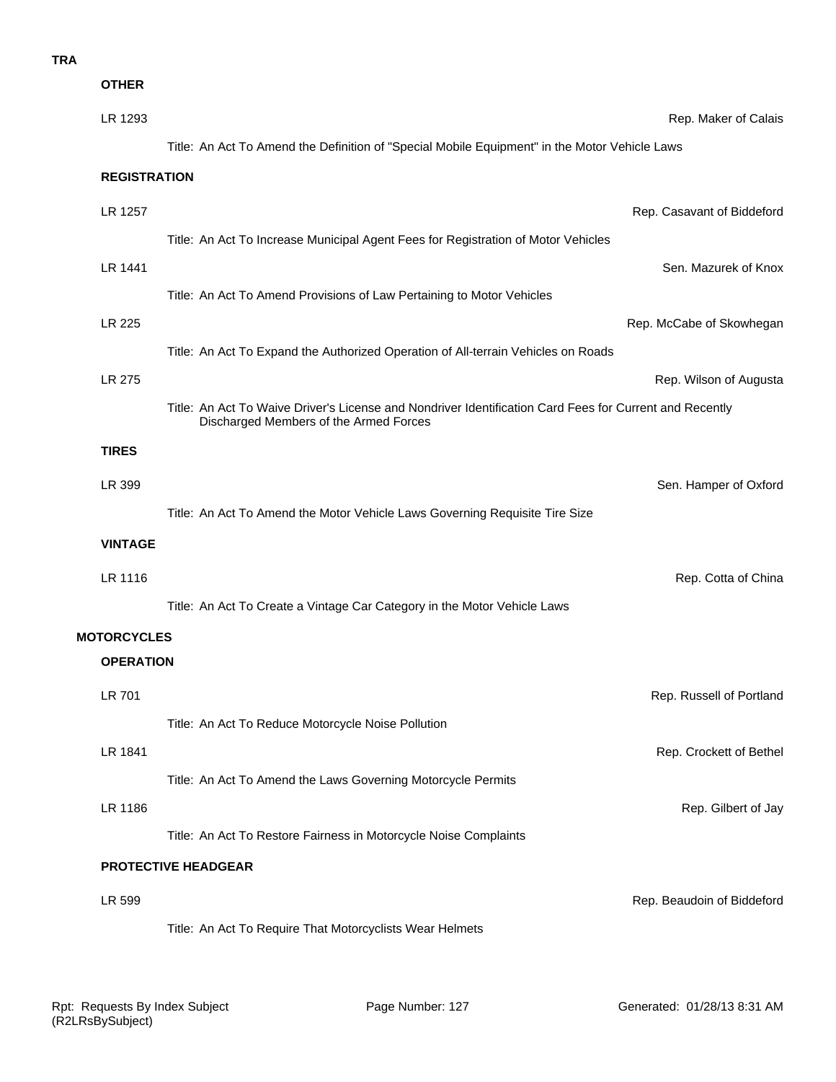| <b>OTHER</b>        |                                                                                                                                                   |                            |
|---------------------|---------------------------------------------------------------------------------------------------------------------------------------------------|----------------------------|
| LR 1293             |                                                                                                                                                   | Rep. Maker of Calais       |
|                     | Title: An Act To Amend the Definition of "Special Mobile Equipment" in the Motor Vehicle Laws                                                     |                            |
| <b>REGISTRATION</b> |                                                                                                                                                   |                            |
| LR 1257             |                                                                                                                                                   | Rep. Casavant of Biddeford |
|                     | Title: An Act To Increase Municipal Agent Fees for Registration of Motor Vehicles                                                                 |                            |
| LR 1441             |                                                                                                                                                   | Sen. Mazurek of Knox       |
|                     | Title: An Act To Amend Provisions of Law Pertaining to Motor Vehicles                                                                             |                            |
| LR 225              |                                                                                                                                                   | Rep. McCabe of Skowhegar   |
|                     | Title: An Act To Expand the Authorized Operation of All-terrain Vehicles on Roads                                                                 |                            |
| <b>LR 275</b>       |                                                                                                                                                   | Rep. Wilson of Augusta     |
|                     | Title: An Act To Waive Driver's License and Nondriver Identification Card Fees for Current and Recently<br>Discharged Members of the Armed Forces |                            |
| <b>TIRES</b>        |                                                                                                                                                   |                            |
| LR 399              |                                                                                                                                                   | Sen. Hamper of Oxford      |
|                     | Title: An Act To Amend the Motor Vehicle Laws Governing Requisite Tire Size                                                                       |                            |
| <b>VINTAGE</b>      |                                                                                                                                                   |                            |
| LR 1116             |                                                                                                                                                   | Rep. Cotta of China        |
|                     | Title: An Act To Create a Vintage Car Category in the Motor Vehicle Laws                                                                          |                            |
| <b>MOTORCYCLES</b>  |                                                                                                                                                   |                            |
| <b>OPERATION</b>    |                                                                                                                                                   |                            |
| <b>LR 701</b>       |                                                                                                                                                   | Rep. Russell of Portland   |
|                     | Title: An Act To Reduce Motorcycle Noise Pollution                                                                                                |                            |
| LR 1841             |                                                                                                                                                   | Rep. Crockett of Bethe     |
|                     | Title: An Act To Amend the Laws Governing Motorcycle Permits                                                                                      |                            |
| LR 1186             |                                                                                                                                                   | Rep. Gilbert of Jay        |
|                     | Title: An Act To Restore Fairness in Motorcycle Noise Complaints                                                                                  |                            |
|                     | <b>PROTECTIVE HEADGEAR</b>                                                                                                                        |                            |
| LR 599              |                                                                                                                                                   | Rep. Beaudoin of Biddeford |
|                     |                                                                                                                                                   |                            |

Title: An Act To Require That Motorcyclists Wear Helmets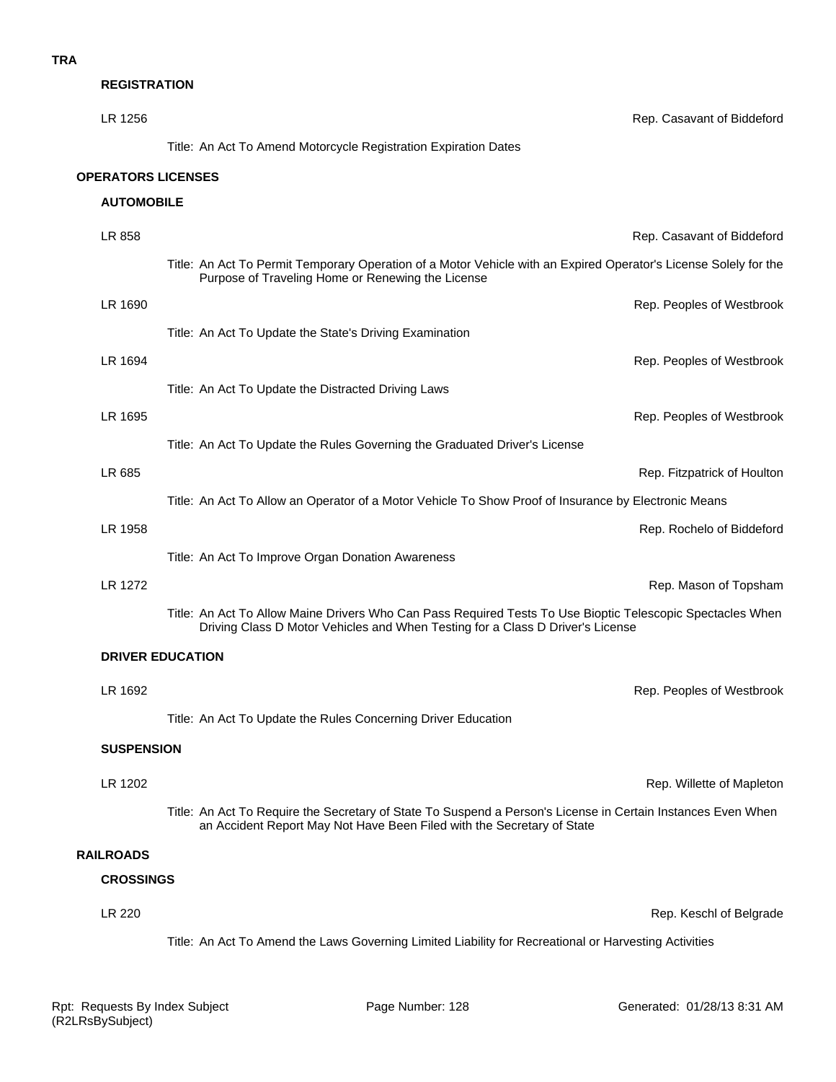#### **REGISTRATION**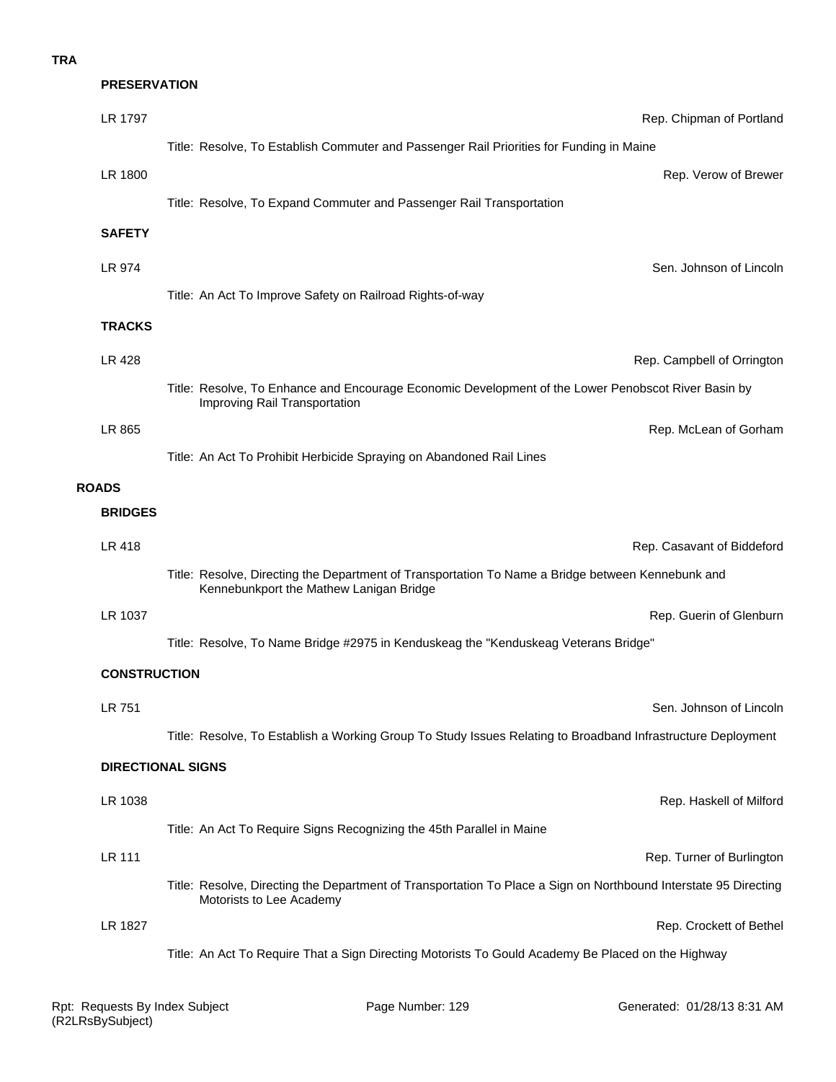**PRESERVATION**

| LR 1797             | Rep. Chipman of Portland                                                                                                                     |
|---------------------|----------------------------------------------------------------------------------------------------------------------------------------------|
|                     | Title: Resolve, To Establish Commuter and Passenger Rail Priorities for Funding in Maine                                                     |
| LR 1800             | Rep. Verow of Brewer                                                                                                                         |
|                     | Title: Resolve, To Expand Commuter and Passenger Rail Transportation                                                                         |
| <b>SAFETY</b>       |                                                                                                                                              |
| LR 974              | Sen. Johnson of Lincoln                                                                                                                      |
|                     | Title: An Act To Improve Safety on Railroad Rights-of-way                                                                                    |
| <b>TRACKS</b>       |                                                                                                                                              |
| LR 428              | Rep. Campbell of Orrington                                                                                                                   |
|                     | Title: Resolve, To Enhance and Encourage Economic Development of the Lower Penobscot River Basin by<br>Improving Rail Transportation         |
| LR 865              | Rep. McLean of Gorham                                                                                                                        |
|                     | Title: An Act To Prohibit Herbicide Spraying on Abandoned Rail Lines                                                                         |
| <b>ROADS</b>        |                                                                                                                                              |
| <b>BRIDGES</b>      |                                                                                                                                              |
| LR 418              | Rep. Casavant of Biddeford                                                                                                                   |
|                     | Title: Resolve, Directing the Department of Transportation To Name a Bridge between Kennebunk and<br>Kennebunkport the Mathew Lanigan Bridge |
| LR 1037             | Rep. Guerin of Glenburn                                                                                                                      |
|                     | Title: Resolve, To Name Bridge #2975 in Kenduskeag the "Kenduskeag Veterans Bridge"                                                          |
| <b>CONSTRUCTION</b> |                                                                                                                                              |
| LR 751              | Sen. Johnson of Lincoln                                                                                                                      |
|                     | Title: Resolve, To Establish a Working Group To Study Issues Relating to Broadband Infrastructure Deployment                                 |
|                     | <b>DIRECTIONAL SIGNS</b>                                                                                                                     |
| LR 1038             | Rep. Haskell of Milford                                                                                                                      |
|                     | Title: An Act To Require Signs Recognizing the 45th Parallel in Maine                                                                        |
| <b>LR 111</b>       | Rep. Turner of Burlington                                                                                                                    |
|                     | Title: Resolve, Directing the Department of Transportation To Place a Sign on Northbound Interstate 95 Directing<br>Motorists to Lee Academy |
| LR 1827             | Rep. Crockett of Bethel                                                                                                                      |
|                     | Title: An Act To Require That a Sign Directing Motorists To Gould Academy Be Placed on the Highway                                           |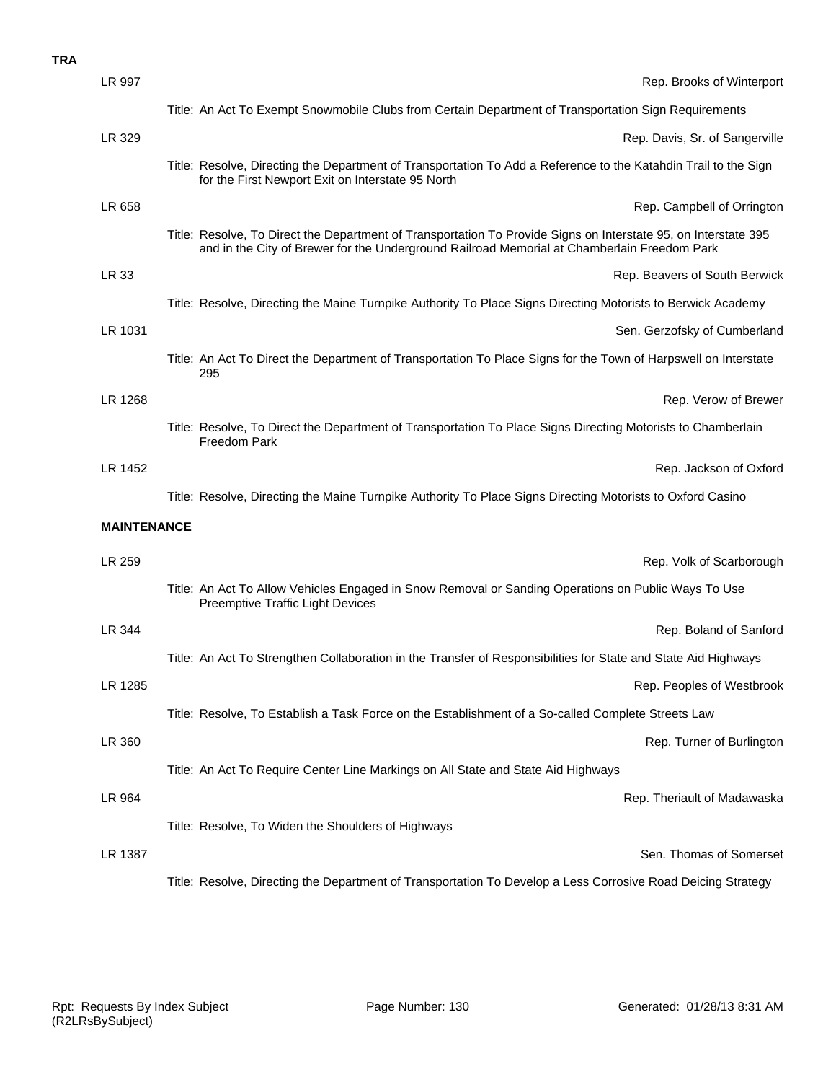| LR 997             | Rep. Brooks of Winterport                                                                                                                                                                                      |
|--------------------|----------------------------------------------------------------------------------------------------------------------------------------------------------------------------------------------------------------|
|                    | Title: An Act To Exempt Snowmobile Clubs from Certain Department of Transportation Sign Requirements                                                                                                           |
| LR 329             | Rep. Davis, Sr. of Sangerville                                                                                                                                                                                 |
|                    | Title: Resolve, Directing the Department of Transportation To Add a Reference to the Katahdin Trail to the Sign<br>for the First Newport Exit on Interstate 95 North                                           |
| LR 658             | Rep. Campbell of Orrington                                                                                                                                                                                     |
|                    | Title: Resolve, To Direct the Department of Transportation To Provide Signs on Interstate 95, on Interstate 395<br>and in the City of Brewer for the Underground Railroad Memorial at Chamberlain Freedom Park |
| LR 33              | Rep. Beavers of South Berwick                                                                                                                                                                                  |
|                    | Title: Resolve, Directing the Maine Turnpike Authority To Place Signs Directing Motorists to Berwick Academy                                                                                                   |
| LR 1031            | Sen. Gerzofsky of Cumberland                                                                                                                                                                                   |
|                    | Title: An Act To Direct the Department of Transportation To Place Signs for the Town of Harpswell on Interstate<br>295                                                                                         |
| LR 1268            | Rep. Verow of Brewer                                                                                                                                                                                           |
|                    | Title: Resolve, To Direct the Department of Transportation To Place Signs Directing Motorists to Chamberlain<br>Freedom Park                                                                                   |
| LR 1452            | Rep. Jackson of Oxford                                                                                                                                                                                         |
|                    |                                                                                                                                                                                                                |
|                    | Title: Resolve, Directing the Maine Turnpike Authority To Place Signs Directing Motorists to Oxford Casino                                                                                                     |
| <b>MAINTENANCE</b> |                                                                                                                                                                                                                |
| LR 259             | Rep. Volk of Scarborough                                                                                                                                                                                       |
|                    | Title: An Act To Allow Vehicles Engaged in Snow Removal or Sanding Operations on Public Ways To Use<br>Preemptive Traffic Light Devices                                                                        |
| LR 344             | Rep. Boland of Sanford                                                                                                                                                                                         |
|                    | Title: An Act To Strengthen Collaboration in the Transfer of Responsibilities for State and State Aid Highways                                                                                                 |
| LR 1285            | Rep. Peoples of Westbrook                                                                                                                                                                                      |
|                    | Title: Resolve, To Establish a Task Force on the Establishment of a So-called Complete Streets Law                                                                                                             |
| LR 360             | Rep. Turner of Burlington                                                                                                                                                                                      |
|                    | Title: An Act To Require Center Line Markings on All State and State Aid Highways                                                                                                                              |
| LR 964             | Rep. Theriault of Madawaska                                                                                                                                                                                    |
|                    | Title: Resolve, To Widen the Shoulders of Highways                                                                                                                                                             |
| LR 1387            | Sen. Thomas of Somerset                                                                                                                                                                                        |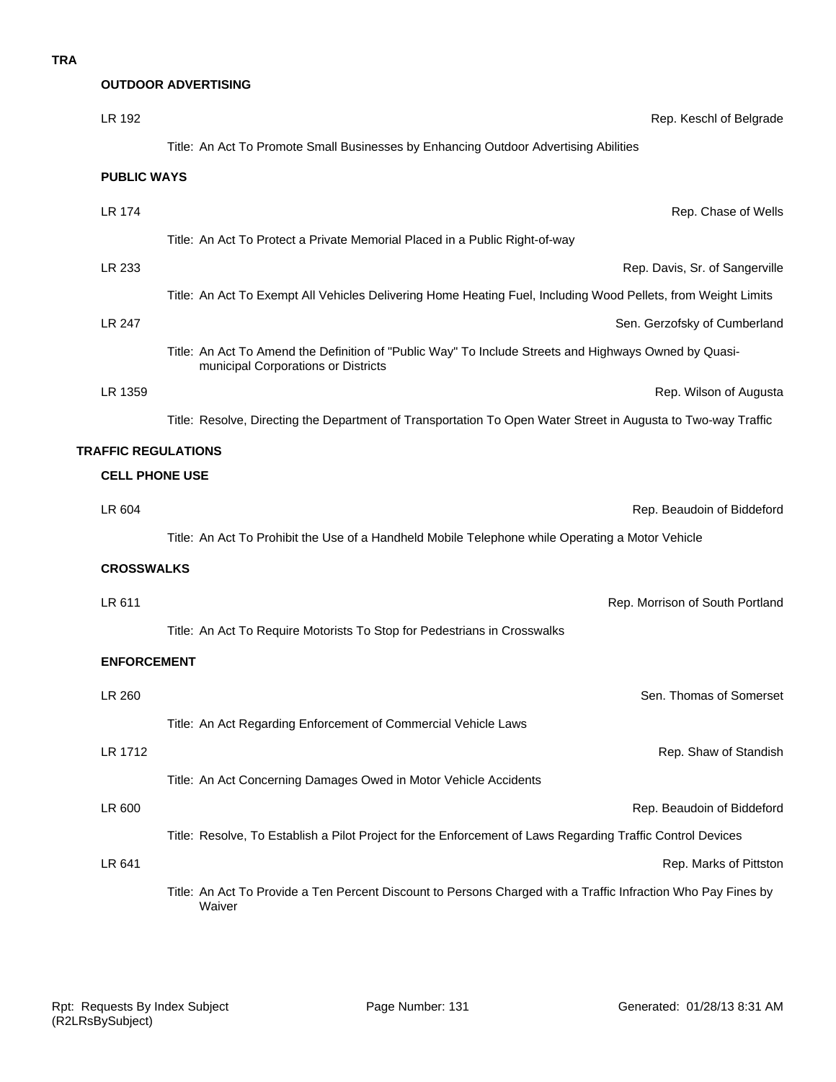|                            | <b>OUTDOOR ADVERTISING</b>                                                                                                                   |
|----------------------------|----------------------------------------------------------------------------------------------------------------------------------------------|
| LR 192                     | Rep. Keschl of Belgrade                                                                                                                      |
|                            | Title: An Act To Promote Small Businesses by Enhancing Outdoor Advertising Abilities                                                         |
| <b>PUBLIC WAYS</b>         |                                                                                                                                              |
| <b>LR 174</b>              | Rep. Chase of Wells                                                                                                                          |
|                            | Title: An Act To Protect a Private Memorial Placed in a Public Right-of-way                                                                  |
| LR 233                     | Rep. Davis, Sr. of Sangerville                                                                                                               |
|                            | Title: An Act To Exempt All Vehicles Delivering Home Heating Fuel, Including Wood Pellets, from Weight Limits                                |
| LR 247                     | Sen. Gerzofsky of Cumberland                                                                                                                 |
|                            | Title: An Act To Amend the Definition of "Public Way" To Include Streets and Highways Owned by Quasi-<br>municipal Corporations or Districts |
| LR 1359                    | Rep. Wilson of Augusta                                                                                                                       |
|                            | Title: Resolve, Directing the Department of Transportation To Open Water Street in Augusta to Two-way Traffic                                |
| <b>TRAFFIC REGULATIONS</b> |                                                                                                                                              |
| <b>CELL PHONE USE</b>      |                                                                                                                                              |
| LR 604                     | Rep. Beaudoin of Biddeford                                                                                                                   |
|                            | Title: An Act To Prohibit the Use of a Handheld Mobile Telephone while Operating a Motor Vehicle                                             |
| <b>CROSSWALKS</b>          |                                                                                                                                              |
| LR 611                     | Rep. Morrison of South Portland                                                                                                              |
|                            | Title: An Act To Require Motorists To Stop for Pedestrians in Crosswalks                                                                     |
| <b>ENFORCEMENT</b>         |                                                                                                                                              |
| LR 260                     | Sen. Thomas of Somerset                                                                                                                      |
|                            | Title: An Act Regarding Enforcement of Commercial Vehicle Laws                                                                               |
| LR 1712                    | Rep. Shaw of Standish                                                                                                                        |
|                            | Title: An Act Concerning Damages Owed in Motor Vehicle Accidents                                                                             |
| LR 600                     | Rep. Beaudoin of Biddeford                                                                                                                   |
|                            | Title: Resolve, To Establish a Pilot Project for the Enforcement of Laws Regarding Traffic Control Devices                                   |
| LR 641                     | Rep. Marks of Pittston                                                                                                                       |
|                            | Title: An Act To Provide a Ten Percent Discount to Persons Charged with a Traffic Infraction Who Pay Fines by<br>Waiver                      |
|                            |                                                                                                                                              |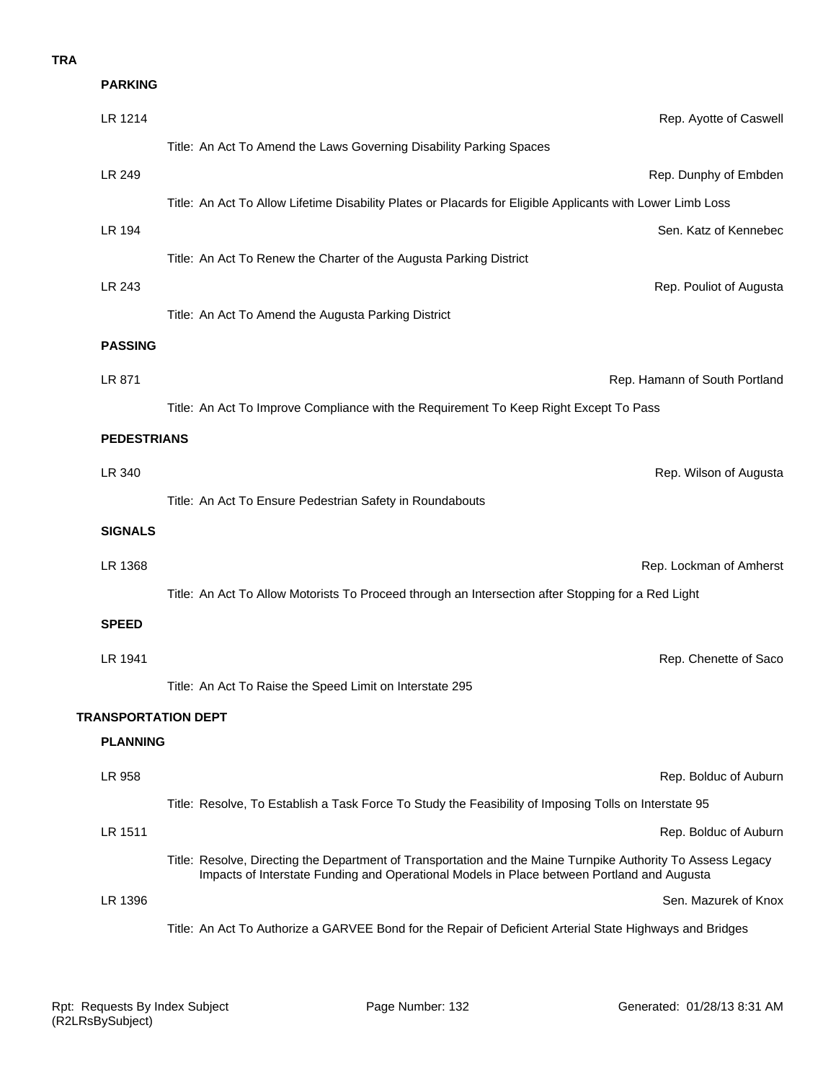| <b>PARKING</b>             |                                                                                                                                                                                                            |
|----------------------------|------------------------------------------------------------------------------------------------------------------------------------------------------------------------------------------------------------|
| LR 1214                    | Rep. Ayotte of Caswell                                                                                                                                                                                     |
|                            | Title: An Act To Amend the Laws Governing Disability Parking Spaces                                                                                                                                        |
| LR 249                     | Rep. Dunphy of Embden                                                                                                                                                                                      |
|                            | Title: An Act To Allow Lifetime Disability Plates or Placards for Eligible Applicants with Lower Limb Loss                                                                                                 |
| LR 194                     | Sen. Katz of Kennebec                                                                                                                                                                                      |
|                            | Title: An Act To Renew the Charter of the Augusta Parking District                                                                                                                                         |
| LR 243                     | Rep. Pouliot of Augusta                                                                                                                                                                                    |
|                            | Title: An Act To Amend the Augusta Parking District                                                                                                                                                        |
| <b>PASSING</b>             |                                                                                                                                                                                                            |
| LR 871                     | Rep. Hamann of South Portland                                                                                                                                                                              |
|                            | Title: An Act To Improve Compliance with the Requirement To Keep Right Except To Pass                                                                                                                      |
| <b>PEDESTRIANS</b>         |                                                                                                                                                                                                            |
| LR 340                     | Rep. Wilson of Augusta                                                                                                                                                                                     |
|                            | Title: An Act To Ensure Pedestrian Safety in Roundabouts                                                                                                                                                   |
| <b>SIGNALS</b>             |                                                                                                                                                                                                            |
| LR 1368                    | Rep. Lockman of Amherst                                                                                                                                                                                    |
|                            | Title: An Act To Allow Motorists To Proceed through an Intersection after Stopping for a Red Light                                                                                                         |
| <b>SPEED</b>               |                                                                                                                                                                                                            |
| LR 1941                    | Rep. Chenette of Saco                                                                                                                                                                                      |
|                            | Title: An Act To Raise the Speed Limit on Interstate 295                                                                                                                                                   |
| <b>TRANSPORTATION DEPT</b> |                                                                                                                                                                                                            |
| <b>PLANNING</b>            |                                                                                                                                                                                                            |
| LR 958                     | Rep. Bolduc of Auburn                                                                                                                                                                                      |
|                            | Title: Resolve, To Establish a Task Force To Study the Feasibility of Imposing Tolls on Interstate 95                                                                                                      |
| LR 1511                    | Rep. Bolduc of Auburn                                                                                                                                                                                      |
|                            | Title: Resolve, Directing the Department of Transportation and the Maine Turnpike Authority To Assess Legacy<br>Impacts of Interstate Funding and Operational Models in Place between Portland and Augusta |
| LR 1396                    | Sen. Mazurek of Knox                                                                                                                                                                                       |
|                            | Title: An Act To Authorize a GARVEE Bond for the Repair of Deficient Arterial State Highways and Bridges                                                                                                   |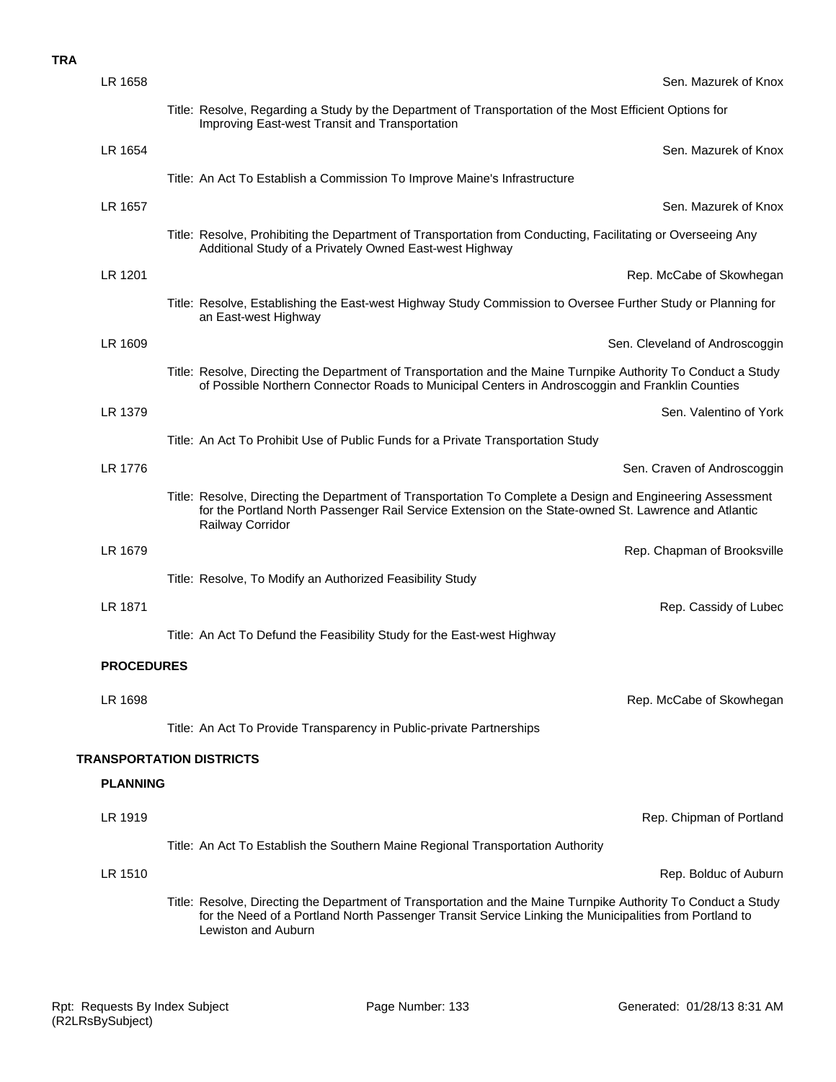| LR 1658           | Sen. Mazurek of Knox                                                                                                                                                                                                                            |
|-------------------|-------------------------------------------------------------------------------------------------------------------------------------------------------------------------------------------------------------------------------------------------|
|                   | Title: Resolve, Regarding a Study by the Department of Transportation of the Most Efficient Options for<br>Improving East-west Transit and Transportation                                                                                       |
| LR 1654           | Sen. Mazurek of Knox                                                                                                                                                                                                                            |
|                   | Title: An Act To Establish a Commission To Improve Maine's Infrastructure                                                                                                                                                                       |
| LR 1657           | Sen. Mazurek of Knox                                                                                                                                                                                                                            |
|                   | Title: Resolve, Prohibiting the Department of Transportation from Conducting, Facilitating or Overseeing Any<br>Additional Study of a Privately Owned East-west Highway                                                                         |
| LR 1201           | Rep. McCabe of Skowhegan                                                                                                                                                                                                                        |
|                   | Title: Resolve, Establishing the East-west Highway Study Commission to Oversee Further Study or Planning for<br>an East-west Highway                                                                                                            |
| LR 1609           | Sen. Cleveland of Androscoggin                                                                                                                                                                                                                  |
|                   | Title: Resolve, Directing the Department of Transportation and the Maine Turnpike Authority To Conduct a Study<br>of Possible Northern Connector Roads to Municipal Centers in Androscoggin and Franklin Counties                               |
| LR 1379           | Sen. Valentino of York                                                                                                                                                                                                                          |
|                   | Title: An Act To Prohibit Use of Public Funds for a Private Transportation Study                                                                                                                                                                |
| LR 1776           | Sen. Craven of Androscoggin                                                                                                                                                                                                                     |
|                   | Title: Resolve, Directing the Department of Transportation To Complete a Design and Engineering Assessment<br>for the Portland North Passenger Rail Service Extension on the State-owned St. Lawrence and Atlantic<br>Railway Corridor          |
| LR 1679           | Rep. Chapman of Brooksville                                                                                                                                                                                                                     |
|                   | Title: Resolve, To Modify an Authorized Feasibility Study                                                                                                                                                                                       |
| LR 1871           | Rep. Cassidy of Lubec                                                                                                                                                                                                                           |
|                   | Title: An Act To Defund the Feasibility Study for the East-west Highway                                                                                                                                                                         |
| <b>PROCEDURES</b> |                                                                                                                                                                                                                                                 |
| LR 1698           | Rep. McCabe of Skowhegan                                                                                                                                                                                                                        |
|                   | Title: An Act To Provide Transparency in Public-private Partnerships                                                                                                                                                                            |
|                   | <b>TRANSPORTATION DISTRICTS</b>                                                                                                                                                                                                                 |
| <b>PLANNING</b>   |                                                                                                                                                                                                                                                 |
| LR 1919           | Rep. Chipman of Portland                                                                                                                                                                                                                        |
|                   | Title: An Act To Establish the Southern Maine Regional Transportation Authority                                                                                                                                                                 |
| LR 1510           | Rep. Bolduc of Auburn                                                                                                                                                                                                                           |
|                   | Title: Resolve, Directing the Department of Transportation and the Maine Turnpike Authority To Conduct a Study<br>for the Need of a Portland North Passenger Transit Service Linking the Municipalities from Portland to<br>Lewiston and Auburn |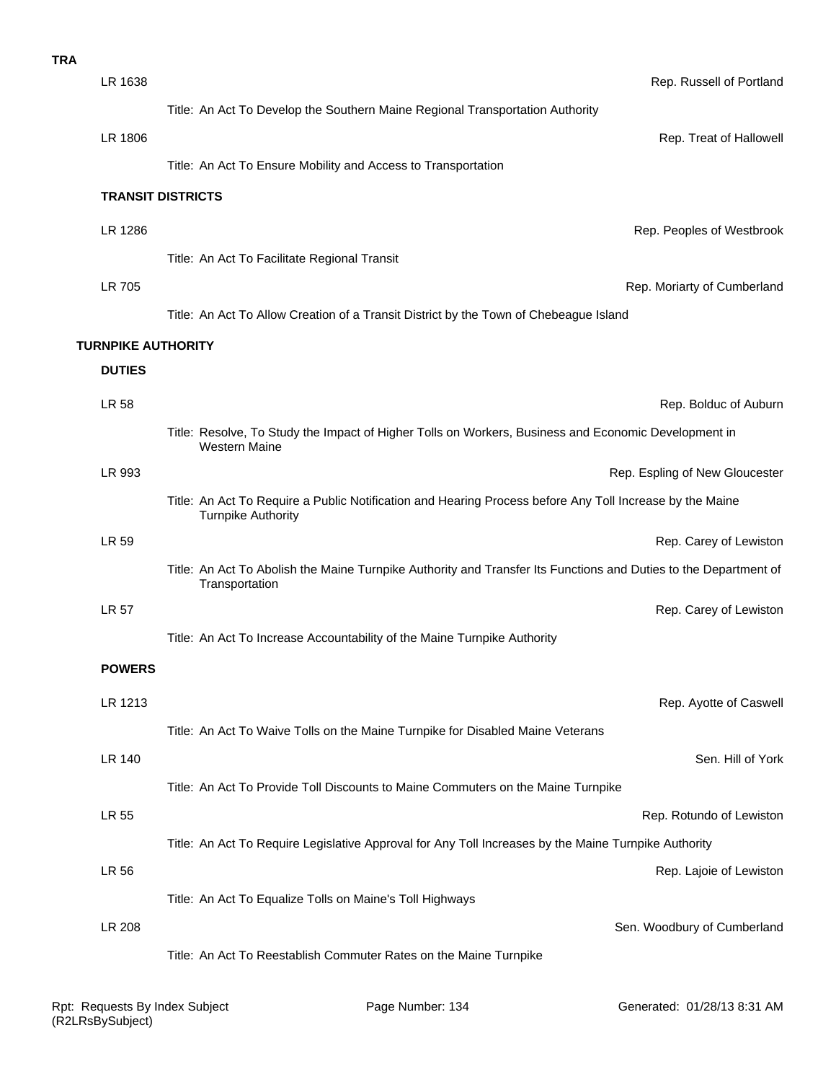| <b>TRA</b> |                           |                                                                                                                                       |
|------------|---------------------------|---------------------------------------------------------------------------------------------------------------------------------------|
|            | LR 1638                   | Rep. Russell of Portland                                                                                                              |
|            |                           | Title: An Act To Develop the Southern Maine Regional Transportation Authority                                                         |
|            | LR 1806                   | Rep. Treat of Hallowell                                                                                                               |
|            |                           | Title: An Act To Ensure Mobility and Access to Transportation                                                                         |
|            |                           | <b>TRANSIT DISTRICTS</b>                                                                                                              |
|            | LR 1286                   | Rep. Peoples of Westbrook                                                                                                             |
|            |                           | Title: An Act To Facilitate Regional Transit                                                                                          |
|            | LR 705                    | Rep. Moriarty of Cumberland                                                                                                           |
|            |                           | Title: An Act To Allow Creation of a Transit District by the Town of Chebeague Island                                                 |
|            | <b>TURNPIKE AUTHORITY</b> |                                                                                                                                       |
|            | <b>DUTIES</b>             |                                                                                                                                       |
|            | <b>LR 58</b>              | Rep. Bolduc of Auburn                                                                                                                 |
|            |                           | Title: Resolve, To Study the Impact of Higher Tolls on Workers, Business and Economic Development in<br>Western Maine                 |
|            | LR 993                    | Rep. Espling of New Gloucester                                                                                                        |
|            |                           | Title: An Act To Require a Public Notification and Hearing Process before Any Toll Increase by the Maine<br><b>Turnpike Authority</b> |
|            | LR 59                     | Rep. Carey of Lewiston                                                                                                                |
|            |                           | Title: An Act To Abolish the Maine Turnpike Authority and Transfer Its Functions and Duties to the Department of<br>Transportation    |
|            | <b>LR 57</b>              | Rep. Carey of Lewiston                                                                                                                |
|            |                           | Title: An Act To Increase Accountability of the Maine Turnpike Authority                                                              |
|            | <b>POWERS</b>             |                                                                                                                                       |
|            | LR 1213                   | Rep. Ayotte of Caswell                                                                                                                |
|            |                           | Title: An Act To Waive Tolls on the Maine Turnpike for Disabled Maine Veterans                                                        |
|            | <b>LR 140</b>             | Sen. Hill of York                                                                                                                     |
|            |                           | Title: An Act To Provide Toll Discounts to Maine Commuters on the Maine Turnpike                                                      |
|            | <b>LR 55</b>              | Rep. Rotundo of Lewiston                                                                                                              |
|            |                           | Title: An Act To Require Legislative Approval for Any Toll Increases by the Maine Turnpike Authority                                  |
|            | LR 56                     | Rep. Lajoie of Lewiston                                                                                                               |
|            |                           | Title: An Act To Equalize Tolls on Maine's Toll Highways                                                                              |
|            | <b>LR 208</b>             | Sen. Woodbury of Cumberland                                                                                                           |
|            |                           | Title: An Act To Reestablish Commuter Rates on the Maine Turnpike                                                                     |
|            |                           |                                                                                                                                       |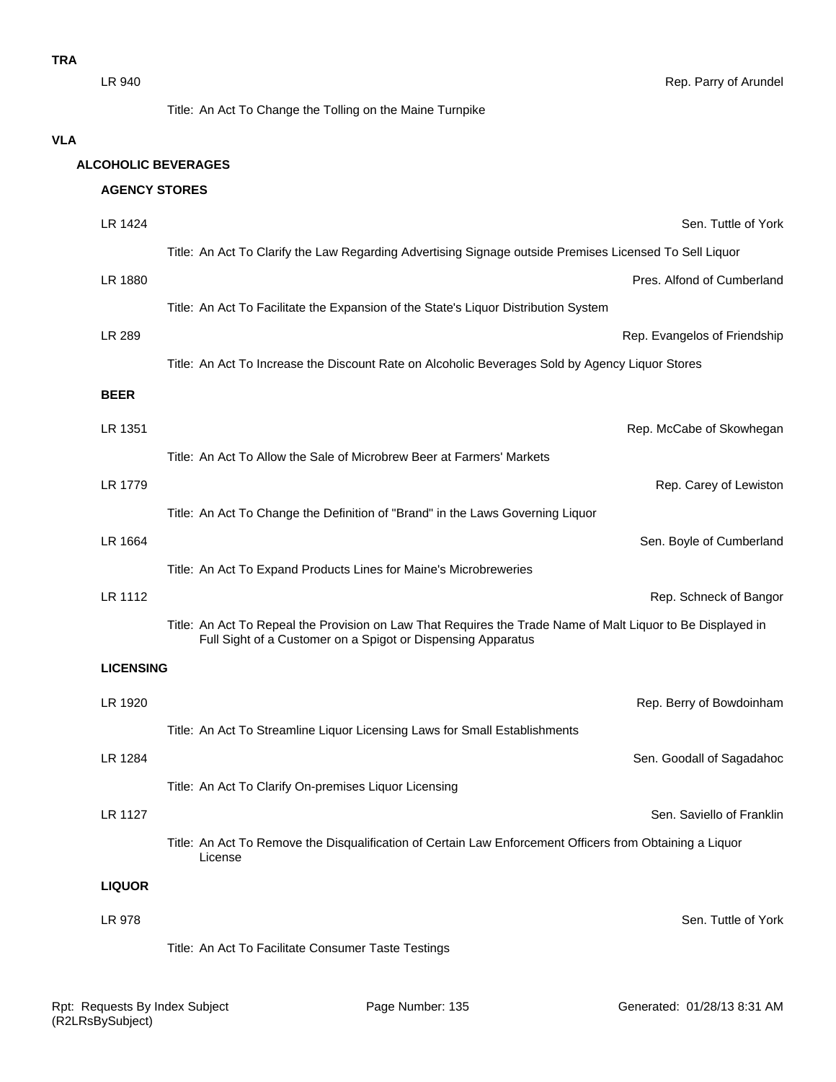Title: An Act To Change the Tolling on the Maine Turnpike

#### **VLA**

#### **ALCOHOLIC BEVERAGES**

# **AGENCY STORES**

| LR 1424          | Sen. Tuttle of York                                                                                                                                                         |
|------------------|-----------------------------------------------------------------------------------------------------------------------------------------------------------------------------|
|                  | Title: An Act To Clarify the Law Regarding Advertising Signage outside Premises Licensed To Sell Liquor                                                                     |
| LR 1880          | Pres. Alfond of Cumberland                                                                                                                                                  |
|                  | Title: An Act To Facilitate the Expansion of the State's Liquor Distribution System                                                                                         |
| LR 289           | Rep. Evangelos of Friendship                                                                                                                                                |
|                  | Title: An Act To Increase the Discount Rate on Alcoholic Beverages Sold by Agency Liquor Stores                                                                             |
| <b>BEER</b>      |                                                                                                                                                                             |
| LR 1351          | Rep. McCabe of Skowhegan                                                                                                                                                    |
|                  | Title: An Act To Allow the Sale of Microbrew Beer at Farmers' Markets                                                                                                       |
| LR 1779          | Rep. Carey of Lewiston                                                                                                                                                      |
|                  | Title: An Act To Change the Definition of "Brand" in the Laws Governing Liquor                                                                                              |
| LR 1664          | Sen. Boyle of Cumberland                                                                                                                                                    |
|                  | Title: An Act To Expand Products Lines for Maine's Microbreweries                                                                                                           |
| LR 1112          | Rep. Schneck of Bangor                                                                                                                                                      |
|                  | Title: An Act To Repeal the Provision on Law That Requires the Trade Name of Malt Liquor to Be Displayed in<br>Full Sight of a Customer on a Spigot or Dispensing Apparatus |
| <b>LICENSING</b> |                                                                                                                                                                             |
| LR 1920          | Rep. Berry of Bowdoinham                                                                                                                                                    |
|                  | Title: An Act To Streamline Liquor Licensing Laws for Small Establishments                                                                                                  |
| LR 1284          | Sen. Goodall of Sagadahoc                                                                                                                                                   |
|                  | Title: An Act To Clarify On-premises Liquor Licensing                                                                                                                       |
| LR 1127          | Sen. Saviello of Franklin                                                                                                                                                   |
|                  | Title: An Act To Remove the Disqualification of Certain Law Enforcement Officers from Obtaining a Liquor<br>License                                                         |
| <b>LIQUOR</b>    |                                                                                                                                                                             |
| LR 978           | Sen. Tuttle of York                                                                                                                                                         |
|                  | Title: An Act To Facilitate Consumer Taste Testings                                                                                                                         |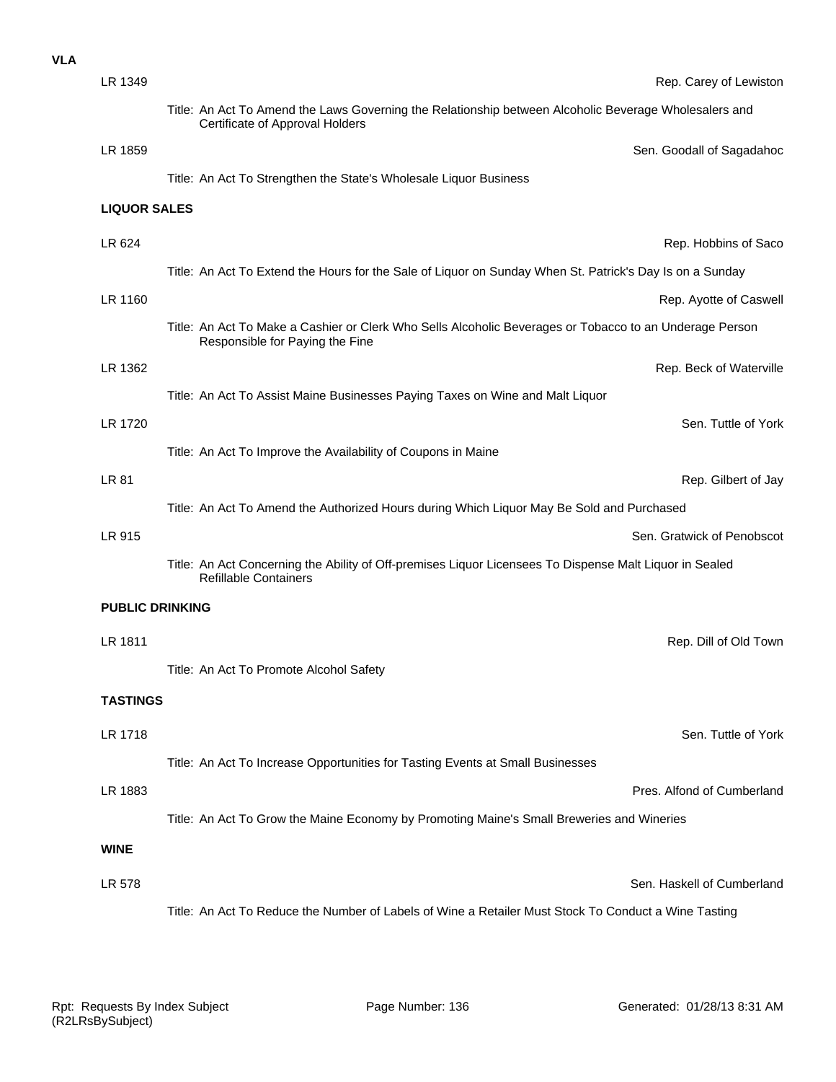| <b>VLA</b> |                        |                                                                                                                                            |                            |
|------------|------------------------|--------------------------------------------------------------------------------------------------------------------------------------------|----------------------------|
|            | LR 1349                |                                                                                                                                            | Rep. Carey of Lewiston     |
|            |                        | Title: An Act To Amend the Laws Governing the Relationship between Alcoholic Beverage Wholesalers and<br>Certificate of Approval Holders   |                            |
|            | LR 1859                |                                                                                                                                            | Sen. Goodall of Sagadahoc  |
|            |                        | Title: An Act To Strengthen the State's Wholesale Liquor Business                                                                          |                            |
|            | <b>LIQUOR SALES</b>    |                                                                                                                                            |                            |
|            | LR 624                 |                                                                                                                                            | Rep. Hobbins of Saco       |
|            |                        | Title: An Act To Extend the Hours for the Sale of Liquor on Sunday When St. Patrick's Day Is on a Sunday                                   |                            |
|            | LR 1160                |                                                                                                                                            | Rep. Ayotte of Caswell     |
|            |                        | Title: An Act To Make a Cashier or Clerk Who Sells Alcoholic Beverages or Tobacco to an Underage Person<br>Responsible for Paying the Fine |                            |
|            | LR 1362                |                                                                                                                                            | Rep. Beck of Waterville    |
|            |                        | Title: An Act To Assist Maine Businesses Paying Taxes on Wine and Malt Liquor                                                              |                            |
|            | LR 1720                |                                                                                                                                            | Sen. Tuttle of York        |
|            |                        | Title: An Act To Improve the Availability of Coupons in Maine                                                                              |                            |
|            | <b>LR 81</b>           |                                                                                                                                            | Rep. Gilbert of Jay        |
|            |                        | Title: An Act To Amend the Authorized Hours during Which Liquor May Be Sold and Purchased                                                  |                            |
|            | LR 915                 |                                                                                                                                            | Sen. Gratwick of Penobscot |
|            |                        | Title: An Act Concerning the Ability of Off-premises Liquor Licensees To Dispense Malt Liquor in Sealed<br><b>Refillable Containers</b>    |                            |
|            | <b>PUBLIC DRINKING</b> |                                                                                                                                            |                            |
|            | LR 1811                |                                                                                                                                            | Rep. Dill of Old Town      |
|            |                        | Title: An Act To Promote Alcohol Safety                                                                                                    |                            |
|            | <b>TASTINGS</b>        |                                                                                                                                            |                            |
|            |                        |                                                                                                                                            |                            |
|            | LR 1718                |                                                                                                                                            | Sen. Tuttle of York        |
|            |                        | Title: An Act To Increase Opportunities for Tasting Events at Small Businesses                                                             |                            |
|            | LR 1883                |                                                                                                                                            | Pres. Alfond of Cumberland |
|            |                        | Title: An Act To Grow the Maine Economy by Promoting Maine's Small Breweries and Wineries                                                  |                            |
|            | <b>WINE</b>            |                                                                                                                                            |                            |
|            | LR 578                 |                                                                                                                                            | Sen. Haskell of Cumberland |
|            |                        | Title: An Act To Reduce the Number of Labels of Wine a Retailer Must Stock To Conduct a Wine Tasting                                       |                            |
|            |                        |                                                                                                                                            |                            |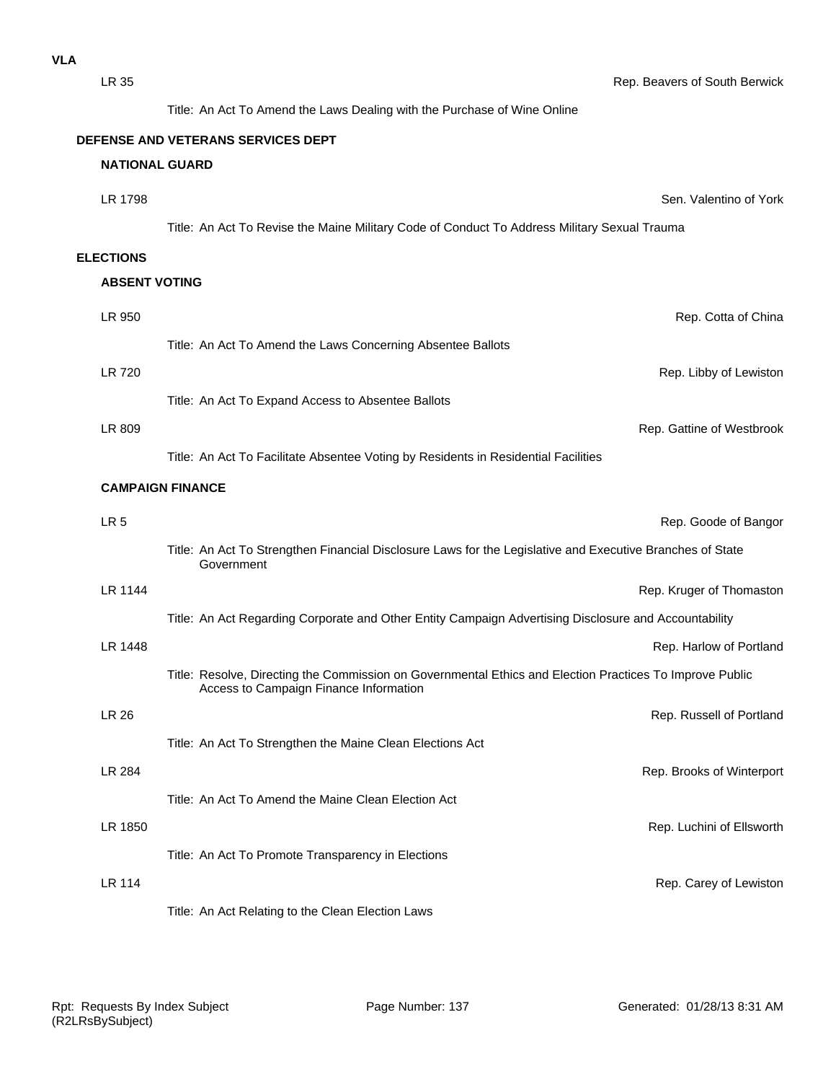| LR 35                 | Rep. Beavers of South Berwick                                                                                                                      |
|-----------------------|----------------------------------------------------------------------------------------------------------------------------------------------------|
|                       | Title: An Act To Amend the Laws Dealing with the Purchase of Wine Online                                                                           |
|                       | DEFENSE AND VETERANS SERVICES DEPT                                                                                                                 |
| <b>NATIONAL GUARD</b> |                                                                                                                                                    |
| LR 1798               | Sen. Valentino of York                                                                                                                             |
|                       | Title: An Act To Revise the Maine Military Code of Conduct To Address Military Sexual Trauma                                                       |
| <b>ELECTIONS</b>      |                                                                                                                                                    |
| <b>ABSENT VOTING</b>  |                                                                                                                                                    |
| LR 950                | Rep. Cotta of China                                                                                                                                |
|                       | Title: An Act To Amend the Laws Concerning Absentee Ballots                                                                                        |
| LR 720                | Rep. Libby of Lewiston                                                                                                                             |
|                       | Title: An Act To Expand Access to Absentee Ballots                                                                                                 |
| LR 809                | Rep. Gattine of Westbrook                                                                                                                          |
|                       | Title: An Act To Facilitate Absentee Voting by Residents in Residential Facilities                                                                 |
|                       | <b>CAMPAIGN FINANCE</b>                                                                                                                            |
| LR <sub>5</sub>       | Rep. Goode of Bangor                                                                                                                               |
|                       | Title: An Act To Strengthen Financial Disclosure Laws for the Legislative and Executive Branches of State<br>Government                            |
| LR 1144               | Rep. Kruger of Thomaston                                                                                                                           |
|                       | Title: An Act Regarding Corporate and Other Entity Campaign Advertising Disclosure and Accountability                                              |
| LR 1448               | Rep. Harlow of Portland                                                                                                                            |
|                       | Title: Resolve, Directing the Commission on Governmental Ethics and Election Practices To Improve Public<br>Access to Campaign Finance Information |
| <b>LR 26</b>          | Rep. Russell of Portland                                                                                                                           |
|                       | Title: An Act To Strengthen the Maine Clean Elections Act                                                                                          |
| LR 284                | Rep. Brooks of Winterport                                                                                                                          |
|                       | Title: An Act To Amend the Maine Clean Election Act                                                                                                |
| LR 1850               | Rep. Luchini of Ellsworth                                                                                                                          |
|                       | Title: An Act To Promote Transparency in Elections                                                                                                 |
| <b>LR 114</b>         | Rep. Carey of Lewiston                                                                                                                             |

Title: An Act Relating to the Clean Election Laws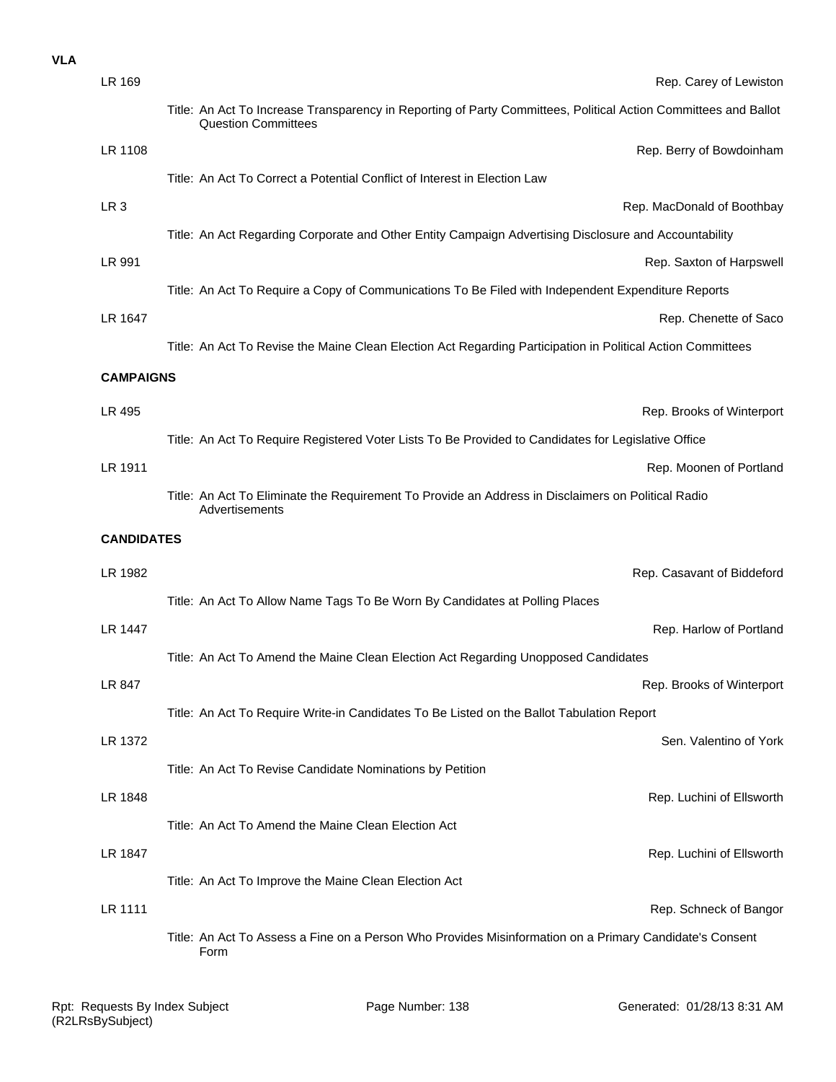### **VLA**

| LR 169            | Rep. Carey of Lewiston                                                                                                                        |  |
|-------------------|-----------------------------------------------------------------------------------------------------------------------------------------------|--|
|                   | Title: An Act To Increase Transparency in Reporting of Party Committees, Political Action Committees and Ballot<br><b>Question Committees</b> |  |
| LR 1108           | Rep. Berry of Bowdoinham                                                                                                                      |  |
|                   | Title: An Act To Correct a Potential Conflict of Interest in Election Law                                                                     |  |
| LR <sub>3</sub>   | Rep. MacDonald of Boothbay                                                                                                                    |  |
|                   | Title: An Act Regarding Corporate and Other Entity Campaign Advertising Disclosure and Accountability                                         |  |
| LR 991            | Rep. Saxton of Harpswell                                                                                                                      |  |
|                   | Title: An Act To Require a Copy of Communications To Be Filed with Independent Expenditure Reports                                            |  |
| LR 1647           | Rep. Chenette of Saco                                                                                                                         |  |
|                   | Title: An Act To Revise the Maine Clean Election Act Regarding Participation in Political Action Committees                                   |  |
| <b>CAMPAIGNS</b>  |                                                                                                                                               |  |
| LR 495            | Rep. Brooks of Winterport                                                                                                                     |  |
|                   | Title: An Act To Require Registered Voter Lists To Be Provided to Candidates for Legislative Office                                           |  |
| LR 1911           | Rep. Moonen of Portland                                                                                                                       |  |
|                   | Title: An Act To Eliminate the Requirement To Provide an Address in Disclaimers on Political Radio<br>Advertisements                          |  |
| <b>CANDIDATES</b> |                                                                                                                                               |  |
|                   |                                                                                                                                               |  |
| LR 1982           | Rep. Casavant of Biddeford                                                                                                                    |  |
|                   | Title: An Act To Allow Name Tags To Be Worn By Candidates at Polling Places                                                                   |  |
| <b>LR 1447</b>    | Rep. Harlow of Portland                                                                                                                       |  |
|                   | Title: An Act To Amend the Maine Clean Election Act Regarding Unopposed Candidates                                                            |  |
| LR 847            | Rep. Brooks of Winterport                                                                                                                     |  |
|                   | Title: An Act To Require Write-in Candidates To Be Listed on the Ballot Tabulation Report                                                     |  |
| LR 1372           | Sen. Valentino of York                                                                                                                        |  |
|                   | Title: An Act To Revise Candidate Nominations by Petition                                                                                     |  |
| LR 1848           | Rep. Luchini of Ellsworth                                                                                                                     |  |
|                   | Title: An Act To Amend the Maine Clean Election Act                                                                                           |  |
| LR 1847           | Rep. Luchini of Ellsworth                                                                                                                     |  |
|                   | Title: An Act To Improve the Maine Clean Election Act                                                                                         |  |
| LR 1111           | Rep. Schneck of Bangor                                                                                                                        |  |
|                   | Title: An Act To Assess a Fine on a Person Who Provides Misinformation on a Primary Candidate's Consent<br>Form                               |  |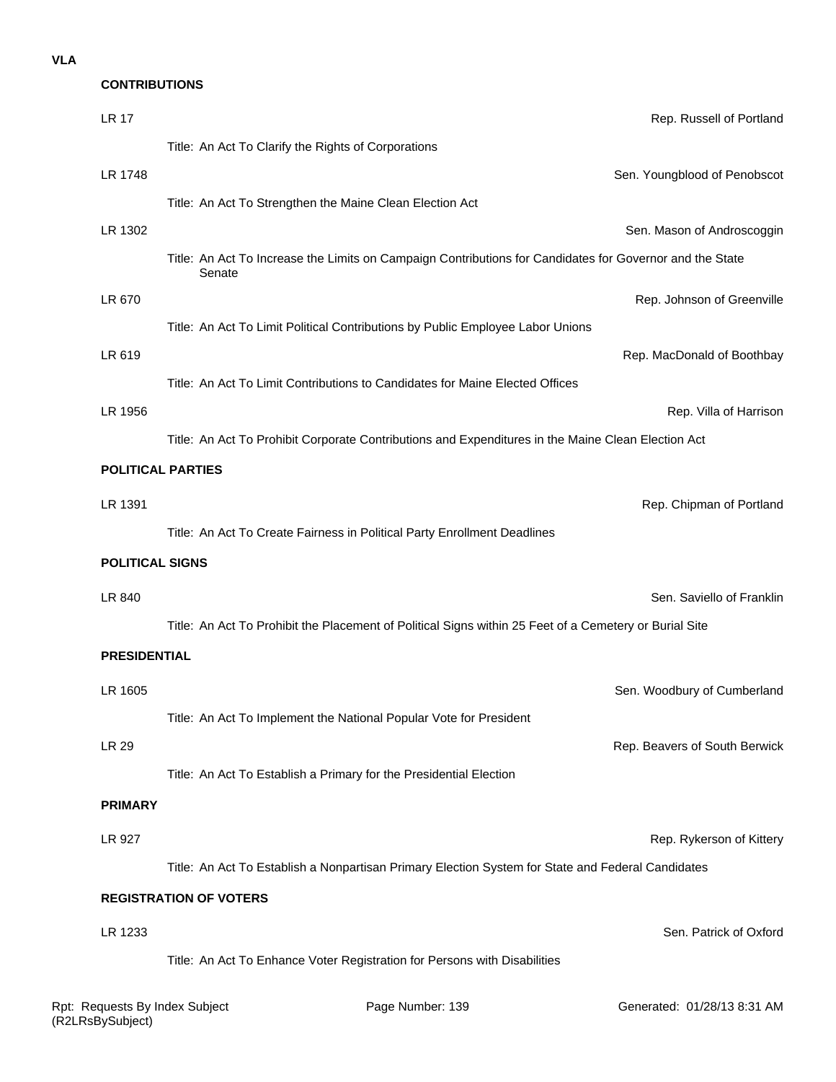#### **VLA**

#### **CONTRIBUTIONS**

| <b>LR 17</b>             | Rep. Russell of Portland                                                                                           |
|--------------------------|--------------------------------------------------------------------------------------------------------------------|
|                          | Title: An Act To Clarify the Rights of Corporations                                                                |
| LR 1748                  | Sen. Youngblood of Penobscot                                                                                       |
|                          | Title: An Act To Strengthen the Maine Clean Election Act                                                           |
| LR 1302                  | Sen. Mason of Androscoggin                                                                                         |
|                          | Title: An Act To Increase the Limits on Campaign Contributions for Candidates for Governor and the State<br>Senate |
| LR 670                   | Rep. Johnson of Greenville                                                                                         |
|                          | Title: An Act To Limit Political Contributions by Public Employee Labor Unions                                     |
| LR 619                   | Rep. MacDonald of Boothbay                                                                                         |
|                          | Title: An Act To Limit Contributions to Candidates for Maine Elected Offices                                       |
| LR 1956                  | Rep. Villa of Harrison                                                                                             |
|                          | Title: An Act To Prohibit Corporate Contributions and Expenditures in the Maine Clean Election Act                 |
| <b>POLITICAL PARTIES</b> |                                                                                                                    |
| LR 1391                  | Rep. Chipman of Portland                                                                                           |
|                          | Title: An Act To Create Fairness in Political Party Enrollment Deadlines                                           |
| <b>POLITICAL SIGNS</b>   |                                                                                                                    |
|                          |                                                                                                                    |
| LR 840                   | Sen. Saviello of Franklin                                                                                          |
|                          | Title: An Act To Prohibit the Placement of Political Signs within 25 Feet of a Cemetery or Burial Site             |
| <b>PRESIDENTIAL</b>      |                                                                                                                    |
| LR 1605                  | Sen. Woodbury of Cumberland                                                                                        |
|                          | Title: An Act To Implement the National Popular Vote for President                                                 |
| <b>LR 29</b>             | Rep. Beavers of South Berwick                                                                                      |
|                          | Title: An Act To Establish a Primary for the Presidential Election                                                 |
| <b>PRIMARY</b>           |                                                                                                                    |
| LR 927                   | Rep. Rykerson of Kittery                                                                                           |
|                          | Title: An Act To Establish a Nonpartisan Primary Election System for State and Federal Candidates                  |
|                          | <b>REGISTRATION OF VOTERS</b>                                                                                      |
| LR 1233                  | Sen. Patrick of Oxford                                                                                             |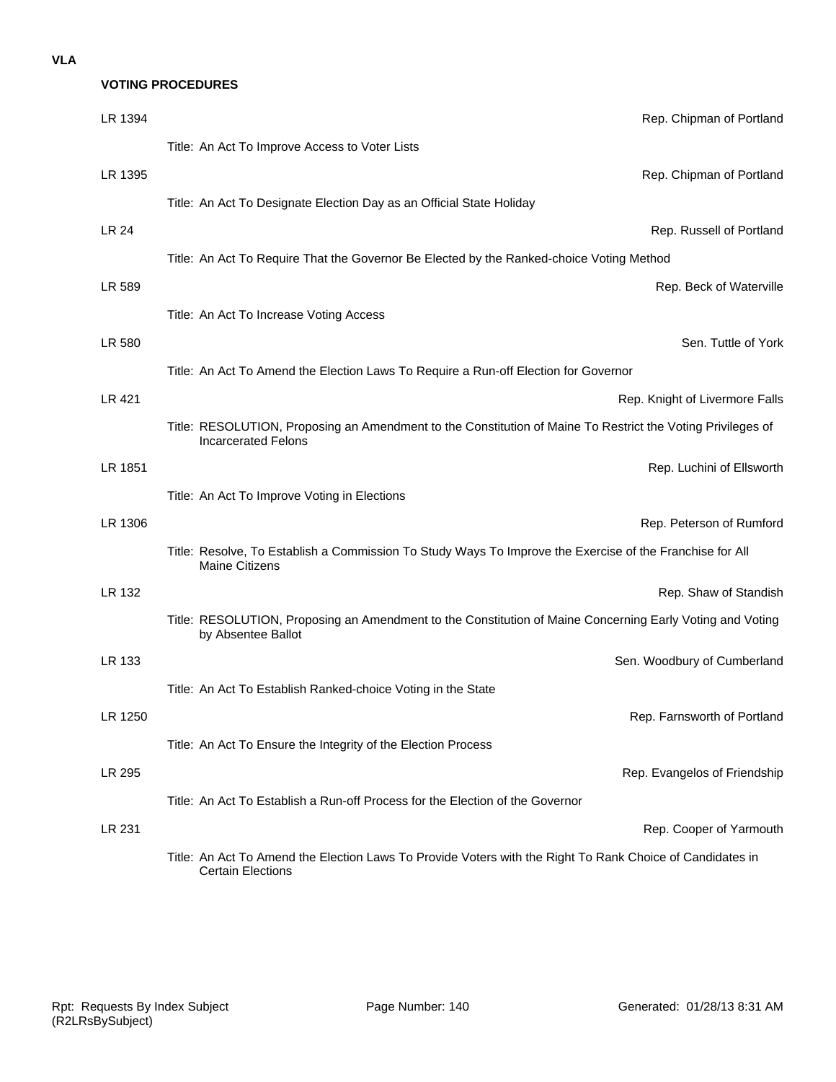## **VOTING PROCEDURES**

| LR 1394       | Rep. Chipman of Portland                                                                                                                  |
|---------------|-------------------------------------------------------------------------------------------------------------------------------------------|
|               | Title: An Act To Improve Access to Voter Lists                                                                                            |
| LR 1395       | Rep. Chipman of Portland                                                                                                                  |
|               | Title: An Act To Designate Election Day as an Official State Holiday                                                                      |
| LR 24         | Rep. Russell of Portland                                                                                                                  |
|               | Title: An Act To Require That the Governor Be Elected by the Ranked-choice Voting Method                                                  |
| LR 589        | Rep. Beck of Waterville                                                                                                                   |
|               | Title: An Act To Increase Voting Access                                                                                                   |
| LR 580        | Sen. Tuttle of York                                                                                                                       |
|               | Title: An Act To Amend the Election Laws To Require a Run-off Election for Governor                                                       |
| <b>LR 421</b> | Rep. Knight of Livermore Falls                                                                                                            |
|               | Title: RESOLUTION, Proposing an Amendment to the Constitution of Maine To Restrict the Voting Privileges of<br><b>Incarcerated Felons</b> |
| LR 1851       | Rep. Luchini of Ellsworth                                                                                                                 |
|               | Title: An Act To Improve Voting in Elections                                                                                              |
| LR 1306       | Rep. Peterson of Rumford                                                                                                                  |
|               | Title: Resolve, To Establish a Commission To Study Ways To Improve the Exercise of the Franchise for All<br><b>Maine Citizens</b>         |
| LR 132        | Rep. Shaw of Standish                                                                                                                     |
|               | Title: RESOLUTION, Proposing an Amendment to the Constitution of Maine Concerning Early Voting and Voting<br>by Absentee Ballot           |
| LR 133        | Sen. Woodbury of Cumberland                                                                                                               |
|               | Title: An Act To Establish Ranked-choice Voting in the State                                                                              |
| LR 1250       | Rep. Farnsworth of Portland                                                                                                               |
|               | Title: An Act To Ensure the Integrity of the Election Process                                                                             |
| LR 295        | Rep. Evangelos of Friendship                                                                                                              |
|               | Title: An Act To Establish a Run-off Process for the Election of the Governor                                                             |
| LR 231        | Rep. Cooper of Yarmouth                                                                                                                   |
|               | Title: An Act To Amend the Election Laws To Provide Voters with the Right To Rank Choice of Candidates in<br><b>Certain Elections</b>     |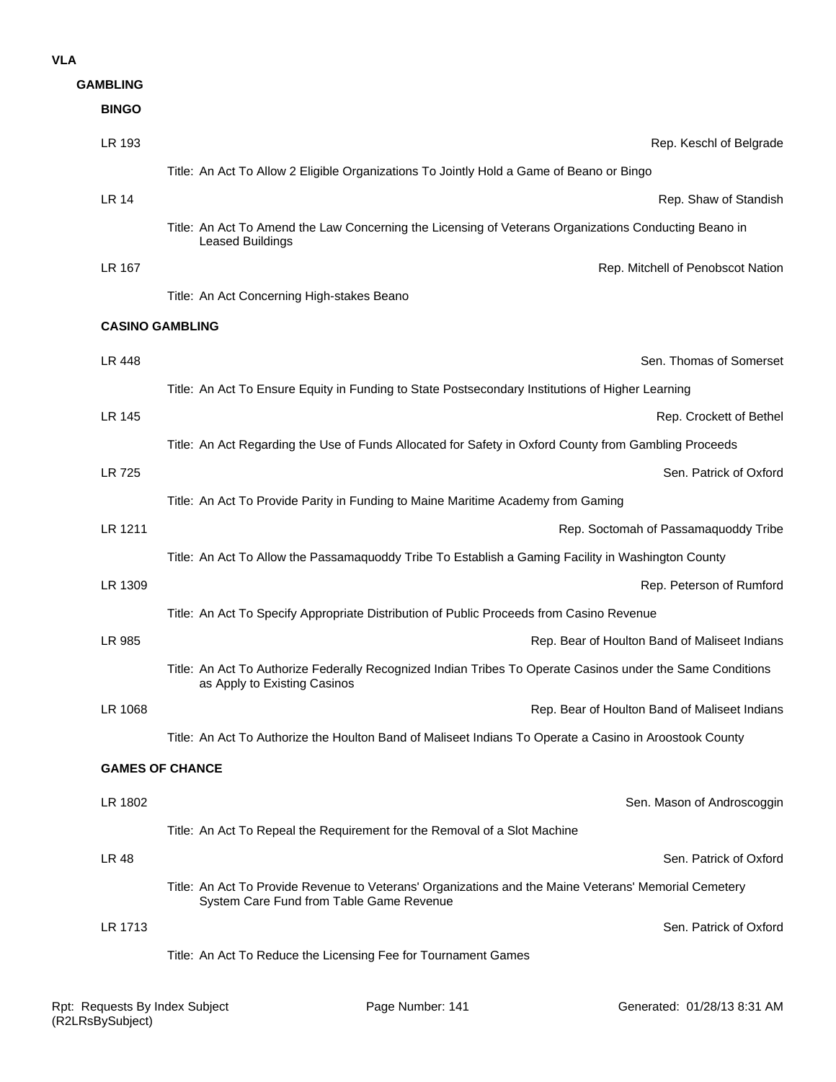#### **VLA**

| <b>GAMBLING</b> |                                                                                                                                                   |
|-----------------|---------------------------------------------------------------------------------------------------------------------------------------------------|
| <b>BINGO</b>    |                                                                                                                                                   |
| LR 193          | Rep. Keschl of Belgrade                                                                                                                           |
|                 | Title: An Act To Allow 2 Eligible Organizations To Jointly Hold a Game of Beano or Bingo                                                          |
| <b>LR 14</b>    | Rep. Shaw of Standish                                                                                                                             |
|                 | Title: An Act To Amend the Law Concerning the Licensing of Veterans Organizations Conducting Beano in<br><b>Leased Buildings</b>                  |
| LR 167          | Rep. Mitchell of Penobscot Nation                                                                                                                 |
|                 | Title: An Act Concerning High-stakes Beano                                                                                                        |
|                 | <b>CASINO GAMBLING</b>                                                                                                                            |
| LR 448          | Sen. Thomas of Somerset                                                                                                                           |
|                 | Title: An Act To Ensure Equity in Funding to State Postsecondary Institutions of Higher Learning                                                  |
| LR 145          | Rep. Crockett of Bethel                                                                                                                           |
|                 | Title: An Act Regarding the Use of Funds Allocated for Safety in Oxford County from Gambling Proceeds                                             |
| LR 725          | Sen. Patrick of Oxford                                                                                                                            |
|                 | Title: An Act To Provide Parity in Funding to Maine Maritime Academy from Gaming                                                                  |
| LR 1211         | Rep. Soctomah of Passamaquoddy Tribe                                                                                                              |
|                 | Title: An Act To Allow the Passamaquoddy Tribe To Establish a Gaming Facility in Washington County                                                |
| LR 1309         | Rep. Peterson of Rumford                                                                                                                          |
|                 | Title: An Act To Specify Appropriate Distribution of Public Proceeds from Casino Revenue                                                          |
| LR 985          | Rep. Bear of Houlton Band of Maliseet Indians                                                                                                     |
|                 | Title: An Act To Authorize Federally Recognized Indian Tribes To Operate Casinos under the Same Conditions<br>as Apply to Existing Casinos        |
| LR 1068         | Rep. Bear of Houlton Band of Maliseet Indians                                                                                                     |
|                 | Title: An Act To Authorize the Houlton Band of Maliseet Indians To Operate a Casino in Aroostook County                                           |
|                 | <b>GAMES OF CHANCE</b>                                                                                                                            |
| LR 1802         | Sen. Mason of Androscoggin                                                                                                                        |
|                 | Title: An Act To Repeal the Requirement for the Removal of a Slot Machine                                                                         |
| <b>LR 48</b>    | Sen. Patrick of Oxford                                                                                                                            |
|                 | Title: An Act To Provide Revenue to Veterans' Organizations and the Maine Veterans' Memorial Cemetery<br>System Care Fund from Table Game Revenue |
| LR 1713         | Sen. Patrick of Oxford                                                                                                                            |
|                 | Title: An Act To Reduce the Licensing Fee for Tournament Games                                                                                    |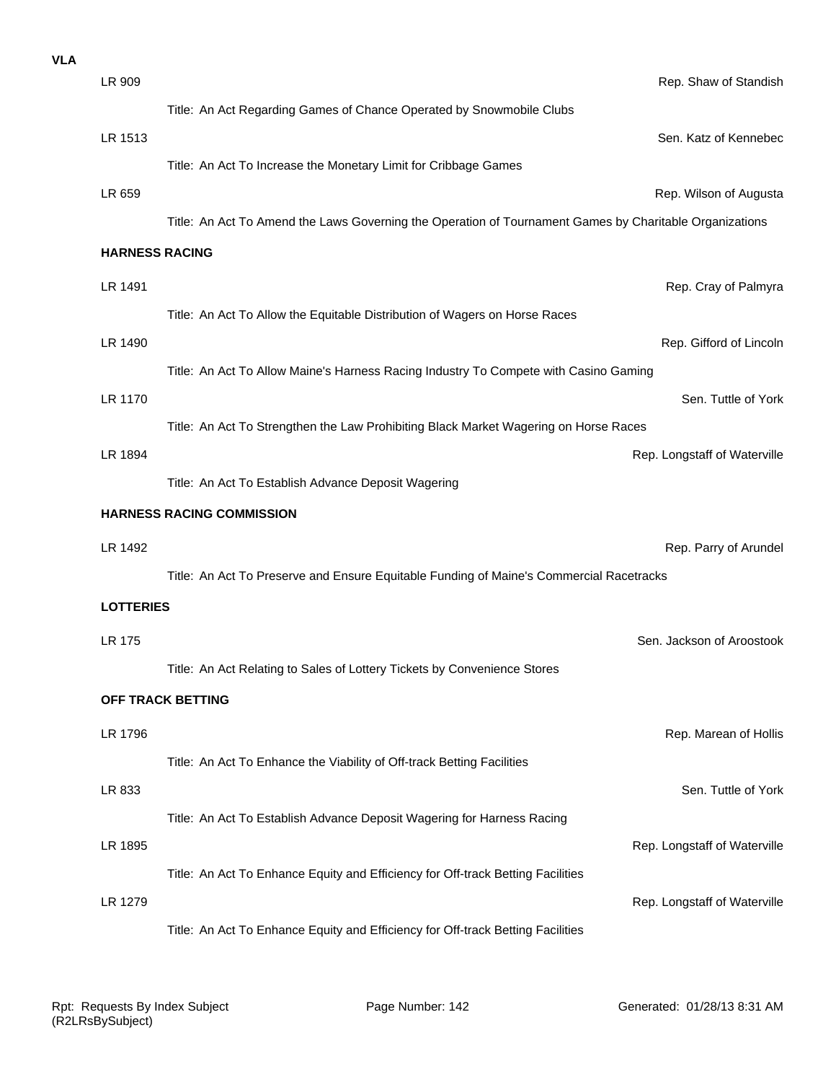| <b>VLA</b> |                                  |                                                                                                         |  |  |
|------------|----------------------------------|---------------------------------------------------------------------------------------------------------|--|--|
|            | LR 909                           | Rep. Shaw of Standish                                                                                   |  |  |
|            |                                  | Title: An Act Regarding Games of Chance Operated by Snowmobile Clubs                                    |  |  |
|            | LR 1513                          | Sen. Katz of Kennebec                                                                                   |  |  |
|            |                                  | Title: An Act To Increase the Monetary Limit for Cribbage Games                                         |  |  |
|            | LR 659                           | Rep. Wilson of Augusta                                                                                  |  |  |
|            |                                  | Title: An Act To Amend the Laws Governing the Operation of Tournament Games by Charitable Organizations |  |  |
|            | <b>HARNESS RACING</b>            |                                                                                                         |  |  |
|            | LR 1491                          | Rep. Cray of Palmyra                                                                                    |  |  |
|            |                                  | Title: An Act To Allow the Equitable Distribution of Wagers on Horse Races                              |  |  |
|            | LR 1490                          | Rep. Gifford of Lincoln                                                                                 |  |  |
|            |                                  | Title: An Act To Allow Maine's Harness Racing Industry To Compete with Casino Gaming                    |  |  |
|            | LR 1170                          | Sen. Tuttle of York                                                                                     |  |  |
|            |                                  | Title: An Act To Strengthen the Law Prohibiting Black Market Wagering on Horse Races                    |  |  |
|            | LR 1894                          | Rep. Longstaff of Waterville                                                                            |  |  |
|            |                                  | Title: An Act To Establish Advance Deposit Wagering                                                     |  |  |
|            | <b>HARNESS RACING COMMISSION</b> |                                                                                                         |  |  |
|            | LR 1492                          | Rep. Parry of Arundel                                                                                   |  |  |
|            |                                  | Title: An Act To Preserve and Ensure Equitable Funding of Maine's Commercial Racetracks                 |  |  |
|            |                                  |                                                                                                         |  |  |
|            | <b>LOTTERIES</b>                 |                                                                                                         |  |  |
|            | <b>LR 175</b>                    | Sen. Jackson of Aroostook                                                                               |  |  |
|            |                                  | Title: An Act Relating to Sales of Lottery Tickets by Convenience Stores                                |  |  |
|            |                                  | OFF TRACK BETTING                                                                                       |  |  |
|            | LR 1796                          | Rep. Marean of Hollis                                                                                   |  |  |
|            |                                  | Title: An Act To Enhance the Viability of Off-track Betting Facilities                                  |  |  |
|            | LR 833                           | Sen. Tuttle of York                                                                                     |  |  |
|            |                                  | Title: An Act To Establish Advance Deposit Wagering for Harness Racing                                  |  |  |
|            | LR 1895                          | Rep. Longstaff of Waterville                                                                            |  |  |
|            |                                  | Title: An Act To Enhance Equity and Efficiency for Off-track Betting Facilities                         |  |  |
|            | LR 1279                          | Rep. Longstaff of Waterville                                                                            |  |  |
|            |                                  | Title: An Act To Enhance Equity and Efficiency for Off-track Betting Facilities                         |  |  |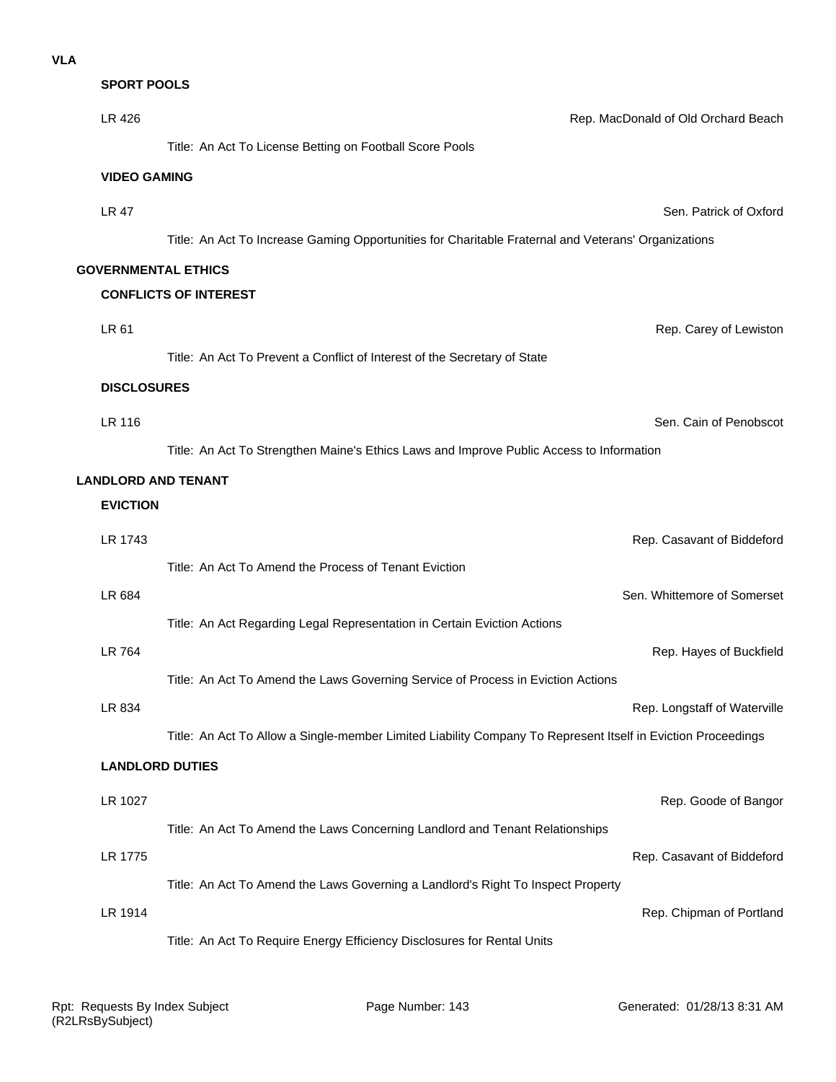**SPORT POOLS**

| LR 426                     | Rep. MacDonald of Old Orchard Beach                                                                          |
|----------------------------|--------------------------------------------------------------------------------------------------------------|
|                            | Title: An Act To License Betting on Football Score Pools                                                     |
| <b>VIDEO GAMING</b>        |                                                                                                              |
| <b>LR 47</b>               | Sen. Patrick of Oxford                                                                                       |
|                            | Title: An Act To Increase Gaming Opportunities for Charitable Fraternal and Veterans' Organizations          |
| <b>GOVERNMENTAL ETHICS</b> |                                                                                                              |
|                            | <b>CONFLICTS OF INTEREST</b>                                                                                 |
| LR 61                      | Rep. Carey of Lewiston                                                                                       |
|                            | Title: An Act To Prevent a Conflict of Interest of the Secretary of State                                    |
|                            |                                                                                                              |
| <b>DISCLOSURES</b>         |                                                                                                              |
| <b>LR 116</b>              | Sen. Cain of Penobscot                                                                                       |
|                            | Title: An Act To Strengthen Maine's Ethics Laws and Improve Public Access to Information                     |
| <b>LANDLORD AND TENANT</b> |                                                                                                              |
| <b>EVICTION</b>            |                                                                                                              |
| LR 1743                    | Rep. Casavant of Biddeford                                                                                   |
|                            | Title: An Act To Amend the Process of Tenant Eviction                                                        |
| LR 684                     | Sen. Whittemore of Somerset                                                                                  |
|                            | Title: An Act Regarding Legal Representation in Certain Eviction Actions                                     |
| LR 764                     | Rep. Hayes of Buckfield                                                                                      |
|                            | Title: An Act To Amend the Laws Governing Service of Process in Eviction Actions                             |
| LR 834                     | Rep. Longstaff of Waterville                                                                                 |
|                            | Title: An Act To Allow a Single-member Limited Liability Company To Represent Itself in Eviction Proceedings |
|                            | <b>LANDLORD DUTIES</b>                                                                                       |
| LR 1027                    | Rep. Goode of Bangor                                                                                         |
|                            | Title: An Act To Amend the Laws Concerning Landlord and Tenant Relationships                                 |
| LR 1775                    | Rep. Casavant of Biddeford                                                                                   |
|                            | Title: An Act To Amend the Laws Governing a Landlord's Right To Inspect Property                             |
| LR 1914                    | Rep. Chipman of Portland                                                                                     |
|                            | Title: An Act To Require Energy Efficiency Disclosures for Rental Units                                      |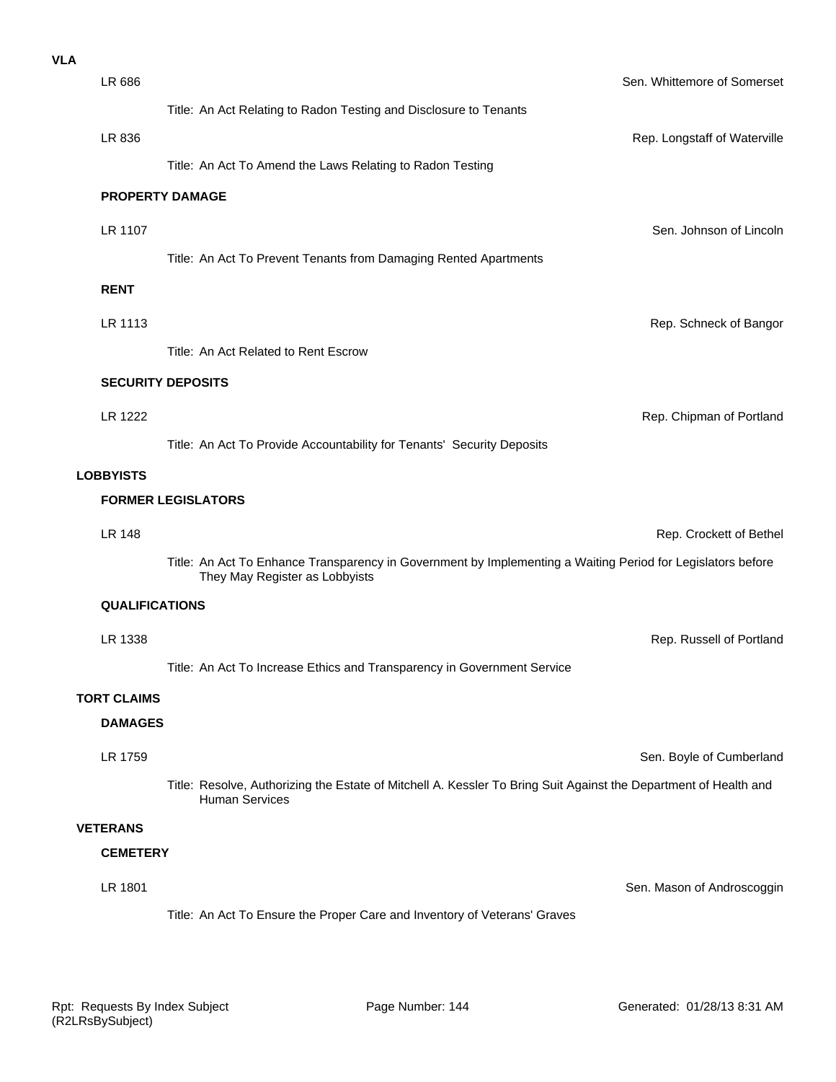| <b>VLA</b> |                       |                                                                                                                                           |
|------------|-----------------------|-------------------------------------------------------------------------------------------------------------------------------------------|
|            | LR 686                | Sen. Whittemore of Somerset                                                                                                               |
|            |                       | Title: An Act Relating to Radon Testing and Disclosure to Tenants                                                                         |
|            | LR 836                | Rep. Longstaff of Waterville                                                                                                              |
|            |                       | Title: An Act To Amend the Laws Relating to Radon Testing                                                                                 |
|            |                       | <b>PROPERTY DAMAGE</b>                                                                                                                    |
|            | LR 1107               | Sen. Johnson of Lincoln                                                                                                                   |
|            |                       | Title: An Act To Prevent Tenants from Damaging Rented Apartments                                                                          |
|            | <b>RENT</b>           |                                                                                                                                           |
|            | LR 1113               | Rep. Schneck of Bangor                                                                                                                    |
|            |                       | Title: An Act Related to Rent Escrow                                                                                                      |
|            |                       | <b>SECURITY DEPOSITS</b>                                                                                                                  |
|            | LR 1222               | Rep. Chipman of Portland                                                                                                                  |
|            |                       | Title: An Act To Provide Accountability for Tenants' Security Deposits                                                                    |
|            | <b>LOBBYISTS</b>      |                                                                                                                                           |
|            |                       | <b>FORMER LEGISLATORS</b>                                                                                                                 |
|            | <b>LR 148</b>         | Rep. Crockett of Bethel                                                                                                                   |
|            |                       | Title: An Act To Enhance Transparency in Government by Implementing a Waiting Period for Legislators before                               |
|            |                       | They May Register as Lobbyists                                                                                                            |
|            | <b>QUALIFICATIONS</b> |                                                                                                                                           |
|            | LR 1338               | Rep. Russell of Portland                                                                                                                  |
|            |                       | Title: An Act To Increase Ethics and Transparency in Government Service                                                                   |
|            | <b>TORT CLAIMS</b>    |                                                                                                                                           |
|            | <b>DAMAGES</b>        |                                                                                                                                           |
|            | LR 1759               | Sen. Boyle of Cumberland                                                                                                                  |
|            |                       | Title: Resolve, Authorizing the Estate of Mitchell A. Kessler To Bring Suit Against the Department of Health and<br><b>Human Services</b> |
|            | <b>VETERANS</b>       |                                                                                                                                           |
|            | <b>CEMETERY</b>       |                                                                                                                                           |
|            | LR 1801               | Sen. Mason of Androscoggin                                                                                                                |
|            |                       | Title: An Act To Ensure the Proper Care and Inventory of Veterans' Graves                                                                 |
|            |                       |                                                                                                                                           |